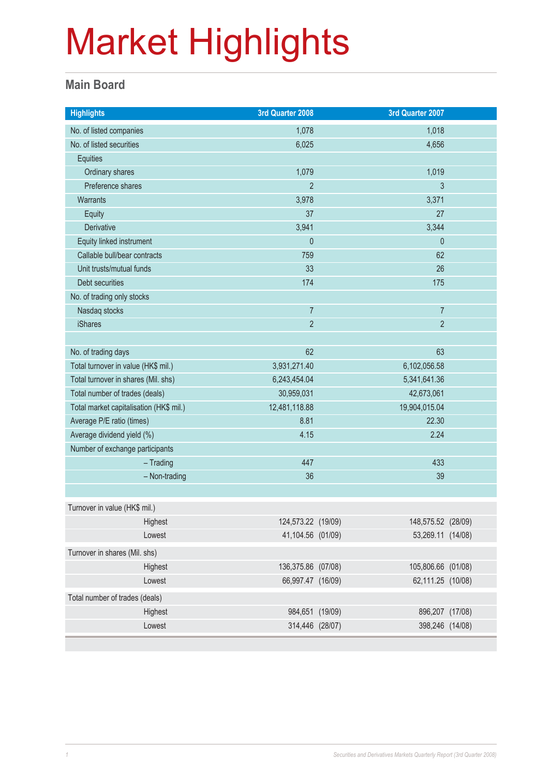#### **Main Board**

| <b>Highlights</b>                       | 3rd Quarter 2008   |               | 3rd Quarter 2007   |  |
|-----------------------------------------|--------------------|---------------|--------------------|--|
| No. of listed companies                 | 1,078              |               | 1,018              |  |
| No. of listed securities                | 6,025              |               | 4,656              |  |
| Equities                                |                    |               |                    |  |
| Ordinary shares                         | 1,079              | 1,019         |                    |  |
| Preference shares                       | $\overline{2}$     |               | $\mathfrak{Z}$     |  |
| Warrants                                | 3,978              |               | 3,371              |  |
| Equity                                  | 37                 |               | 27                 |  |
| Derivative                              | 3,941              |               | 3,344              |  |
| Equity linked instrument                | $\pmb{0}$          |               | $\theta$           |  |
| Callable bull/bear contracts            | 759                |               | 62                 |  |
| Unit trusts/mutual funds                | 33                 |               | 26                 |  |
| Debt securities                         | 174                |               | 175                |  |
| No. of trading only stocks              |                    |               |                    |  |
| Nasdaq stocks                           | $\overline{7}$     |               | $\overline{7}$     |  |
| <b>iShares</b>                          | $\overline{2}$     |               | $\overline{2}$     |  |
|                                         |                    |               |                    |  |
| No. of trading days                     | 62                 | 63            |                    |  |
| Total turnover in value (HK\$ mil.)     | 3,931,271.40       | 6,102,056.58  |                    |  |
| Total turnover in shares (Mil. shs)     | 6,243,454.04       |               | 5,341,641.36       |  |
| Total number of trades (deals)          | 30,959,031         | 42,673,061    |                    |  |
| Total market capitalisation (HK\$ mil.) | 12,481,118.88      | 19,904,015.04 |                    |  |
| Average P/E ratio (times)               | 8.81               | 22.30         |                    |  |
| Average dividend yield (%)              | 4.15               | 2.24          |                    |  |
| Number of exchange participants         |                    |               |                    |  |
| $-$ Trading                             | 447                |               | 433                |  |
| - Non-trading                           | 36                 |               | 39                 |  |
|                                         |                    |               |                    |  |
| Turnover in value (HK\$ mil.)           |                    |               |                    |  |
| Highest                                 | 124,573.22 (19/09) |               | 148,575.52 (28/09) |  |
| Lowest                                  | 41,104.56 (01/09)  |               | 53,269.11 (14/08)  |  |
| Turnover in shares (Mil. shs)           |                    |               |                    |  |
| Highest                                 | 136,375.86 (07/08) |               | 105,806.66 (01/08) |  |
| Lowest                                  | 66,997.47 (16/09)  |               | 62,111.25 (10/08)  |  |
| Total number of trades (deals)          |                    |               |                    |  |
| Highest                                 | 984,651 (19/09)    |               | 896,207 (17/08)    |  |
| Lowest                                  | 314,446 (28/07)    |               | 398,246 (14/08)    |  |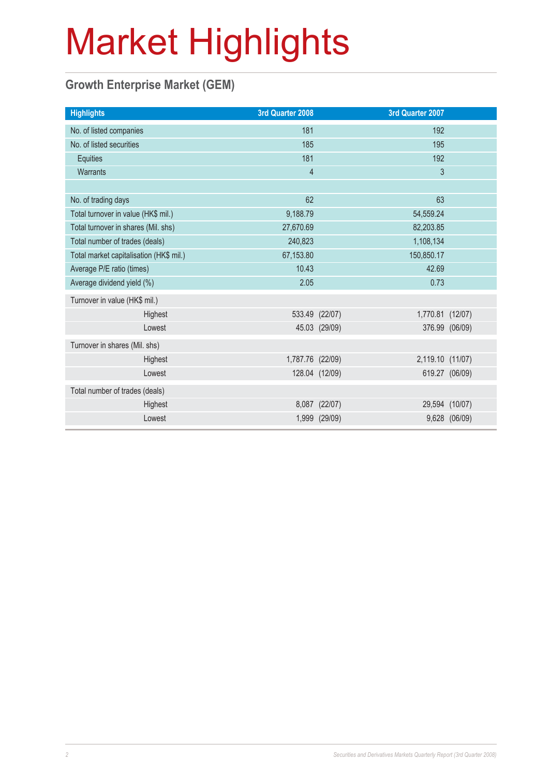### **Growth Enterprise Market (GEM)**

| <b>Highlights</b>                       |  | 3rd Quarter 2008 |                | 3rd Quarter 2007 |                |
|-----------------------------------------|--|------------------|----------------|------------------|----------------|
| No. of listed companies                 |  | 181              |                | 192              |                |
| No. of listed securities                |  | 185              |                | 195              |                |
| Equities                                |  | 181              |                | 192              |                |
| Warrants                                |  | $\overline{4}$   |                | $\mathfrak{S}$   |                |
|                                         |  |                  |                |                  |                |
| No. of trading days                     |  | 62               |                | 63               |                |
| Total turnover in value (HK\$ mil.)     |  | 9,188.79         |                | 54,559.24        |                |
| Total turnover in shares (Mil. shs)     |  | 27,670.69        |                | 82,203.85        |                |
| Total number of trades (deals)          |  | 240,823          |                | 1,108,134        |                |
| Total market capitalisation (HK\$ mil.) |  | 67,153.80        |                | 150,850.17       |                |
| Average P/E ratio (times)               |  | 10.43            |                | 42.69            |                |
| Average dividend yield (%)              |  | 2.05             |                | 0.73             |                |
| Turnover in value (HK\$ mil.)           |  |                  |                |                  |                |
| Highest                                 |  |                  | 533.49 (22/07) | 1,770.81 (12/07) |                |
| Lowest                                  |  |                  | 45.03 (29/09)  |                  | 376.99 (06/09) |
| Turnover in shares (Mil. shs)           |  |                  |                |                  |                |
| Highest                                 |  | 1,787.76 (22/09) |                | 2,119.10 (11/07) |                |
| Lowest                                  |  |                  | 128.04 (12/09) |                  | 619.27 (06/09) |
| Total number of trades (deals)          |  |                  |                |                  |                |
| Highest                                 |  |                  | 8,087 (22/07)  |                  | 29,594 (10/07) |
| Lowest                                  |  |                  | 1,999 (29/09)  |                  | 9,628 (06/09)  |
|                                         |  |                  |                |                  |                |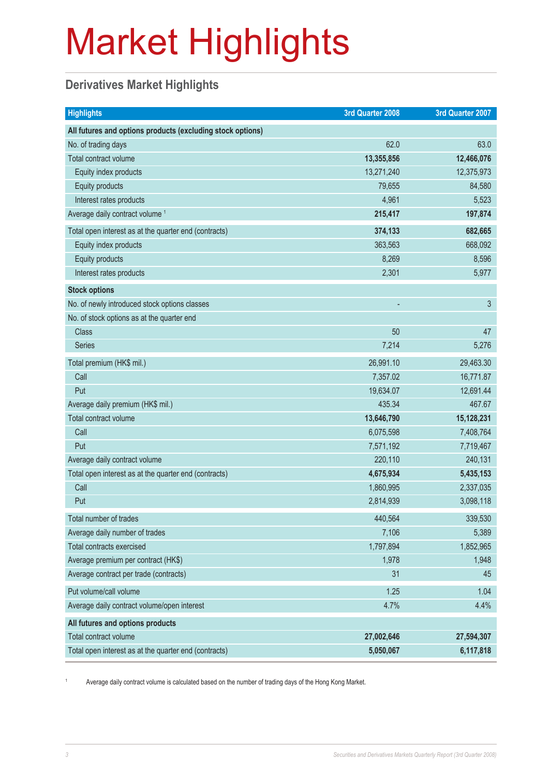### **Derivatives Market Highlights**

| <b>Highlights</b>                                          | 3rd Quarter 2008 | 3rd Quarter 2007 |
|------------------------------------------------------------|------------------|------------------|
| All futures and options products (excluding stock options) |                  |                  |
| No. of trading days                                        | 62.0             | 63.0             |
| Total contract volume                                      | 13,355,856       | 12,466,076       |
| Equity index products                                      | 13,271,240       | 12,375,973       |
| Equity products                                            | 79,655           | 84,580           |
| Interest rates products                                    | 4,961            | 5,523            |
| Average daily contract volume <sup>1</sup>                 | 215,417          | 197,874          |
| Total open interest as at the quarter end (contracts)      | 374,133          | 682,665          |
| Equity index products                                      | 363,563          | 668,092          |
| Equity products                                            | 8,269            | 8,596            |
| Interest rates products                                    | 2,301            | 5,977            |
| <b>Stock options</b>                                       |                  |                  |
| No. of newly introduced stock options classes              |                  | 3                |
| No. of stock options as at the quarter end                 |                  |                  |
| <b>Class</b>                                               | 50               | 47               |
| <b>Series</b>                                              | 7,214            | 5,276            |
| Total premium (HK\$ mil.)                                  | 26,991.10        | 29,463.30        |
| Call                                                       | 7,357.02         | 16,771.87        |
| Put                                                        | 19,634.07        | 12,691.44        |
| Average daily premium (HK\$ mil.)                          | 435.34           | 467.67           |
| Total contract volume                                      | 13,646,790       | 15,128,231       |
| Call                                                       | 6,075,598        | 7,408,764        |
| Put                                                        | 7,571,192        | 7,719,467        |
| Average daily contract volume                              | 220,110          | 240,131          |
| Total open interest as at the quarter end (contracts)      | 4,675,934        | 5,435,153        |
| Call                                                       | 1,860,995        | 2,337,035        |
| Put                                                        | 2,814,939        | 3,098,118        |
| Total number of trades                                     | 440,564          | 339,530          |
| Average daily number of trades                             | 7,106            | 5,389            |
| Total contracts exercised                                  | 1,797,894        | 1,852,965        |
| Average premium per contract (HK\$)                        | 1,978            | 1,948            |
| Average contract per trade (contracts)                     | 31               | 45               |
| Put volume/call volume                                     | 1.25             | 1.04             |
| Average daily contract volume/open interest                | 4.7%             | 4.4%             |
| All futures and options products                           |                  |                  |
| Total contract volume                                      | 27,002,646       | 27,594,307       |
| Total open interest as at the quarter end (contracts)      | 5,050,067        | 6,117,818        |

1 Average daily contract volume is calculated based on the number of trading days of the Hong Kong Market.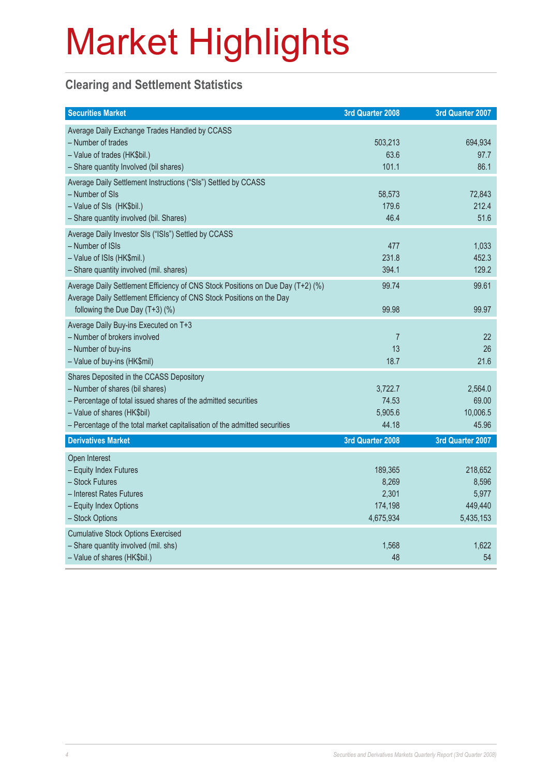### **Clearing and Settlement Statistics**

| <b>Securities Market</b>                                                                                                                                                                                                                                   | 3rd Quarter 2008                                  | 3rd Quarter 2007                                  |
|------------------------------------------------------------------------------------------------------------------------------------------------------------------------------------------------------------------------------------------------------------|---------------------------------------------------|---------------------------------------------------|
| Average Daily Exchange Trades Handled by CCASS<br>- Number of trades<br>- Value of trades (HK\$bil.)<br>- Share quantity Involved (bil shares)                                                                                                             | 503,213<br>63.6<br>101.1                          | 694,934<br>97.7<br>86.1                           |
| Average Daily Settlement Instructions ("SIs") Settled by CCASS<br>- Number of SIs<br>- Value of SIs (HK\$bil.)<br>- Share quantity involved (bil. Shares)                                                                                                  | 58,573<br>179.6<br>46.4                           | 72,843<br>212.4<br>51.6                           |
| Average Daily Investor SIs ("ISIs") Settled by CCASS<br>- Number of ISIs<br>- Value of ISIs (HK\$mil.)<br>- Share quantity involved (mil. shares)                                                                                                          | 477<br>231.8<br>394.1                             | 1,033<br>452.3<br>129.2                           |
| Average Daily Settlement Efficiency of CNS Stock Positions on Due Day (T+2) (%)<br>Average Daily Settlement Efficiency of CNS Stock Positions on the Day<br>following the Due Day (T+3) (%)                                                                | 99.74<br>99.98                                    | 99.61<br>99.97                                    |
| Average Daily Buy-ins Executed on T+3<br>- Number of brokers involved<br>- Number of buy-ins<br>- Value of buy-ins (HK\$mil)                                                                                                                               | $\overline{7}$<br>13<br>18.7                      | 22<br>26<br>21.6                                  |
| Shares Deposited in the CCASS Depository<br>- Number of shares (bil shares)<br>- Percentage of total issued shares of the admitted securities<br>- Value of shares (HK\$bil)<br>- Percentage of the total market capitalisation of the admitted securities | 3,722.7<br>74.53<br>5,905.6<br>44.18              | 2,564.0<br>69.00<br>10,006.5<br>45.96             |
| <b>Derivatives Market</b>                                                                                                                                                                                                                                  | 3rd Quarter 2008                                  | 3rd Quarter 2007                                  |
| Open Interest<br>- Equity Index Futures<br>- Stock Futures<br>- Interest Rates Futures<br>- Equity Index Options<br>- Stock Options                                                                                                                        | 189,365<br>8,269<br>2,301<br>174,198<br>4,675,934 | 218,652<br>8,596<br>5,977<br>449,440<br>5,435,153 |
| <b>Cumulative Stock Options Exercised</b><br>- Share quantity involved (mil. shs)<br>- Value of shares (HK\$bil.)                                                                                                                                          | 1,568<br>48                                       | 1,622<br>54                                       |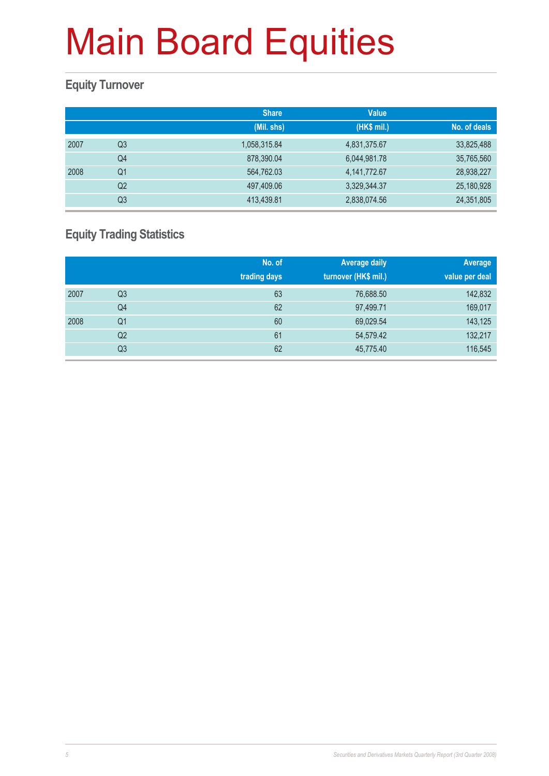### **Equity Turnover**

|      |                | <b>Share</b> | <b>Value</b>    |              |
|------|----------------|--------------|-----------------|--------------|
|      |                | (Mil. shs)   | (HK\$ mil.)     | No. of deals |
| 2007 | Q <sub>3</sub> | 1,058,315.84 | 4,831,375.67    | 33,825,488   |
|      | Q4             | 878,390.04   | 6,044,981.78    | 35,765,560   |
| 2008 | Q <sub>1</sub> | 564,762.03   | 4, 141, 772. 67 | 28,938,227   |
|      | Q <sub>2</sub> | 497,409.06   | 3,329,344.37    | 25,180,928   |
|      | Q3             | 413,439.81   | 2,838,074.56    | 24,351,805   |

### **Equity Trading Statistics**

|      |                | No. of<br>trading days | <b>Average daily</b><br>turnover (HK\$ mil.) | Average<br>value per deal |
|------|----------------|------------------------|----------------------------------------------|---------------------------|
| 2007 | Q <sub>3</sub> | 63                     | 76,688.50                                    | 142,832                   |
|      | Q4             | 62                     | 97,499.71                                    | 169,017                   |
| 2008 | Q <sub>1</sub> | 60                     | 69,029.54                                    | 143,125                   |
|      | Q2             | 61                     | 54,579.42                                    | 132,217                   |
|      | Q3             | 62                     | 45,775.40                                    | 116,545                   |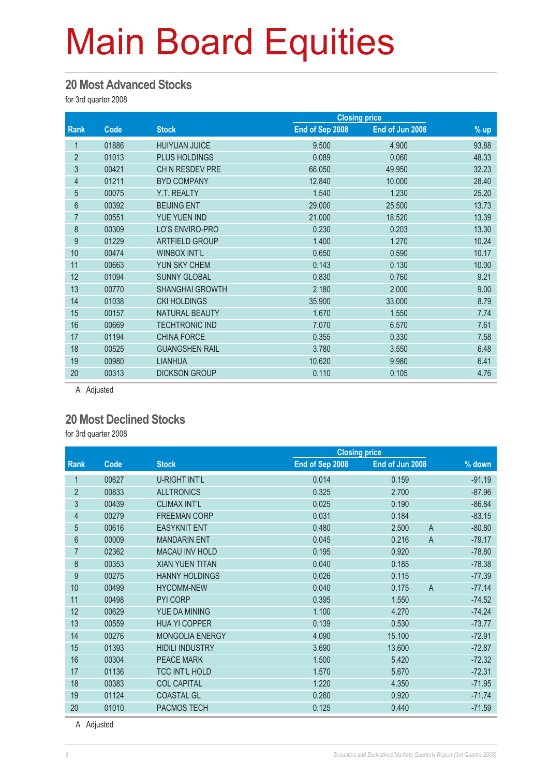#### **20 Most Advanced Stocks**

for 3rd quarter 2008

|                |       |                        | <b>Closing price</b> |                 |        |
|----------------|-------|------------------------|----------------------|-----------------|--------|
| Rank           | Code  | <b>Stock</b>           | End of Sep 2008      | End of Jun 2008 | $%$ up |
| 1              | 01886 | <b>HUIYUAN JUICE</b>   | 9.500                | 4.900           | 93.88  |
| $\overline{2}$ | 01013 | <b>PLUS HOLDINGS</b>   | 0.089                | 0.060           | 48.33  |
| 3              | 00421 | CH N RESDEV PRE        | 66.050               | 49.950          | 32.23  |
| 4              | 01211 | <b>BYD COMPANY</b>     | 12.840               | 10.000          | 28.40  |
| 5              | 00075 | Y.T. REALTY            | 1.540                | 1.230           | 25.20  |
| 6              | 00392 | <b>BEIJING ENT</b>     | 29.000               | 25.500          | 13.73  |
| $\overline{7}$ | 00551 | YUE YUEN IND           | 21.000               | 18.520          | 13.39  |
| 8              | 00309 | LO'S ENVIRO-PRO        | 0.230                | 0.203           | 13.30  |
| 9              | 01229 | ARTFIELD GROUP         | 1.400                | 1.270           | 10.24  |
| 10             | 00474 | <b>WINBOX INT'L</b>    | 0.650                | 0.590           | 10.17  |
| 11             | 00663 | YUN SKY CHEM           | 0.143                | 0.130           | 10.00  |
| 12             | 01094 | <b>SUNNY GLOBAL</b>    | 0.830                | 0.760           | 9.21   |
| 13             | 00770 | <b>SHANGHAI GROWTH</b> | 2.180                | 2.000           | 9.00   |
| 14             | 01038 | <b>CKI HOLDINGS</b>    | 35.900               | 33.000          | 8.79   |
| 15             | 00157 | <b>NATURAL BEAUTY</b>  | 1.670                | 1.550           | 7.74   |
| 16             | 00669 | <b>TECHTRONIC IND</b>  | 7.070                | 6.570           | 7.61   |
| 17             | 01194 | <b>CHINA FORCE</b>     | 0.355                | 0.330           | 7.58   |
| 18             | 00525 | <b>GUANGSHEN RAIL</b>  | 3.780                | 3.550           | 6.48   |
| 19             | 00980 | <b>LIANHUA</b>         | 10.620               | 9.980           | 6.41   |
| 20             | 00313 | <b>DICKSON GROUP</b>   | 0.110                | 0.105           | 4.76   |

A Adjusted

#### **20 Most Declined Stocks**

for 3rd quarter 2008

|       |                        | <b>Closing price</b> |                 |                                                    |
|-------|------------------------|----------------------|-----------------|----------------------------------------------------|
| Code  | <b>Stock</b>           | End of Sep 2008      | End of Jun 2008 | $%$ down                                           |
| 00627 | <b>U-RIGHT INT'L</b>   | 0.014                | 0.159           | $-91.19$                                           |
| 00833 | <b>ALLTRONICS</b>      | 0.325                | 2.700           | $-87.96$                                           |
| 00439 | <b>CLIMAX INT'L</b>    | 0.025                | 0.190           | $-86.84$                                           |
| 00279 | <b>FREEMAN CORP</b>    | 0.031                | 0.184           | $-83.15$                                           |
| 00616 | <b>EASYKNIT ENT</b>    | 0.480                | 2.500           | $-80.80$                                           |
| 00009 | <b>MANDARIN ENT</b>    | 0.045                | 0.216           | $-79.17$                                           |
| 02362 | <b>MACAU INV HOLD</b>  | 0.195                | 0.920           | $-78.80$                                           |
| 00353 | <b>XIAN YUEN TITAN</b> | 0.040                | 0.185           | $-78.38$                                           |
| 00275 | <b>HANNY HOLDINGS</b>  | 0.026                | 0.115           | $-77.39$                                           |
| 00499 | <b>HYCOMM-NEW</b>      | 0.040                | 0.175           | $-77.14$                                           |
| 00498 | <b>PYI CORP</b>        | 0.395                | 1.550           | $-74.52$                                           |
| 00629 | YUE DA MINING          | 1.100                | 4.270           | $-74.24$                                           |
| 00559 | <b>HUA YI COPPER</b>   | 0.139                | 0.530           | $-73.77$                                           |
| 00276 | <b>MONGOLIA ENERGY</b> | 4.090                | 15.100          | $-72.91$                                           |
| 01393 | <b>HIDILI INDUSTRY</b> | 3.690                | 13.600          | $-72.87$                                           |
| 00304 | <b>PEACE MARK</b>      | 1.500                | 5.420           | $-72.32$                                           |
| 01136 | <b>TCC INT'L HOLD</b>  | 1.570                | 5.670           | $-72.31$                                           |
| 00383 | <b>COL CAPITAL</b>     | 1.220                | 4.350           | $-71.95$                                           |
| 01124 | <b>COASTAL GL</b>      | 0.260                | 0.920           | $-71.74$                                           |
| 01010 | <b>PACMOS TECH</b>     | 0.125                | 0.440           | $-71.59$                                           |
|       |                        |                      |                 | $\overline{A}$<br>$\overline{A}$<br>$\overline{A}$ |

A Adjusted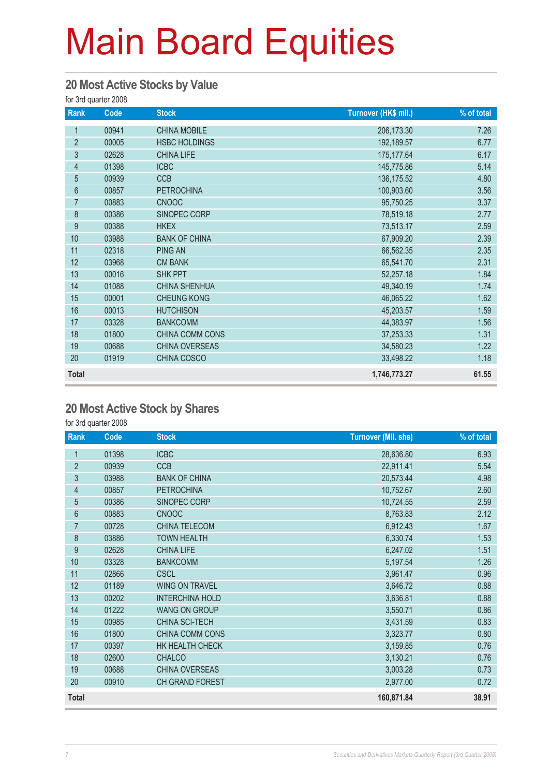#### **20 Most Active Stocks by Value**

for 3rd quarter 2008

| Rank           | Code  | <b>Stock</b>         | Turnover (HK\$ mil.) | % of total |
|----------------|-------|----------------------|----------------------|------------|
| 1              | 00941 | <b>CHINA MOBILE</b>  | 206, 173.30          | 7.26       |
| $\overline{2}$ | 00005 | <b>HSBC HOLDINGS</b> | 192,189.57           | 6.77       |
| $\mathfrak{S}$ | 02628 | <b>CHINA LIFE</b>    | 175, 177.64          | 6.17       |
| $\overline{4}$ | 01398 | <b>ICBC</b>          | 145,775.86           | 5.14       |
| 5              | 00939 | <b>CCB</b>           | 136, 175.52          | 4.80       |
| $6\phantom{a}$ | 00857 | <b>PETROCHINA</b>    | 100,903.60           | 3.56       |
| $\overline{7}$ | 00883 | <b>CNOOC</b>         | 95,750.25            | 3.37       |
| 8              | 00386 | SINOPEC CORP         | 78,519.18            | 2.77       |
| 9              | 00388 | <b>HKEX</b>          | 73,513.17            | 2.59       |
| 10             | 03988 | <b>BANK OF CHINA</b> | 67,909.20            | 2.39       |
| 11             | 02318 | <b>PING AN</b>       | 66,562.35            | 2.35       |
| 12             | 03968 | <b>CM BANK</b>       | 65,541.70            | 2.31       |
| 13             | 00016 | <b>SHK PPT</b>       | 52,257.18            | 1.84       |
| 14             | 01088 | <b>CHINA SHENHUA</b> | 49,340.19            | 1.74       |
| 15             | 00001 | <b>CHEUNG KONG</b>   | 46,065.22            | 1.62       |
| 16             | 00013 | <b>HUTCHISON</b>     | 45,203.57            | 1.59       |
| 17             | 03328 | <b>BANKCOMM</b>      | 44,383.97            | 1.56       |
| 18             | 01800 | CHINA COMM CONS      | 37,253.33            | 1.31       |
| 19             | 00688 | CHINA OVERSEAS       | 34,580.23            | 1.22       |
| 20             | 01919 | CHINA COSCO          | 33,498.22            | 1.18       |
| <b>Total</b>   |       |                      | 1,746,773.27         | 61.55      |

#### **20 Most Active Stock by Shares**

for 3rd quarter 2008

| Rank           | Code  | <b>Stock</b>           | <b>Turnover (Mil. shs)</b> | % of total |
|----------------|-------|------------------------|----------------------------|------------|
| 1              | 01398 | <b>ICBC</b>            | 28,636.80                  | 6.93       |
| $\overline{2}$ | 00939 | <b>CCB</b>             | 22,911.41                  | 5.54       |
| 3              | 03988 | <b>BANK OF CHINA</b>   | 20,573.44                  | 4.98       |
| $\overline{4}$ | 00857 | <b>PETROCHINA</b>      | 10,752.67                  | 2.60       |
| $\overline{5}$ | 00386 | SINOPEC CORP           | 10,724.55                  | 2.59       |
| $6\phantom{1}$ | 00883 | <b>CNOOC</b>           | 8,763.83                   | 2.12       |
| $\overline{7}$ | 00728 | CHINA TELECOM          | 6,912.43                   | 1.67       |
| 8              | 03886 | <b>TOWN HEALTH</b>     | 6,330.74                   | 1.53       |
| 9              | 02628 | <b>CHINA LIFE</b>      | 6,247.02                   | 1.51       |
| 10             | 03328 | <b>BANKCOMM</b>        | 5,197.54                   | 1.26       |
| 11             | 02866 | <b>CSCL</b>            | 3,961.47                   | 0.96       |
| 12             | 01189 | <b>WING ON TRAVEL</b>  | 3,646.72                   | 0.88       |
| 13             | 00202 | <b>INTERCHINA HOLD</b> | 3,636.81                   | 0.88       |
| 14             | 01222 | <b>WANG ON GROUP</b>   | 3,550.71                   | 0.86       |
| 15             | 00985 | CHINA SCI-TECH         | 3,431.59                   | 0.83       |
| 16             | 01800 | CHINA COMM CONS        | 3,323.77                   | 0.80       |
| 17             | 00397 | HK HEALTH CHECK        | 3,159.85                   | 0.76       |
| 18             | 02600 | <b>CHALCO</b>          | 3,130.21                   | 0.76       |
| 19             | 00688 | CHINA OVERSEAS         | 3,003.28                   | 0.73       |
| 20             | 00910 | CH GRAND FOREST        | 2,977.00                   | 0.72       |
| <b>Total</b>   |       |                        | 160,871.84                 | 38.91      |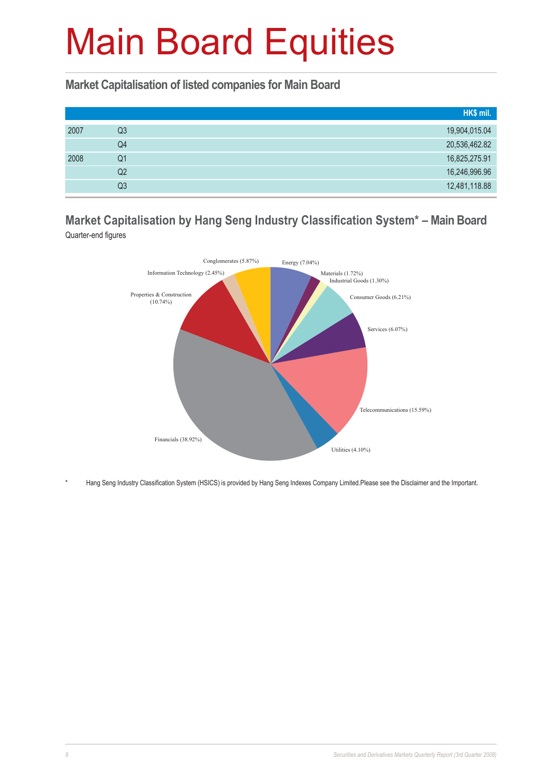#### **Market Capitalisation of listed companies for Main Board**

|      |    | HK\$ mil.     |
|------|----|---------------|
| 2007 | Q3 | 19,904,015.04 |
|      | Q4 | 20,536,462.82 |
| 2008 | Q1 | 16,825,275.91 |
|      | Q2 | 16,246,996.96 |
|      | Q3 | 12,481,118.88 |

#### **Market Capitalisation by Hang Seng Industry Classification System\* – Main Board** Quarter-end figures



\* Hang Seng Industry Classification System (HSICS) is provided by Hang Seng Indexes Company Limited.Please see the Disclaimer and the Important.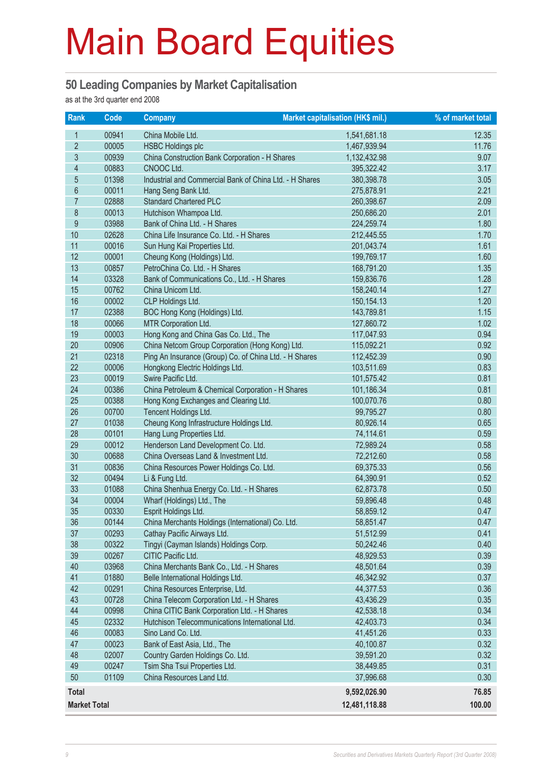#### **50 Leading Companies by Market Capitalisation**

as at the 3rd quarter end 2008

| <b>Rank</b>         | $\overline{Code}$ | <b>Company</b>                                               | Market capitalisation (HK\$ mil.) | % of market total |
|---------------------|-------------------|--------------------------------------------------------------|-----------------------------------|-------------------|
| 1                   | 00941             | China Mobile Ltd.                                            | 1,541,681.18                      | 12.35             |
| $\overline{2}$      | 00005             | <b>HSBC Holdings plc</b>                                     | 1,467,939.94                      | 11.76             |
| $\mathfrak{S}$      | 00939             | China Construction Bank Corporation - H Shares               | 1,132,432.98                      | 9.07              |
| $\overline{4}$      | 00883             | CNOOC Ltd.                                                   | 395,322.42                        | 3.17              |
| $\overline{5}$      | 01398             | Industrial and Commercial Bank of China Ltd. - H Shares      | 380,398.78                        | 3.05              |
| $6\,$               | 00011             | Hang Seng Bank Ltd.                                          | 275,878.91                        | 2.21              |
| $\overline{7}$      | 02888             | <b>Standard Chartered PLC</b>                                | 260,398.67                        | 2.09              |
| 8                   | 00013             | Hutchison Whampoa Ltd.                                       | 250,686.20                        | 2.01              |
| 9                   | 03988             | Bank of China Ltd. - H Shares                                | 224,259.74                        | 1.80              |
| 10                  | 02628             | China Life Insurance Co. Ltd. - H Shares                     | 212,445.55                        | 1.70              |
| 11                  | 00016             | Sun Hung Kai Properties Ltd.                                 | 201,043.74                        | 1.61              |
| 12                  | 00001             | Cheung Kong (Holdings) Ltd.                                  | 199,769.17                        | 1.60              |
| 13                  | 00857             | PetroChina Co. Ltd. - H Shares                               | 168,791.20                        | 1.35              |
| 14                  | 03328             | Bank of Communications Co., Ltd. - H Shares                  | 159,836.76                        | 1.28              |
| 15                  | 00762             | China Unicom Ltd.                                            | 158,240.14                        | 1.27              |
| 16                  | 00002             | CLP Holdings Ltd.                                            | 150, 154. 13                      | 1.20              |
| 17                  | 02388             | BOC Hong Kong (Holdings) Ltd.                                | 143,789.81                        | 1.15              |
| 18                  | 00066             | MTR Corporation Ltd.                                         | 127,860.72                        | 1.02              |
| 19                  | 00003             | Hong Kong and China Gas Co. Ltd., The                        | 117,047.93                        | 0.94              |
| 20                  | 00906             | China Netcom Group Corporation (Hong Kong) Ltd.              | 115,092.21                        | 0.92              |
| 21                  | 02318             | Ping An Insurance (Group) Co. of China Ltd. - H Shares       | 112,452.39                        | 0.90              |
| 22                  | 00006             | Hongkong Electric Holdings Ltd.                              | 103,511.69                        | 0.83              |
| 23                  | 00019             | Swire Pacific Ltd.                                           | 101,575.42                        | 0.81              |
| 24                  | 00386             | China Petroleum & Chemical Corporation - H Shares            | 101,186.34                        | 0.81              |
| 25                  | 00388             | Hong Kong Exchanges and Clearing Ltd.                        | 100,070.76                        | 0.80              |
| 26                  | 00700             | Tencent Holdings Ltd.                                        | 99,795.27                         | 0.80              |
| 27                  | 01038             | Cheung Kong Infrastructure Holdings Ltd.                     | 80,926.14                         | 0.65              |
| 28                  | 00101             | Hang Lung Properties Ltd.                                    | 74,114.61                         | 0.59              |
| 29                  | 00012             | Henderson Land Development Co. Ltd.                          | 72,989.24                         | 0.58              |
| 30                  | 00688             | China Overseas Land & Investment Ltd.                        | 72,212.60                         | 0.58              |
| 31                  | 00836             | China Resources Power Holdings Co. Ltd.                      | 69,375.33                         | 0.56              |
| 32                  | 00494             | Li & Fung Ltd.                                               | 64,390.91                         | 0.52              |
| 33                  | 01088             | China Shenhua Energy Co. Ltd. - H Shares                     | 62,873.78                         | 0.50              |
| 34                  | 00004             | Wharf (Holdings) Ltd., The                                   | 59,896.48                         | 0.48              |
| 35                  | 00330             | Esprit Holdings Ltd.                                         | 58,859.12                         | 0.47              |
| 36<br>37            | 00144             | China Merchants Holdings (International) Co. Ltd.            | 58,851.47                         | 0.47              |
| 38                  | 00293<br>00322    | Cathay Pacific Airways Ltd.                                  | 51,512.99                         | 0.41<br>0.40      |
| 39                  | 00267             | Tingyi (Cayman Islands) Holdings Corp.<br>CITIC Pacific Ltd. | 50,242.46                         | 0.39              |
| 40                  | 03968             | China Merchants Bank Co., Ltd. - H Shares                    | 48,929.53<br>48,501.64            | 0.39              |
| 41                  | 01880             | Belle International Holdings Ltd.                            | 46,342.92                         | 0.37              |
| 42                  | 00291             | China Resources Enterprise, Ltd.                             | 44,377.53                         | 0.36              |
| 43                  | 00728             | China Telecom Corporation Ltd. - H Shares                    | 43,436.29                         | 0.35              |
| 44                  | 00998             | China CITIC Bank Corporation Ltd. - H Shares                 | 42,538.18                         | 0.34              |
| 45                  | 02332             | Hutchison Telecommunications International Ltd.              | 42,403.73                         | 0.34              |
| 46                  | 00083             | Sino Land Co. Ltd.                                           | 41,451.26                         | 0.33              |
| 47                  | 00023             | Bank of East Asia, Ltd., The                                 | 40,100.87                         | 0.32              |
| 48                  | 02007             | Country Garden Holdings Co. Ltd.                             | 39,591.20                         | 0.32              |
| 49                  | 00247             | Tsim Sha Tsui Properties Ltd.                                | 38,449.85                         | 0.31              |
| 50                  | 01109             | China Resources Land Ltd.                                    | 37,996.68                         | 0.30              |
|                     |                   |                                                              |                                   |                   |
| <b>Total</b>        |                   |                                                              | 9,592,026.90                      | 76.85             |
| <b>Market Total</b> |                   |                                                              | 12,481,118.88                     | 100.00            |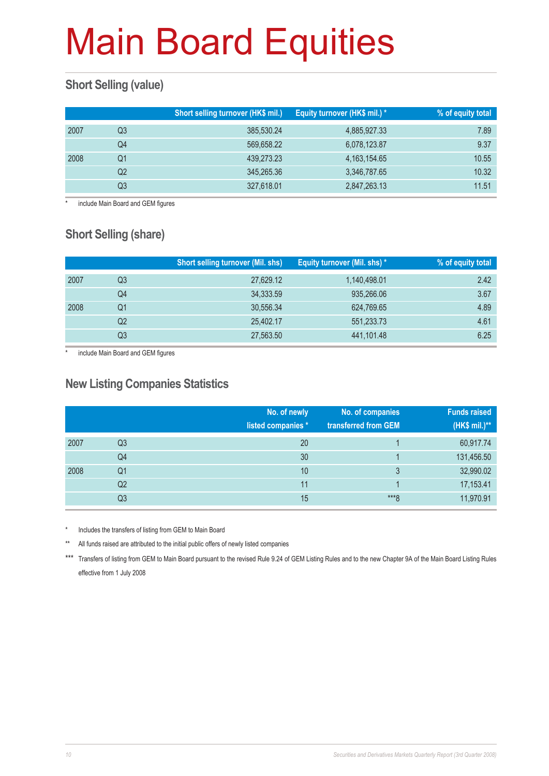### **Short Selling (value)**

|      |    | Short selling turnover (HK\$ mil.) | Equity turnover (HK\$ mil.) * | % of equity total |
|------|----|------------------------------------|-------------------------------|-------------------|
| 2007 | Q3 | 385,530.24                         | 4,885,927.33                  | 7.89              |
|      | Q4 | 569,658.22                         | 6,078,123.87                  | 9.37              |
| 2008 | Q1 | 439,273.23                         | 4, 163, 154, 65               | 10.55             |
|      | Q2 | 345,265.36                         | 3,346,787.65                  | 10.32             |
|      | Q3 | 327,618.01                         | 2,847,263.13                  | 11.51             |

include Main Board and GEM figures

### **Short Selling (share)**

|      |    | <b>Short selling turnover (Mil. shs)</b> | Equity turnover (Mil. shs) * | % of equity total |
|------|----|------------------------------------------|------------------------------|-------------------|
| 2007 | Q3 | 27,629.12                                | 1,140,498.01                 | 2.42              |
|      | Q4 | 34,333.59                                | 935,266.06                   | 3.67              |
| 2008 | Q1 | 30,556.34                                | 624,769.65                   | 4.89              |
|      | Q2 | 25,402.17                                | 551,233.73                   | 4.61              |
|      | Q3 | 27,563.50                                | 441,101.48                   | 6.25              |

include Main Board and GEM figures

#### **New Listing Companies Statistics**

|      |                | No. of newly<br>listed companies * | No. of companies<br>transferred from GEM | <b>Funds raised</b><br>(HK\$ mil.)** |
|------|----------------|------------------------------------|------------------------------------------|--------------------------------------|
| 2007 | Q <sub>3</sub> | 20                                 |                                          | 60,917.74                            |
|      | Q4             | 30                                 |                                          | 131,456.50                           |
| 2008 | Q <sub>1</sub> | 10                                 | 3                                        | 32,990.02                            |
|      | Q2             | 11                                 |                                          | 17,153.41                            |
|      | Q3             | 15                                 | $***8$                                   | 11,970.91                            |

Includes the transfers of listing from GEM to Main Board

All funds raised are attributed to the initial public offers of newly listed companies

\*\*\* Transfers of listing from GEM to Main Board pursuant to the revised Rule 9.24 of GEM Listing Rules and to the new Chapter 9A of the Main Board Listing Rules effective from 1 July 2008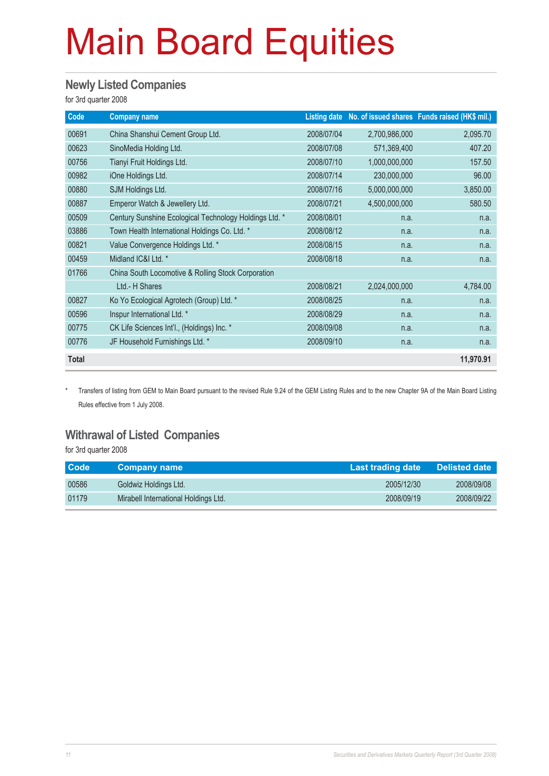#### **Newly Listed Companies**

for 3rd quarter 2008

| Code         | <b>Company name</b>                                    |            |               | Listing date No. of issued shares Funds raised (HK\$ mil.) |
|--------------|--------------------------------------------------------|------------|---------------|------------------------------------------------------------|
| 00691        | China Shanshui Cement Group Ltd.                       | 2008/07/04 | 2,700,986,000 | 2,095.70                                                   |
| 00623        | SinoMedia Holding Ltd.                                 | 2008/07/08 | 571,369,400   | 407.20                                                     |
| 00756        | Tianyi Fruit Holdings Ltd.                             | 2008/07/10 | 1,000,000,000 | 157.50                                                     |
| 00982        | iOne Holdings Ltd.                                     | 2008/07/14 | 230,000,000   | 96.00                                                      |
| 00880        | SJM Holdings Ltd.                                      | 2008/07/16 | 5,000,000,000 | 3,850.00                                                   |
| 00887        | Emperor Watch & Jewellery Ltd.                         | 2008/07/21 | 4,500,000,000 | 580.50                                                     |
| 00509        | Century Sunshine Ecological Technology Holdings Ltd. * | 2008/08/01 | n.a.          | n.a.                                                       |
| 03886        | Town Health International Holdings Co. Ltd. *          | 2008/08/12 | n.a.          | n.a.                                                       |
| 00821        | Value Convergence Holdings Ltd. *                      | 2008/08/15 | n.a.          | n.a.                                                       |
| 00459        | Midland IC&I Ltd. *                                    | 2008/08/18 | n.a.          | n.a.                                                       |
| 01766        | China South Locomotive & Rolling Stock Corporation     |            |               |                                                            |
|              | Ltd.- H Shares                                         | 2008/08/21 | 2,024,000,000 | 4,784.00                                                   |
| 00827        | Ko Yo Ecological Agrotech (Group) Ltd. *               | 2008/08/25 | n.a.          | n.a.                                                       |
| 00596        | Inspur International Ltd. *                            | 2008/08/29 | n.a.          | n.a.                                                       |
| 00775        | CK Life Sciences Int'l., (Holdings) Inc. *             | 2008/09/08 | n.a.          | n.a.                                                       |
| 00776        | JF Household Furnishings Ltd. *                        | 2008/09/10 | n.a.          | n.a.                                                       |
| <b>Total</b> |                                                        |            |               | 11,970.91                                                  |

\* Transfers of listing from GEM to Main Board pursuant to the revised Rule 9.24 of the GEM Listing Rules and to the new Chapter 9A of the Main Board Listing Rules effective from 1 July 2008.

#### **Withrawal of Listed Companies**

for 3rd quarter 2008

| <b>Code</b> | ∣ Company name ⊺                     | Last trading date | <b>Delisted date</b> |
|-------------|--------------------------------------|-------------------|----------------------|
| 00586       | Goldwiz Holdings Ltd.                | 2005/12/30        | 2008/09/08           |
| 01179       | Mirabell International Holdings Ltd. | 2008/09/19        | 2008/09/22           |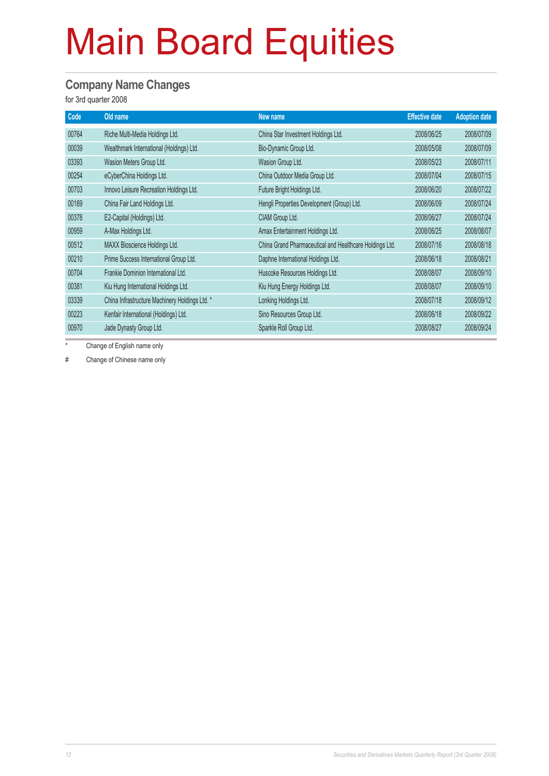#### **Company Name Changes**

for 3rd quarter 2008

| Code  | Old name                                       | New name                                                | <b>Effective date</b> | <b>Adoption date</b> |
|-------|------------------------------------------------|---------------------------------------------------------|-----------------------|----------------------|
| 00764 | Riche Multi-Media Holdings Ltd.                | China Star Investment Holdings Ltd.                     | 2008/06/25            | 2008/07/09           |
| 00039 | Wealthmark International (Holdings) Ltd.       | Bio-Dynamic Group Ltd.                                  | 2008/05/08            | 2008/07/09           |
| 03393 | Wasion Meters Group Ltd.                       | Wasion Group Ltd.                                       | 2008/05/23            | 2008/07/11           |
| 00254 | eCyberChina Holdings Ltd.                      | China Outdoor Media Group Ltd.                          | 2008/07/04            | 2008/07/15           |
| 00703 | Innovo Leisure Recreation Holdings Ltd.        | Future Bright Holdings Ltd.                             | 2008/06/20            | 2008/07/22           |
| 00169 | China Fair Land Holdings Ltd.                  | Hengli Properties Development (Group) Ltd.              | 2008/06/09            | 2008/07/24           |
| 00378 | E2-Capital (Holdings) Ltd.                     | CIAM Group Ltd.                                         | 2008/06/27            | 2008/07/24           |
| 00959 | A-Max Holdings Ltd.                            | Amax Entertainment Holdings Ltd.                        | 2008/06/25            | 2008/08/07           |
| 00512 | MAXX Bioscience Holdings Ltd.                  | China Grand Pharmaceutical and Healthcare Holdings Ltd. | 2008/07/16            | 2008/08/18           |
| 00210 | Prime Success International Group Ltd.         | Daphne International Holdings Ltd.                      | 2008/06/18            | 2008/08/21           |
| 00704 | Frankie Dominion International Ltd.            | Huscoke Resources Holdings Ltd.                         | 2008/08/07            | 2008/09/10           |
| 00381 | Kiu Hung International Holdings Ltd.           | Kiu Hung Energy Holdings Ltd.                           | 2008/08/07            | 2008/09/10           |
| 03339 | China Infrastructure Machinery Holdings Ltd. * | Lonking Holdings Ltd.                                   | 2008/07/18            | 2008/09/12           |
| 00223 | Kenfair International (Holdings) Ltd.          | Sino Resources Group Ltd.                               | 2008/06/18            | 2008/09/22           |
| 00970 | Jade Dynasty Group Ltd.                        | Sparkle Roll Group Ltd.                                 | 2008/08/27            | 2008/09/24           |

\* Change of English name only

# Change of Chinese name only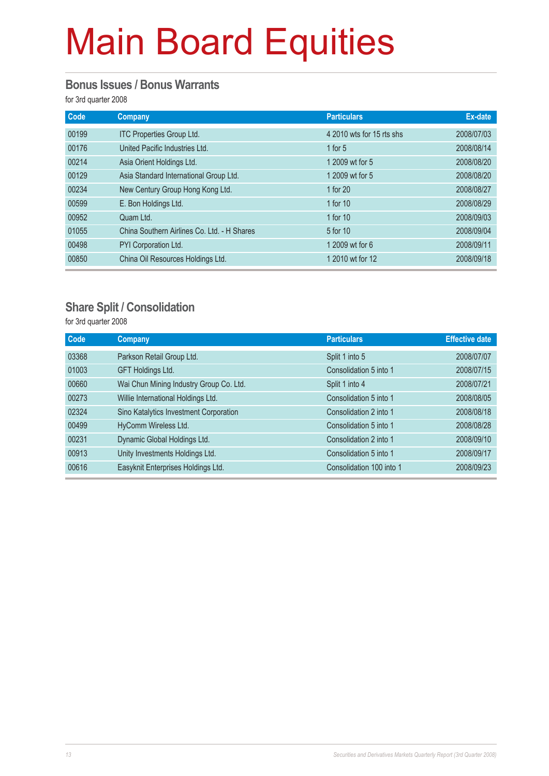#### **Bonus Issues / Bonus Warrants**

for 3rd quarter 2008

| Code  | Company                                     | <b>Particulars</b>        | Ex-date    |
|-------|---------------------------------------------|---------------------------|------------|
| 00199 | ITC Properties Group Ltd.                   | 4 2010 wts for 15 rts shs | 2008/07/03 |
| 00176 | United Pacific Industries Ltd.              | 1 for $5$                 | 2008/08/14 |
| 00214 | Asia Orient Holdings Ltd.                   | 1 2009 wt for 5           | 2008/08/20 |
| 00129 | Asia Standard International Group Ltd.      | 1 2009 wt for 5           | 2008/08/20 |
| 00234 | New Century Group Hong Kong Ltd.            | 1 for 20                  | 2008/08/27 |
| 00599 | E. Bon Holdings Ltd.                        | 1 for 10                  | 2008/08/29 |
| 00952 | Quam Ltd.                                   | 1 for 10                  | 2008/09/03 |
| 01055 | China Southern Airlines Co. Ltd. - H Shares | 5 for 10                  | 2008/09/04 |
| 00498 | PYI Corporation Ltd.                        | 1 2009 wt for 6           | 2008/09/11 |
| 00850 | China Oil Resources Holdings Ltd.           | 1 2010 wt for 12          | 2008/09/18 |

#### **Share Split / Consolidation**

for 3rd quarter 2008

| <b>Code</b> | <b>Company</b>                          | <b>Particulars</b>       | <b>Effective date</b> |
|-------------|-----------------------------------------|--------------------------|-----------------------|
| 03368       | Parkson Retail Group Ltd.               | Split 1 into 5           | 2008/07/07            |
| 01003       | GFT Holdings Ltd.                       | Consolidation 5 into 1   | 2008/07/15            |
| 00660       | Wai Chun Mining Industry Group Co. Ltd. | Split 1 into 4           | 2008/07/21            |
| 00273       | Willie International Holdings Ltd.      | Consolidation 5 into 1   | 2008/08/05            |
| 02324       | Sino Katalytics Investment Corporation  | Consolidation 2 into 1   | 2008/08/18            |
| 00499       | HyComm Wireless Ltd.                    | Consolidation 5 into 1   | 2008/08/28            |
| 00231       | Dynamic Global Holdings Ltd.            | Consolidation 2 into 1   | 2008/09/10            |
| 00913       | Unity Investments Holdings Ltd.         | Consolidation 5 into 1   | 2008/09/17            |
| 00616       | Easyknit Enterprises Holdings Ltd.      | Consolidation 100 into 1 | 2008/09/23            |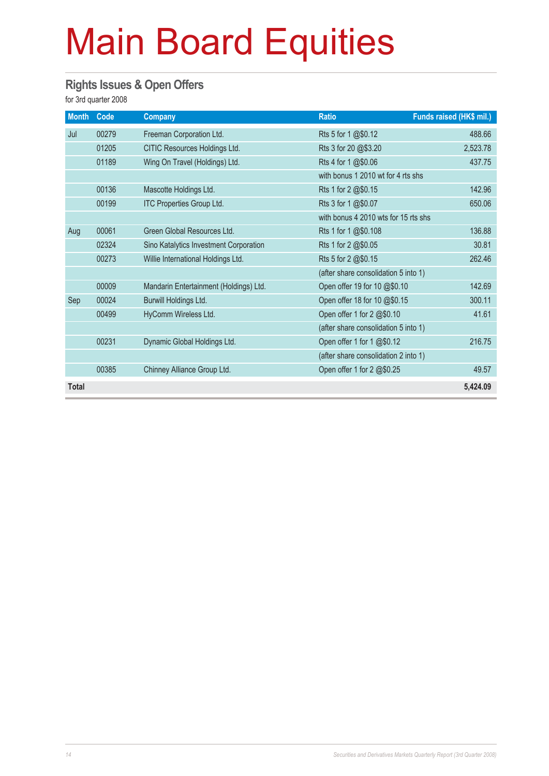#### **Rights Issues & Open Offers**

for 3rd quarter 2008

| <b>Month</b> | Code  | <b>Company</b>                         | <b>Ratio</b>                         | Funds raised (HK\$ mil.) |
|--------------|-------|----------------------------------------|--------------------------------------|--------------------------|
| Jul          | 00279 | Freeman Corporation Ltd.               | Rts 5 for 1 @\$0.12                  | 488.66                   |
|              | 01205 | CITIC Resources Holdings Ltd.          | Rts 3 for 20 @\$3.20                 | 2,523.78                 |
|              | 01189 | Wing On Travel (Holdings) Ltd.         | Rts 4 for 1 @\$0.06                  | 437.75                   |
|              |       |                                        | with bonus 1 2010 wt for 4 rts shs   |                          |
|              | 00136 | Mascotte Holdings Ltd.                 | Rts 1 for 2 @\$0.15                  | 142.96                   |
|              | 00199 | ITC Properties Group Ltd.              | Rts 3 for 1 @\$0.07                  | 650.06                   |
|              |       |                                        | with bonus 4 2010 wts for 15 rts shs |                          |
| Aug          | 00061 | Green Global Resources Ltd.            | Rts 1 for 1 @\$0.108                 | 136.88                   |
|              | 02324 | Sino Katalytics Investment Corporation | Rts 1 for 2 @\$0.05                  | 30.81                    |
|              | 00273 | Willie International Holdings Ltd.     | Rts 5 for 2 @\$0.15                  | 262.46                   |
|              |       |                                        | (after share consolidation 5 into 1) |                          |
|              | 00009 | Mandarin Entertainment (Holdings) Ltd. | Open offer 19 for 10 @\$0.10         | 142.69                   |
| Sep          | 00024 | Burwill Holdings Ltd.                  | Open offer 18 for 10 @\$0.15         | 300.11                   |
|              | 00499 | HyComm Wireless Ltd.                   | Open offer 1 for 2 @\$0.10           | 41.61                    |
|              |       |                                        | (after share consolidation 5 into 1) |                          |
|              | 00231 | Dynamic Global Holdings Ltd.           | Open offer 1 for 1 @\$0.12           | 216.75                   |
|              |       |                                        | (after share consolidation 2 into 1) |                          |
|              | 00385 | Chinney Alliance Group Ltd.            | Open offer 1 for 2 @\$0.25           | 49.57                    |
| <b>Total</b> |       |                                        |                                      | 5,424.09                 |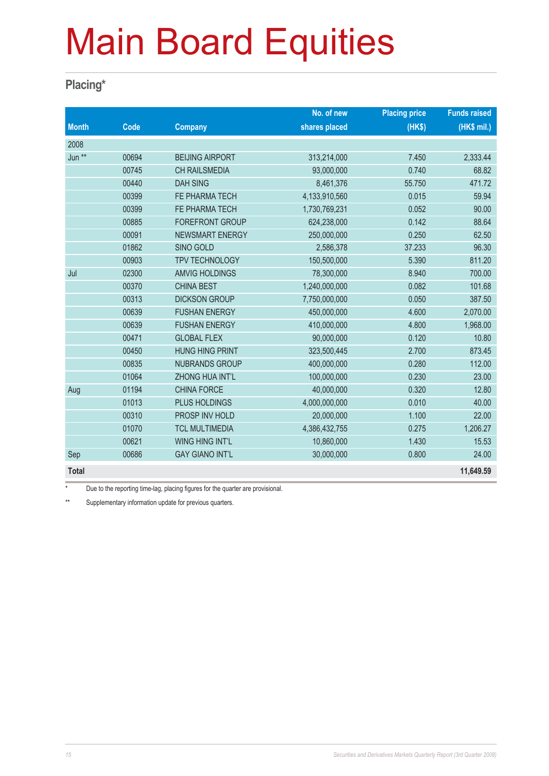#### **Placing\***

|              |       |                        | No. of new    | <b>Placing price</b> | <b>Funds raised</b> |
|--------------|-------|------------------------|---------------|----------------------|---------------------|
| <b>Month</b> | Code  | <b>Company</b>         | shares placed | (HKS)                | (HK\$ mil.)         |
| 2008         |       |                        |               |                      |                     |
| Jun **       | 00694 | <b>BEIJING AIRPORT</b> | 313,214,000   | 7.450                | 2,333.44            |
|              | 00745 | <b>CH RAILSMEDIA</b>   | 93,000,000    | 0.740                | 68.82               |
|              | 00440 | <b>DAH SING</b>        | 8,461,376     | 55.750               | 471.72              |
|              | 00399 | FE PHARMA TECH         | 4,133,910,560 | 0.015                | 59.94               |
|              | 00399 | FE PHARMA TECH         | 1,730,769,231 | 0.052                | 90.00               |
|              | 00885 | <b>FOREFRONT GROUP</b> | 624,238,000   | 0.142                | 88.64               |
|              | 00091 | <b>NEWSMART ENERGY</b> | 250,000,000   | 0.250                | 62.50               |
|              | 01862 | SINO GOLD              | 2,586,378     | 37.233               | 96.30               |
|              | 00903 | <b>TPV TECHNOLOGY</b>  | 150,500,000   | 5.390                | 811.20              |
| Jul          | 02300 | <b>AMVIG HOLDINGS</b>  | 78,300,000    | 8.940                | 700.00              |
|              | 00370 | <b>CHINA BEST</b>      | 1,240,000,000 | 0.082                | 101.68              |
|              | 00313 | <b>DICKSON GROUP</b>   | 7,750,000,000 | 0.050                | 387.50              |
|              | 00639 | <b>FUSHAN ENERGY</b>   | 450,000,000   | 4.600                | 2,070.00            |
|              | 00639 | <b>FUSHAN ENERGY</b>   | 410,000,000   | 4.800                | 1,968.00            |
|              | 00471 | <b>GLOBAL FLEX</b>     | 90,000,000    | 0.120                | 10.80               |
|              | 00450 | <b>HUNG HING PRINT</b> | 323,500,445   | 2.700                | 873.45              |
|              | 00835 | <b>NUBRANDS GROUP</b>  | 400,000,000   | 0.280                | 112.00              |
|              | 01064 | ZHONG HUA INT'L        | 100,000,000   | 0.230                | 23.00               |
| Aug          | 01194 | <b>CHINA FORCE</b>     | 40,000,000    | 0.320                | 12.80               |
|              | 01013 | PLUS HOLDINGS          | 4,000,000,000 | 0.010                | 40.00               |
|              | 00310 | PROSP INV HOLD         | 20,000,000    | 1.100                | 22.00               |
|              | 01070 | <b>TCL MULTIMEDIA</b>  | 4,386,432,755 | 0.275                | 1,206.27            |
|              | 00621 | WING HING INT'L        | 10,860,000    | 1.430                | 15.53               |
| Sep          | 00686 | <b>GAY GIANO INT'L</b> | 30,000,000    | 0.800                | 24.00               |
| <b>Total</b> |       |                        |               |                      | 11,649.59           |

\* Due to the reporting time-lag, placing figures for the quarter are provisional.

\*\* Supplementary information update for previous quarters.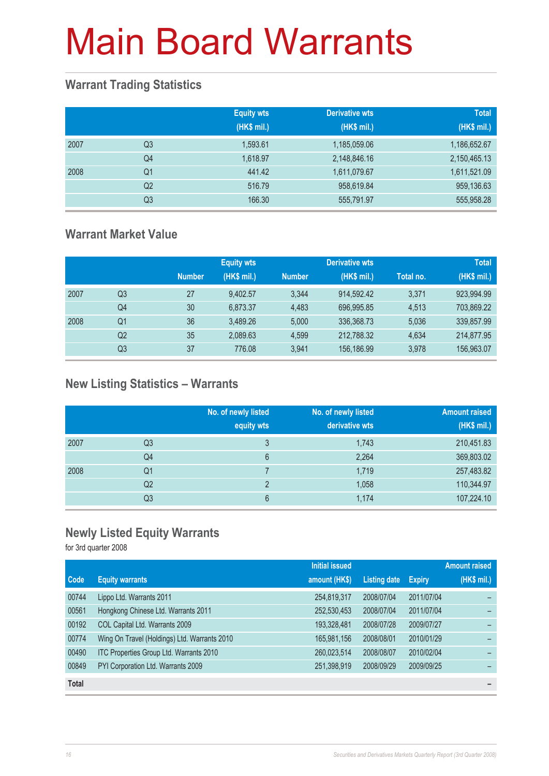### **Warrant Trading Statistics**

|      |                | <b>Equity wts</b><br>(HK\$ mil.) | <b>Derivative wts</b><br>(HK\$ mil.) | <b>Total</b><br>(HK\$ mil.) |
|------|----------------|----------------------------------|--------------------------------------|-----------------------------|
| 2007 | Q <sub>3</sub> | 1,593.61                         | 1,185,059.06                         | 1,186,652.67                |
|      | Q <sub>4</sub> | 1,618.97                         | 2,148,846.16                         | 2,150,465.13                |
| 2008 | Q <sub>1</sub> | 441.42                           | 1,611,079.67                         | 1,611,521.09                |
|      | Q <sub>2</sub> | 516.79                           | 958,619.84                           | 959,136.63                  |
|      | Q <sub>3</sub> | 166.30                           | 555,791.97                           | 555,958.28                  |

### **Warrant Market Value**

|      |                |               | <b>Equity wts</b> |               | <b>Derivative wts</b> |           | <b>Total</b> |
|------|----------------|---------------|-------------------|---------------|-----------------------|-----------|--------------|
|      |                | <b>Number</b> | (HK\$ mil.)       | <b>Number</b> | (HK\$ mil.)           | Total no. | (HK\$ mil.)  |
| 2007 | Q <sub>3</sub> | 27            | 9.402.57          | 3.344         | 914.592.42            | 3.371     | 923,994.99   |
|      | Q4             | 30            | 6.873.37          | 4.483         | 696.995.85            | 4.513     | 703,869.22   |
| 2008 | Q1             | 36            | 3.489.26          | 5.000         | 336,368.73            | 5,036     | 339,857.99   |
|      | Q <sub>2</sub> | 35            | 2,089.63          | 4,599         | 212,788.32            | 4,634     | 214,877.95   |
|      | Q3             | 37            | 776.08            | 3.941         | 156,186.99            | 3,978     | 156,963.07   |

### **New Listing Statistics – Warrants**

|      |                | No. of newly listed<br>equity wts | No. of newly listed<br>derivative wts | <b>Amount raised</b><br>(HK\$ mil.) |
|------|----------------|-----------------------------------|---------------------------------------|-------------------------------------|
| 2007 | Q <sub>3</sub> | 3                                 | 1,743                                 | 210,451.83                          |
|      | Q4             | 6                                 | 2,264                                 | 369,803.02                          |
| 2008 | Q1             |                                   | 1,719                                 | 257,483.82                          |
|      | Q <sub>2</sub> | っ                                 | 1,058                                 | 110,344.97                          |
|      | Q <sub>3</sub> | 6                                 | 1,174                                 | 107,224.10                          |

### **Newly Listed Equity Warrants**

for 3rd quarter 2008

|              |                                              | <b>Initial issued</b> |                     |               | <b>Amount raised</b>     |
|--------------|----------------------------------------------|-----------------------|---------------------|---------------|--------------------------|
| <b>Code</b>  | <b>Equity warrants</b>                       | amount (HK\$)         | <b>Listing date</b> | <b>Expiry</b> | (HK\$ mil.)              |
| 00744        | Lippo Ltd. Warrants 2011                     | 254,819,317           | 2008/07/04          | 2011/07/04    |                          |
| 00561        | Hongkong Chinese Ltd. Warrants 2011          | 252,530,453           | 2008/07/04          | 2011/07/04    |                          |
| 00192        | COL Capital Ltd. Warrants 2009               | 193,328,481           | 2008/07/28          | 2009/07/27    |                          |
| 00774        | Wing On Travel (Holdings) Ltd. Warrants 2010 | 165,981,156           | 2008/08/01          | 2010/01/29    |                          |
| 00490        | ITC Properties Group Ltd. Warrants 2010      | 260,023,514           | 2008/08/07          | 2010/02/04    |                          |
| 00849        | PYI Corporation Ltd. Warrants 2009           | 251,398,919           | 2008/09/29          | 2009/09/25    |                          |
| <b>Total</b> |                                              |                       |                     |               | $\overline{\phantom{a}}$ |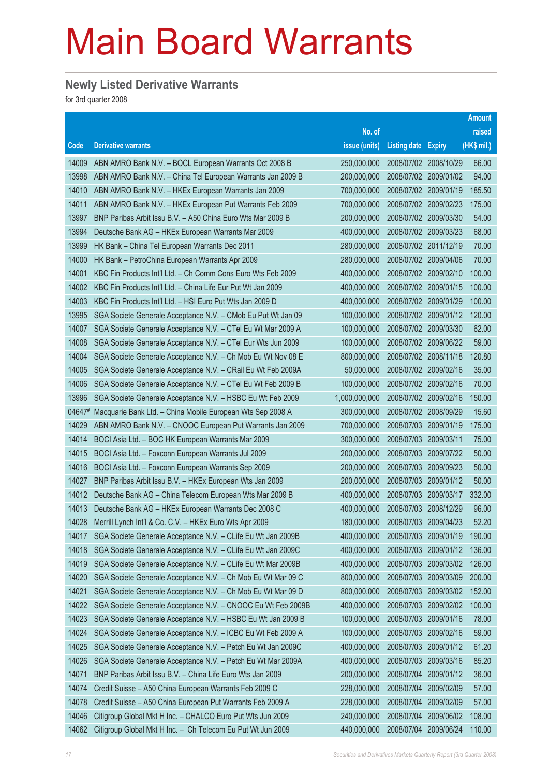### **Newly Listed Derivative Warrants**

for 3rd quarter 2008

|        |                                                              |               |                            |                       | <b>Amount</b> |
|--------|--------------------------------------------------------------|---------------|----------------------------|-----------------------|---------------|
|        |                                                              | No. of        |                            |                       | raised        |
| Code   | <b>Derivative warrants</b>                                   | issue (units) | <b>Listing date Expiry</b> |                       | (HK\$ mil.)   |
| 14009  | ABN AMRO Bank N.V. - BOCL European Warrants Oct 2008 B       | 250,000,000   | 2008/07/02 2008/10/29      |                       | 66.00         |
| 13998  | ABN AMRO Bank N.V. - China Tel European Warrants Jan 2009 B  | 200,000,000   | 2008/07/02 2009/01/02      |                       | 94.00         |
| 14010  | ABN AMRO Bank N.V. - HKEx European Warrants Jan 2009         | 700,000,000   |                            | 2008/07/02 2009/01/19 | 185.50        |
| 14011  | ABN AMRO Bank N.V. - HKEx European Put Warrants Feb 2009     | 700,000,000   | 2008/07/02 2009/02/23      |                       | 175.00        |
| 13997  | BNP Paribas Arbit Issu B.V. - A50 China Euro Wts Mar 2009 B  | 200,000,000   | 2008/07/02 2009/03/30      |                       | 54.00         |
| 13994  | Deutsche Bank AG - HKEx European Warrants Mar 2009           | 400,000,000   | 2008/07/02 2009/03/23      |                       | 68.00         |
| 13999  | HK Bank - China Tel European Warrants Dec 2011               | 280,000,000   | 2008/07/02 2011/12/19      |                       | 70.00         |
| 14000  | HK Bank - PetroChina European Warrants Apr 2009              | 280,000,000   | 2008/07/02 2009/04/06      |                       | 70.00         |
| 14001  | KBC Fin Products Int'l Ltd. - Ch Comm Cons Euro Wts Feb 2009 | 400,000,000   |                            | 2008/07/02 2009/02/10 | 100.00        |
| 14002  | KBC Fin Products Int'l Ltd. - China Life Eur Put Wt Jan 2009 | 400,000,000   | 2008/07/02 2009/01/15      |                       | 100.00        |
| 14003  | KBC Fin Products Int'l Ltd. - HSI Euro Put Wts Jan 2009 D    | 400,000,000   | 2008/07/02 2009/01/29      |                       | 100.00        |
| 13995  | SGA Societe Generale Acceptance N.V. - CMob Eu Put Wt Jan 09 | 100,000,000   |                            | 2008/07/02 2009/01/12 | 120.00        |
| 14007  | SGA Societe Generale Acceptance N.V. - CTel Eu Wt Mar 2009 A | 100,000,000   | 2008/07/02 2009/03/30      |                       | 62.00         |
| 14008  | SGA Societe Generale Acceptance N.V. - CTel Eur Wts Jun 2009 | 100,000,000   | 2008/07/02 2009/06/22      |                       | 59.00         |
| 14004  | SGA Societe Generale Acceptance N.V. - Ch Mob Eu Wt Nov 08 E | 800,000,000   |                            | 2008/07/02 2008/11/18 | 120.80        |
| 14005  | SGA Societe Generale Acceptance N.V. - CRail Eu Wt Feb 2009A | 50,000,000    | 2008/07/02 2009/02/16      |                       | 35.00         |
| 14006  | SGA Societe Generale Acceptance N.V. - CTel Eu Wt Feb 2009 B | 100,000,000   | 2008/07/02 2009/02/16      |                       | 70.00         |
| 13996  | SGA Societe Generale Acceptance N.V. - HSBC Eu Wt Feb 2009   | 1,000,000,000 |                            | 2008/07/02 2009/02/16 | 150.00        |
| 04647# | Macquarie Bank Ltd. - China Mobile European Wts Sep 2008 A   | 300,000,000   | 2008/07/02 2008/09/29      |                       | 15.60         |
| 14029  | ABN AMRO Bank N.V. - CNOOC European Put Warrants Jan 2009    | 700,000,000   | 2008/07/03                 | 2009/01/19            | 175.00        |
| 14014  | BOCI Asia Ltd. - BOC HK European Warrants Mar 2009           | 300,000,000   | 2008/07/03 2009/03/11      |                       | 75.00         |
| 14015  | BOCI Asia Ltd. - Foxconn European Warrants Jul 2009          | 200,000,000   | 2008/07/03 2009/07/22      |                       | 50.00         |
| 14016  | BOCI Asia Ltd. - Foxconn European Warrants Sep 2009          | 200,000,000   | 2008/07/03 2009/09/23      |                       | 50.00         |
| 14027  | BNP Paribas Arbit Issu B.V. - HKEx European Wts Jan 2009     | 200,000,000   | 2008/07/03                 | 2009/01/12            | 50.00         |
| 14012  | Deutsche Bank AG - China Telecom European Wts Mar 2009 B     | 400,000,000   |                            | 2008/07/03 2009/03/17 | 332.00        |
| 14013  | Deutsche Bank AG - HKEx European Warrants Dec 2008 C         | 400,000,000   | 2008/07/03                 | 2008/12/29            | 96.00         |
| 14028  | Merrill Lynch Int'l & Co. C.V. - HKEx Euro Wts Apr 2009      | 180,000,000   | 2008/07/03                 | 2009/04/23            | 52.20         |
| 14017  | SGA Societe Generale Acceptance N.V. - CLife Eu Wt Jan 2009B | 400,000,000   | 2008/07/03                 | 2009/01/19            | 190.00        |
| 14018  | SGA Societe Generale Acceptance N.V. - CLife Eu Wt Jan 2009C | 400,000,000   | 2008/07/03                 | 2009/01/12            | 136.00        |
| 14019  | SGA Societe Generale Acceptance N.V. - CLife Eu Wt Mar 2009B | 400,000,000   | 2008/07/03                 | 2009/03/02            | 126.00        |
| 14020  | SGA Societe Generale Acceptance N.V. - Ch Mob Eu Wt Mar 09 C | 800,000,000   | 2008/07/03                 | 2009/03/09            | 200.00        |
| 14021  | SGA Societe Generale Acceptance N.V. - Ch Mob Eu Wt Mar 09 D | 800,000,000   | 2008/07/03                 | 2009/03/02            | 152.00        |
| 14022  | SGA Societe Generale Acceptance N.V. - CNOOC Eu Wt Feb 2009B | 400,000,000   | 2008/07/03                 | 2009/02/02            | 100.00        |
| 14023  | SGA Societe Generale Acceptance N.V. - HSBC Eu Wt Jan 2009 B | 100,000,000   | 2008/07/03                 | 2009/01/16            | 78.00         |
| 14024  | SGA Societe Generale Acceptance N.V. - ICBC Eu Wt Feb 2009 A | 100,000,000   | 2008/07/03                 | 2009/02/16            | 59.00         |
| 14025  | SGA Societe Generale Acceptance N.V. - Petch Eu Wt Jan 2009C | 400,000,000   | 2008/07/03                 | 2009/01/12            | 61.20         |
| 14026  | SGA Societe Generale Acceptance N.V. - Petch Eu Wt Mar 2009A | 400,000,000   | 2008/07/03                 | 2009/03/16            | 85.20         |
| 14071  | BNP Paribas Arbit Issu B.V. - China Life Euro Wts Jan 2009   | 200,000,000   | 2008/07/04                 | 2009/01/12            | 36.00         |
| 14074  | Credit Suisse - A50 China European Warrants Feb 2009 C       | 228,000,000   | 2008/07/04                 | 2009/02/09            | 57.00         |
| 14078  | Credit Suisse - A50 China European Put Warrants Feb 2009 A   | 228,000,000   | 2008/07/04                 | 2009/02/09            | 57.00         |
| 14046  | Citigroup Global Mkt H Inc. - CHALCO Euro Put Wts Jun 2009   | 240,000,000   | 2008/07/04                 | 2009/06/02            | 108.00        |
| 14062  | Citigroup Global Mkt H Inc. - Ch Telecom Eu Put Wt Jun 2009  | 440,000,000   | 2008/07/04                 | 2009/06/24            | 110.00        |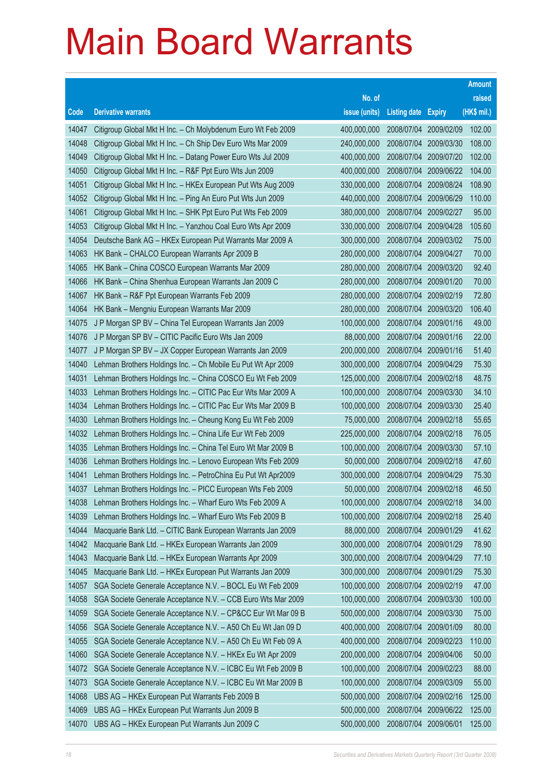|       |                                                              |               |                       |                       | <b>Amount</b> |
|-------|--------------------------------------------------------------|---------------|-----------------------|-----------------------|---------------|
|       |                                                              | No. of        |                       |                       | raised        |
| Code  | <b>Derivative warrants</b>                                   | issue (units) | <b>Listing date</b>   | <b>Expiry</b>         | (HK\$ mil.)   |
| 14047 | Citigroup Global Mkt H Inc. - Ch Molybdenum Euro Wt Feb 2009 | 400,000,000   |                       | 2008/07/04 2009/02/09 | 102.00        |
| 14048 | Citigroup Global Mkt H Inc. - Ch Ship Dev Euro Wts Mar 2009  | 240,000,000   | 2008/07/04            | 2009/03/30            | 108.00        |
| 14049 | Citigroup Global Mkt H Inc. - Datang Power Euro Wts Jul 2009 | 400,000,000   | 2008/07/04            | 2009/07/20            | 102.00        |
| 14050 | Citigroup Global Mkt H Inc. - R&F Ppt Euro Wts Jun 2009      | 400,000,000   | 2008/07/04            | 2009/06/22            | 104.00        |
| 14051 | Citigroup Global Mkt H Inc. - HKEx European Put Wts Aug 2009 | 330,000,000   | 2008/07/04            | 2009/08/24            | 108.90        |
| 14052 | Citigroup Global Mkt H Inc. - Ping An Euro Put Wts Jun 2009  | 440,000,000   |                       | 2008/07/04 2009/06/29 | 110.00        |
| 14061 | Citigroup Global Mkt H Inc. - SHK Ppt Euro Put Wts Feb 2009  | 380,000,000   | 2008/07/04            | 2009/02/27            | 95.00         |
| 14053 | Citigroup Global Mkt H Inc. - Yanzhou Coal Euro Wts Apr 2009 | 330,000,000   | 2008/07/04            | 2009/04/28            | 105.60        |
| 14054 | Deutsche Bank AG - HKEx European Put Warrants Mar 2009 A     | 300,000,000   |                       | 2008/07/04 2009/03/02 | 75.00         |
| 14063 | HK Bank - CHALCO European Warrants Apr 2009 B                | 280,000,000   |                       | 2008/07/04 2009/04/27 | 70.00         |
| 14065 | HK Bank - China COSCO European Warrants Mar 2009             | 280,000,000   | 2008/07/04            | 2009/03/20            | 92.40         |
| 14066 | HK Bank - China Shenhua European Warrants Jan 2009 C         | 280,000,000   | 2008/07/04            | 2009/01/20            | 70.00         |
| 14067 | HK Bank - R&F Ppt European Warrants Feb 2009                 | 280,000,000   | 2008/07/04 2009/02/19 |                       | 72.80         |
| 14064 | HK Bank - Mengniu European Warrants Mar 2009                 | 280,000,000   |                       | 2008/07/04 2009/03/20 | 106.40        |
| 14075 | J P Morgan SP BV - China Tel European Warrants Jan 2009      | 100,000,000   | 2008/07/04            | 2009/01/16            | 49.00         |
| 14076 | J P Morgan SP BV - CITIC Pacific Euro Wts Jan 2009           | 88,000,000    | 2008/07/04 2009/01/16 |                       | 22.00         |
| 14077 | J P Morgan SP BV - JX Copper European Warrants Jan 2009      | 200,000,000   | 2008/07/04            | 2009/01/16            | 51.40         |
| 14040 | Lehman Brothers Holdings Inc. - Ch Mobile Eu Put Wt Apr 2009 | 300,000,000   |                       | 2008/07/04 2009/04/29 | 75.30         |
| 14031 | Lehman Brothers Holdings Inc. - China COSCO Eu Wt Feb 2009   | 125,000,000   | 2008/07/04            | 2009/02/18            | 48.75         |
| 14033 | Lehman Brothers Holdings Inc. - CITIC Pac Eur Wts Mar 2009 A | 100,000,000   | 2008/07/04            | 2009/03/30            | 34.10         |
| 14034 | Lehman Brothers Holdings Inc. - CITIC Pac Eur Wts Mar 2009 B | 100,000,000   | 2008/07/04            | 2009/03/30            | 25.40         |
| 14030 | Lehman Brothers Holdings Inc. - Cheung Kong Eu Wt Feb 2009   | 75,000,000    | 2008/07/04 2009/02/18 |                       | 55.65         |
| 14032 | Lehman Brothers Holdings Inc. - China Life Eur Wt Feb 2009   | 225,000,000   | 2008/07/04            | 2009/02/18            | 76.05         |
| 14035 | Lehman Brothers Holdings Inc. - China Tel Euro Wt Mar 2009 B | 100,000,000   | 2008/07/04            | 2009/03/30            | 57.10         |
| 14036 | Lehman Brothers Holdings Inc. - Lenovo European Wts Feb 2009 | 50,000,000    | 2008/07/04            | 2009/02/18            | 47.60         |
| 14041 | Lehman Brothers Holdings Inc. - PetroChina Eu Put Wt Apr2009 | 300,000,000   | 2008/07/04            | 2009/04/29            | 75.30         |
| 14037 | Lehman Brothers Holdings Inc. - PICC European Wts Feb 2009   | 50,000,000    | 2008/07/04            | 2009/02/18            | 46.50         |
| 14038 | Lehman Brothers Holdings Inc. - Wharf Euro Wts Feb 2009 A    | 100,000,000   | 2008/07/04            | 2009/02/18            | 34.00         |
| 14039 | Lehman Brothers Holdings Inc. - Wharf Euro Wts Feb 2009 B    | 100,000,000   | 2008/07/04            | 2009/02/18            | 25.40         |
| 14044 | Macquarie Bank Ltd. - CITIC Bank European Warrants Jan 2009  | 88,000,000    | 2008/07/04            | 2009/01/29            | 41.62         |
| 14042 | Macquarie Bank Ltd. - HKEx European Warrants Jan 2009        | 300,000,000   | 2008/07/04            | 2009/01/29            | 78.90         |
| 14043 | Macquarie Bank Ltd. - HKEx European Warrants Apr 2009        | 300,000,000   | 2008/07/04            | 2009/04/29            | 77.10         |
| 14045 | Macquarie Bank Ltd. - HKEx European Put Warrants Jan 2009    | 300,000,000   | 2008/07/04            | 2009/01/29            | 75.30         |
| 14057 | SGA Societe Generale Acceptance N.V. - BOCL Eu Wt Feb 2009   | 100,000,000   | 2008/07/04            | 2009/02/19            | 47.00         |
| 14058 | SGA Societe Generale Acceptance N.V. - CCB Euro Wts Mar 2009 | 100,000,000   | 2008/07/04            | 2009/03/30            | 100.00        |
| 14059 | SGA Societe Generale Acceptance N.V. - CP&CC Eur Wt Mar 09 B | 500,000,000   | 2008/07/04            | 2009/03/30            | 75.00         |
| 14056 | SGA Societe Generale Acceptance N.V. - A50 Ch Eu Wt Jan 09 D | 400,000,000   | 2008/07/04            | 2009/01/09            | 80.00         |
| 14055 | SGA Societe Generale Acceptance N.V. - A50 Ch Eu Wt Feb 09 A | 400,000,000   | 2008/07/04            | 2009/02/23            | 110.00        |
| 14060 | SGA Societe Generale Acceptance N.V. - HKEx Eu Wt Apr 2009   | 200,000,000   | 2008/07/04            | 2009/04/06            | 50.00         |
| 14072 | SGA Societe Generale Acceptance N.V. - ICBC Eu Wt Feb 2009 B | 100,000,000   | 2008/07/04            | 2009/02/23            | 88.00         |
| 14073 | SGA Societe Generale Acceptance N.V. - ICBC Eu Wt Mar 2009 B | 100,000,000   | 2008/07/04            | 2009/03/09            | 55.00         |
| 14068 | UBS AG - HKEx European Put Warrants Feb 2009 B               | 500,000,000   | 2008/07/04            | 2009/02/16            | 125.00        |
| 14069 | UBS AG - HKEx European Put Warrants Jun 2009 B               | 500,000,000   | 2008/07/04            | 2009/06/22            | 125.00        |
| 14070 | UBS AG - HKEx European Put Warrants Jun 2009 C               | 500,000,000   | 2008/07/04            | 2009/06/01            | 125.00        |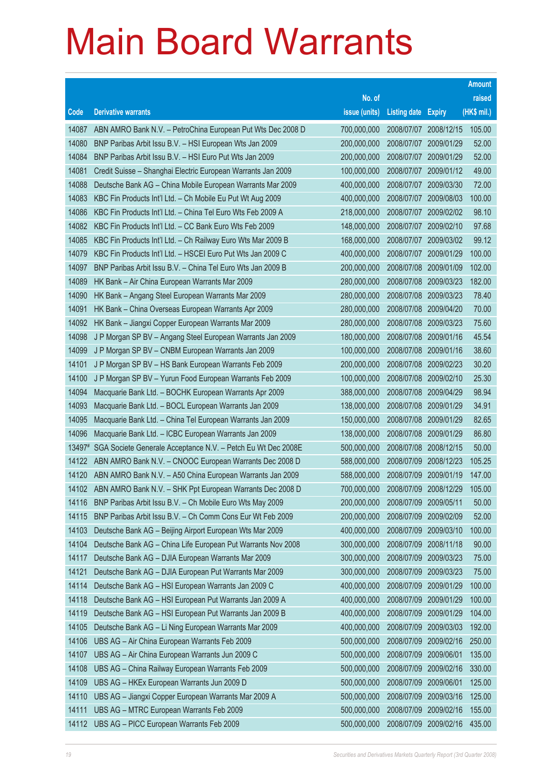|                |                                                                                                                 |                            |                                     |            | <b>Amount</b>  |
|----------------|-----------------------------------------------------------------------------------------------------------------|----------------------------|-------------------------------------|------------|----------------|
|                |                                                                                                                 | No. of                     |                                     |            | raised         |
| Code           | <b>Derivative warrants</b>                                                                                      | issue (units)              | <b>Listing date Expiry</b>          |            | (HK\$ mil.)    |
| 14087          | ABN AMRO Bank N.V. - PetroChina European Put Wts Dec 2008 D                                                     | 700,000,000                | 2008/07/07 2008/12/15               |            | 105.00         |
| 14080          | BNP Paribas Arbit Issu B.V. - HSI European Wts Jan 2009                                                         | 200,000,000                | 2008/07/07 2009/01/29               |            | 52.00          |
| 14084          | BNP Paribas Arbit Issu B.V. - HSI Euro Put Wts Jan 2009                                                         | 200,000,000                | 2008/07/07                          | 2009/01/29 | 52.00          |
| 14081          | Credit Suisse - Shanghai Electric European Warrants Jan 2009                                                    | 100,000,000                | 2008/07/07                          | 2009/01/12 | 49.00          |
| 14088          | Deutsche Bank AG - China Mobile European Warrants Mar 2009                                                      | 400,000,000                | 2008/07/07 2009/03/30               |            | 72.00          |
| 14083          | KBC Fin Products Int'l Ltd. - Ch Mobile Eu Put Wt Aug 2009                                                      | 400,000,000                | 2008/07/07 2009/08/03               |            | 100.00         |
| 14086          | KBC Fin Products Int'l Ltd. - China Tel Euro Wts Feb 2009 A                                                     | 218,000,000                | 2008/07/07                          | 2009/02/02 | 98.10          |
| 14082          | KBC Fin Products Int'l Ltd. - CC Bank Euro Wts Feb 2009                                                         | 148,000,000                | 2008/07/07                          | 2009/02/10 | 97.68          |
| 14085          | KBC Fin Products Int'l Ltd. - Ch Railway Euro Wts Mar 2009 B                                                    | 168,000,000                | 2008/07/07 2009/03/02               |            | 99.12          |
| 14079          | KBC Fin Products Int'l Ltd. - HSCEI Euro Put Wts Jan 2009 C                                                     | 400,000,000                | 2008/07/07 2009/01/29               |            | 100.00         |
| 14097          | BNP Paribas Arbit Issu B.V. - China Tel Euro Wts Jan 2009 B                                                     | 200,000,000                | 2008/07/08                          | 2009/01/09 | 102.00         |
| 14089          | HK Bank - Air China European Warrants Mar 2009                                                                  | 280,000,000                | 2008/07/08 2009/03/23               |            | 182.00         |
| 14090          | HK Bank - Angang Steel European Warrants Mar 2009                                                               | 280,000,000                | 2008/07/08 2009/03/23               |            | 78.40          |
| 14091          | HK Bank - China Overseas European Warrants Apr 2009                                                             | 280,000,000                | 2008/07/08 2009/04/20               |            | 70.00          |
| 14092          | HK Bank - Jiangxi Copper European Warrants Mar 2009                                                             | 280,000,000                | 2008/07/08                          | 2009/03/23 | 75.60          |
| 14098          | J P Morgan SP BV - Angang Steel European Warrants Jan 2009                                                      | 180,000,000                | 2008/07/08 2009/01/16               |            | 45.54          |
| 14099          | J P Morgan SP BV - CNBM European Warrants Jan 2009                                                              | 100,000,000                | 2008/07/08 2009/01/16               |            | 38.60          |
| 14101          | J P Morgan SP BV - HS Bank European Warrants Feb 2009                                                           | 200,000,000                | 2008/07/08 2009/02/23               |            | 30.20<br>25.30 |
| 14100<br>14094 | J P Morgan SP BV - Yurun Food European Warrants Feb 2009                                                        | 100,000,000<br>388,000,000 | 2008/07/08<br>2008/07/08 2009/04/29 | 2009/02/10 | 98.94          |
| 14093          | Macquarie Bank Ltd. - BOCHK European Warrants Apr 2009<br>Macquarie Bank Ltd. - BOCL European Warrants Jan 2009 | 138,000,000                | 2008/07/08 2009/01/29               |            | 34.91          |
| 14095          | Macquarie Bank Ltd. - China Tel European Warrants Jan 2009                                                      | 150,000,000                | 2008/07/08 2009/01/29               |            | 82.65          |
| 14096          | Macquarie Bank Ltd. - ICBC European Warrants Jan 2009                                                           | 138,000,000                | 2008/07/08                          | 2009/01/29 | 86.80          |
| 13497#         | SGA Societe Generale Acceptance N.V. - Petch Eu Wt Dec 2008E                                                    | 500,000,000                | 2008/07/08 2008/12/15               |            | 50.00          |
| 14122          | ABN AMRO Bank N.V. - CNOOC European Warrants Dec 2008 D                                                         | 588,000,000                | 2008/07/09                          | 2008/12/23 | 105.25         |
| 14120          | ABN AMRO Bank N.V. - A50 China European Warrants Jan 2009                                                       | 588,000,000                | 2008/07/09                          | 2009/01/19 | 147.00         |
| 14102          | ABN AMRO Bank N.V. - SHK Ppt European Warrants Dec 2008 D                                                       | 700,000,000                | 2008/07/09                          | 2008/12/29 | 105.00         |
| 14116          | BNP Paribas Arbit Issu B.V. - Ch Mobile Euro Wts May 2009                                                       | 200,000,000                | 2008/07/09                          | 2009/05/11 | 50.00          |
| 14115          | BNP Paribas Arbit Issu B.V. - Ch Comm Cons Eur Wt Feb 2009                                                      | 200,000,000                | 2008/07/09                          | 2009/02/09 | 52.00          |
| 14103          | Deutsche Bank AG - Beijing Airport European Wts Mar 2009                                                        | 400,000,000                | 2008/07/09                          | 2009/03/10 | 100.00         |
| 14104          | Deutsche Bank AG - China Life European Put Warrants Nov 2008                                                    | 300,000,000                | 2008/07/09                          | 2008/11/18 | 90.00          |
| 14117          | Deutsche Bank AG - DJIA European Warrants Mar 2009                                                              | 300,000,000                | 2008/07/09                          | 2009/03/23 | 75.00          |
| 14121          | Deutsche Bank AG - DJIA European Put Warrants Mar 2009                                                          | 300,000,000                | 2008/07/09                          | 2009/03/23 | 75.00          |
| 14114          | Deutsche Bank AG - HSI European Warrants Jan 2009 C                                                             | 400,000,000                | 2008/07/09                          | 2009/01/29 | 100.00         |
| 14118          | Deutsche Bank AG - HSI European Put Warrants Jan 2009 A                                                         | 400,000,000                | 2008/07/09                          | 2009/01/29 | 100.00         |
| 14119          | Deutsche Bank AG - HSI European Put Warrants Jan 2009 B                                                         | 400,000,000                | 2008/07/09                          | 2009/01/29 | 104.00         |
| 14105          | Deutsche Bank AG - Li Ning European Warrants Mar 2009                                                           | 400,000,000                | 2008/07/09                          | 2009/03/03 | 192.00         |
| 14106          | UBS AG - Air China European Warrants Feb 2009                                                                   | 500,000,000                | 2008/07/09                          | 2009/02/16 | 250.00         |
| 14107          | UBS AG - Air China European Warrants Jun 2009 C                                                                 | 500,000,000                | 2008/07/09                          | 2009/06/01 | 135.00         |
| 14108          | UBS AG - China Railway European Warrants Feb 2009                                                               | 500,000,000                | 2008/07/09                          | 2009/02/16 | 330.00         |
| 14109          | UBS AG - HKEx European Warrants Jun 2009 D                                                                      | 500,000,000                | 2008/07/09                          | 2009/06/01 | 125.00         |
| 14110          | UBS AG - Jiangxi Copper European Warrants Mar 2009 A                                                            | 500,000,000                | 2008/07/09                          | 2009/03/16 | 125.00         |
| 14111          | UBS AG - MTRC European Warrants Feb 2009                                                                        | 500,000,000                | 2008/07/09                          | 2009/02/16 | 155.00         |
| 14112          | UBS AG - PICC European Warrants Feb 2009                                                                        | 500,000,000                | 2008/07/09                          | 2009/02/16 | 435.00         |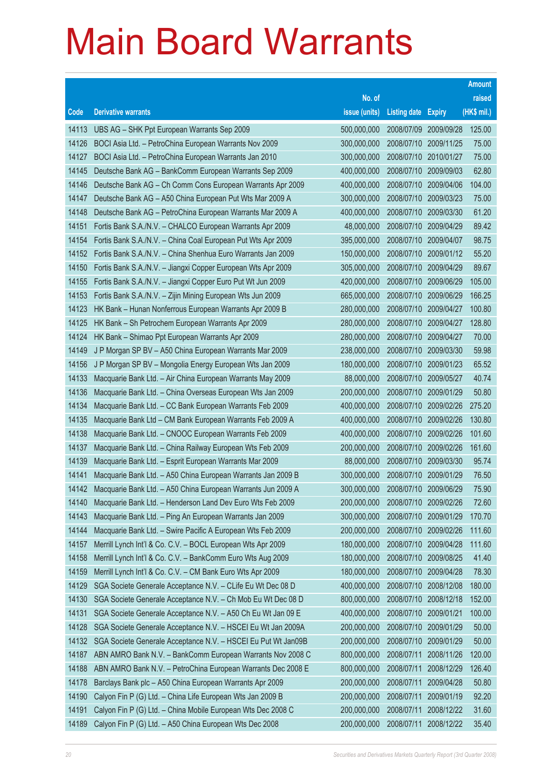|       |                                                               |               |                            |            | <b>Amount</b> |
|-------|---------------------------------------------------------------|---------------|----------------------------|------------|---------------|
|       |                                                               | No. of        |                            |            | raised        |
| Code  | <b>Derivative warrants</b>                                    | issue (units) | <b>Listing date Expiry</b> |            | (HK\$ mil.)   |
| 14113 | UBS AG - SHK Ppt European Warrants Sep 2009                   | 500,000,000   | 2008/07/09 2009/09/28      |            | 125.00        |
| 14126 | BOCI Asia Ltd. - PetroChina European Warrants Nov 2009        | 300,000,000   | 2008/07/10 2009/11/25      |            | 75.00         |
| 14127 | BOCI Asia Ltd. - PetroChina European Warrants Jan 2010        | 300,000,000   | 2008/07/10 2010/01/27      |            | 75.00         |
| 14145 | Deutsche Bank AG - BankComm European Warrants Sep 2009        | 400,000,000   | 2008/07/10 2009/09/03      |            | 62.80         |
| 14146 | Deutsche Bank AG - Ch Comm Cons European Warrants Apr 2009    | 400,000,000   | 2008/07/10 2009/04/06      |            | 104.00        |
| 14147 | Deutsche Bank AG - A50 China European Put Wts Mar 2009 A      | 300,000,000   | 2008/07/10 2009/03/23      |            | 75.00         |
| 14148 | Deutsche Bank AG - PetroChina European Warrants Mar 2009 A    | 400,000,000   | 2008/07/10                 | 2009/03/30 | 61.20         |
| 14151 | Fortis Bank S.A./N.V. - CHALCO European Warrants Apr 2009     | 48,000,000    | 2008/07/10 2009/04/29      |            | 89.42         |
| 14154 | Fortis Bank S.A./N.V. - China Coal European Put Wts Apr 2009  | 395,000,000   | 2008/07/10 2009/04/07      |            | 98.75         |
| 14152 | Fortis Bank S.A./N.V. - China Shenhua Euro Warrants Jan 2009  | 150,000,000   | 2008/07/10 2009/01/12      |            | 55.20         |
| 14150 | Fortis Bank S.A./N.V. - Jiangxi Copper European Wts Apr 2009  | 305,000,000   | 2008/07/10 2009/04/29      |            | 89.67         |
| 14155 | Fortis Bank S.A./N.V. - Jiangxi Copper Euro Put Wt Jun 2009   | 420,000,000   | 2008/07/10 2009/06/29      |            | 105.00        |
| 14153 | Fortis Bank S.A./N.V. - Zijin Mining European Wts Jun 2009    | 665,000,000   | 2008/07/10 2009/06/29      |            | 166.25        |
| 14123 | HK Bank - Hunan Nonferrous European Warrants Apr 2009 B       | 280,000,000   | 2008/07/10 2009/04/27      |            | 100.80        |
| 14125 | HK Bank - Sh Petrochem European Warrants Apr 2009             | 280,000,000   | 2008/07/10                 | 2009/04/27 | 128.80        |
| 14124 | HK Bank - Shimao Ppt European Warrants Apr 2009               | 280,000,000   | 2008/07/10 2009/04/27      |            | 70.00         |
| 14149 | J P Morgan SP BV - A50 China European Warrants Mar 2009       | 238,000,000   | 2008/07/10 2009/03/30      |            | 59.98         |
| 14156 | J P Morgan SP BV - Mongolia Energy European Wts Jan 2009      | 180,000,000   | 2008/07/10 2009/01/23      |            | 65.52         |
| 14133 | Macquarie Bank Ltd. - Air China European Warrants May 2009    | 88,000,000    | 2008/07/10 2009/05/27      |            | 40.74         |
| 14136 | Macquarie Bank Ltd. - China Overseas European Wts Jan 2009    | 200,000,000   | 2008/07/10 2009/01/29      |            | 50.80         |
| 14134 | Macquarie Bank Ltd. - CC Bank European Warrants Feb 2009      | 400,000,000   | 2008/07/10 2009/02/26      |            | 275.20        |
| 14135 | Macquarie Bank Ltd - CM Bank European Warrants Feb 2009 A     | 400,000,000   | 2008/07/10                 | 2009/02/26 | 130.80        |
| 14138 | Macquarie Bank Ltd. - CNOOC European Warrants Feb 2009        | 400,000,000   | 2008/07/10                 | 2009/02/26 | 101.60        |
| 14137 | Macquarie Bank Ltd. - China Railway European Wts Feb 2009     | 200,000,000   | 2008/07/10 2009/02/26      |            | 161.60        |
| 14139 | Macquarie Bank Ltd. - Esprit European Warrants Mar 2009       | 88,000,000    | 2008/07/10 2009/03/30      |            | 95.74         |
| 14141 | Macquarie Bank Ltd. - A50 China European Warrants Jan 2009 B  | 300,000,000   | 2008/07/10                 | 2009/01/29 | 76.50         |
| 14142 | Macquarie Bank Ltd. - A50 China European Warrants Jun 2009 A  | 300,000,000   | 2008/07/10 2009/06/29      |            | 75.90         |
| 14140 | Macquarie Bank Ltd. - Henderson Land Dev Euro Wts Feb 2009    | 200,000,000   | 2008/07/10 2009/02/26      |            | 72.60         |
| 14143 | Macquarie Bank Ltd. - Ping An European Warrants Jan 2009      | 300,000,000   | 2008/07/10 2009/01/29      |            | 170.70        |
| 14144 | Macquarie Bank Ltd. - Swire Pacific A European Wts Feb 2009   | 200,000,000   | 2008/07/10 2009/02/26      |            | 111.60        |
| 14157 | Merrill Lynch Int'l & Co. C.V. - BOCL European Wts Apr 2009   | 180,000,000   | 2008/07/10 2009/04/28      |            | 111.60        |
| 14158 | Merrill Lynch Int'l & Co. C.V. - BankComm Euro Wts Aug 2009   | 180,000,000   | 2008/07/10                 | 2009/08/25 | 41.40         |
| 14159 | Merrill Lynch Int'l & Co. C.V. - CM Bank Euro Wts Apr 2009    | 180,000,000   | 2008/07/10                 | 2009/04/28 | 78.30         |
| 14129 | SGA Societe Generale Acceptance N.V. - CLife Eu Wt Dec 08 D   | 400,000,000   | 2008/07/10                 | 2008/12/08 | 180.00        |
| 14130 | SGA Societe Generale Acceptance N.V. - Ch Mob Eu Wt Dec 08 D  | 800,000,000   | 2008/07/10 2008/12/18      |            | 152.00        |
| 14131 | SGA Societe Generale Acceptance N.V. - A50 Ch Eu Wt Jan 09 E  | 400,000,000   | 2008/07/10                 | 2009/01/21 | 100.00        |
| 14128 | SGA Societe Generale Acceptance N.V. - HSCEI Eu Wt Jan 2009A  | 200,000,000   | 2008/07/10                 | 2009/01/29 | 50.00         |
| 14132 | SGA Societe Generale Acceptance N.V. - HSCEI Eu Put Wt Jan09B | 200,000,000   | 2008/07/10                 | 2009/01/29 | 50.00         |
| 14187 | ABN AMRO Bank N.V. - BankComm European Warrants Nov 2008 C    | 800,000,000   | 2008/07/11                 | 2008/11/26 | 120.00        |
| 14188 | ABN AMRO Bank N.V. - PetroChina European Warrants Dec 2008 E  | 800,000,000   | 2008/07/11                 | 2008/12/29 | 126.40        |
| 14178 | Barclays Bank plc - A50 China European Warrants Apr 2009      | 200,000,000   | 2008/07/11                 | 2009/04/28 | 50.80         |
| 14190 | Calyon Fin P (G) Ltd. - China Life European Wts Jan 2009 B    | 200,000,000   | 2008/07/11                 | 2009/01/19 | 92.20         |
| 14191 | Calyon Fin P (G) Ltd. - China Mobile European Wts Dec 2008 C  | 200,000,000   | 2008/07/11                 | 2008/12/22 | 31.60         |
| 14189 | Calyon Fin P (G) Ltd. - A50 China European Wts Dec 2008       | 200,000,000   | 2008/07/11                 | 2008/12/22 | 35.40         |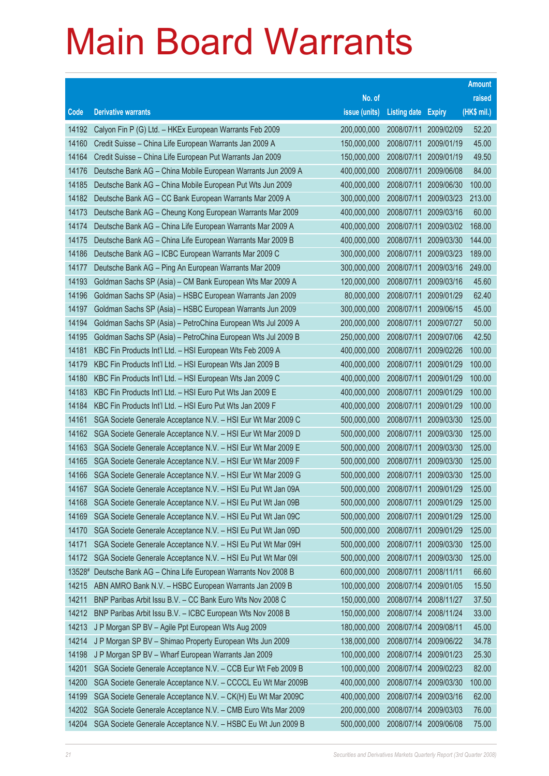|                |                                                                                                                              |                            |                          |                          | <b>Amount</b>    |
|----------------|------------------------------------------------------------------------------------------------------------------------------|----------------------------|--------------------------|--------------------------|------------------|
|                |                                                                                                                              | No. of                     |                          |                          | raised           |
| Code           | <b>Derivative warrants</b>                                                                                                   | issue (units)              | <b>Listing date</b>      | <b>Expiry</b>            | (HK\$ mil.)      |
| 14192          | Calyon Fin P (G) Ltd. - HKEx European Warrants Feb 2009                                                                      | 200,000,000                | 2008/07/11               | 2009/02/09               | 52.20            |
| 14160          | Credit Suisse - China Life European Warrants Jan 2009 A                                                                      | 150,000,000                | 2008/07/11               | 2009/01/19               | 45.00            |
| 14164          | Credit Suisse – China Life European Put Warrants Jan 2009                                                                    | 150,000,000                | 2008/07/11               | 2009/01/19               | 49.50            |
| 14176          | Deutsche Bank AG - China Mobile European Warrants Jun 2009 A                                                                 | 400,000,000                | 2008/07/11               | 2009/06/08               | 84.00            |
| 14185          | Deutsche Bank AG - China Mobile European Put Wts Jun 2009                                                                    | 400,000,000                | 2008/07/11               | 2009/06/30               | 100.00           |
| 14182          | Deutsche Bank AG - CC Bank European Warrants Mar 2009 A                                                                      | 300,000,000                | 2008/07/11               | 2009/03/23               | 213.00           |
| 14173          | Deutsche Bank AG - Cheung Kong European Warrants Mar 2009                                                                    | 400,000,000                | 2008/07/11               | 2009/03/16               | 60.00            |
| 14174          | Deutsche Bank AG - China Life European Warrants Mar 2009 A                                                                   | 400,000,000                | 2008/07/11               | 2009/03/02               | 168.00           |
| 14175          | Deutsche Bank AG - China Life European Warrants Mar 2009 B                                                                   | 400,000,000                | 2008/07/11               | 2009/03/30               | 144.00           |
| 14186          | Deutsche Bank AG - ICBC European Warrants Mar 2009 C                                                                         | 300,000,000                | 2008/07/11               | 2009/03/23               | 189.00           |
| 14177          | Deutsche Bank AG - Ping An European Warrants Mar 2009                                                                        | 300,000,000                | 2008/07/11               | 2009/03/16               | 249.00           |
| 14193          | Goldman Sachs SP (Asia) - CM Bank European Wts Mar 2009 A                                                                    | 120,000,000                | 2008/07/11               | 2009/03/16               | 45.60            |
| 14196          | Goldman Sachs SP (Asia) - HSBC European Warrants Jan 2009                                                                    | 80,000,000                 | 2008/07/11               | 2009/01/29               | 62.40            |
| 14197          | Goldman Sachs SP (Asia) - HSBC European Warrants Jun 2009                                                                    | 300,000,000                | 2008/07/11               | 2009/06/15               | 45.00            |
| 14194          | Goldman Sachs SP (Asia) - PetroChina European Wts Jul 2009 A                                                                 | 200,000,000                | 2008/07/11               | 2009/07/27               | 50.00            |
| 14195          | Goldman Sachs SP (Asia) - PetroChina European Wts Jul 2009 B                                                                 | 250,000,000                | 2008/07/11               | 2009/07/06               | 42.50            |
| 14181          | KBC Fin Products Int'l Ltd. - HSI European Wts Feb 2009 A                                                                    | 400,000,000                | 2008/07/11               | 2009/02/26               | 100.00           |
| 14179          | KBC Fin Products Int'l Ltd. - HSI European Wts Jan 2009 B                                                                    | 400,000,000                | 2008/07/11               | 2009/01/29               | 100.00           |
| 14180          | KBC Fin Products Int'l Ltd. - HSI European Wts Jan 2009 C                                                                    | 400,000,000                | 2008/07/11               | 2009/01/29               | 100.00           |
| 14183          | KBC Fin Products Int'l Ltd. - HSI Euro Put Wts Jan 2009 E                                                                    | 400,000,000                | 2008/07/11               | 2009/01/29               | 100.00           |
| 14184          | KBC Fin Products Int'l Ltd. - HSI Euro Put Wts Jan 2009 F                                                                    | 400,000,000                | 2008/07/11               | 2009/01/29               | 100.00           |
| 14161          | SGA Societe Generale Acceptance N.V. - HSI Eur Wt Mar 2009 C                                                                 | 500,000,000                | 2008/07/11               | 2009/03/30               | 125.00           |
| 14162          | SGA Societe Generale Acceptance N.V. - HSI Eur Wt Mar 2009 D                                                                 | 500,000,000                | 2008/07/11               | 2009/03/30               | 125.00           |
| 14163          | SGA Societe Generale Acceptance N.V. - HSI Eur Wt Mar 2009 E                                                                 | 500,000,000                | 2008/07/11               | 2009/03/30               | 125.00           |
| 14165          | SGA Societe Generale Acceptance N.V. - HSI Eur Wt Mar 2009 F                                                                 | 500,000,000                | 2008/07/11               | 2009/03/30               | 125.00           |
| 14166          | SGA Societe Generale Acceptance N.V. - HSI Eur Wt Mar 2009 G                                                                 | 500,000,000                | 2008/07/11               | 2009/03/30               | 125.00           |
| 14167          | SGA Societe Generale Acceptance N.V. - HSI Eu Put Wt Jan 09A                                                                 | 500,000,000                | 2008/07/11               | 2009/01/29               | 125.00           |
| 14168<br>14169 | SGA Societe Generale Acceptance N.V. - HSI Eu Put Wt Jan 09B<br>SGA Societe Generale Acceptance N.V. - HSI Eu Put Wt Jan 09C | 500,000,000<br>500,000,000 | 2008/07/11<br>2008/07/11 | 2009/01/29<br>2009/01/29 | 125.00<br>125.00 |
| 14170          | SGA Societe Generale Acceptance N.V. - HSI Eu Put Wt Jan 09D                                                                 | 500,000,000                | 2008/07/11               | 2009/01/29               | 125.00           |
| 14171          | SGA Societe Generale Acceptance N.V. - HSI Eu Put Wt Mar 09H                                                                 | 500,000,000                | 2008/07/11               | 2009/03/30               | 125.00           |
| 14172          | SGA Societe Generale Acceptance N.V. - HSI Eu Put Wt Mar 09I                                                                 | 500,000,000                | 2008/07/11               | 2009/03/30               | 125.00           |
| 13528#         | Deutsche Bank AG - China Life European Warrants Nov 2008 B                                                                   | 600,000,000                | 2008/07/11               | 2008/11/11               | 66.60            |
| 14215          | ABN AMRO Bank N.V. - HSBC European Warrants Jan 2009 B                                                                       | 100,000,000                | 2008/07/14               | 2009/01/05               | 15.50            |
| 14211          | BNP Paribas Arbit Issu B.V. - CC Bank Euro Wts Nov 2008 C                                                                    | 150,000,000                | 2008/07/14               | 2008/11/27               | 37.50            |
| 14212          | BNP Paribas Arbit Issu B.V. - ICBC European Wts Nov 2008 B                                                                   | 150,000,000                | 2008/07/14               | 2008/11/24               | 33.00            |
| 14213          | J P Morgan SP BV - Agile Ppt European Wts Aug 2009                                                                           | 180,000,000                | 2008/07/14               | 2009/08/11               | 45.00            |
| 14214          | J P Morgan SP BV - Shimao Property European Wts Jun 2009                                                                     | 138,000,000                | 2008/07/14               | 2009/06/22               | 34.78            |
| 14198          | J P Morgan SP BV - Wharf European Warrants Jan 2009                                                                          | 100,000,000                | 2008/07/14               | 2009/01/23               | 25.30            |
| 14201          | SGA Societe Generale Acceptance N.V. - CCB Eur Wt Feb 2009 B                                                                 | 100,000,000                | 2008/07/14               | 2009/02/23               | 82.00            |
| 14200          | SGA Societe Generale Acceptance N.V. - CCCCL Eu Wt Mar 2009B                                                                 | 400,000,000                | 2008/07/14               | 2009/03/30               | 100.00           |
| 14199          | SGA Societe Generale Acceptance N.V. - CK(H) Eu Wt Mar 2009C                                                                 | 400,000,000                | 2008/07/14               | 2009/03/16               | 62.00            |
| 14202          | SGA Societe Generale Acceptance N.V. - CMB Euro Wts Mar 2009                                                                 | 200,000,000                | 2008/07/14               | 2009/03/03               | 76.00            |
| 14204          | SGA Societe Generale Acceptance N.V. - HSBC Eu Wt Jun 2009 B                                                                 | 500,000,000                | 2008/07/14               | 2009/06/08               | 75.00            |
|                |                                                                                                                              |                            |                          |                          |                  |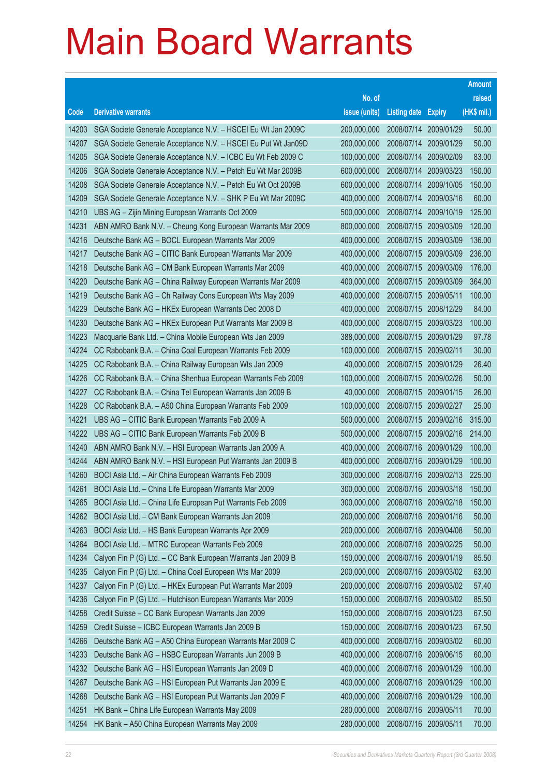|       |                                                               |               |                            |                       | <b>Amount</b> |
|-------|---------------------------------------------------------------|---------------|----------------------------|-----------------------|---------------|
|       |                                                               | No. of        |                            |                       | raised        |
| Code  | <b>Derivative warrants</b>                                    | issue (units) | <b>Listing date Expiry</b> |                       | (HK\$ mil.)   |
| 14203 | SGA Societe Generale Acceptance N.V. - HSCEI Eu Wt Jan 2009C  | 200,000,000   | 2008/07/14                 | 2009/01/29            | 50.00         |
| 14207 | SGA Societe Generale Acceptance N.V. - HSCEI Eu Put Wt Jan09D | 200,000,000   | 2008/07/14                 | 2009/01/29            | 50.00         |
| 14205 | SGA Societe Generale Acceptance N.V. - ICBC Eu Wt Feb 2009 C  | 100,000,000   | 2008/07/14                 | 2009/02/09            | 83.00         |
| 14206 | SGA Societe Generale Acceptance N.V. - Petch Eu Wt Mar 2009B  | 600,000,000   | 2008/07/14                 | 2009/03/23            | 150.00        |
| 14208 | SGA Societe Generale Acceptance N.V. - Petch Eu Wt Oct 2009B  | 600,000,000   | 2008/07/14                 | 2009/10/05            | 150.00        |
| 14209 | SGA Societe Generale Acceptance N.V. - SHK P Eu Wt Mar 2009C  | 400,000,000   | 2008/07/14                 | 2009/03/16            | 60.00         |
| 14210 | UBS AG - Zijin Mining European Warrants Oct 2009              | 500,000,000   | 2008/07/14                 | 2009/10/19            | 125.00        |
| 14231 | ABN AMRO Bank N.V. - Cheung Kong European Warrants Mar 2009   | 800,000,000   |                            | 2008/07/15 2009/03/09 | 120.00        |
| 14216 | Deutsche Bank AG - BOCL European Warrants Mar 2009            | 400,000,000   |                            | 2008/07/15 2009/03/09 | 136.00        |
| 14217 | Deutsche Bank AG - CITIC Bank European Warrants Mar 2009      | 400,000,000   |                            | 2008/07/15 2009/03/09 | 236.00        |
| 14218 | Deutsche Bank AG - CM Bank European Warrants Mar 2009         | 400,000,000   | 2008/07/15                 | 2009/03/09            | 176.00        |
| 14220 | Deutsche Bank AG - China Railway European Warrants Mar 2009   | 400,000,000   |                            | 2008/07/15 2009/03/09 | 364.00        |
| 14219 | Deutsche Bank AG - Ch Railway Cons European Wts May 2009      | 400,000,000   | 2008/07/15 2009/05/11      |                       | 100.00        |
| 14229 | Deutsche Bank AG - HKEx European Warrants Dec 2008 D          | 400,000,000   |                            | 2008/07/15 2008/12/29 | 84.00         |
| 14230 | Deutsche Bank AG - HKEx European Put Warrants Mar 2009 B      | 400,000,000   | 2008/07/15                 | 2009/03/23            | 100.00        |
| 14223 | Macquarie Bank Ltd. - China Mobile European Wts Jan 2009      | 388,000,000   |                            | 2008/07/15 2009/01/29 | 97.78         |
| 14224 | CC Rabobank B.A. - China Coal European Warrants Feb 2009      | 100,000,000   | 2008/07/15 2009/02/11      |                       | 30.00         |
| 14225 | CC Rabobank B.A. - China Railway European Wts Jan 2009        | 40,000,000    |                            | 2008/07/15 2009/01/29 | 26.40         |
| 14226 | CC Rabobank B.A. - China Shenhua European Warrants Feb 2009   | 100,000,000   | 2008/07/15                 | 2009/02/26            | 50.00         |
| 14227 | CC Rabobank B.A. - China Tel European Warrants Jan 2009 B     | 40,000,000    |                            | 2008/07/15 2009/01/15 | 26.00         |
| 14228 | CC Rabobank B.A. - A50 China European Warrants Feb 2009       | 100,000,000   |                            | 2008/07/15 2009/02/27 | 25.00         |
| 14221 | UBS AG - CITIC Bank European Warrants Feb 2009 A              | 500,000,000   |                            | 2008/07/15 2009/02/16 | 315.00        |
| 14222 | UBS AG - CITIC Bank European Warrants Feb 2009 B              | 500,000,000   | 2008/07/15                 | 2009/02/16            | 214.00        |
| 14240 | ABN AMRO Bank N.V. - HSI European Warrants Jan 2009 A         | 400,000,000   |                            | 2008/07/16 2009/01/29 | 100.00        |
| 14244 | ABN AMRO Bank N.V. - HSI European Put Warrants Jan 2009 B     | 400,000,000   |                            | 2008/07/16 2009/01/29 | 100.00        |
| 14260 | BOCI Asia Ltd. - Air China European Warrants Feb 2009         | 300,000,000   |                            | 2008/07/16 2009/02/13 | 225.00        |
| 14261 | BOCI Asia Ltd. - China Life European Warrants Mar 2009        | 300,000,000   |                            | 2008/07/16 2009/03/18 | 150.00        |
| 14265 | BOCI Asia Ltd. - China Life European Put Warrants Feb 2009    | 300,000,000   |                            | 2008/07/16 2009/02/18 | 150.00        |
| 14262 | BOCI Asia Ltd. - CM Bank European Warrants Jan 2009           | 200,000,000   | 2008/07/16                 | 2009/01/16            | 50.00         |
| 14263 | BOCI Asia Ltd. - HS Bank European Warrants Apr 2009           | 200,000,000   |                            | 2008/07/16 2009/04/08 | 50.00         |
| 14264 | BOCI Asia Ltd. - MTRC European Warrants Feb 2009              | 200,000,000   |                            | 2008/07/16 2009/02/25 | 50.00         |
| 14234 | Calyon Fin P (G) Ltd. - CC Bank European Warrants Jan 2009 B  | 150,000,000   |                            | 2008/07/16 2009/01/19 | 85.50         |
| 14235 | Calyon Fin P (G) Ltd. - China Coal European Wts Mar 2009      | 200,000,000   | 2008/07/16                 | 2009/03/02            | 63.00         |
| 14237 | Calyon Fin P (G) Ltd. - HKEx European Put Warrants Mar 2009   | 200,000,000   | 2008/07/16                 | 2009/03/02            | 57.40         |
| 14236 | Calyon Fin P (G) Ltd. - Hutchison European Warrants Mar 2009  | 150,000,000   |                            | 2008/07/16 2009/03/02 | 85.50         |
| 14258 | Credit Suisse - CC Bank European Warrants Jan 2009            | 150,000,000   |                            | 2008/07/16 2009/01/23 | 67.50         |
| 14259 | Credit Suisse - ICBC European Warrants Jan 2009 B             | 150,000,000   | 2008/07/16                 | 2009/01/23            | 67.50         |
| 14266 | Deutsche Bank AG - A50 China European Warrants Mar 2009 C     | 400,000,000   | 2008/07/16                 | 2009/03/02            | 60.00         |
| 14233 | Deutsche Bank AG - HSBC European Warrants Jun 2009 B          | 400,000,000   |                            | 2008/07/16 2009/06/15 | 60.00         |
| 14232 | Deutsche Bank AG - HSI European Warrants Jan 2009 D           | 400,000,000   | 2008/07/16                 | 2009/01/29            | 100.00        |
| 14267 | Deutsche Bank AG - HSI European Put Warrants Jan 2009 E       | 400,000,000   | 2008/07/16                 | 2009/01/29            | 100.00        |
| 14268 | Deutsche Bank AG - HSI European Put Warrants Jan 2009 F       | 400,000,000   | 2008/07/16                 | 2009/01/29            | 100.00        |
| 14251 | HK Bank - China Life European Warrants May 2009               | 280,000,000   | 2008/07/16 2009/05/11      |                       | 70.00         |
| 14254 | HK Bank - A50 China European Warrants May 2009                | 280,000,000   | 2008/07/16 2009/05/11      |                       | 70.00         |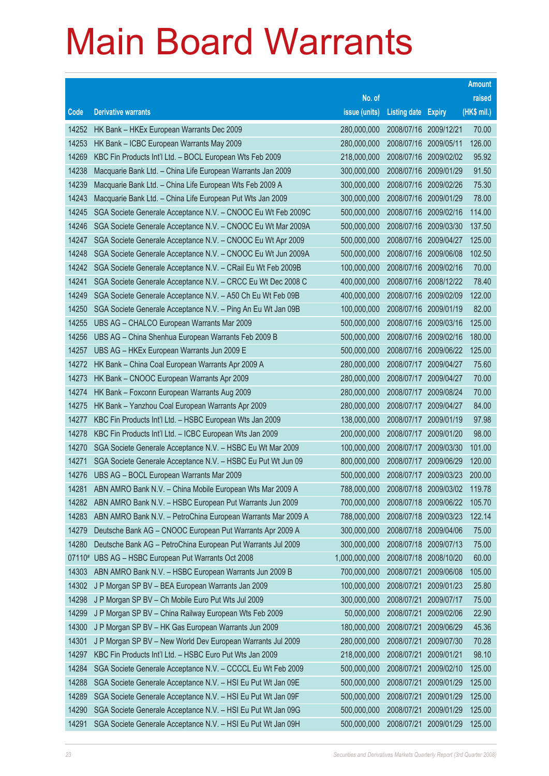|        |                                                              |               |                            |            | <b>Amount</b> |
|--------|--------------------------------------------------------------|---------------|----------------------------|------------|---------------|
|        |                                                              | No. of        |                            |            | raised        |
| Code   | <b>Derivative warrants</b>                                   | issue (units) | <b>Listing date Expiry</b> |            | (HK\$ mil.)   |
| 14252  | HK Bank - HKEx European Warrants Dec 2009                    | 280,000,000   | 2008/07/16 2009/12/21      |            | 70.00         |
| 14253  | HK Bank - ICBC European Warrants May 2009                    | 280,000,000   | 2008/07/16 2009/05/11      |            | 126.00        |
| 14269  | KBC Fin Products Int'l Ltd. - BOCL European Wts Feb 2009     | 218,000,000   | 2008/07/16 2009/02/02      |            | 95.92         |
| 14238  | Macquarie Bank Ltd. - China Life European Warrants Jan 2009  | 300,000,000   | 2008/07/16 2009/01/29      |            | 91.50         |
| 14239  | Macquarie Bank Ltd. - China Life European Wts Feb 2009 A     | 300,000,000   | 2008/07/16 2009/02/26      |            | 75.30         |
| 14243  | Macquarie Bank Ltd. - China Life European Put Wts Jan 2009   | 300,000,000   | 2008/07/16                 | 2009/01/29 | 78.00         |
| 14245  | SGA Societe Generale Acceptance N.V. - CNOOC Eu Wt Feb 2009C | 500,000,000   | 2008/07/16                 | 2009/02/16 | 114.00        |
| 14246  | SGA Societe Generale Acceptance N.V. - CNOOC Eu Wt Mar 2009A | 500,000,000   | 2008/07/16 2009/03/30      |            | 137.50        |
| 14247  | SGA Societe Generale Acceptance N.V. - CNOOC Eu Wt Apr 2009  | 500,000,000   | 2008/07/16 2009/04/27      |            | 125.00        |
| 14248  | SGA Societe Generale Acceptance N.V. - CNOOC Eu Wt Jun 2009A | 500,000,000   | 2008/07/16 2009/06/08      |            | 102.50        |
| 14242  | SGA Societe Generale Acceptance N.V. - CRail Eu Wt Feb 2009B | 100,000,000   | 2008/07/16                 | 2009/02/16 | 70.00         |
| 14241  | SGA Societe Generale Acceptance N.V. - CRCC Eu Wt Dec 2008 C | 400,000,000   | 2008/07/16 2008/12/22      |            | 78.40         |
| 14249  | SGA Societe Generale Acceptance N.V. - A50 Ch Eu Wt Feb 09B  | 400,000,000   | 2008/07/16 2009/02/09      |            | 122.00        |
| 14250  | SGA Societe Generale Acceptance N.V. - Ping An Eu Wt Jan 09B | 100,000,000   | 2008/07/16                 | 2009/01/19 | 82.00         |
| 14255  | UBS AG - CHALCO European Warrants Mar 2009                   | 500,000,000   | 2008/07/16                 | 2009/03/16 | 125.00        |
| 14256  | UBS AG - China Shenhua European Warrants Feb 2009 B          | 500,000,000   | 2008/07/16 2009/02/16      |            | 180.00        |
| 14257  | UBS AG - HKEx European Warrants Jun 2009 E                   | 500,000,000   | 2008/07/16 2009/06/22      |            | 125.00        |
| 14272  | HK Bank - China Coal European Warrants Apr 2009 A            | 280,000,000   | 2008/07/17                 | 2009/04/27 | 75.60         |
| 14273  | HK Bank - CNOOC European Warrants Apr 2009                   | 280,000,000   | 2008/07/17                 | 2009/04/27 | 70.00         |
| 14274  | HK Bank - Foxconn European Warrants Aug 2009                 | 280,000,000   | 2008/07/17                 | 2009/08/24 | 70.00         |
| 14275  | HK Bank - Yanzhou Coal European Warrants Apr 2009            | 280,000,000   | 2008/07/17                 | 2009/04/27 | 84.00         |
| 14277  | KBC Fin Products Int'l Ltd. - HSBC European Wts Jan 2009     | 138,000,000   | 2008/07/17                 | 2009/01/19 | 97.98         |
| 14278  | KBC Fin Products Int'l Ltd. - ICBC European Wts Jan 2009     | 200,000,000   | 2008/07/17                 | 2009/01/20 | 98.00         |
| 14270  | SGA Societe Generale Acceptance N.V. - HSBC Eu Wt Mar 2009   | 100,000,000   | 2008/07/17                 | 2009/03/30 | 101.00        |
| 14271  | SGA Societe Generale Acceptance N.V. - HSBC Eu Put Wt Jun 09 | 800,000,000   | 2008/07/17                 | 2009/06/29 | 120.00        |
| 14276  | UBS AG - BOCL European Warrants Mar 2009                     | 500,000,000   | 2008/07/17                 | 2009/03/23 | 200.00        |
| 14281  | ABN AMRO Bank N.V. - China Mobile European Wts Mar 2009 A    | 788,000,000   | 2008/07/18 2009/03/02      |            | 119.78        |
| 14282  | ABN AMRO Bank N.V. - HSBC European Put Warrants Jun 2009     | 700,000,000   | 2008/07/18 2009/06/22      |            | 105.70        |
| 14283  | ABN AMRO Bank N.V. - PetroChina European Warrants Mar 2009 A | 788,000,000   | 2008/07/18                 | 2009/03/23 | 122.14        |
| 14279  | Deutsche Bank AG - CNOOC European Put Warrants Apr 2009 A    | 300,000,000   | 2008/07/18                 | 2009/04/06 | 75.00         |
| 14280  | Deutsche Bank AG - PetroChina European Put Warrants Jul 2009 | 300,000,000   | 2008/07/18                 | 2009/07/13 | 75.00         |
| 07110# | UBS AG - HSBC European Put Warrants Oct 2008                 | 1,000,000,000 | 2008/07/18                 | 2008/10/20 | 60.00         |
| 14303  | ABN AMRO Bank N.V. - HSBC European Warrants Jun 2009 B       | 700,000,000   | 2008/07/21                 | 2009/06/08 | 105.00        |
| 14302  | J P Morgan SP BV - BEA European Warrants Jan 2009            | 100,000,000   | 2008/07/21                 | 2009/01/23 | 25.80         |
| 14298  | J P Morgan SP BV - Ch Mobile Euro Put Wts Jul 2009           | 300,000,000   | 2008/07/21                 | 2009/07/17 | 75.00         |
| 14299  | J P Morgan SP BV - China Railway European Wts Feb 2009       | 50,000,000    | 2008/07/21                 | 2009/02/06 | 22.90         |
| 14300  | J P Morgan SP BV - HK Gas European Warrants Jun 2009         | 180,000,000   | 2008/07/21                 | 2009/06/29 | 45.36         |
| 14301  | J P Morgan SP BV - New World Dev European Warrants Jul 2009  | 280,000,000   | 2008/07/21                 | 2009/07/30 | 70.28         |
| 14297  | KBC Fin Products Int'l Ltd. - HSBC Euro Put Wts Jan 2009     | 218,000,000   | 2008/07/21                 | 2009/01/21 | 98.10         |
| 14284  | SGA Societe Generale Acceptance N.V. - CCCCL Eu Wt Feb 2009  | 500,000,000   | 2008/07/21                 | 2009/02/10 | 125.00        |
| 14288  | SGA Societe Generale Acceptance N.V. - HSI Eu Put Wt Jan 09E | 500,000,000   | 2008/07/21                 | 2009/01/29 | 125.00        |
| 14289  | SGA Societe Generale Acceptance N.V. - HSI Eu Put Wt Jan 09F | 500,000,000   | 2008/07/21                 | 2009/01/29 | 125.00        |
| 14290  | SGA Societe Generale Acceptance N.V. - HSI Eu Put Wt Jan 09G | 500,000,000   | 2008/07/21                 | 2009/01/29 | 125.00        |
| 14291  | SGA Societe Generale Acceptance N.V. - HSI Eu Put Wt Jan 09H | 500,000,000   | 2008/07/21                 | 2009/01/29 | 125.00        |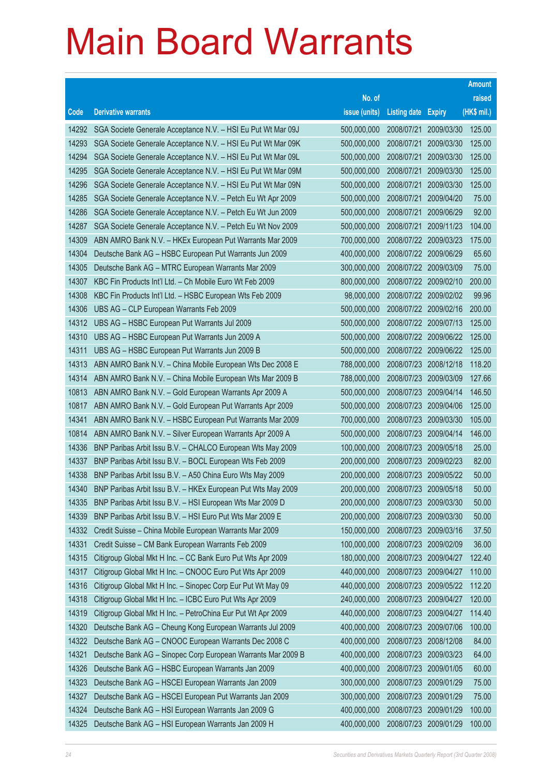| No. of<br><b>Derivative warrants</b><br>issue (units)<br>Code<br><b>Listing date Expiry</b><br>SGA Societe Generale Acceptance N.V. - HSI Eu Put Wt Mar 09J<br>500,000,000<br>2008/07/21<br>2009/03/30<br>14292   | raised<br>(HK\$ mil.)<br>125.00 |
|-------------------------------------------------------------------------------------------------------------------------------------------------------------------------------------------------------------------|---------------------------------|
|                                                                                                                                                                                                                   |                                 |
|                                                                                                                                                                                                                   |                                 |
|                                                                                                                                                                                                                   |                                 |
| 14293<br>SGA Societe Generale Acceptance N.V. - HSI Eu Put Wt Mar 09K<br>2008/07/21<br>500,000,000<br>2009/03/30                                                                                                  | 125.00                          |
| 14294<br>SGA Societe Generale Acceptance N.V. - HSI Eu Put Wt Mar 09L<br>500,000,000<br>2008/07/21<br>2009/03/30                                                                                                  | 125.00                          |
| 2008/07/21<br>14295<br>SGA Societe Generale Acceptance N.V. - HSI Eu Put Wt Mar 09M<br>500,000,000<br>2009/03/30                                                                                                  | 125.00                          |
| 500,000,000<br>14296<br>SGA Societe Generale Acceptance N.V. - HSI Eu Put Wt Mar 09N<br>2008/07/21<br>2009/03/30                                                                                                  | 125.00                          |
| 2008/07/21<br>14285<br>SGA Societe Generale Acceptance N.V. - Petch Eu Wt Apr 2009<br>500,000,000<br>2009/04/20                                                                                                   | 75.00                           |
| 14286<br>SGA Societe Generale Acceptance N.V. - Petch Eu Wt Jun 2009<br>500,000,000<br>2008/07/21<br>2009/06/29                                                                                                   | 92.00                           |
| 14287<br>500,000,000<br>2008/07/21<br>SGA Societe Generale Acceptance N.V. - Petch Eu Wt Nov 2009<br>2009/11/23                                                                                                   | 104.00                          |
| 14309<br>ABN AMRO Bank N.V. - HKEx European Put Warrants Mar 2009<br>700,000,000<br>2008/07/22 2009/03/23                                                                                                         | 175.00                          |
| 14304<br>Deutsche Bank AG - HSBC European Put Warrants Jun 2009<br>400,000,000<br>2008/07/22 2009/06/29                                                                                                           | 65.60                           |
| 14305<br>Deutsche Bank AG - MTRC European Warrants Mar 2009<br>300,000,000<br>2008/07/22 2009/03/09                                                                                                               | 75.00                           |
| 14307<br>2008/07/22 2009/02/10<br>KBC Fin Products Int'l Ltd. - Ch Mobile Euro Wt Feb 2009<br>800,000,000                                                                                                         | 200.00                          |
| 14308<br>KBC Fin Products Int'l Ltd. - HSBC European Wts Feb 2009<br>98,000,000<br>2008/07/22 2009/02/02                                                                                                          | 99.96                           |
| 14306<br>UBS AG - CLP European Warrants Feb 2009<br>500,000,000<br>2008/07/22 2009/02/16                                                                                                                          | 200.00                          |
| 14312<br>UBS AG - HSBC European Put Warrants Jul 2009<br>500,000,000<br>2008/07/22 2009/07/13                                                                                                                     | 125.00                          |
| 14310<br>2008/07/22 2009/06/22<br>UBS AG - HSBC European Put Warrants Jun 2009 A<br>500,000,000                                                                                                                   | 125.00                          |
| 14311<br>UBS AG - HSBC European Put Warrants Jun 2009 B<br>500,000,000<br>2008/07/22 2009/06/22                                                                                                                   | 125.00                          |
| 14313<br>ABN AMRO Bank N.V. - China Mobile European Wts Dec 2008 E<br>788,000,000<br>2008/07/23 2008/12/18                                                                                                        | 118.20                          |
| 14314<br>ABN AMRO Bank N.V. - China Mobile European Wts Mar 2009 B<br>788,000,000<br>2008/07/23<br>2009/03/09                                                                                                     | 127.66                          |
| 10813<br>2008/07/23 2009/04/14<br>ABN AMRO Bank N.V. - Gold European Warrants Apr 2009 A<br>500,000,000                                                                                                           | 146.50                          |
| 10817<br>ABN AMRO Bank N.V. - Gold European Put Warrants Apr 2009<br>500,000,000<br>2008/07/23<br>2009/04/06                                                                                                      | 125.00                          |
| 14341<br>ABN AMRO Bank N.V. - HSBC European Put Warrants Mar 2009<br>700,000,000<br>2008/07/23<br>2009/03/30                                                                                                      | 105.00                          |
| 10814<br>500,000,000<br>2008/07/23<br>2009/04/14<br>ABN AMRO Bank N.V. - Silver European Warrants Apr 2009 A                                                                                                      | 146.00                          |
| 14336<br>2008/07/23<br>BNP Paribas Arbit Issu B.V. - CHALCO European Wts May 2009<br>100,000,000<br>2009/05/18                                                                                                    | 25.00                           |
| 14337<br>BNP Paribas Arbit Issu B.V. - BOCL European Wts Feb 2009<br>200,000,000<br>2008/07/23 2009/02/23<br>200,000,000<br>2008/07/23<br>BNP Paribas Arbit Issu B.V. - A50 China Euro Wts May 2009<br>2009/05/22 | 82.00<br>50.00                  |
| 14338<br>14340<br>200,000,000<br>BNP Paribas Arbit Issu B.V. - HKEx European Put Wts May 2009<br>2008/07/23<br>2009/05/18                                                                                         | 50.00                           |
| BNP Paribas Arbit Issu B.V. - HSI European Wts Mar 2009 D<br>200,000,000<br>2008/07/23 2009/03/30<br>14335                                                                                                        | 50.00                           |
| 14339<br>BNP Paribas Arbit Issu B.V. - HSI Euro Put Wts Mar 2009 E<br>200,000,000<br>2008/07/23<br>2009/03/30                                                                                                     | 50.00                           |
| 14332<br>150,000,000<br>Credit Suisse - China Mobile European Warrants Mar 2009<br>2008/07/23<br>2009/03/16                                                                                                       | 37.50                           |
| 14331<br>Credit Suisse - CM Bank European Warrants Feb 2009<br>100,000,000<br>2008/07/23<br>2009/02/09                                                                                                            | 36.00                           |
| 14315<br>Citigroup Global Mkt H Inc. - CC Bank Euro Put Wts Apr 2009<br>180,000,000<br>2008/07/23<br>2009/04/27                                                                                                   | 122.40                          |
| 14317<br>Citigroup Global Mkt H Inc. - CNOOC Euro Put Wts Apr 2009<br>440,000,000<br>2008/07/23<br>2009/04/27                                                                                                     | 110.00                          |
| 14316<br>440,000,000<br>Citigroup Global Mkt H Inc. - Sinopec Corp Eur Put Wt May 09<br>2008/07/23<br>2009/05/22                                                                                                  | 112.20                          |
| 14318<br>240,000,000<br>Citigroup Global Mkt H Inc. - ICBC Euro Put Wts Apr 2009<br>2008/07/23<br>2009/04/27                                                                                                      | 120.00                          |
| 14319<br>Citigroup Global Mkt H Inc. - PetroChina Eur Put Wt Apr 2009<br>440,000,000<br>2008/07/23<br>2009/04/27                                                                                                  | 114.40                          |
| 14320<br>Deutsche Bank AG - Cheung Kong European Warrants Jul 2009<br>400,000,000<br>2008/07/23<br>2009/07/06                                                                                                     | 100.00                          |
| 14322<br>Deutsche Bank AG - CNOOC European Warrants Dec 2008 C<br>400,000,000<br>2008/07/23<br>2008/12/08                                                                                                         | 84.00                           |
| 14321<br>400,000,000<br>Deutsche Bank AG - Sinopec Corp European Warrants Mar 2009 B<br>2008/07/23<br>2009/03/23                                                                                                  | 64.00                           |
| 14326<br>400,000,000<br>Deutsche Bank AG - HSBC European Warrants Jan 2009<br>2008/07/23<br>2009/01/05                                                                                                            | 60.00                           |
| 14323<br>Deutsche Bank AG - HSCEI European Warrants Jan 2009<br>300,000,000<br>2008/07/23<br>2009/01/29                                                                                                           | 75.00                           |
| 14327<br>300,000,000<br>Deutsche Bank AG - HSCEI European Put Warrants Jan 2009<br>2008/07/23<br>2009/01/29                                                                                                       | 75.00                           |
| 400,000,000<br>14324<br>Deutsche Bank AG - HSI European Warrants Jan 2009 G<br>2008/07/23<br>2009/01/29                                                                                                           | 100.00                          |
| Deutsche Bank AG - HSI European Warrants Jan 2009 H<br>400,000,000<br>14325<br>2008/07/23 2009/01/29                                                                                                              | 100.00                          |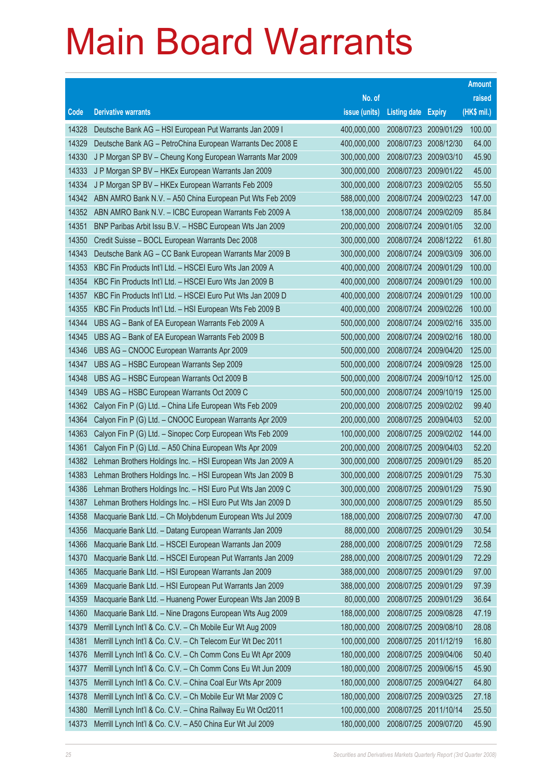|       |                                                              |               |                            |            | <b>Amount</b> |
|-------|--------------------------------------------------------------|---------------|----------------------------|------------|---------------|
|       |                                                              | No. of        |                            |            | raised        |
| Code  | <b>Derivative warrants</b>                                   | issue (units) | <b>Listing date Expiry</b> |            | (HK\$ mil.)   |
| 14328 | Deutsche Bank AG - HSI European Put Warrants Jan 2009 I      | 400,000,000   | 2008/07/23 2009/01/29      |            | 100.00        |
| 14329 | Deutsche Bank AG - PetroChina European Warrants Dec 2008 E   | 400,000,000   | 2008/07/23 2008/12/30      |            | 64.00         |
| 14330 | J P Morgan SP BV - Cheung Kong European Warrants Mar 2009    | 300,000,000   | 2008/07/23 2009/03/10      |            | 45.90         |
| 14333 | J P Morgan SP BV - HKEx European Warrants Jan 2009           | 300,000,000   | 2008/07/23 2009/01/22      |            | 45.00         |
| 14334 | J P Morgan SP BV - HKEx European Warrants Feb 2009           | 300,000,000   | 2008/07/23 2009/02/05      |            | 55.50         |
| 14342 | ABN AMRO Bank N.V. - A50 China European Put Wts Feb 2009     | 588,000,000   | 2008/07/24 2009/02/23      |            | 147.00        |
| 14352 | ABN AMRO Bank N.V. - ICBC European Warrants Feb 2009 A       | 138,000,000   | 2008/07/24                 | 2009/02/09 | 85.84         |
| 14351 | BNP Paribas Arbit Issu B.V. - HSBC European Wts Jan 2009     | 200,000,000   | 2008/07/24 2009/01/05      |            | 32.00         |
| 14350 | Credit Suisse - BOCL European Warrants Dec 2008              | 300,000,000   | 2008/07/24 2008/12/22      |            | 61.80         |
| 14343 | Deutsche Bank AG - CC Bank European Warrants Mar 2009 B      | 300,000,000   | 2008/07/24 2009/03/09      |            | 306.00        |
| 14353 | KBC Fin Products Int'l Ltd. - HSCEI Euro Wts Jan 2009 A      | 400,000,000   | 2008/07/24                 | 2009/01/29 | 100.00        |
| 14354 | KBC Fin Products Int'l Ltd. - HSCEI Euro Wts Jan 2009 B      | 400,000,000   | 2008/07/24 2009/01/29      |            | 100.00        |
| 14357 | KBC Fin Products Int'l Ltd. - HSCEI Euro Put Wts Jan 2009 D  | 400,000,000   | 2008/07/24 2009/01/29      |            | 100.00        |
| 14355 | KBC Fin Products Int'l Ltd. - HSI European Wts Feb 2009 B    | 400,000,000   | 2008/07/24 2009/02/26      |            | 100.00        |
| 14344 | UBS AG - Bank of EA European Warrants Feb 2009 A             | 500,000,000   | 2008/07/24                 | 2009/02/16 | 335.00        |
| 14345 | UBS AG - Bank of EA European Warrants Feb 2009 B             | 500,000,000   | 2008/07/24 2009/02/16      |            | 180.00        |
| 14346 | UBS AG - CNOOC European Warrants Apr 2009                    | 500,000,000   | 2008/07/24 2009/04/20      |            | 125.00        |
| 14347 | UBS AG - HSBC European Warrants Sep 2009                     | 500,000,000   | 2008/07/24 2009/09/28      |            | 125.00        |
| 14348 | UBS AG - HSBC European Warrants Oct 2009 B                   | 500,000,000   | 2008/07/24                 | 2009/10/12 | 125.00        |
| 14349 | UBS AG - HSBC European Warrants Oct 2009 C                   | 500,000,000   | 2008/07/24 2009/10/19      |            | 125.00        |
| 14362 | Calyon Fin P (G) Ltd. - China Life European Wts Feb 2009     | 200,000,000   | 2008/07/25 2009/02/02      |            | 99.40         |
| 14364 | Calyon Fin P (G) Ltd. - CNOOC European Warrants Apr 2009     | 200,000,000   | 2008/07/25 2009/04/03      |            | 52.00         |
| 14363 | Calyon Fin P (G) Ltd. - Sinopec Corp European Wts Feb 2009   | 100,000,000   | 2008/07/25                 | 2009/02/02 | 144.00        |
| 14361 | Calyon Fin P (G) Ltd. - A50 China European Wts Apr 2009      | 200,000,000   | 2008/07/25 2009/04/03      |            | 52.20         |
| 14382 | Lehman Brothers Holdings Inc. - HSI European Wts Jan 2009 A  | 300,000,000   | 2008/07/25 2009/01/29      |            | 85.20         |
| 14383 | Lehman Brothers Holdings Inc. - HSI European Wts Jan 2009 B  | 300,000,000   | 2008/07/25 2009/01/29      |            | 75.30         |
| 14386 | Lehman Brothers Holdings Inc. - HSI Euro Put Wts Jan 2009 C  | 300,000,000   | 2008/07/25 2009/01/29      |            | 75.90         |
| 14387 | Lehman Brothers Holdings Inc. - HSI Euro Put Wts Jan 2009 D  | 300,000,000   | 2008/07/25 2009/01/29      |            | 85.50         |
| 14358 | Macquarie Bank Ltd. - Ch Molybdenum European Wts Jul 2009    | 188,000,000   | 2008/07/25                 | 2009/07/30 | 47.00         |
| 14356 | Macquarie Bank Ltd. - Datang European Warrants Jan 2009      | 88,000,000    | 2008/07/25 2009/01/29      |            | 30.54         |
| 14366 | Macquarie Bank Ltd. - HSCEI European Warrants Jan 2009       | 288,000,000   | 2008/07/25 2009/01/29      |            | 72.58         |
| 14370 | Macquarie Bank Ltd. - HSCEI European Put Warrants Jan 2009   | 288,000,000   | 2008/07/25                 | 2009/01/29 | 72.29         |
| 14365 | Macquarie Bank Ltd. - HSI European Warrants Jan 2009         | 388,000,000   | 2008/07/25                 | 2009/01/29 | 97.00         |
| 14369 | Macquarie Bank Ltd. - HSI European Put Warrants Jan 2009     | 388,000,000   | 2008/07/25                 | 2009/01/29 | 97.39         |
| 14359 | Macquarie Bank Ltd. - Huaneng Power European Wts Jan 2009 B  | 80,000,000    | 2008/07/25 2009/01/29      |            | 36.64         |
| 14360 | Macquarie Bank Ltd. - Nine Dragons European Wts Aug 2009     | 188,000,000   | 2008/07/25 2009/08/28      |            | 47.19         |
| 14379 | Merrill Lynch Int'l & Co. C.V. - Ch Mobile Eur Wt Aug 2009   | 180,000,000   | 2008/07/25 2009/08/10      |            | 28.08         |
| 14381 | Merrill Lynch Int'l & Co. C.V. - Ch Telecom Eur Wt Dec 2011  | 100,000,000   | 2008/07/25                 | 2011/12/19 | 16.80         |
| 14376 | Merrill Lynch Int'l & Co. C.V. - Ch Comm Cons Eu Wt Apr 2009 | 180,000,000   | 2008/07/25 2009/04/06      |            | 50.40         |
| 14377 | Merrill Lynch Int'l & Co. C.V. - Ch Comm Cons Eu Wt Jun 2009 | 180,000,000   | 2008/07/25 2009/06/15      |            | 45.90         |
| 14375 | Merrill Lynch Int'l & Co. C.V. - China Coal Eur Wts Apr 2009 | 180,000,000   | 2008/07/25                 | 2009/04/27 | 64.80         |
| 14378 | Merrill Lynch Int'l & Co. C.V. - Ch Mobile Eur Wt Mar 2009 C | 180,000,000   | 2008/07/25                 | 2009/03/25 | 27.18         |
| 14380 | Merrill Lynch Int'l & Co. C.V. - China Railway Eu Wt Oct2011 | 100,000,000   | 2008/07/25                 | 2011/10/14 | 25.50         |
| 14373 | Merrill Lynch Int'l & Co. C.V. - A50 China Eur Wt Jul 2009   | 180,000,000   | 2008/07/25 2009/07/20      |            | 45.90         |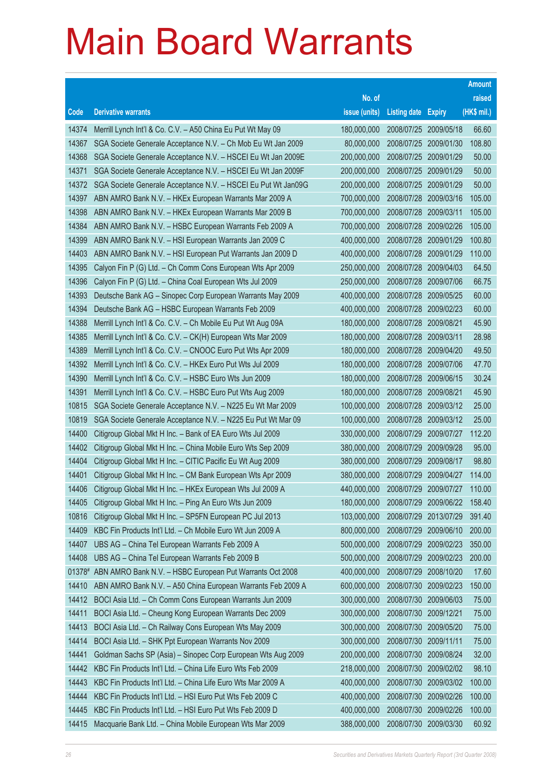|        |                                                               |               |                            |                       | <b>Amount</b> |
|--------|---------------------------------------------------------------|---------------|----------------------------|-----------------------|---------------|
|        |                                                               | No. of        |                            |                       | raised        |
| Code   | <b>Derivative warrants</b>                                    | issue (units) | <b>Listing date Expiry</b> |                       | (HK\$ mil.)   |
| 14374  | Merrill Lynch Int'l & Co. C.V. - A50 China Eu Put Wt May 09   | 180,000,000   | 2008/07/25                 | 2009/05/18            | 66.60         |
| 14367  | SGA Societe Generale Acceptance N.V. - Ch Mob Eu Wt Jan 2009  | 80,000,000    | 2008/07/25                 | 2009/01/30            | 108.80        |
| 14368  | SGA Societe Generale Acceptance N.V. - HSCEI Eu Wt Jan 2009E  | 200,000,000   | 2008/07/25                 | 2009/01/29            | 50.00         |
| 14371  | SGA Societe Generale Acceptance N.V. - HSCEI Eu Wt Jan 2009F  | 200,000,000   | 2008/07/25                 | 2009/01/29            | 50.00         |
| 14372  | SGA Societe Generale Acceptance N.V. - HSCEI Eu Put Wt Jan09G | 200,000,000   | 2008/07/25                 | 2009/01/29            | 50.00         |
| 14397  | ABN AMRO Bank N.V. - HKEx European Warrants Mar 2009 A        | 700,000,000   | 2008/07/28                 | 2009/03/16            | 105.00        |
| 14398  | ABN AMRO Bank N.V. - HKEx European Warrants Mar 2009 B        | 700,000,000   | 2008/07/28                 | 2009/03/11            | 105.00        |
| 14384  | ABN AMRO Bank N.V. - HSBC European Warrants Feb 2009 A        | 700,000,000   | 2008/07/28                 | 2009/02/26            | 105.00        |
| 14399  | ABN AMRO Bank N.V. - HSI European Warrants Jan 2009 C         | 400,000,000   | 2008/07/28                 | 2009/01/29            | 100.80        |
| 14403  | ABN AMRO Bank N.V. - HSI European Put Warrants Jan 2009 D     | 400,000,000   | 2008/07/28                 | 2009/01/29            | 110.00        |
| 14395  | Calyon Fin P (G) Ltd. - Ch Comm Cons European Wts Apr 2009    | 250,000,000   | 2008/07/28                 | 2009/04/03            | 64.50         |
| 14396  | Calyon Fin P (G) Ltd. - China Coal European Wts Jul 2009      | 250,000,000   | 2008/07/28                 | 2009/07/06            | 66.75         |
| 14393  | Deutsche Bank AG - Sinopec Corp European Warrants May 2009    | 400,000,000   | 2008/07/28                 | 2009/05/25            | 60.00         |
| 14394  | Deutsche Bank AG - HSBC European Warrants Feb 2009            | 400,000,000   | 2008/07/28                 | 2009/02/23            | 60.00         |
| 14388  | Merrill Lynch Int'l & Co. C.V. - Ch Mobile Eu Put Wt Aug 09A  | 180,000,000   | 2008/07/28                 | 2009/08/21            | 45.90         |
| 14385  | Merrill Lynch Int'l & Co. C.V. - CK(H) European Wts Mar 2009  | 180,000,000   | 2008/07/28                 | 2009/03/11            | 28.98         |
| 14389  | Merrill Lynch Int'l & Co. C.V. - CNOOC Euro Put Wts Apr 2009  | 180,000,000   | 2008/07/28                 | 2009/04/20            | 49.50         |
| 14392  | Merrill Lynch Int'l & Co. C.V. - HKEx Euro Put Wts Jul 2009   | 180,000,000   | 2008/07/28                 | 2009/07/06            | 47.70         |
| 14390  | Merrill Lynch Int'l & Co. C.V. - HSBC Euro Wts Jun 2009       | 180,000,000   | 2008/07/28                 | 2009/06/15            | 30.24         |
| 14391  | Merrill Lynch Int'l & Co. C.V. - HSBC Euro Put Wts Aug 2009   | 180,000,000   | 2008/07/28                 | 2009/08/21            | 45.90         |
| 10815  | SGA Societe Generale Acceptance N.V. - N225 Eu Wt Mar 2009    | 100,000,000   | 2008/07/28                 | 2009/03/12            | 25.00         |
| 10819  | SGA Societe Generale Acceptance N.V. - N225 Eu Put Wt Mar 09  | 100,000,000   | 2008/07/28                 | 2009/03/12            | 25.00         |
| 14400  | Citigroup Global Mkt H Inc. - Bank of EA Euro Wts Jul 2009    | 330,000,000   | 2008/07/29                 | 2009/07/27            | 112.20        |
| 14402  | Citigroup Global Mkt H Inc. - China Mobile Euro Wts Sep 2009  | 380,000,000   | 2008/07/29                 | 2009/09/28            | 95.00         |
| 14404  | Citigroup Global Mkt H Inc. - CITIC Pacific Eu Wt Aug 2009    | 380,000,000   | 2008/07/29                 | 2009/08/17            | 98.80         |
| 14401  | Citigroup Global Mkt H Inc. - CM Bank European Wts Apr 2009   | 380,000,000   | 2008/07/29                 | 2009/04/27            | 114.00        |
| 14406  | Citigroup Global Mkt H Inc. - HKEx European Wts Jul 2009 A    | 440,000,000   | 2008/07/29                 | 2009/07/27            | 110.00        |
| 14405  | Citigroup Global Mkt H Inc. - Ping An Euro Wts Jun 2009       | 180,000,000   |                            | 2008/07/29 2009/06/22 | 158.40        |
| 10816  | Citigroup Global Mkt H Inc. - SP5FN European PC Jul 2013      | 103,000,000   | 2008/07/29                 | 2013/07/29            | 391.40        |
| 14409  | KBC Fin Products Int'l Ltd. - Ch Mobile Euro Wt Jun 2009 A    | 800,000,000   | 2008/07/29                 | 2009/06/10            | 200.00        |
| 14407  | UBS AG - China Tel European Warrants Feb 2009 A               | 500,000,000   | 2008/07/29                 | 2009/02/23            | 350.00        |
| 14408  | UBS AG - China Tel European Warrants Feb 2009 B               | 500,000,000   | 2008/07/29                 | 2009/02/23            | 200.00        |
| 01378# | ABN AMRO Bank N.V. - HSBC European Put Warrants Oct 2008      | 400,000,000   | 2008/07/29                 | 2008/10/20            | 17.60         |
| 14410  | ABN AMRO Bank N.V. - A50 China European Warrants Feb 2009 A   | 600,000,000   | 2008/07/30                 | 2009/02/23            | 150.00        |
| 14412  | BOCI Asia Ltd. - Ch Comm Cons European Warrants Jun 2009      | 300,000,000   | 2008/07/30 2009/06/03      |                       | 75.00         |
| 14411  | BOCI Asia Ltd. - Cheung Kong European Warrants Dec 2009       | 300,000,000   | 2008/07/30                 | 2009/12/21            | 75.00         |
| 14413  | BOCI Asia Ltd. - Ch Railway Cons European Wts May 2009        | 300,000,000   | 2008/07/30                 | 2009/05/20            | 75.00         |
| 14414  | BOCI Asia Ltd. - SHK Ppt European Warrants Nov 2009           | 300,000,000   | 2008/07/30                 | 2009/11/11            | 75.00         |
| 14441  | Goldman Sachs SP (Asia) - Sinopec Corp European Wts Aug 2009  | 200,000,000   | 2008/07/30                 | 2009/08/24            | 32.00         |
| 14442  | KBC Fin Products Int'l Ltd. - China Life Euro Wts Feb 2009    | 218,000,000   | 2008/07/30                 | 2009/02/02            | 98.10         |
| 14443  | KBC Fin Products Int'l Ltd. - China Life Euro Wts Mar 2009 A  | 400,000,000   | 2008/07/30                 | 2009/03/02            | 100.00        |
| 14444  | KBC Fin Products Int'l Ltd. - HSI Euro Put Wts Feb 2009 C     | 400,000,000   | 2008/07/30                 | 2009/02/26            | 100.00        |
| 14445  | KBC Fin Products Int'l Ltd. - HSI Euro Put Wts Feb 2009 D     | 400,000,000   | 2008/07/30 2009/02/26      |                       | 100.00        |
| 14415  | Macquarie Bank Ltd. - China Mobile European Wts Mar 2009      | 388,000,000   | 2008/07/30 2009/03/30      |                       | 60.92         |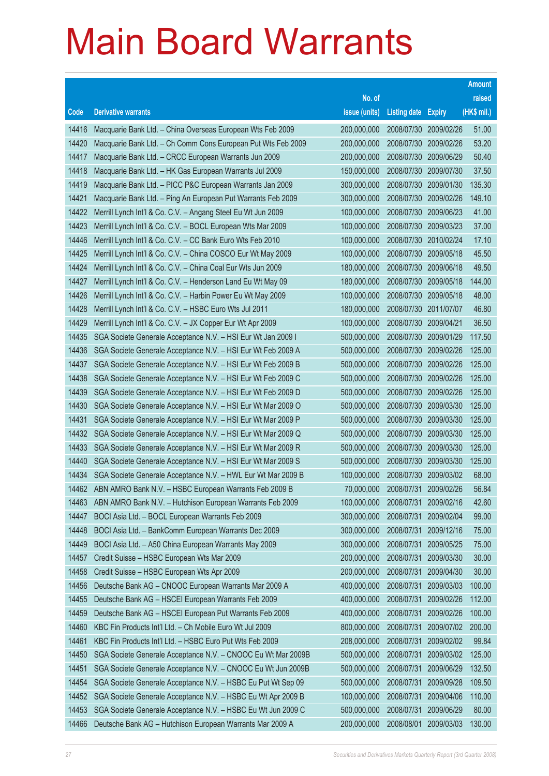|       |                                                              |               |                       |               | <b>Amount</b> |
|-------|--------------------------------------------------------------|---------------|-----------------------|---------------|---------------|
|       |                                                              | No. of        |                       |               | raised        |
| Code  | <b>Derivative warrants</b>                                   | issue (units) | <b>Listing date</b>   | <b>Expiry</b> | (HK\$ mil.)   |
| 14416 | Macquarie Bank Ltd. - China Overseas European Wts Feb 2009   | 200,000,000   | 2008/07/30 2009/02/26 |               | 51.00         |
| 14420 | Macquarie Bank Ltd. - Ch Comm Cons European Put Wts Feb 2009 | 200,000,000   | 2008/07/30 2009/02/26 |               | 53.20         |
| 14417 | Macquarie Bank Ltd. - CRCC European Warrants Jun 2009        | 200,000,000   | 2008/07/30            | 2009/06/29    | 50.40         |
| 14418 | Macquarie Bank Ltd. - HK Gas European Warrants Jul 2009      | 150,000,000   | 2008/07/30            | 2009/07/30    | 37.50         |
| 14419 | Macquarie Bank Ltd. - PICC P&C European Warrants Jan 2009    | 300,000,000   | 2008/07/30 2009/01/30 |               | 135.30        |
| 14421 | Macquarie Bank Ltd. - Ping An European Put Warrants Feb 2009 | 300,000,000   | 2008/07/30            | 2009/02/26    | 149.10        |
| 14422 | Merrill Lynch Int'l & Co. C.V. - Angang Steel Eu Wt Jun 2009 | 100,000,000   | 2008/07/30            | 2009/06/23    | 41.00         |
| 14423 | Merrill Lynch Int'l & Co. C.V. - BOCL European Wts Mar 2009  | 100,000,000   | 2008/07/30 2009/03/23 |               | 37.00         |
| 14446 | Merrill Lynch Int'l & Co. C.V. - CC Bank Euro Wts Feb 2010   | 100,000,000   | 2008/07/30 2010/02/24 |               | 17.10         |
| 14425 | Merrill Lynch Int'l & Co. C.V. - China COSCO Eur Wt May 2009 | 100,000,000   | 2008/07/30 2009/05/18 |               | 45.50         |
| 14424 | Merrill Lynch Int'l & Co. C.V. - China Coal Eur Wts Jun 2009 | 180,000,000   | 2008/07/30            | 2009/06/18    | 49.50         |
| 14427 | Merrill Lynch Int'l & Co. C.V. - Henderson Land Eu Wt May 09 | 180,000,000   | 2008/07/30 2009/05/18 |               | 144.00        |
| 14426 | Merrill Lynch Int'l & Co. C.V. - Harbin Power Eu Wt May 2009 | 100,000,000   | 2008/07/30 2009/05/18 |               | 48.00         |
| 14428 | Merrill Lynch Int'l & Co. C.V. - HSBC Euro Wts Jul 2011      | 180,000,000   | 2008/07/30 2011/07/07 |               | 46.80         |
| 14429 | Merrill Lynch Int'l & Co. C.V. - JX Copper Eur Wt Apr 2009   | 100,000,000   | 2008/07/30            | 2009/04/21    | 36.50         |
| 14435 | SGA Societe Generale Acceptance N.V. - HSI Eur Wt Jan 2009 I | 500,000,000   | 2008/07/30 2009/01/29 |               | 117.50        |
| 14436 | SGA Societe Generale Acceptance N.V. - HSI Eur Wt Feb 2009 A | 500,000,000   | 2008/07/30 2009/02/26 |               | 125.00        |
| 14437 | SGA Societe Generale Acceptance N.V. - HSI Eur Wt Feb 2009 B | 500,000,000   | 2008/07/30            | 2009/02/26    | 125.00        |
| 14438 | SGA Societe Generale Acceptance N.V. - HSI Eur Wt Feb 2009 C | 500,000,000   | 2008/07/30            | 2009/02/26    | 125.00        |
| 14439 | SGA Societe Generale Acceptance N.V. - HSI Eur Wt Feb 2009 D | 500,000,000   | 2008/07/30            | 2009/02/26    | 125.00        |
| 14430 | SGA Societe Generale Acceptance N.V. - HSI Eur Wt Mar 2009 O | 500,000,000   | 2008/07/30            | 2009/03/30    | 125.00        |
| 14431 | SGA Societe Generale Acceptance N.V. - HSI Eur Wt Mar 2009 P | 500,000,000   | 2008/07/30            | 2009/03/30    | 125.00        |
| 14432 | SGA Societe Generale Acceptance N.V. - HSI Eur Wt Mar 2009 Q | 500,000,000   | 2008/07/30            | 2009/03/30    | 125.00        |
| 14433 | SGA Societe Generale Acceptance N.V. - HSI Eur Wt Mar 2009 R | 500,000,000   | 2008/07/30            | 2009/03/30    | 125.00        |
| 14440 | SGA Societe Generale Acceptance N.V. - HSI Eur Wt Mar 2009 S | 500,000,000   | 2008/07/30            | 2009/03/30    | 125.00        |
| 14434 | SGA Societe Generale Acceptance N.V. - HWL Eur Wt Mar 2009 B | 100,000,000   | 2008/07/30            | 2009/03/02    | 68.00         |
| 14462 | ABN AMRO Bank N.V. - HSBC European Warrants Feb 2009 B       | 70,000,000    | 2008/07/31            | 2009/02/26    | 56.84         |
| 14463 | ABN AMRO Bank N.V. - Hutchison European Warrants Feb 2009    | 100,000,000   | 2008/07/31            | 2009/02/16    | 42.60         |
| 14447 | BOCI Asia Ltd. - BOCL European Warrants Feb 2009             | 300,000,000   | 2008/07/31            | 2009/02/04    | 99.00         |
| 14448 | BOCI Asia Ltd. - BankComm European Warrants Dec 2009         | 300,000,000   | 2008/07/31            | 2009/12/16    | 75.00         |
| 14449 | BOCI Asia Ltd. - A50 China European Warrants May 2009        | 300,000,000   | 2008/07/31            | 2009/05/25    | 75.00         |
| 14457 | Credit Suisse - HSBC European Wts Mar 2009                   | 200,000,000   | 2008/07/31            | 2009/03/30    | 30.00         |
| 14458 | Credit Suisse - HSBC European Wts Apr 2009                   | 200,000,000   | 2008/07/31            | 2009/04/30    | 30.00         |
| 14456 | Deutsche Bank AG - CNOOC European Warrants Mar 2009 A        | 400,000,000   | 2008/07/31            | 2009/03/03    | 100.00        |
| 14455 | Deutsche Bank AG - HSCEI European Warrants Feb 2009          | 400,000,000   | 2008/07/31            | 2009/02/26    | 112.00        |
| 14459 | Deutsche Bank AG - HSCEI European Put Warrants Feb 2009      | 400,000,000   | 2008/07/31            | 2009/02/26    | 100.00        |
| 14460 | KBC Fin Products Int'l Ltd. - Ch Mobile Euro Wt Jul 2009     | 800,000,000   | 2008/07/31            | 2009/07/02    | 200.00        |
| 14461 | KBC Fin Products Int'l Ltd. - HSBC Euro Put Wts Feb 2009     | 208,000,000   | 2008/07/31            | 2009/02/02    | 99.84         |
| 14450 | SGA Societe Generale Acceptance N.V. - CNOOC Eu Wt Mar 2009B | 500,000,000   | 2008/07/31            | 2009/03/02    | 125.00        |
| 14451 | SGA Societe Generale Acceptance N.V. - CNOOC Eu Wt Jun 2009B | 500,000,000   | 2008/07/31            | 2009/06/29    | 132.50        |
| 14454 | SGA Societe Generale Acceptance N.V. - HSBC Eu Put Wt Sep 09 | 500,000,000   | 2008/07/31            | 2009/09/28    | 109.50        |
| 14452 | SGA Societe Generale Acceptance N.V. - HSBC Eu Wt Apr 2009 B | 100,000,000   | 2008/07/31            | 2009/04/06    | 110.00        |
| 14453 | SGA Societe Generale Acceptance N.V. - HSBC Eu Wt Jun 2009 C | 500,000,000   | 2008/07/31            | 2009/06/29    | 80.00         |
| 14466 | Deutsche Bank AG - Hutchison European Warrants Mar 2009 A    | 200,000,000   | 2008/08/01            | 2009/03/03    | 130.00        |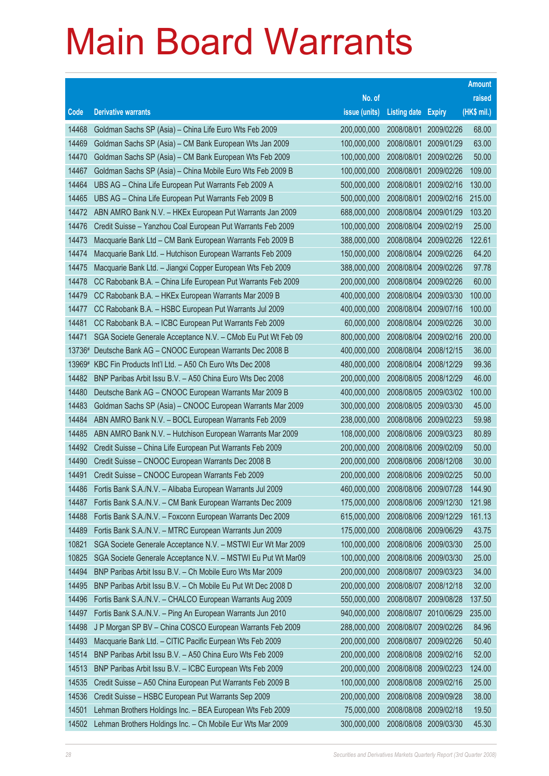|                |                                                                                                                          |                            |                     |                                     | <b>Amount</b>    |
|----------------|--------------------------------------------------------------------------------------------------------------------------|----------------------------|---------------------|-------------------------------------|------------------|
|                |                                                                                                                          | No. of                     |                     |                                     | raised           |
| Code           | <b>Derivative warrants</b>                                                                                               | issue (units)              | <b>Listing date</b> | <b>Expiry</b>                       | (HK\$ mil.)      |
| 14468          | Goldman Sachs SP (Asia) - China Life Euro Wts Feb 2009                                                                   | 200,000,000                | 2008/08/01          | 2009/02/26                          | 68.00            |
| 14469          | Goldman Sachs SP (Asia) - CM Bank European Wts Jan 2009                                                                  | 100,000,000                | 2008/08/01          | 2009/01/29                          | 63.00            |
| 14470          | Goldman Sachs SP (Asia) - CM Bank European Wts Feb 2009                                                                  | 100,000,000                | 2008/08/01          | 2009/02/26                          | 50.00            |
| 14467          | Goldman Sachs SP (Asia) - China Mobile Euro Wts Feb 2009 B                                                               | 100,000,000                | 2008/08/01          | 2009/02/26                          | 109.00           |
| 14464          | UBS AG - China Life European Put Warrants Feb 2009 A                                                                     | 500,000,000                | 2008/08/01          | 2009/02/16                          | 130.00           |
| 14465          | UBS AG - China Life European Put Warrants Feb 2009 B                                                                     | 500,000,000                | 2008/08/01          | 2009/02/16                          | 215.00           |
| 14472          | ABN AMRO Bank N.V. - HKEx European Put Warrants Jan 2009                                                                 | 688,000,000                | 2008/08/04          | 2009/01/29                          | 103.20           |
| 14476          | Credit Suisse - Yanzhou Coal European Put Warrants Feb 2009                                                              | 100,000,000                | 2008/08/04          | 2009/02/19                          | 25.00            |
| 14473          | Macquarie Bank Ltd - CM Bank European Warrants Feb 2009 B                                                                | 388,000,000                | 2008/08/04          | 2009/02/26                          | 122.61           |
| 14474          | Macquarie Bank Ltd. - Hutchison European Warrants Feb 2009                                                               | 150,000,000                |                     | 2008/08/04 2009/02/26               | 64.20            |
| 14475          | Macquarie Bank Ltd. - Jiangxi Copper European Wts Feb 2009                                                               | 388,000,000                | 2008/08/04          | 2009/02/26                          | 97.78            |
| 14478          | CC Rabobank B.A. - China Life European Put Warrants Feb 2009                                                             | 200,000,000                | 2008/08/04          | 2009/02/26                          | 60.00            |
| 14479          | CC Rabobank B.A. - HKEx European Warrants Mar 2009 B                                                                     | 400,000,000                | 2008/08/04          | 2009/03/30                          | 100.00           |
| 14477          | CC Rabobank B.A. - HSBC European Put Warrants Jul 2009                                                                   | 400,000,000                | 2008/08/04          | 2009/07/16                          | 100.00           |
| 14481          | CC Rabobank B.A. - ICBC European Put Warrants Feb 2009                                                                   | 60,000,000                 | 2008/08/04          | 2009/02/26                          | 30.00            |
| 14471          | SGA Societe Generale Acceptance N.V. - CMob Eu Put Wt Feb 09                                                             | 800,000,000                |                     | 2008/08/04 2009/02/16               | 200.00           |
| 13736#         | Deutsche Bank AG - CNOOC European Warrants Dec 2008 B                                                                    | 400,000,000                | 2008/08/04          | 2008/12/15                          | 36.00            |
| 13969#         | KBC Fin Products Int'l Ltd. - A50 Ch Euro Wts Dec 2008                                                                   | 480,000,000                |                     | 2008/08/04 2008/12/29               | 99.36            |
| 14482          | BNP Paribas Arbit Issu B.V. - A50 China Euro Wts Dec 2008                                                                | 200,000,000                | 2008/08/05          | 2008/12/29                          | 46.00            |
| 14480          | Deutsche Bank AG - CNOOC European Warrants Mar 2009 B                                                                    | 400,000,000                |                     | 2008/08/05 2009/03/02               | 100.00           |
| 14483          | Goldman Sachs SP (Asia) - CNOOC European Warrants Mar 2009                                                               | 300,000,000                | 2008/08/05          | 2009/03/30                          | 45.00            |
| 14484          | ABN AMRO Bank N.V. - BOCL European Warrants Feb 2009                                                                     | 238,000,000                |                     | 2008/08/06 2009/02/23               | 59.98            |
| 14485          | ABN AMRO Bank N.V. - Hutchison European Warrants Mar 2009                                                                | 108,000,000                | 2008/08/06          | 2009/03/23                          | 80.89            |
| 14492          | Credit Suisse - China Life European Put Warrants Feb 2009                                                                | 200,000,000                |                     | 2008/08/06 2009/02/09               | 50.00            |
| 14490          | Credit Suisse - CNOOC European Warrants Dec 2008 B                                                                       | 200,000,000                |                     | 2008/08/06 2008/12/08               | 30.00            |
| 14491          | Credit Suisse - CNOOC European Warrants Feb 2009                                                                         | 200,000,000                |                     | 2008/08/06 2009/02/25               | 50.00            |
| 14486          | Fortis Bank S.A./N.V. - Alibaba European Warrants Jul 2009                                                               | 460,000,000                |                     | 2008/08/06 2009/07/28               | 144.90           |
| 14487<br>14488 | Fortis Bank S.A./N.V. - CM Bank European Warrants Dec 2009<br>Fortis Bank S.A./N.V. - Foxconn European Warrants Dec 2009 | 175,000,000<br>615,000,000 | 2008/08/06          | 2008/08/06 2009/12/30<br>2009/12/29 | 121.98<br>161.13 |
| 14489          | Fortis Bank S.A./N.V. - MTRC European Warrants Jun 2009                                                                  | 175,000,000                |                     | 2008/08/06 2009/06/29               | 43.75            |
| 10821          | SGA Societe Generale Acceptance N.V. - MSTWI Eur Wt Mar 2009                                                             | 100,000,000                |                     | 2008/08/06 2009/03/30               | 25.00            |
| 10825          | SGA Societe Generale Acceptance N.V. - MSTWI Eu Put Wt Mar09                                                             | 100,000,000                | 2008/08/06          | 2009/03/30                          | 25.00            |
| 14494          | BNP Paribas Arbit Issu B.V. - Ch Mobile Euro Wts Mar 2009                                                                | 200,000,000                | 2008/08/07          | 2009/03/23                          | 34.00            |
| 14495          | BNP Paribas Arbit Issu B.V. - Ch Mobile Eu Put Wt Dec 2008 D                                                             | 200,000,000                | 2008/08/07          | 2008/12/18                          | 32.00            |
| 14496          | Fortis Bank S.A./N.V. - CHALCO European Warrants Aug 2009                                                                | 550,000,000                | 2008/08/07          | 2009/08/28                          | 137.50           |
| 14497          | Fortis Bank S.A./N.V. - Ping An European Warrants Jun 2010                                                               | 940,000,000                | 2008/08/07          | 2010/06/29                          | 235.00           |
| 14498          | J P Morgan SP BV - China COSCO European Warrants Feb 2009                                                                | 288,000,000                | 2008/08/07          | 2009/02/26                          | 84.96            |
| 14493          | Macquarie Bank Ltd. - CITIC Pacific Eurpean Wts Feb 2009                                                                 | 200,000,000                | 2008/08/07          | 2009/02/26                          | 50.40            |
| 14514          | BNP Paribas Arbit Issu B.V. - A50 China Euro Wts Feb 2009                                                                | 200,000,000                | 2008/08/08          | 2009/02/16                          | 52.00            |
| 14513          | BNP Paribas Arbit Issu B.V. - ICBC European Wts Feb 2009                                                                 | 200,000,000                | 2008/08/08          | 2009/02/23                          | 124.00           |
| 14535          | Credit Suisse - A50 China European Put Warrants Feb 2009 B                                                               | 100,000,000                | 2008/08/08          | 2009/02/16                          | 25.00            |
| 14536          | Credit Suisse - HSBC European Put Warrants Sep 2009                                                                      | 200,000,000                | 2008/08/08          | 2009/09/28                          | 38.00            |
| 14501          | Lehman Brothers Holdings Inc. - BEA European Wts Feb 2009                                                                | 75,000,000                 | 2008/08/08          | 2009/02/18                          | 19.50            |
| 14502          | Lehman Brothers Holdings Inc. - Ch Mobile Eur Wts Mar 2009                                                               | 300,000,000                |                     | 2008/08/08 2009/03/30               | 45.30            |
|                |                                                                                                                          |                            |                     |                                     |                  |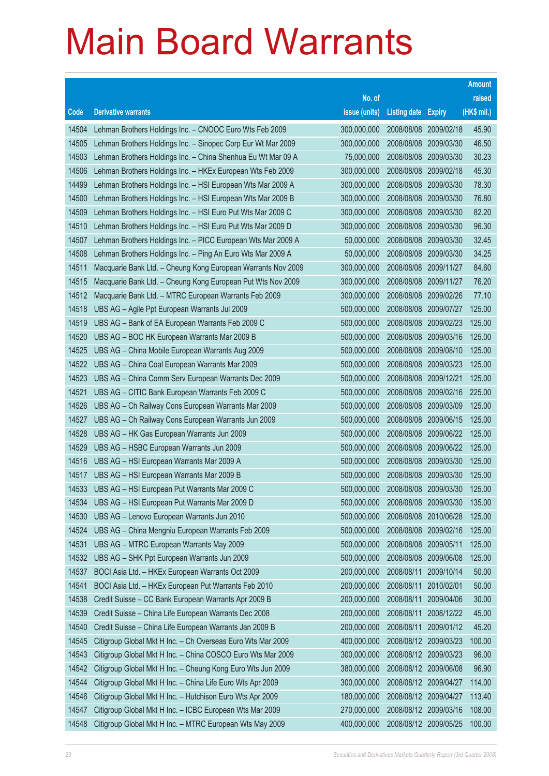|       |                                                              |               |                            |                       | <b>Amount</b> |
|-------|--------------------------------------------------------------|---------------|----------------------------|-----------------------|---------------|
|       |                                                              | No. of        |                            |                       | raised        |
| Code  | <b>Derivative warrants</b>                                   | issue (units) | <b>Listing date Expiry</b> |                       | (HK\$ mil.)   |
| 14504 | Lehman Brothers Holdings Inc. - CNOOC Euro Wts Feb 2009      | 300,000,000   | 2008/08/08                 | 2009/02/18            | 45.90         |
| 14505 | Lehman Brothers Holdings Inc. - Sinopec Corp Eur Wt Mar 2009 | 300,000,000   | 2008/08/08 2009/03/30      |                       | 46.50         |
| 14503 | Lehman Brothers Holdings Inc. - China Shenhua Eu Wt Mar 09 A | 75,000,000    | 2008/08/08                 | 2009/03/30            | 30.23         |
| 14506 | Lehman Brothers Holdings Inc. - HKEx European Wts Feb 2009   | 300,000,000   | 2008/08/08 2009/02/18      |                       | 45.30         |
| 14499 | Lehman Brothers Holdings Inc. - HSI European Wts Mar 2009 A  | 300,000,000   | 2008/08/08                 | 2009/03/30            | 78.30         |
| 14500 | Lehman Brothers Holdings Inc. - HSI European Wts Mar 2009 B  | 300,000,000   |                            | 2008/08/08 2009/03/30 | 76.80         |
| 14509 | Lehman Brothers Holdings Inc. - HSI Euro Put Wts Mar 2009 C  | 300,000,000   | 2008/08/08                 | 2009/03/30            | 82.20         |
| 14510 | Lehman Brothers Holdings Inc. - HSI Euro Put Wts Mar 2009 D  | 300,000,000   |                            | 2008/08/08 2009/03/30 | 96.30         |
| 14507 | Lehman Brothers Holdings Inc. - PICC European Wts Mar 2009 A | 50,000,000    | 2008/08/08                 | 2009/03/30            | 32.45         |
| 14508 | Lehman Brothers Holdings Inc. - Ping An Euro Wts Mar 2009 A  | 50,000,000    |                            | 2008/08/08 2009/03/30 | 34.25         |
| 14511 | Macquarie Bank Ltd. - Cheung Kong European Warrants Nov 2009 | 300,000,000   | 2008/08/08                 | 2009/11/27            | 84.60         |
| 14515 | Macquarie Bank Ltd. - Cheung Kong European Put Wts Nov 2009  | 300,000,000   | 2008/08/08 2009/11/27      |                       | 76.20         |
| 14512 | Macquarie Bank Ltd. - MTRC European Warrants Feb 2009        | 300,000,000   | 2008/08/08 2009/02/26      |                       | 77.10         |
| 14518 | UBS AG - Agile Ppt European Warrants Jul 2009                | 500,000,000   |                            | 2008/08/08 2009/07/27 | 125.00        |
| 14519 | UBS AG - Bank of EA European Warrants Feb 2009 C             | 500,000,000   | 2008/08/08                 | 2009/02/23            | 125.00        |
| 14520 | UBS AG - BOC HK European Warrants Mar 2009 B                 | 500,000,000   |                            | 2008/08/08 2009/03/16 | 125.00        |
| 14525 | UBS AG - China Mobile European Warrants Aug 2009             | 500,000,000   | 2008/08/08                 | 2009/08/10            | 125.00        |
| 14522 | UBS AG - China Coal European Warrants Mar 2009               | 500,000,000   |                            | 2008/08/08 2009/03/23 | 125.00        |
| 14523 | UBS AG - China Comm Serv European Warrants Dec 2009          | 500,000,000   | 2008/08/08                 | 2009/12/21            | 125.00        |
| 14521 | UBS AG - CITIC Bank European Warrants Feb 2009 C             | 500,000,000   |                            | 2008/08/08 2009/02/16 | 225.00        |
| 14526 | UBS AG - Ch Railway Cons European Warrants Mar 2009          | 500,000,000   | 2008/08/08                 | 2009/03/09            | 125.00        |
| 14527 | UBS AG - Ch Railway Cons European Warrants Jun 2009          | 500,000,000   |                            | 2008/08/08 2009/06/15 | 125.00        |
| 14528 | UBS AG - HK Gas European Warrants Jun 2009                   | 500,000,000   | 2008/08/08                 | 2009/06/22            | 125.00        |
| 14529 | UBS AG - HSBC European Warrants Jun 2009                     | 500,000,000   |                            | 2008/08/08 2009/06/22 | 125.00        |
| 14516 | UBS AG - HSI European Warrants Mar 2009 A                    | 500,000,000   | 2008/08/08                 | 2009/03/30            | 125.00        |
| 14517 | UBS AG - HSI European Warrants Mar 2009 B                    | 500,000,000   | 2008/08/08 2009/03/30      |                       | 125.00        |
| 14533 | UBS AG - HSI European Put Warrants Mar 2009 C                | 500,000,000   |                            | 2008/08/08 2009/03/30 | 125.00        |
| 14534 | UBS AG - HSI European Put Warrants Mar 2009 D                | 500,000,000   |                            | 2008/08/08 2009/03/30 | 135.00        |
| 14530 | UBS AG - Lenovo European Warrants Jun 2010                   | 500,000,000   | 2008/08/08                 | 2010/06/28            | 125.00        |
| 14524 | UBS AG - China Mengniu European Warrants Feb 2009            | 500,000,000   |                            | 2008/08/08 2009/02/16 | 125.00        |
| 14531 | UBS AG - MTRC European Warrants May 2009                     | 500,000,000   | 2008/08/08                 | 2009/05/11            | 125.00        |
| 14532 | UBS AG - SHK Ppt European Warrants Jun 2009                  | 500,000,000   | 2008/08/08                 | 2009/06/08            | 125.00        |
| 14537 | BOCI Asia Ltd. - HKEx European Warrants Oct 2009             | 200,000,000   | 2008/08/11                 | 2009/10/14            | 50.00         |
| 14541 | BOCI Asia Ltd. - HKEx European Put Warrants Feb 2010         | 200,000,000   | 2008/08/11                 | 2010/02/01            | 50.00         |
| 14538 | Credit Suisse - CC Bank European Warrants Apr 2009 B         | 200,000,000   | 2008/08/11                 | 2009/04/06            | 30.00         |
| 14539 | Credit Suisse - China Life European Warrants Dec 2008        | 200,000,000   | 2008/08/11                 | 2008/12/22            | 45.00         |
| 14540 | Credit Suisse - China Life European Warrants Jan 2009 B      | 200,000,000   | 2008/08/11                 | 2009/01/12            | 45.20         |
| 14545 | Citigroup Global Mkt H Inc. - Ch Overseas Euro Wts Mar 2009  | 400,000,000   | 2008/08/12                 | 2009/03/23            | 100.00        |
| 14543 | Citigroup Global Mkt H Inc. - China COSCO Euro Wts Mar 2009  | 300,000,000   | 2008/08/12 2009/03/23      |                       | 96.00         |
| 14542 | Citigroup Global Mkt H Inc. - Cheung Kong Euro Wts Jun 2009  | 380,000,000   | 2008/08/12 2009/06/08      |                       | 96.90         |
| 14544 | Citigroup Global Mkt H Inc. - China Life Euro Wts Apr 2009   | 300,000,000   | 2008/08/12                 | 2009/04/27            | 114.00        |
| 14546 | Citigroup Global Mkt H Inc. - Hutchison Euro Wts Apr 2009    | 180,000,000   | 2008/08/12 2009/04/27      |                       | 113.40        |
| 14547 | Citigroup Global Mkt H Inc. - ICBC European Wts Mar 2009     | 270,000,000   |                            | 2008/08/12 2009/03/16 | 108.00        |
| 14548 | Citigroup Global Mkt H Inc. - MTRC European Wts May 2009     | 400,000,000   | 2008/08/12 2009/05/25      |                       | 100.00        |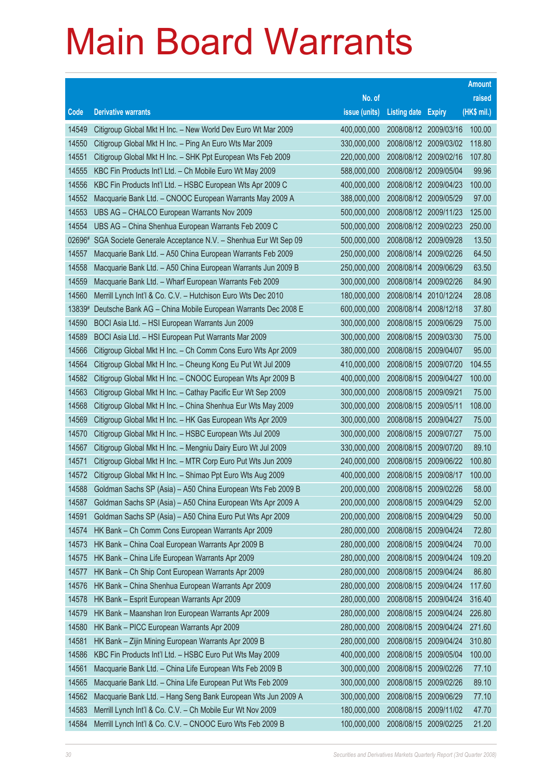|                |                                                                                                                          |                            |                            |                          | <b>Amount</b>  |
|----------------|--------------------------------------------------------------------------------------------------------------------------|----------------------------|----------------------------|--------------------------|----------------|
|                |                                                                                                                          | No. of                     |                            |                          | raised         |
| Code           | <b>Derivative warrants</b>                                                                                               | issue (units)              | <b>Listing date Expiry</b> |                          | (HK\$ mil.)    |
| 14549          | Citigroup Global Mkt H Inc. - New World Dev Euro Wt Mar 2009                                                             | 400,000,000                | 2008/08/12 2009/03/16      |                          | 100.00         |
| 14550          | Citigroup Global Mkt H Inc. - Ping An Euro Wts Mar 2009                                                                  | 330,000,000                | 2008/08/12 2009/03/02      |                          | 118.80         |
| 14551          | Citigroup Global Mkt H Inc. - SHK Ppt European Wts Feb 2009                                                              | 220,000,000                | 2008/08/12 2009/02/16      |                          | 107.80         |
| 14555          | KBC Fin Products Int'l Ltd. - Ch Mobile Euro Wt May 2009                                                                 | 588,000,000                | 2008/08/12 2009/05/04      |                          | 99.96          |
| 14556          | KBC Fin Products Int'l Ltd. - HSBC European Wts Apr 2009 C                                                               | 400,000,000                | 2008/08/12 2009/04/23      |                          | 100.00         |
| 14552          | Macquarie Bank Ltd. - CNOOC European Warrants May 2009 A                                                                 | 388,000,000                | 2008/08/12 2009/05/29      |                          | 97.00          |
| 14553          | UBS AG - CHALCO European Warrants Nov 2009                                                                               | 500,000,000                | 2008/08/12 2009/11/23      |                          | 125.00         |
| 14554          | UBS AG - China Shenhua European Warrants Feb 2009 C                                                                      | 500,000,000                | 2008/08/12 2009/02/23      |                          | 250.00         |
| 02696#         | SGA Societe Generale Acceptance N.V. - Shenhua Eur Wt Sep 09                                                             | 500,000,000                | 2008/08/12 2009/09/28      |                          | 13.50          |
| 14557          | Macquarie Bank Ltd. - A50 China European Warrants Feb 2009                                                               | 250,000,000                | 2008/08/14                 | 2009/02/26               | 64.50          |
| 14558          | Macquarie Bank Ltd. - A50 China European Warrants Jun 2009 B                                                             | 250,000,000                | 2008/08/14                 | 2009/06/29               | 63.50          |
| 14559          | Macquarie Bank Ltd. - Wharf European Warrants Feb 2009                                                                   | 300,000,000                | 2008/08/14                 | 2009/02/26               | 84.90          |
| 14560          | Merrill Lynch Int'l & Co. C.V. - Hutchison Euro Wts Dec 2010                                                             | 180,000,000                | 2008/08/14                 | 2010/12/24               | 28.08          |
| 13839#         | Deutsche Bank AG - China Mobile European Warrants Dec 2008 E                                                             | 600,000,000                | 2008/08/14                 | 2008/12/18               | 37.80          |
| 14590          | BOCI Asia Ltd. - HSI European Warrants Jun 2009                                                                          | 300,000,000                | 2008/08/15                 | 2009/06/29               | 75.00          |
| 14589          | BOCI Asia Ltd. - HSI European Put Warrants Mar 2009                                                                      | 300,000,000                | 2008/08/15                 | 2009/03/30               | 75.00          |
| 14566          | Citigroup Global Mkt H Inc. - Ch Comm Cons Euro Wts Apr 2009                                                             | 380,000,000                | 2008/08/15                 | 2009/04/07               | 95.00          |
| 14564          | Citigroup Global Mkt H Inc. - Cheung Kong Eu Put Wt Jul 2009                                                             | 410,000,000                | 2008/08/15                 | 2009/07/20               | 104.55         |
| 14582          | Citigroup Global Mkt H Inc. - CNOOC European Wts Apr 2009 B                                                              | 400,000,000                | 2008/08/15                 | 2009/04/27               | 100.00         |
| 14563          | Citigroup Global Mkt H Inc. - Cathay Pacific Eur Wt Sep 2009                                                             | 300,000,000                | 2008/08/15                 | 2009/09/21               | 75.00          |
| 14568          | Citigroup Global Mkt H Inc. - China Shenhua Eur Wts May 2009                                                             | 300,000,000                | 2008/08/15                 | 2009/05/11               | 108.00         |
| 14569          | Citigroup Global Mkt H Inc. - HK Gas European Wts Apr 2009                                                               | 300,000,000                | 2008/08/15                 | 2009/04/27               | 75.00          |
| 14570<br>14567 | Citigroup Global Mkt H Inc. - HSBC European Wts Jul 2009<br>Citigroup Global Mkt H Inc. - Mengniu Dairy Euro Wt Jul 2009 | 300,000,000<br>330,000,000 | 2008/08/15<br>2008/08/15   | 2009/07/27<br>2009/07/20 | 75.00<br>89.10 |
| 14571          | Citigroup Global Mkt H Inc. - MTR Corp Euro Put Wts Jun 2009                                                             | 240,000,000                | 2008/08/15                 | 2009/06/22               | 100.80         |
| 14572          | Citigroup Global Mkt H Inc. - Shimao Ppt Euro Wts Aug 2009                                                               | 400,000,000                | 2008/08/15                 | 2009/08/17               | 100.00         |
| 14588          | Goldman Sachs SP (Asia) - A50 China European Wts Feb 2009 B                                                              | 200,000,000                | 2008/08/15                 | 2009/02/26               | 58.00          |
| 14587          | Goldman Sachs SP (Asia) - A50 China European Wts Apr 2009 A                                                              | 200,000,000                | 2008/08/15                 | 2009/04/29               | 52.00          |
| 14591          | Goldman Sachs SP (Asia) - A50 China Euro Put Wts Apr 2009                                                                | 200,000,000                | 2008/08/15                 | 2009/04/29               | 50.00          |
| 14574          | HK Bank - Ch Comm Cons European Warrants Apr 2009                                                                        | 280,000,000                | 2008/08/15                 | 2009/04/24               | 72.80          |
| 14573          | HK Bank - China Coal European Warrants Apr 2009 B                                                                        | 280,000,000                | 2008/08/15                 | 2009/04/24               | 70.00          |
| 14575          | HK Bank - China Life European Warrants Apr 2009                                                                          | 280,000,000                | 2008/08/15                 | 2009/04/24               | 109.20         |
| 14577          | HK Bank - Ch Ship Cont European Warrants Apr 2009                                                                        | 280,000,000                | 2008/08/15                 | 2009/04/24               | 86.80          |
| 14576          | HK Bank - China Shenhua European Warrants Apr 2009                                                                       | 280,000,000                | 2008/08/15                 | 2009/04/24               | 117.60         |
| 14578          | HK Bank - Esprit European Warrants Apr 2009                                                                              | 280,000,000                | 2008/08/15                 | 2009/04/24               | 316.40         |
| 14579          | HK Bank - Maanshan Iron European Warrants Apr 2009                                                                       | 280,000,000                | 2008/08/15                 | 2009/04/24               | 226.80         |
| 14580          | HK Bank - PICC European Warrants Apr 2009                                                                                | 280,000,000                | 2008/08/15                 | 2009/04/24               | 271.60         |
| 14581          | HK Bank - Zijin Mining European Warrants Apr 2009 B                                                                      | 280,000,000                | 2008/08/15                 | 2009/04/24               | 310.80         |
| 14586          | KBC Fin Products Int'l Ltd. - HSBC Euro Put Wts May 2009                                                                 | 400,000,000                | 2008/08/15                 | 2009/05/04               | 100.00         |
| 14561          | Macquarie Bank Ltd. - China Life European Wts Feb 2009 B                                                                 | 300,000,000                | 2008/08/15                 | 2009/02/26               | 77.10          |
| 14565          | Macquarie Bank Ltd. - China Life European Put Wts Feb 2009                                                               | 300,000,000                | 2008/08/15                 | 2009/02/26               | 89.10          |
| 14562          | Macquarie Bank Ltd. - Hang Seng Bank European Wts Jun 2009 A                                                             | 300,000,000                | 2008/08/15                 | 2009/06/29               | 77.10          |
| 14583          | Merrill Lynch Int'l & Co. C.V. - Ch Mobile Eur Wt Nov 2009                                                               | 180,000,000                | 2008/08/15                 | 2009/11/02               | 47.70          |
| 14584          | Merrill Lynch Int'l & Co. C.V. - CNOOC Euro Wts Feb 2009 B                                                               | 100,000,000                | 2008/08/15 2009/02/25      |                          | 21.20          |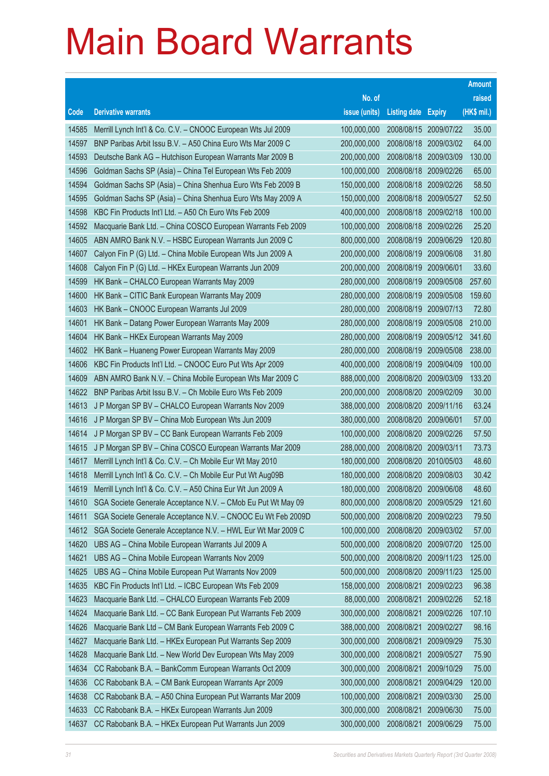|       |                                                              |               |                            |                       | <b>Amount</b> |
|-------|--------------------------------------------------------------|---------------|----------------------------|-----------------------|---------------|
|       |                                                              | No. of        |                            |                       | raised        |
| Code  | <b>Derivative warrants</b>                                   | issue (units) | <b>Listing date Expiry</b> |                       | (HK\$ mil.)   |
| 14585 | Merrill Lynch Int'l & Co. C.V. - CNOOC European Wts Jul 2009 | 100,000,000   |                            | 2008/08/15 2009/07/22 | 35.00         |
| 14597 | BNP Paribas Arbit Issu B.V. - A50 China Euro Wts Mar 2009 C  | 200,000,000   |                            | 2008/08/18 2009/03/02 | 64.00         |
| 14593 | Deutsche Bank AG - Hutchison European Warrants Mar 2009 B    | 200,000,000   | 2008/08/18                 | 2009/03/09            | 130.00        |
| 14596 | Goldman Sachs SP (Asia) - China Tel European Wts Feb 2009    | 100,000,000   |                            | 2008/08/18 2009/02/26 | 65.00         |
| 14594 | Goldman Sachs SP (Asia) - China Shenhua Euro Wts Feb 2009 B  | 150,000,000   |                            | 2008/08/18 2009/02/26 | 58.50         |
| 14595 | Goldman Sachs SP (Asia) - China Shenhua Euro Wts May 2009 A  | 150,000,000   |                            | 2008/08/18 2009/05/27 | 52.50         |
| 14598 | KBC Fin Products Int'l Ltd. - A50 Ch Euro Wts Feb 2009       | 400,000,000   | 2008/08/18                 | 2009/02/18            | 100.00        |
| 14592 | Macquarie Bank Ltd. - China COSCO European Warrants Feb 2009 | 100,000,000   |                            | 2008/08/18 2009/02/26 | 25.20         |
| 14605 | ABN AMRO Bank N.V. - HSBC European Warrants Jun 2009 C       | 800,000,000   | 2008/08/19                 | 2009/06/29            | 120.80        |
| 14607 | Calyon Fin P (G) Ltd. - China Mobile European Wts Jun 2009 A | 200,000,000   | 2008/08/19                 | 2009/06/08            | 31.80         |
| 14608 | Calyon Fin P (G) Ltd. - HKEx European Warrants Jun 2009      | 200,000,000   | 2008/08/19                 | 2009/06/01            | 33.60         |
| 14599 | HK Bank - CHALCO European Warrants May 2009                  | 280,000,000   | 2008/08/19                 | 2009/05/08            | 257.60        |
| 14600 | HK Bank - CITIC Bank European Warrants May 2009              | 280,000,000   | 2008/08/19                 | 2009/05/08            | 159.60        |
| 14603 | HK Bank - CNOOC European Warrants Jul 2009                   | 280,000,000   | 2008/08/19                 | 2009/07/13            | 72.80         |
| 14601 | HK Bank - Datang Power European Warrants May 2009            | 280,000,000   | 2008/08/19                 | 2009/05/08            | 210.00        |
| 14604 | HK Bank - HKEx European Warrants May 2009                    | 280,000,000   | 2008/08/19                 | 2009/05/12            | 341.60        |
| 14602 | HK Bank - Huaneng Power European Warrants May 2009           | 280,000,000   | 2008/08/19                 | 2009/05/08            | 238.00        |
| 14606 | KBC Fin Products Int'l Ltd. - CNOOC Euro Put Wts Apr 2009    | 400,000,000   | 2008/08/19                 | 2009/04/09            | 100.00        |
| 14609 | ABN AMRO Bank N.V. - China Mobile European Wts Mar 2009 C    | 888,000,000   | 2008/08/20                 | 2009/03/09            | 133.20        |
| 14622 | BNP Paribas Arbit Issu B.V. - Ch Mobile Euro Wts Feb 2009    | 200,000,000   |                            | 2008/08/20 2009/02/09 | 30.00         |
| 14613 | J P Morgan SP BV - CHALCO European Warrants Nov 2009         | 388,000,000   |                            | 2008/08/20 2009/11/16 | 63.24         |
| 14616 | J P Morgan SP BV - China Mob European Wts Jun 2009           | 380,000,000   | 2008/08/20 2009/06/01      |                       | 57.00         |
| 14614 | J P Morgan SP BV - CC Bank European Warrants Feb 2009        | 100,000,000   | 2008/08/20                 | 2009/02/26            | 57.50         |
| 14615 | J P Morgan SP BV - China COSCO European Warrants Mar 2009    | 288,000,000   | 2008/08/20 2009/03/11      |                       | 73.73         |
| 14617 | Merrill Lynch Int'l & Co. C.V. - Ch Mobile Eur Wt May 2010   | 180,000,000   |                            | 2008/08/20 2010/05/03 | 48.60         |
| 14618 | Merrill Lynch Int'l & Co. C.V. - Ch Mobile Eur Put Wt Aug09B | 180,000,000   | 2008/08/20                 | 2009/08/03            | 30.42         |
| 14619 | Merrill Lynch Int'l & Co. C.V. - A50 China Eur Wt Jun 2009 A | 180,000,000   | 2008/08/20                 | 2009/06/08            | 48.60         |
| 14610 | SGA Societe Generale Acceptance N.V. - CMob Eu Put Wt May 09 | 800,000,000   | 2008/08/20                 | 2009/05/29            | 121.60        |
| 14611 | SGA Societe Generale Acceptance N.V. - CNOOC Eu Wt Feb 2009D | 500,000,000   | 2008/08/20                 | 2009/02/23            | 79.50         |
| 14612 | SGA Societe Generale Acceptance N.V. - HWL Eur Wt Mar 2009 C | 100,000,000   | 2008/08/20                 | 2009/03/02            | 57.00         |
| 14620 | UBS AG - China Mobile European Warrants Jul 2009 A           | 500,000,000   | 2008/08/20                 | 2009/07/20            | 125.00        |
| 14621 | UBS AG - China Mobile European Warrants Nov 2009             | 500,000,000   | 2008/08/20                 | 2009/11/23            | 125.00        |
| 14625 | UBS AG - China Mobile European Put Warrants Nov 2009         | 500,000,000   | 2008/08/20                 | 2009/11/23            | 125.00        |
| 14635 | KBC Fin Products Int'l Ltd. - ICBC European Wts Feb 2009     | 158,000,000   | 2008/08/21                 | 2009/02/23            | 96.38         |
| 14623 | Macquarie Bank Ltd. - CHALCO European Warrants Feb 2009      | 88,000,000    | 2008/08/21                 | 2009/02/26            | 52.18         |
| 14624 | Macquarie Bank Ltd. - CC Bank European Put Warrants Feb 2009 | 300,000,000   | 2008/08/21                 | 2009/02/26            | 107.10        |
| 14626 | Macquarie Bank Ltd - CM Bank European Warrants Feb 2009 C    | 388,000,000   | 2008/08/21                 | 2009/02/27            | 98.16         |
| 14627 | Macquarie Bank Ltd. - HKEx European Put Warrants Sep 2009    | 300,000,000   | 2008/08/21                 | 2009/09/29            | 75.30         |
| 14628 | Macquarie Bank Ltd. - New World Dev European Wts May 2009    | 300,000,000   | 2008/08/21                 | 2009/05/27            | 75.90         |
| 14634 | CC Rabobank B.A. - BankComm European Warrants Oct 2009       | 300,000,000   | 2008/08/21                 | 2009/10/29            | 75.00         |
| 14636 | CC Rabobank B.A. - CM Bank European Warrants Apr 2009        | 300,000,000   | 2008/08/21                 | 2009/04/29            | 120.00        |
| 14638 | CC Rabobank B.A. - A50 China European Put Warrants Mar 2009  | 100,000,000   | 2008/08/21                 | 2009/03/30            | 25.00         |
| 14633 | CC Rabobank B.A. - HKEx European Warrants Jun 2009           | 300,000,000   | 2008/08/21                 | 2009/06/30            | 75.00         |
| 14637 | CC Rabobank B.A. - HKEx European Put Warrants Jun 2009       | 300,000,000   | 2008/08/21                 | 2009/06/29            | 75.00         |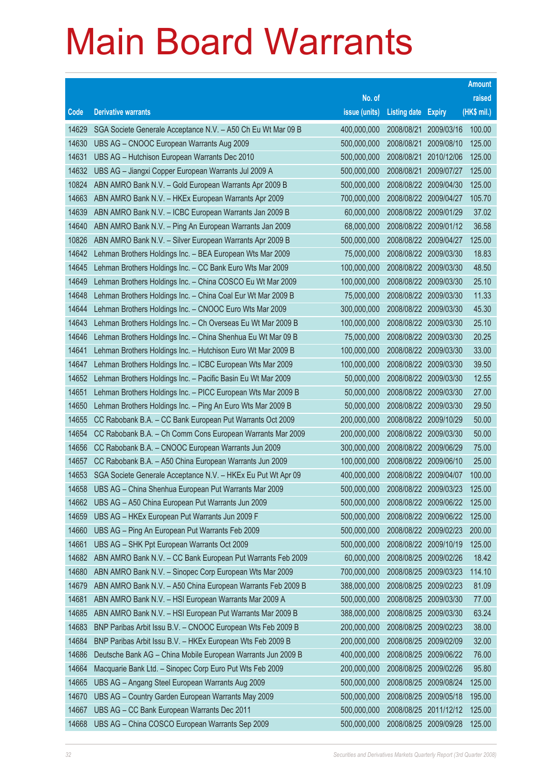|       |                                                              |               |                            |                       | <b>Amount</b> |
|-------|--------------------------------------------------------------|---------------|----------------------------|-----------------------|---------------|
|       |                                                              | No. of        |                            |                       | raised        |
| Code  | <b>Derivative warrants</b>                                   | issue (units) | <b>Listing date Expiry</b> |                       | (HK\$ mil.)   |
| 14629 | SGA Societe Generale Acceptance N.V. - A50 Ch Eu Wt Mar 09 B | 400,000,000   | 2008/08/21                 | 2009/03/16            | 100.00        |
| 14630 | UBS AG - CNOOC European Warrants Aug 2009                    | 500,000,000   | 2008/08/21                 | 2009/08/10            | 125.00        |
| 14631 | UBS AG - Hutchison European Warrants Dec 2010                | 500,000,000   | 2008/08/21                 | 2010/12/06            | 125.00        |
| 14632 | UBS AG - Jiangxi Copper European Warrants Jul 2009 A         | 500,000,000   | 2008/08/21                 | 2009/07/27            | 125.00        |
| 10824 | ABN AMRO Bank N.V. - Gold European Warrants Apr 2009 B       | 500,000,000   |                            | 2008/08/22 2009/04/30 | 125.00        |
| 14663 | ABN AMRO Bank N.V. - HKEx European Warrants Apr 2009         | 700,000,000   |                            | 2008/08/22 2009/04/27 | 105.70        |
| 14639 | ABN AMRO Bank N.V. - ICBC European Warrants Jan 2009 B       | 60,000,000    | 2008/08/22 2009/01/29      |                       | 37.02         |
| 14640 | ABN AMRO Bank N.V. - Ping An European Warrants Jan 2009      | 68,000,000    |                            | 2008/08/22 2009/01/12 | 36.58         |
| 10826 | ABN AMRO Bank N.V. - Silver European Warrants Apr 2009 B     | 500,000,000   |                            | 2008/08/22 2009/04/27 | 125.00        |
| 14642 | Lehman Brothers Holdings Inc. - BEA European Wts Mar 2009    | 75,000,000    |                            | 2008/08/22 2009/03/30 | 18.83         |
| 14645 | Lehman Brothers Holdings Inc. - CC Bank Euro Wts Mar 2009    | 100,000,000   | 2008/08/22 2009/03/30      |                       | 48.50         |
| 14649 | Lehman Brothers Holdings Inc. - China COSCO Eu Wt Mar 2009   | 100,000,000   |                            | 2008/08/22 2009/03/30 | 25.10         |
| 14648 | Lehman Brothers Holdings Inc. - China Coal Eur Wt Mar 2009 B | 75,000,000    |                            | 2008/08/22 2009/03/30 | 11.33         |
| 14644 | Lehman Brothers Holdings Inc. - CNOOC Euro Wts Mar 2009      | 300,000,000   |                            | 2008/08/22 2009/03/30 | 45.30         |
| 14643 | Lehman Brothers Holdings Inc. - Ch Overseas Eu Wt Mar 2009 B | 100,000,000   | 2008/08/22                 | 2009/03/30            | 25.10         |
| 14646 | Lehman Brothers Holdings Inc. - China Shenhua Eu Wt Mar 09 B | 75,000,000    |                            | 2008/08/22 2009/03/30 | 20.25         |
| 14641 | Lehman Brothers Holdings Inc. - Hutchison Euro Wt Mar 2009 B | 100,000,000   |                            | 2008/08/22 2009/03/30 | 33.00         |
| 14647 | Lehman Brothers Holdings Inc. - ICBC European Wts Mar 2009   | 100,000,000   |                            | 2008/08/22 2009/03/30 | 39.50         |
| 14652 | Lehman Brothers Holdings Inc. - Pacific Basin Eu Wt Mar 2009 | 50,000,000    | 2008/08/22                 | 2009/03/30            | 12.55         |
| 14651 | Lehman Brothers Holdings Inc. - PICC European Wts Mar 2009 B | 50,000,000    |                            | 2008/08/22 2009/03/30 | 27.00         |
| 14650 | Lehman Brothers Holdings Inc. - Ping An Euro Wts Mar 2009 B  | 50,000,000    |                            | 2008/08/22 2009/03/30 | 29.50         |
| 14655 | CC Rabobank B.A. - CC Bank European Put Warrants Oct 2009    | 200,000,000   | 2008/08/22 2009/10/29      |                       | 50.00         |
| 14654 | CC Rabobank B.A. - Ch Comm Cons European Warrants Mar 2009   | 200,000,000   | 2008/08/22                 | 2009/03/30            | 50.00         |
| 14656 | CC Rabobank B.A. - CNOOC European Warrants Jun 2009          | 300,000,000   | 2008/08/22 2009/06/29      |                       | 75.00         |
| 14657 | CC Rabobank B.A. - A50 China European Warrants Jun 2009      | 100,000,000   | 2008/08/22 2009/06/10      |                       | 25.00         |
| 14653 | SGA Societe Generale Acceptance N.V. - HKEx Eu Put Wt Apr 09 | 400,000,000   | 2008/08/22 2009/04/07      |                       | 100.00        |
| 14658 | UBS AG - China Shenhua European Put Warrants Mar 2009        | 500,000,000   | 2008/08/22 2009/03/23      |                       | 125.00        |
| 14662 | UBS AG - A50 China European Put Warrants Jun 2009            | 500,000,000   |                            | 2008/08/22 2009/06/22 | 125.00        |
| 14659 | UBS AG - HKEx European Put Warrants Jun 2009 F               | 500,000,000   | 2008/08/22 2009/06/22      |                       | 125.00        |
| 14660 | UBS AG - Ping An European Put Warrants Feb 2009              | 500,000,000   |                            | 2008/08/22 2009/02/23 | 200.00        |
| 14661 | UBS AG - SHK Ppt European Warrants Oct 2009                  | 500,000,000   | 2008/08/22 2009/10/19      |                       | 125.00        |
| 14682 | ABN AMRO Bank N.V. - CC Bank European Put Warrants Feb 2009  | 60,000,000    | 2008/08/25                 | 2009/02/26            | 18.42         |
| 14680 | ABN AMRO Bank N.V. - Sinopec Corp European Wts Mar 2009      | 700,000,000   | 2008/08/25                 | 2009/03/23            | 114.10        |
| 14679 | ABN AMRO Bank N.V. - A50 China European Warrants Feb 2009 B  | 388,000,000   | 2008/08/25                 | 2009/02/23            | 81.09         |
| 14681 | ABN AMRO Bank N.V. - HSI European Warrants Mar 2009 A        | 500,000,000   | 2008/08/25                 | 2009/03/30            | 77.00         |
| 14685 | ABN AMRO Bank N.V. - HSI European Put Warrants Mar 2009 B    | 388,000,000   | 2008/08/25                 | 2009/03/30            | 63.24         |
| 14683 | BNP Paribas Arbit Issu B.V. - CNOOC European Wts Feb 2009 B  | 200,000,000   | 2008/08/25                 | 2009/02/23            | 38.00         |
| 14684 | BNP Paribas Arbit Issu B.V. - HKEx European Wts Feb 2009 B   | 200,000,000   | 2008/08/25                 | 2009/02/09            | 32.00         |
| 14686 | Deutsche Bank AG - China Mobile European Warrants Jun 2009 B | 400,000,000   | 2008/08/25                 | 2009/06/22            | 76.00         |
| 14664 | Macquarie Bank Ltd. - Sinopec Corp Euro Put Wts Feb 2009     | 200,000,000   | 2008/08/25                 | 2009/02/26            | 95.80         |
| 14665 | UBS AG - Angang Steel European Warrants Aug 2009             | 500,000,000   | 2008/08/25                 | 2009/08/24            | 125.00        |
| 14670 | UBS AG - Country Garden European Warrants May 2009           | 500,000,000   | 2008/08/25                 | 2009/05/18            | 195.00        |
| 14667 | UBS AG - CC Bank European Warrants Dec 2011                  | 500,000,000   | 2008/08/25                 | 2011/12/12            | 125.00        |
| 14668 | UBS AG - China COSCO European Warrants Sep 2009              | 500,000,000   | 2008/08/25 2009/09/28      |                       | 125.00        |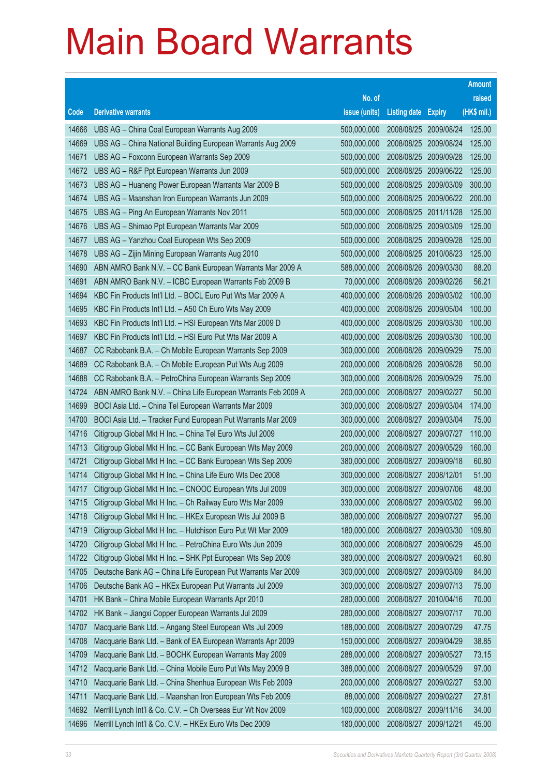|                |                                                                                                                            |                            |                       |                                     | <b>Amount</b>   |
|----------------|----------------------------------------------------------------------------------------------------------------------------|----------------------------|-----------------------|-------------------------------------|-----------------|
|                |                                                                                                                            | No. of                     |                       |                                     | raised          |
| Code           | <b>Derivative warrants</b>                                                                                                 | issue (units)              | Listing date Expiry   |                                     | (HK\$ mil.)     |
| 14666          | UBS AG - China Coal European Warrants Aug 2009                                                                             | 500,000,000                |                       | 2008/08/25 2009/08/24               | 125.00          |
| 14669          | UBS AG - China National Building European Warrants Aug 2009                                                                | 500,000,000                |                       | 2008/08/25 2009/08/24               | 125.00          |
| 14671          | UBS AG - Foxconn European Warrants Sep 2009                                                                                | 500,000,000                | 2008/08/25            | 2009/09/28                          | 125.00          |
| 14672          | UBS AG - R&F Ppt European Warrants Jun 2009                                                                                | 500,000,000                | 2008/08/25 2009/06/22 |                                     | 125.00          |
| 14673          | UBS AG - Huaneng Power European Warrants Mar 2009 B                                                                        | 500,000,000                | 2008/08/25            | 2009/03/09                          | 300.00          |
| 14674          | UBS AG - Maanshan Iron European Warrants Jun 2009                                                                          | 500,000,000                |                       | 2008/08/25 2009/06/22               | 200.00          |
| 14675          | UBS AG - Ping An European Warrants Nov 2011                                                                                | 500,000,000                | 2008/08/25            | 2011/11/28                          | 125.00          |
| 14676          | UBS AG - Shimao Ppt European Warrants Mar 2009                                                                             | 500,000,000                | 2008/08/25 2009/03/09 |                                     | 125.00          |
| 14677          | UBS AG - Yanzhou Coal European Wts Sep 2009                                                                                | 500,000,000                |                       | 2008/08/25 2009/09/28               | 125.00          |
| 14678          | UBS AG - Zijin Mining European Warrants Aug 2010                                                                           | 500,000,000                |                       | 2008/08/25 2010/08/23               | 125.00          |
| 14690          | ABN AMRO Bank N.V. - CC Bank European Warrants Mar 2009 A                                                                  | 588,000,000                | 2008/08/26            | 2009/03/30                          | 88.20           |
| 14691          | ABN AMRO Bank N.V. - ICBC European Warrants Feb 2009 B                                                                     | 70,000,000                 | 2008/08/26 2009/02/26 |                                     | 56.21           |
| 14694          | KBC Fin Products Int'l Ltd. - BOCL Euro Put Wts Mar 2009 A                                                                 | 400,000,000                |                       | 2008/08/26 2009/03/02               | 100.00          |
| 14695          | KBC Fin Products Int'l Ltd. - A50 Ch Euro Wts May 2009                                                                     | 400,000,000                |                       | 2008/08/26 2009/05/04               | 100.00          |
| 14693          | KBC Fin Products Int'l Ltd. - HSI European Wts Mar 2009 D                                                                  | 400,000,000                | 2008/08/26            | 2009/03/30                          | 100.00          |
| 14697          | KBC Fin Products Int'l Ltd. - HSI Euro Put Wts Mar 2009 A                                                                  | 400,000,000                |                       | 2008/08/26 2009/03/30               | 100.00          |
| 14687          | CC Rabobank B.A. - Ch Mobile European Warrants Sep 2009                                                                    | 300,000,000                |                       | 2008/08/26 2009/09/29               | 75.00           |
| 14689          | CC Rabobank B.A. - Ch Mobile European Put Wts Aug 2009                                                                     | 200,000,000                |                       | 2008/08/26 2009/08/28               | 50.00           |
| 14688          | CC Rabobank B.A. - PetroChina European Warrants Sep 2009                                                                   | 300,000,000                | 2008/08/26            | 2009/09/29                          | 75.00           |
| 14724          | ABN AMRO Bank N.V. - China Life European Warrants Feb 2009 A                                                               | 200,000,000                | 2008/08/27 2009/02/27 |                                     | 50.00           |
| 14699          | BOCI Asia Ltd. - China Tel European Warrants Mar 2009                                                                      | 300,000,000                |                       | 2008/08/27 2009/03/04               | 174.00          |
| 14700          | BOCI Asia Ltd. - Tracker Fund European Put Warrants Mar 2009                                                               | 300,000,000                |                       | 2008/08/27 2009/03/04               | 75.00<br>110.00 |
| 14716<br>14713 | Citigroup Global Mkt H Inc. - China Tel Euro Wts Jul 2009                                                                  | 200,000,000<br>200,000,000 | 2008/08/27            | 2009/07/27<br>2008/08/27 2009/05/29 | 160.00          |
| 14721          | Citigroup Global Mkt H Inc. - CC Bank European Wts May 2009<br>Citigroup Global Mkt H Inc. - CC Bank European Wts Sep 2009 | 380,000,000                | 2008/08/27 2009/09/18 |                                     | 60.80           |
| 14714          | Citigroup Global Mkt H Inc. - China Life Euro Wts Dec 2008                                                                 | 300,000,000                | 2008/08/27 2008/12/01 |                                     | 51.00           |
| 14717          | Citigroup Global Mkt H Inc. - CNOOC European Wts Jul 2009                                                                  | 300,000,000                | 2008/08/27            | 2009/07/06                          | 48.00           |
| 14715          | Citigroup Global Mkt H Inc. - Ch Railway Euro Wts Mar 2009                                                                 | 330,000,000                |                       | 2008/08/27 2009/03/02               | 99.00           |
| 14718          | Citigroup Global Mkt H Inc. - HKEx European Wts Jul 2009 B                                                                 | 380,000,000                | 2008/08/27            | 2009/07/27                          | 95.00           |
| 14719          | Citigroup Global Mkt H Inc. - Hutchison Euro Put Wt Mar 2009                                                               | 180,000,000                | 2008/08/27            | 2009/03/30                          | 109.80          |
| 14720          | Citigroup Global Mkt H Inc. - PetroChina Euro Wts Jun 2009                                                                 | 300,000,000                | 2008/08/27            | 2009/06/29                          | 45.00           |
| 14722          | Citigroup Global Mkt H Inc. - SHK Ppt European Wts Sep 2009                                                                | 380,000,000                | 2008/08/27            | 2009/09/21                          | 60.80           |
| 14705          | Deutsche Bank AG - China Life European Put Warrants Mar 2009                                                               | 300,000,000                | 2008/08/27            | 2009/03/09                          | 84.00           |
| 14706          | Deutsche Bank AG - HKEx European Put Warrants Jul 2009                                                                     | 300,000,000                | 2008/08/27            | 2009/07/13                          | 75.00           |
| 14701          | HK Bank - China Mobile European Warrants Apr 2010                                                                          | 280,000,000                | 2008/08/27            | 2010/04/16                          | 70.00           |
| 14702          | HK Bank - Jiangxi Copper European Warrants Jul 2009                                                                        | 280,000,000                | 2008/08/27            | 2009/07/17                          | 70.00           |
| 14707          | Macquarie Bank Ltd. - Angang Steel European Wts Jul 2009                                                                   | 188,000,000                | 2008/08/27            | 2009/07/29                          | 47.75           |
| 14708          | Macquarie Bank Ltd. - Bank of EA European Warrants Apr 2009                                                                | 150,000,000                | 2008/08/27            | 2009/04/29                          | 38.85           |
| 14709          | Macquarie Bank Ltd. - BOCHK European Warrants May 2009                                                                     | 288,000,000                | 2008/08/27            | 2009/05/27                          | 73.15           |
| 14712          | Macquarie Bank Ltd. - China Mobile Euro Put Wts May 2009 B                                                                 | 388,000,000                | 2008/08/27            | 2009/05/29                          | 97.00           |
| 14710          | Macquarie Bank Ltd. - China Shenhua European Wts Feb 2009                                                                  | 200,000,000                | 2008/08/27            | 2009/02/27                          | 53.00           |
| 14711          | Macquarie Bank Ltd. - Maanshan Iron European Wts Feb 2009                                                                  | 88,000,000                 | 2008/08/27            | 2009/02/27                          | 27.81           |
| 14692          | Merrill Lynch Int'l & Co. C.V. - Ch Overseas Eur Wt Nov 2009                                                               | 100,000,000                | 2008/08/27            | 2009/11/16                          | 34.00           |
| 14696          | Merrill Lynch Int'l & Co. C.V. - HKEx Euro Wts Dec 2009                                                                    | 180,000,000                | 2008/08/27            | 2009/12/21                          | 45.00           |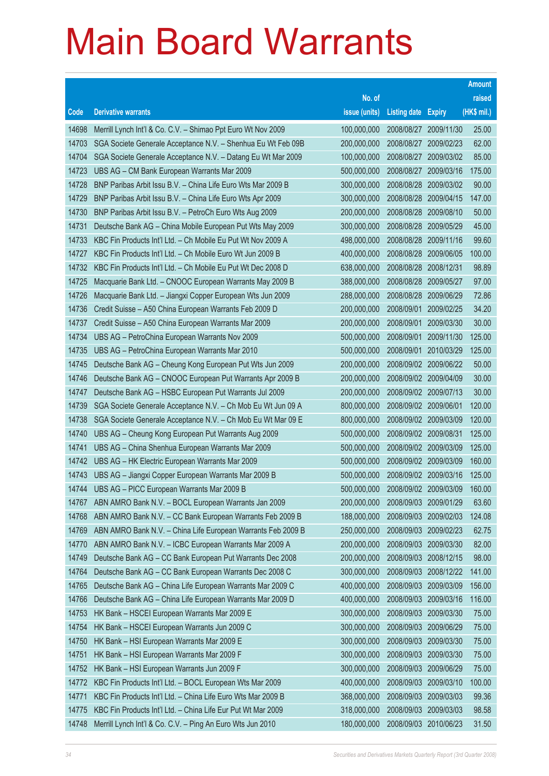|       |                                                              |               |                            |                       | <b>Amount</b> |
|-------|--------------------------------------------------------------|---------------|----------------------------|-----------------------|---------------|
|       |                                                              | No. of        |                            |                       | raised        |
| Code  | <b>Derivative warrants</b>                                   | issue (units) | <b>Listing date Expiry</b> |                       | (HK\$ mil.)   |
| 14698 | Merrill Lynch Int'l & Co. C.V. - Shimao Ppt Euro Wt Nov 2009 | 100,000,000   |                            | 2008/08/27 2009/11/30 | 25.00         |
| 14703 | SGA Societe Generale Acceptance N.V. - Shenhua Eu Wt Feb 09B | 200,000,000   |                            | 2008/08/27 2009/02/23 | 62.00         |
| 14704 | SGA Societe Generale Acceptance N.V. - Datang Eu Wt Mar 2009 | 100,000,000   | 2008/08/27                 | 2009/03/02            | 85.00         |
| 14723 | UBS AG - CM Bank European Warrants Mar 2009                  | 500,000,000   |                            | 2008/08/27 2009/03/16 | 175.00        |
| 14728 | BNP Paribas Arbit Issu B.V. - China Life Euro Wts Mar 2009 B | 300,000,000   | 2008/08/28                 | 2009/03/02            | 90.00         |
| 14729 | BNP Paribas Arbit Issu B.V. - China Life Euro Wts Apr 2009   | 300,000,000   | 2008/08/28                 | 2009/04/15            | 147.00        |
| 14730 | BNP Paribas Arbit Issu B.V. - PetroCh Euro Wts Aug 2009      | 200,000,000   | 2008/08/28                 | 2009/08/10            | 50.00         |
| 14731 | Deutsche Bank AG - China Mobile European Put Wts May 2009    | 300,000,000   | 2008/08/28                 | 2009/05/29            | 45.00         |
| 14733 | KBC Fin Products Int'l Ltd. - Ch Mobile Eu Put Wt Nov 2009 A | 498,000,000   | 2008/08/28                 | 2009/11/16            | 99.60         |
| 14727 | KBC Fin Products Int'l Ltd. - Ch Mobile Euro Wt Jun 2009 B   | 400,000,000   | 2008/08/28                 | 2009/06/05            | 100.00        |
| 14732 | KBC Fin Products Int'l Ltd. - Ch Mobile Eu Put Wt Dec 2008 D | 638,000,000   | 2008/08/28                 | 2008/12/31            | 98.89         |
| 14725 | Macquarie Bank Ltd. - CNOOC European Warrants May 2009 B     | 388,000,000   |                            | 2008/08/28 2009/05/27 | 97.00         |
| 14726 | Macquarie Bank Ltd. - Jiangxi Copper European Wts Jun 2009   | 288,000,000   |                            | 2008/08/28 2009/06/29 | 72.86         |
| 14736 | Credit Suisse - A50 China European Warrants Feb 2009 D       | 200,000,000   |                            | 2008/09/01 2009/02/25 | 34.20         |
| 14737 | Credit Suisse - A50 China European Warrants Mar 2009         | 200,000,000   | 2008/09/01                 | 2009/03/30            | 30.00         |
| 14734 | UBS AG - PetroChina European Warrants Nov 2009               | 500,000,000   |                            | 2008/09/01 2009/11/30 | 125.00        |
| 14735 | UBS AG - PetroChina European Warrants Mar 2010               | 500,000,000   | 2008/09/01                 | 2010/03/29            | 125.00        |
| 14745 | Deutsche Bank AG - Cheung Kong European Put Wts Jun 2009     | 200,000,000   |                            | 2008/09/02 2009/06/22 | 50.00         |
| 14746 | Deutsche Bank AG - CNOOC European Put Warrants Apr 2009 B    | 200,000,000   |                            | 2008/09/02 2009/04/09 | 30.00         |
| 14747 | Deutsche Bank AG - HSBC European Put Warrants Jul 2009       | 200,000,000   |                            | 2008/09/02 2009/07/13 | 30.00         |
| 14739 | SGA Societe Generale Acceptance N.V. - Ch Mob Eu Wt Jun 09 A | 800,000,000   | 2008/09/02 2009/06/01      |                       | 120.00        |
| 14738 | SGA Societe Generale Acceptance N.V. - Ch Mob Eu Wt Mar 09 E | 800,000,000   |                            | 2008/09/02 2009/03/09 | 120.00        |
| 14740 | UBS AG - Cheung Kong European Put Warrants Aug 2009          | 500,000,000   | 2008/09/02 2009/08/31      |                       | 125.00        |
| 14741 | UBS AG - China Shenhua European Warrants Mar 2009            | 500,000,000   |                            | 2008/09/02 2009/03/09 | 125.00        |
| 14742 | UBS AG - HK Electric European Warrants Mar 2009              | 500,000,000   |                            | 2008/09/02 2009/03/09 | 160.00        |
| 14743 | UBS AG - Jiangxi Copper European Warrants Mar 2009 B         | 500,000,000   |                            | 2008/09/02 2009/03/16 | 125.00        |
| 14744 | UBS AG - PICC European Warrants Mar 2009 B                   | 500,000,000   |                            | 2008/09/02 2009/03/09 | 160.00        |
| 14767 | ABN AMRO Bank N.V. - BOCL European Warrants Jan 2009         | 200,000,000   |                            | 2008/09/03 2009/01/29 | 63.60         |
| 14768 | ABN AMRO Bank N.V. - CC Bank European Warrants Feb 2009 B    | 188,000,000   | 2008/09/03                 | 2009/02/03            | 124.08        |
| 14769 | ABN AMRO Bank N.V. - China Life European Warrants Feb 2009 B | 250,000,000   |                            | 2008/09/03 2009/02/23 | 62.75         |
| 14770 | ABN AMRO Bank N.V. - ICBC European Warrants Mar 2009 A       | 200,000,000   |                            | 2008/09/03 2009/03/30 | 82.00         |
| 14749 | Deutsche Bank AG - CC Bank European Put Warrants Dec 2008    | 200,000,000   |                            | 2008/09/03 2008/12/15 | 98.00         |
| 14764 | Deutsche Bank AG - CC Bank European Warrants Dec 2008 C      | 300,000,000   | 2008/09/03                 | 2008/12/22            | 141.00        |
| 14765 | Deutsche Bank AG - China Life European Warrants Mar 2009 C   | 400,000,000   | 2008/09/03                 | 2009/03/09            | 156.00        |
| 14766 | Deutsche Bank AG - China Life European Warrants Mar 2009 D   | 400,000,000   | 2008/09/03                 | 2009/03/16            | 116.00        |
| 14753 | HK Bank - HSCEI European Warrants Mar 2009 E                 | 300,000,000   |                            | 2008/09/03 2009/03/30 | 75.00         |
| 14754 | HK Bank - HSCEI European Warrants Jun 2009 C                 | 300,000,000   | 2008/09/03                 | 2009/06/29            | 75.00         |
| 14750 | HK Bank - HSI European Warrants Mar 2009 E                   | 300,000,000   | 2008/09/03                 | 2009/03/30            | 75.00         |
| 14751 | HK Bank - HSI European Warrants Mar 2009 F                   | 300,000,000   | 2008/09/03                 | 2009/03/30            | 75.00         |
| 14752 | HK Bank - HSI European Warrants Jun 2009 F                   | 300,000,000   |                            | 2008/09/03 2009/06/29 | 75.00         |
| 14772 | KBC Fin Products Int'l Ltd. - BOCL European Wts Mar 2009     | 400,000,000   | 2008/09/03                 | 2009/03/10            | 100.00        |
| 14771 | KBC Fin Products Int'l Ltd. - China Life Euro Wts Mar 2009 B | 368,000,000   | 2008/09/03                 | 2009/03/03            | 99.36         |
| 14775 | KBC Fin Products Int'l Ltd. - China Life Eur Put Wt Mar 2009 | 318,000,000   | 2008/09/03                 | 2009/03/03            | 98.58         |
| 14748 | Merrill Lynch Int'l & Co. C.V. - Ping An Euro Wts Jun 2010   | 180,000,000   |                            | 2008/09/03 2010/06/23 | 31.50         |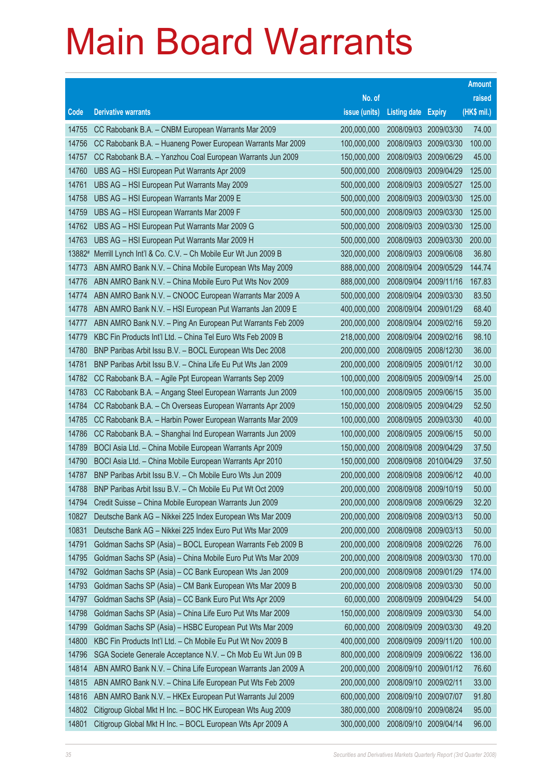|        |                                                              |               |                            |                       | <b>Amount</b> |
|--------|--------------------------------------------------------------|---------------|----------------------------|-----------------------|---------------|
|        |                                                              | No. of        |                            |                       | raised        |
| Code   | <b>Derivative warrants</b>                                   | issue (units) | <b>Listing date Expiry</b> |                       | (HK\$ mil.)   |
| 14755  | CC Rabobank B.A. - CNBM European Warrants Mar 2009           | 200,000,000   | 2008/09/03                 | 2009/03/30            | 74.00         |
| 14756  | CC Rabobank B.A. - Huaneng Power European Warrants Mar 2009  | 100,000,000   |                            | 2008/09/03 2009/03/30 | 100.00        |
| 14757  | CC Rabobank B.A. - Yanzhou Coal European Warrants Jun 2009   | 150,000,000   | 2008/09/03                 | 2009/06/29            | 45.00         |
| 14760  | UBS AG - HSI European Put Warrants Apr 2009                  | 500,000,000   | 2008/09/03                 | 2009/04/29            | 125.00        |
| 14761  | UBS AG - HSI European Put Warrants May 2009                  | 500,000,000   |                            | 2008/09/03 2009/05/27 | 125.00        |
| 14758  | UBS AG - HSI European Warrants Mar 2009 E                    | 500,000,000   |                            | 2008/09/03 2009/03/30 | 125.00        |
| 14759  | UBS AG - HSI European Warrants Mar 2009 F                    | 500,000,000   | 2008/09/03                 | 2009/03/30            | 125.00        |
| 14762  | UBS AG - HSI European Put Warrants Mar 2009 G                | 500,000,000   | 2008/09/03                 | 2009/03/30            | 125.00        |
| 14763  | UBS AG - HSI European Put Warrants Mar 2009 H                | 500,000,000   |                            | 2008/09/03 2009/03/30 | 200.00        |
| 13882# | Merrill Lynch Int'l & Co. C.V. - Ch Mobile Eur Wt Jun 2009 B | 320,000,000   |                            | 2008/09/03 2009/06/08 | 36.80         |
| 14773  | ABN AMRO Bank N.V. - China Mobile European Wts May 2009      | 888,000,000   | 2008/09/04                 | 2009/05/29            | 144.74        |
| 14776  | ABN AMRO Bank N.V. - China Mobile Euro Put Wts Nov 2009      | 888,000,000   | 2008/09/04                 | 2009/11/16            | 167.83        |
| 14774  | ABN AMRO Bank N.V. - CNOOC European Warrants Mar 2009 A      | 500,000,000   | 2008/09/04                 | 2009/03/30            | 83.50         |
| 14778  | ABN AMRO Bank N.V. - HSI European Put Warrants Jan 2009 E    | 400,000,000   | 2008/09/04                 | 2009/01/29            | 68.40         |
| 14777  | ABN AMRO Bank N.V. - Ping An European Put Warrants Feb 2009  | 200,000,000   | 2008/09/04                 | 2009/02/16            | 59.20         |
| 14779  | KBC Fin Products Int'l Ltd. - China Tel Euro Wts Feb 2009 B  | 218,000,000   | 2008/09/04                 | 2009/02/16            | 98.10         |
| 14780  | BNP Paribas Arbit Issu B.V. - BOCL European Wts Dec 2008     | 200,000,000   | 2008/09/05                 | 2008/12/30            | 36.00         |
| 14781  | BNP Paribas Arbit Issu B.V. - China Life Eu Put Wts Jan 2009 | 200,000,000   | 2008/09/05                 | 2009/01/12            | 30.00         |
| 14782  | CC Rabobank B.A. - Agile Ppt European Warrants Sep 2009      | 100,000,000   | 2008/09/05                 | 2009/09/14            | 25.00         |
| 14783  | CC Rabobank B.A. - Angang Steel European Warrants Jun 2009   | 100,000,000   | 2008/09/05                 | 2009/06/15            | 35.00         |
| 14784  | CC Rabobank B.A. - Ch Overseas European Warrants Apr 2009    | 150,000,000   | 2008/09/05                 | 2009/04/29            | 52.50         |
| 14785  | CC Rabobank B.A. - Harbin Power European Warrants Mar 2009   | 100,000,000   | 2008/09/05                 | 2009/03/30            | 40.00         |
| 14786  | CC Rabobank B.A. - Shanghai Ind European Warrants Jun 2009   | 100,000,000   | 2008/09/05                 | 2009/06/15            | 50.00         |
| 14789  | BOCI Asia Ltd. - China Mobile European Warrants Apr 2009     | 150,000,000   | 2008/09/08                 | 2009/04/29            | 37.50         |
| 14790  | BOCI Asia Ltd. - China Mobile European Warrants Apr 2010     | 150,000,000   |                            | 2008/09/08 2010/04/29 | 37.50         |
| 14787  | BNP Paribas Arbit Issu B.V. - Ch Mobile Euro Wts Jun 2009    | 200,000,000   | 2008/09/08                 | 2009/06/12            | 40.00         |
| 14788  | BNP Paribas Arbit Issu B.V. - Ch Mobile Eu Put Wt Oct 2009   | 200,000,000   | 2008/09/08                 | 2009/10/19            | 50.00         |
| 14794  | Credit Suisse - China Mobile European Warrants Jun 2009      | 200,000,000   | 2008/09/08                 | 2009/06/29            | 32.20         |
| 10827  | Deutsche Bank AG - Nikkei 225 Index European Wts Mar 2009    | 200,000,000   | 2008/09/08                 | 2009/03/13            | 50.00         |
| 10831  | Deutsche Bank AG - Nikkei 225 Index Euro Put Wts Mar 2009    | 200,000,000   | 2008/09/08                 | 2009/03/13            | 50.00         |
| 14791  | Goldman Sachs SP (Asia) - BOCL European Warrants Feb 2009 B  | 200,000,000   | 2008/09/08                 | 2009/02/26            | 76.00         |
| 14795  | Goldman Sachs SP (Asia) - China Mobile Euro Put Wts Mar 2009 | 200,000,000   | 2008/09/08                 | 2009/03/30            | 170.00        |
| 14792  | Goldman Sachs SP (Asia) - CC Bank European Wts Jan 2009      | 200,000,000   | 2008/09/08                 | 2009/01/29            | 174.00        |
| 14793  | Goldman Sachs SP (Asia) - CM Bank European Wts Mar 2009 B    | 200,000,000   | 2008/09/08                 | 2009/03/30            | 50.00         |
| 14797  | Goldman Sachs SP (Asia) - CC Bank Euro Put Wts Apr 2009      | 60,000,000    | 2008/09/09                 | 2009/04/29            | 54.00         |
| 14798  | Goldman Sachs SP (Asia) - China Life Euro Put Wts Mar 2009   | 150,000,000   | 2008/09/09                 | 2009/03/30            | 54.00         |
| 14799  | Goldman Sachs SP (Asia) - HSBC European Put Wts Mar 2009     | 60,000,000    | 2008/09/09                 | 2009/03/30            | 49.20         |
| 14800  | KBC Fin Products Int'l Ltd. - Ch Mobile Eu Put Wt Nov 2009 B | 400,000,000   | 2008/09/09                 | 2009/11/20            | 100.00        |
| 14796  | SGA Societe Generale Acceptance N.V. - Ch Mob Eu Wt Jun 09 B | 800,000,000   | 2008/09/09                 | 2009/06/22            | 136.00        |
| 14814  | ABN AMRO Bank N.V. - China Life European Warrants Jan 2009 A | 200,000,000   | 2008/09/10                 | 2009/01/12            | 76.60         |
| 14815  | ABN AMRO Bank N.V. - China Life European Put Wts Feb 2009    | 200,000,000   | 2008/09/10                 | 2009/02/11            | 33.00         |
| 14816  | ABN AMRO Bank N.V. - HKEx European Put Warrants Jul 2009     | 600,000,000   | 2008/09/10                 | 2009/07/07            | 91.80         |
| 14802  | Citigroup Global Mkt H Inc. - BOC HK European Wts Aug 2009   | 380,000,000   | 2008/09/10                 | 2009/08/24            | 95.00         |
| 14801  | Citigroup Global Mkt H Inc. - BOCL European Wts Apr 2009 A   | 300,000,000   | 2008/09/10                 | 2009/04/14            | 96.00         |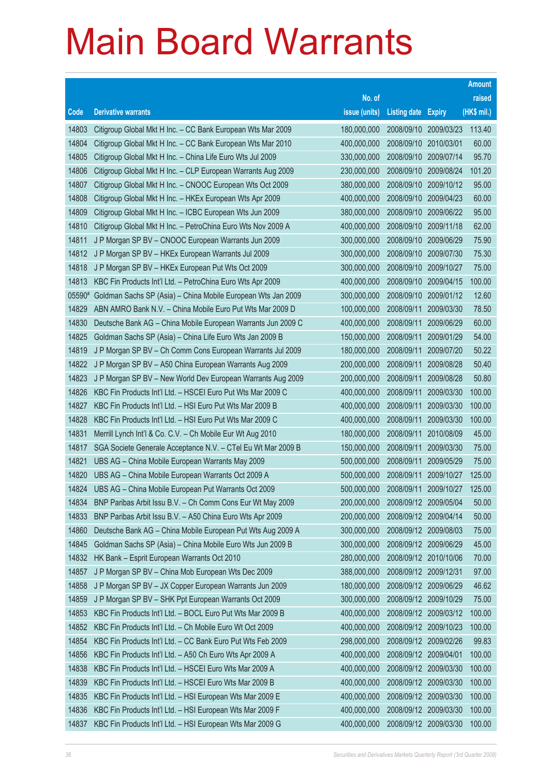|        |                                                              |               |                            |                       | <b>Amount</b> |
|--------|--------------------------------------------------------------|---------------|----------------------------|-----------------------|---------------|
|        |                                                              | No. of        |                            |                       | raised        |
| Code   | <b>Derivative warrants</b>                                   | issue (units) | <b>Listing date Expiry</b> |                       | (HK\$ mil.)   |
| 14803  | Citigroup Global Mkt H Inc. - CC Bank European Wts Mar 2009  | 180,000,000   |                            | 2008/09/10 2009/03/23 | 113.40        |
| 14804  | Citigroup Global Mkt H Inc. - CC Bank European Wts Mar 2010  | 400,000,000   | 2008/09/10 2010/03/01      |                       | 60.00         |
| 14805  | Citigroup Global Mkt H Inc. - China Life Euro Wts Jul 2009   | 330,000,000   | 2008/09/10                 | 2009/07/14            | 95.70         |
| 14806  | Citigroup Global Mkt H Inc. - CLP European Warrants Aug 2009 | 230,000,000   |                            | 2008/09/10 2009/08/24 | 101.20        |
| 14807  | Citigroup Global Mkt H Inc. - CNOOC European Wts Oct 2009    | 380,000,000   |                            | 2008/09/10 2009/10/12 | 95.00         |
| 14808  | Citigroup Global Mkt H Inc. - HKEx European Wts Apr 2009     | 400,000,000   |                            | 2008/09/10 2009/04/23 | 60.00         |
| 14809  | Citigroup Global Mkt H Inc. - ICBC European Wts Jun 2009     | 380,000,000   | 2008/09/10                 | 2009/06/22            | 95.00         |
| 14810  | Citigroup Global Mkt H Inc. - PetroChina Euro Wts Nov 2009 A | 400,000,000   | 2008/09/10 2009/11/18      |                       | 62.00         |
| 14811  | J P Morgan SP BV - CNOOC European Warrants Jun 2009          | 300,000,000   |                            | 2008/09/10 2009/06/29 | 75.90         |
| 14812  | J P Morgan SP BV - HKEx European Warrants Jul 2009           | 300,000,000   |                            | 2008/09/10 2009/07/30 | 75.30         |
| 14818  | J P Morgan SP BV - HKEx European Put Wts Oct 2009            | 300,000,000   | 2008/09/10                 | 2009/10/27            | 75.00         |
| 14813  | KBC Fin Products Int'l Ltd. - PetroChina Euro Wts Apr 2009   | 400,000,000   | 2008/09/10                 | 2009/04/15            | 100.00        |
| 05590# | Goldman Sachs SP (Asia) - China Mobile European Wts Jan 2009 | 300,000,000   |                            | 2008/09/10 2009/01/12 | 12.60         |
| 14829  | ABN AMRO Bank N.V. - China Mobile Euro Put Wts Mar 2009 D    | 100,000,000   | 2008/09/11                 | 2009/03/30            | 78.50         |
| 14830  | Deutsche Bank AG - China Mobile European Warrants Jun 2009 C | 400,000,000   | 2008/09/11                 | 2009/06/29            | 60.00         |
| 14825  | Goldman Sachs SP (Asia) - China Life Euro Wts Jan 2009 B     | 150,000,000   | 2008/09/11                 | 2009/01/29            | 54.00         |
| 14819  | J P Morgan SP BV - Ch Comm Cons European Warrants Jul 2009   | 180,000,000   | 2008/09/11                 | 2009/07/20            | 50.22         |
| 14822  | J P Morgan SP BV - A50 China European Warrants Aug 2009      | 200,000,000   | 2008/09/11                 | 2009/08/28            | 50.40         |
| 14823  | J P Morgan SP BV - New World Dev European Warrants Aug 2009  | 200,000,000   | 2008/09/11                 | 2009/08/28            | 50.80         |
| 14826  | KBC Fin Products Int'l Ltd. - HSCEI Euro Put Wts Mar 2009 C  | 400,000,000   | 2008/09/11                 | 2009/03/30            | 100.00        |
| 14827  | KBC Fin Products Int'l Ltd. - HSI Euro Put Wts Mar 2009 B    | 400,000,000   | 2008/09/11                 | 2009/03/30            | 100.00        |
| 14828  | KBC Fin Products Int'l Ltd. - HSI Euro Put Wts Mar 2009 C    | 400,000,000   | 2008/09/11                 | 2009/03/30            | 100.00        |
| 14831  | Merrill Lynch Int'l & Co. C.V. - Ch Mobile Eur Wt Aug 2010   | 180,000,000   | 2008/09/11                 | 2010/08/09            | 45.00         |
| 14817  | SGA Societe Generale Acceptance N.V. - CTel Eu Wt Mar 2009 B | 150,000,000   | 2008/09/11                 | 2009/03/30            | 75.00         |
| 14821  | UBS AG - China Mobile European Warrants May 2009             | 500,000,000   | 2008/09/11                 | 2009/05/29            | 75.00         |
| 14820  | UBS AG - China Mobile European Warrants Oct 2009 A           | 500,000,000   | 2008/09/11                 | 2009/10/27            | 125.00        |
| 14824  | UBS AG - China Mobile European Put Warrants Oct 2009         | 500,000,000   | 2008/09/11                 | 2009/10/27            | 125.00        |
| 14834  | BNP Paribas Arbit Issu B.V. - Ch Comm Cons Eur Wt May 2009   | 200,000,000   | 2008/09/12 2009/05/04      |                       | 50.00         |
| 14833  | BNP Paribas Arbit Issu B.V. - A50 China Euro Wts Apr 2009    | 200,000,000   | 2008/09/12 2009/04/14      |                       | 50.00         |
| 14860  | Deutsche Bank AG - China Mobile European Put Wts Aug 2009 A  | 300,000,000   | 2008/09/12 2009/08/03      |                       | 75.00         |
| 14845  | Goldman Sachs SP (Asia) - China Mobile Euro Wts Jun 2009 B   | 300,000,000   | 2008/09/12 2009/06/29      |                       | 45.00         |
| 14832  | HK Bank - Esprit European Warrants Oct 2010                  | 280,000,000   |                            | 2008/09/12 2010/10/06 | 70.00         |
| 14857  | J P Morgan SP BV - China Mob European Wts Dec 2009           | 388,000,000   | 2008/09/12 2009/12/31      |                       | 97.00         |
| 14858  | J P Morgan SP BV - JX Copper European Warrants Jun 2009      | 180,000,000   | 2008/09/12 2009/06/29      |                       | 46.62         |
| 14859  | J P Morgan SP BV - SHK Ppt European Warrants Oct 2009        | 300,000,000   | 2008/09/12 2009/10/29      |                       | 75.00         |
| 14853  | KBC Fin Products Int'l Ltd. - BOCL Euro Put Wts Mar 2009 B   | 400,000,000   |                            | 2008/09/12 2009/03/12 | 100.00        |
| 14852  | KBC Fin Products Int'l Ltd. - Ch Mobile Euro Wt Oct 2009     | 400,000,000   | 2008/09/12 2009/10/23      |                       | 100.00        |
| 14854  | KBC Fin Products Int'l Ltd. - CC Bank Euro Put Wts Feb 2009  | 298,000,000   |                            | 2008/09/12 2009/02/26 | 99.83         |
| 14856  | KBC Fin Products Int'l Ltd. - A50 Ch Euro Wts Apr 2009 A     | 400,000,000   | 2008/09/12 2009/04/01      |                       | 100.00        |
| 14838  | KBC Fin Products Int'l Ltd. - HSCEI Euro Wts Mar 2009 A      | 400,000,000   |                            | 2008/09/12 2009/03/30 | 100.00        |
| 14839  | KBC Fin Products Int'l Ltd. - HSCEI Euro Wts Mar 2009 B      | 400,000,000   | 2008/09/12 2009/03/30      |                       | 100.00        |
| 14835  | KBC Fin Products Int'l Ltd. - HSI European Wts Mar 2009 E    | 400,000,000   |                            | 2008/09/12 2009/03/30 | 100.00        |
| 14836  | KBC Fin Products Int'l Ltd. - HSI European Wts Mar 2009 F    | 400,000,000   | 2008/09/12 2009/03/30      |                       | 100.00        |
| 14837  | KBC Fin Products Int'l Ltd. - HSI European Wts Mar 2009 G    | 400,000,000   | 2008/09/12 2009/03/30      |                       | 100.00        |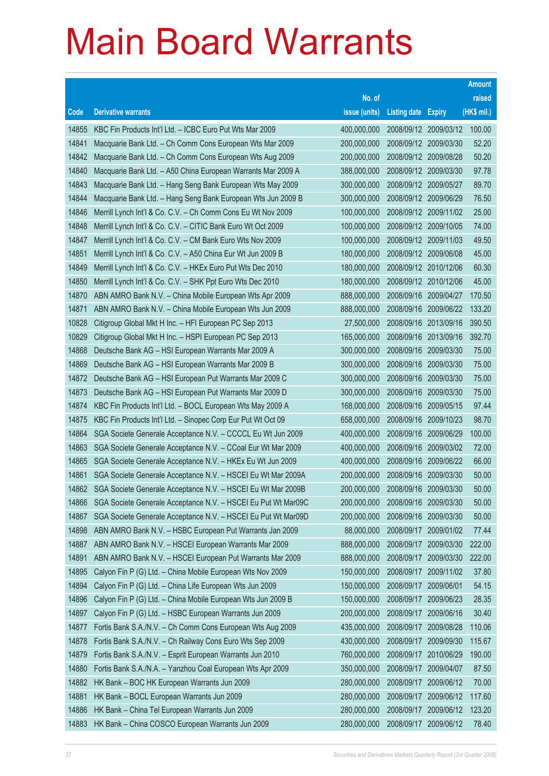|       |                                                               |               |                       |                       | <b>Amount</b> |
|-------|---------------------------------------------------------------|---------------|-----------------------|-----------------------|---------------|
|       |                                                               | No. of        |                       |                       | raised        |
| Code  | <b>Derivative warrants</b>                                    | issue (units) | <b>Listing date</b>   | <b>Expiry</b>         | (HK\$ mil.)   |
| 14855 | KBC Fin Products Int'l Ltd. - ICBC Euro Put Wts Mar 2009      | 400,000,000   |                       | 2008/09/12 2009/03/12 | 100.00        |
| 14841 | Macquarie Bank Ltd. - Ch Comm Cons European Wts Mar 2009      | 200,000,000   |                       | 2008/09/12 2009/03/30 | 52.20         |
| 14842 | Macquarie Bank Ltd. - Ch Comm Cons European Wts Aug 2009      | 200,000,000   |                       | 2008/09/12 2009/08/28 | 50.20         |
| 14840 | Macquarie Bank Ltd. - A50 China European Warrants Mar 2009 A  | 388,000,000   | 2008/09/12 2009/03/30 |                       | 97.78         |
| 14843 | Macquarie Bank Ltd. - Hang Seng Bank European Wts May 2009    | 300,000,000   |                       | 2008/09/12 2009/05/27 | 89.70         |
| 14844 | Macquarie Bank Ltd. - Hang Seng Bank European Wts Jun 2009 B  | 300,000,000   | 2008/09/12 2009/06/29 |                       | 76.50         |
| 14846 | Merrill Lynch Int'l & Co. C.V. - Ch Comm Cons Eu Wt Nov 2009  | 100,000,000   |                       | 2008/09/12 2009/11/02 | 25.00         |
| 14848 | Merrill Lynch Int'l & Co. C.V. - CITIC Bank Euro Wt Oct 2009  | 100,000,000   |                       | 2008/09/12 2009/10/05 | 74.00         |
| 14847 | Merrill Lynch Int'l & Co. C.V. - CM Bank Euro Wts Nov 2009    | 100,000,000   |                       | 2008/09/12 2009/11/03 | 49.50         |
| 14851 | Merrill Lynch Int'l & Co. C.V. - A50 China Eur Wt Jun 2009 B  | 180,000,000   |                       | 2008/09/12 2009/06/08 | 45.00         |
| 14849 | Merrill Lynch Int'l & Co. C.V. - HKEx Euro Put Wts Dec 2010   | 180,000,000   |                       | 2008/09/12 2010/12/06 | 60.30         |
| 14850 | Merrill Lynch Int'l & Co. C.V. - SHK Ppt Euro Wts Dec 2010    | 180,000,000   |                       | 2008/09/12 2010/12/06 | 45.00         |
| 14870 | ABN AMRO Bank N.V. - China Mobile European Wts Apr 2009       | 888,000,000   |                       | 2008/09/16 2009/04/27 | 170.50        |
| 14871 | ABN AMRO Bank N.V. - China Mobile European Wts Jun 2009       | 888,000,000   |                       | 2008/09/16 2009/06/22 | 133.20        |
| 10828 | Citigroup Global Mkt H Inc. - HFI European PC Sep 2013        | 27,500,000    |                       | 2008/09/16 2013/09/16 | 390.50        |
| 10829 | Citigroup Global Mkt H Inc. - HSPI European PC Sep 2013       | 165,000,000   |                       | 2008/09/16 2013/09/16 | 392.70        |
| 14868 | Deutsche Bank AG - HSI European Warrants Mar 2009 A           | 300,000,000   |                       | 2008/09/16 2009/03/30 | 75.00         |
| 14869 | Deutsche Bank AG - HSI European Warrants Mar 2009 B           | 300,000,000   |                       | 2008/09/16 2009/03/30 | 75.00         |
| 14872 | Deutsche Bank AG - HSI European Put Warrants Mar 2009 C       | 300,000,000   |                       | 2008/09/16 2009/03/30 | 75.00         |
| 14873 | Deutsche Bank AG - HSI European Put Warrants Mar 2009 D       | 300,000,000   |                       | 2008/09/16 2009/03/30 | 75.00         |
| 14874 | KBC Fin Products Int'l Ltd. - BOCL European Wts May 2009 A    | 168,000,000   |                       | 2008/09/16 2009/05/15 | 97.44         |
| 14875 | KBC Fin Products Int'l Ltd. - Sinopec Corp Eur Put Wt Oct 09  | 658,000,000   |                       | 2008/09/16 2009/10/23 | 98.70         |
| 14864 | SGA Societe Generale Acceptance N.V. - CCCCL Eu Wt Jun 2009   | 400,000,000   | 2008/09/16            | 2009/06/29            | 100.00        |
| 14863 | SGA Societe Generale Acceptance N.V. - CCoal Eur Wt Mar 2009  | 400,000,000   |                       | 2008/09/16 2009/03/02 | 72.00         |
| 14865 | SGA Societe Generale Acceptance N.V. - HKEx Eu Wt Jun 2009    | 400,000,000   |                       | 2008/09/16 2009/06/22 | 66.00         |
| 14861 | SGA Societe Generale Acceptance N.V. - HSCEI Eu Wt Mar 2009A  | 200,000,000   |                       | 2008/09/16 2009/03/30 | 50.00         |
| 14862 | SGA Societe Generale Acceptance N.V. - HSCEI Eu Wt Mar 2009B  | 200,000,000   |                       | 2008/09/16 2009/03/30 | 50.00         |
| 14866 | SGA Societe Generale Acceptance N.V. - HSCEI Eu Put Wt Mar09C | 200,000,000   |                       | 2008/09/16 2009/03/30 | 50.00         |
| 14867 | SGA Societe Generale Acceptance N.V. - HSCEI Eu Put Wt Mar09D | 200,000,000   |                       | 2008/09/16 2009/03/30 | 50.00         |
| 14898 | ABN AMRO Bank N.V. - HSBC European Put Warrants Jan 2009      | 88,000,000    | 2008/09/17            | 2009/01/02            | 77.44         |
| 14887 | ABN AMRO Bank N.V. - HSCEI European Warrants Mar 2009         | 888,000,000   | 2008/09/17            | 2009/03/30            | 222.00        |
| 14891 | ABN AMRO Bank N.V. - HSCEI European Put Warrants Mar 2009     | 888,000,000   | 2008/09/17            | 2009/03/30            | 222.00        |
| 14895 | Calyon Fin P (G) Ltd. - China Mobile European Wts Nov 2009    | 150,000,000   | 2008/09/17            | 2009/11/02            | 37.80         |
| 14894 | Calyon Fin P (G) Ltd. - China Life European Wts Jun 2009      | 150,000,000   | 2008/09/17            | 2009/06/01            | 54.15         |
| 14896 | Calyon Fin P (G) Ltd. - China Mobile European Wts Jun 2009 B  | 150,000,000   | 2008/09/17            | 2009/06/23            | 28.35         |
| 14897 | Calyon Fin P (G) Ltd. - HSBC European Warrants Jun 2009       | 200,000,000   | 2008/09/17            | 2009/06/16            | 30.40         |
| 14877 | Fortis Bank S.A./N.V. - Ch Comm Cons European Wts Aug 2009    | 435,000,000   | 2008/09/17            | 2009/08/28            | 110.06        |
| 14878 | Fortis Bank S.A./N.V. - Ch Railway Cons Euro Wts Sep 2009     | 430,000,000   | 2008/09/17            | 2009/09/30            | 115.67        |
| 14879 | Fortis Bank S.A./N.V. - Esprit European Warrants Jun 2010     | 760,000,000   | 2008/09/17            | 2010/06/29            | 190.00        |
| 14880 | Fortis Bank S.A./N.A. - Yanzhou Coal European Wts Apr 2009    | 350,000,000   | 2008/09/17            | 2009/04/07            | 87.50         |
| 14882 | HK Bank - BOC HK European Warrants Jun 2009                   | 280,000,000   | 2008/09/17            | 2009/06/12            | 70.00         |
| 14881 | HK Bank - BOCL European Warrants Jun 2009                     | 280,000,000   | 2008/09/17            | 2009/06/12            | 117.60        |
| 14886 | HK Bank - China Tel European Warrants Jun 2009                | 280,000,000   | 2008/09/17            | 2009/06/12            | 123.20        |
| 14883 | HK Bank - China COSCO European Warrants Jun 2009              | 280,000,000   | 2008/09/17            | 2009/06/12            | 78.40         |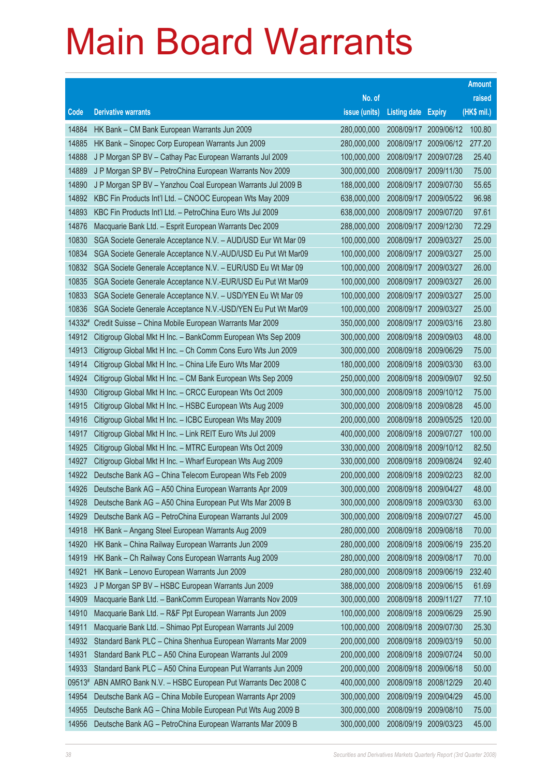|        |                                                              |               |                       |                       | <b>Amount</b> |
|--------|--------------------------------------------------------------|---------------|-----------------------|-----------------------|---------------|
|        |                                                              | No. of        |                       |                       | raised        |
| Code   | <b>Derivative warrants</b>                                   | issue (units) | <b>Listing date</b>   | <b>Expiry</b>         | (HK\$ mil.)   |
| 14884  | HK Bank - CM Bank European Warrants Jun 2009                 | 280,000,000   |                       | 2008/09/17 2009/06/12 | 100.80        |
| 14885  | HK Bank - Sinopec Corp European Warrants Jun 2009            | 280,000,000   | 2008/09/17            | 2009/06/12            | 277.20        |
| 14888  | J P Morgan SP BV - Cathay Pac European Warrants Jul 2009     | 100,000,000   | 2008/09/17            | 2009/07/28            | 25.40         |
| 14889  | J P Morgan SP BV - PetroChina European Warrants Nov 2009     | 300,000,000   | 2008/09/17            | 2009/11/30            | 75.00         |
| 14890  | J P Morgan SP BV - Yanzhou Coal European Warrants Jul 2009 B | 188,000,000   | 2008/09/17            | 2009/07/30            | 55.65         |
| 14892  | KBC Fin Products Int'l Ltd. - CNOOC European Wts May 2009    | 638,000,000   | 2008/09/17            | 2009/05/22            | 96.98         |
| 14893  | KBC Fin Products Int'l Ltd. - PetroChina Euro Wts Jul 2009   | 638,000,000   | 2008/09/17            | 2009/07/20            | 97.61         |
| 14876  | Macquarie Bank Ltd. - Esprit European Warrants Dec 2009      | 288,000,000   | 2008/09/17            | 2009/12/30            | 72.29         |
| 10830  | SGA Societe Generale Acceptance N.V. - AUD/USD Eur Wt Mar 09 | 100,000,000   | 2008/09/17            | 2009/03/27            | 25.00         |
| 10834  | SGA Societe Generale Acceptance N.V.-AUD/USD Eu Put Wt Mar09 | 100,000,000   | 2008/09/17            | 2009/03/27            | 25.00         |
| 10832  | SGA Societe Generale Acceptance N.V. - EUR/USD Eu Wt Mar 09  | 100,000,000   | 2008/09/17            | 2009/03/27            | 26.00         |
| 10835  | SGA Societe Generale Acceptance N.V.-EUR/USD Eu Put Wt Mar09 | 100,000,000   | 2008/09/17            | 2009/03/27            | 26.00         |
| 10833  | SGA Societe Generale Acceptance N.V. - USD/YEN Eu Wt Mar 09  | 100,000,000   | 2008/09/17            | 2009/03/27            | 25.00         |
| 10836  | SGA Societe Generale Acceptance N.V.-USD/YEN Eu Put Wt Mar09 | 100,000,000   | 2008/09/17            | 2009/03/27            | 25.00         |
| 14332# | Credit Suisse - China Mobile European Warrants Mar 2009      | 350,000,000   | 2008/09/17            | 2009/03/16            | 23.80         |
| 14912  | Citigroup Global Mkt H Inc. - BankComm European Wts Sep 2009 | 300,000,000   | 2008/09/18            | 2009/09/03            | 48.00         |
| 14913  | Citigroup Global Mkt H Inc. - Ch Comm Cons Euro Wts Jun 2009 | 300,000,000   | 2008/09/18            | 2009/06/29            | 75.00         |
| 14914  | Citigroup Global Mkt H Inc. - China Life Euro Wts Mar 2009   | 180,000,000   | 2008/09/18            | 2009/03/30            | 63.00         |
| 14924  | Citigroup Global Mkt H Inc. - CM Bank European Wts Sep 2009  | 250,000,000   | 2008/09/18            | 2009/09/07            | 92.50         |
| 14930  | Citigroup Global Mkt H Inc. - CRCC European Wts Oct 2009     | 300,000,000   | 2008/09/18            | 2009/10/12            | 75.00         |
| 14915  | Citigroup Global Mkt H Inc. - HSBC European Wts Aug 2009     | 300,000,000   | 2008/09/18            | 2009/08/28            | 45.00         |
| 14916  | Citigroup Global Mkt H Inc. - ICBC European Wts May 2009     | 200,000,000   | 2008/09/18            | 2009/05/25            | 120.00        |
| 14917  | Citigroup Global Mkt H Inc. - Link REIT Euro Wts Jul 2009    | 400,000,000   | 2008/09/18            | 2009/07/27            | 100.00        |
| 14925  | Citigroup Global Mkt H Inc. - MTRC European Wts Oct 2009     | 330,000,000   | 2008/09/18            | 2009/10/12            | 82.50         |
| 14927  | Citigroup Global Mkt H Inc. - Wharf European Wts Aug 2009    | 330,000,000   | 2008/09/18            | 2009/08/24            | 92.40         |
| 14922  | Deutsche Bank AG - China Telecom European Wts Feb 2009       | 200,000,000   | 2008/09/18            | 2009/02/23            | 82.00         |
| 14926  | Deutsche Bank AG - A50 China European Warrants Apr 2009      | 300,000,000   | 2008/09/18            | 2009/04/27            | 48.00         |
| 14928  | Deutsche Bank AG - A50 China European Put Wts Mar 2009 B     | 300,000,000   | 2008/09/18 2009/03/30 |                       | 63.00         |
| 14929  | Deutsche Bank AG - PetroChina European Warrants Jul 2009     | 300,000,000   | 2008/09/18            | 2009/07/27            | 45.00         |
| 14918  | HK Bank - Angang Steel European Warrants Aug 2009            | 280,000,000   | 2008/09/18            | 2009/08/18            | 70.00         |
| 14920  | HK Bank - China Railway European Warrants Jun 2009           | 280,000,000   | 2008/09/18            | 2009/06/19            | 235.20        |
| 14919  | HK Bank - Ch Railway Cons European Warrants Aug 2009         | 280,000,000   | 2008/09/18            | 2009/08/17            | 70.00         |
| 14921  | HK Bank - Lenovo European Warrants Jun 2009                  | 280,000,000   | 2008/09/18            | 2009/06/19            | 232.40        |
| 14923  | J P Morgan SP BV - HSBC European Warrants Jun 2009           | 388,000,000   | 2008/09/18            | 2009/06/15            | 61.69         |
| 14909  | Macquarie Bank Ltd. - BankComm European Warrants Nov 2009    | 300,000,000   | 2008/09/18            | 2009/11/27            | 77.10         |
| 14910  | Macquarie Bank Ltd. - R&F Ppt European Warrants Jun 2009     | 100,000,000   | 2008/09/18            | 2009/06/29            | 25.90         |
| 14911  | Macquarie Bank Ltd. - Shimao Ppt European Warrants Jul 2009  | 100,000,000   | 2008/09/18            | 2009/07/30            | 25.30         |
| 14932  | Standard Bank PLC - China Shenhua European Warrants Mar 2009 | 200,000,000   | 2008/09/18            | 2009/03/19            | 50.00         |
| 14931  | Standard Bank PLC - A50 China European Warrants Jul 2009     | 200,000,000   | 2008/09/18            | 2009/07/24            | 50.00         |
| 14933  | Standard Bank PLC - A50 China European Put Warrants Jun 2009 | 200,000,000   | 2008/09/18            | 2009/06/18            | 50.00         |
| 09513# | ABN AMRO Bank N.V. - HSBC European Put Warrants Dec 2008 C   | 400,000,000   | 2008/09/18            | 2008/12/29            | 20.40         |
| 14954  | Deutsche Bank AG - China Mobile European Warrants Apr 2009   | 300,000,000   | 2008/09/19            | 2009/04/29            | 45.00         |
| 14955  | Deutsche Bank AG - China Mobile European Put Wts Aug 2009 B  | 300,000,000   | 2008/09/19            | 2009/08/10            | 75.00         |
| 14956  | Deutsche Bank AG - PetroChina European Warrants Mar 2009 B   | 300,000,000   | 2008/09/19            | 2009/03/23            | 45.00         |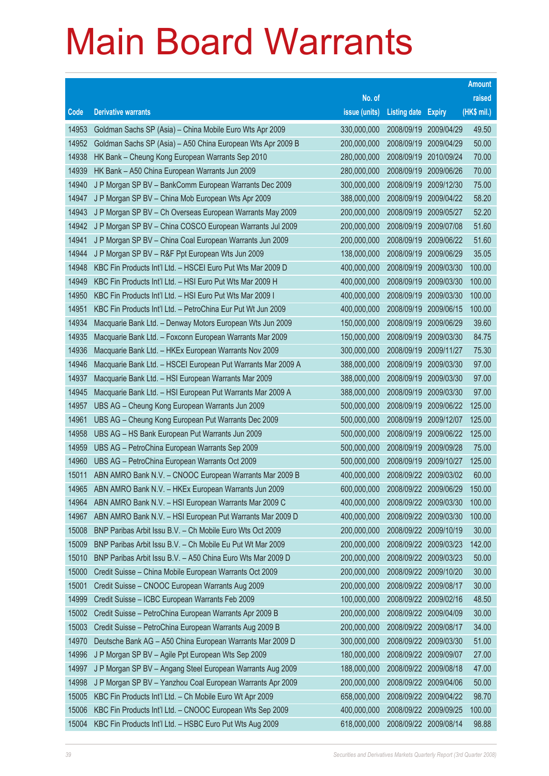|                |                                                                                                   |                            |                            |                          | <b>Amount</b>    |
|----------------|---------------------------------------------------------------------------------------------------|----------------------------|----------------------------|--------------------------|------------------|
|                |                                                                                                   | No. of                     |                            |                          | raised           |
| Code           | <b>Derivative warrants</b>                                                                        | issue (units)              | <b>Listing date Expiry</b> |                          | (HK\$ mil.)      |
| 14953          | Goldman Sachs SP (Asia) - China Mobile Euro Wts Apr 2009                                          | 330,000,000                | 2008/09/19                 | 2009/04/29               | 49.50            |
| 14952          | Goldman Sachs SP (Asia) - A50 China European Wts Apr 2009 B                                       | 200,000,000                | 2008/09/19                 | 2009/04/29               | 50.00            |
| 14938          | HK Bank – Cheung Kong European Warrants Sep 2010                                                  | 280,000,000                | 2008/09/19                 | 2010/09/24               | 70.00            |
| 14939          | HK Bank - A50 China European Warrants Jun 2009                                                    | 280,000,000                | 2008/09/19                 | 2009/06/26               | 70.00            |
| 14940          | J P Morgan SP BV - BankComm European Warrants Dec 2009                                            | 300,000,000                | 2008/09/19                 | 2009/12/30               | 75.00            |
| 14947          | J P Morgan SP BV - China Mob European Wts Apr 2009                                                | 388,000,000                | 2008/09/19                 | 2009/04/22               | 58.20            |
| 14943          | J P Morgan SP BV - Ch Overseas European Warrants May 2009                                         | 200,000,000                | 2008/09/19                 | 2009/05/27               | 52.20            |
| 14942          | J P Morgan SP BV - China COSCO European Warrants Jul 2009                                         | 200,000,000                | 2008/09/19                 | 2009/07/08               | 51.60            |
| 14941          | J P Morgan SP BV - China Coal European Warrants Jun 2009                                          | 200,000,000                | 2008/09/19                 | 2009/06/22               | 51.60            |
| 14944          | J P Morgan SP BV - R&F Ppt European Wts Jun 2009                                                  | 138,000,000                | 2008/09/19                 | 2009/06/29               | 35.05            |
| 14948          | KBC Fin Products Int'l Ltd. - HSCEI Euro Put Wts Mar 2009 D                                       | 400,000,000                | 2008/09/19                 | 2009/03/30               | 100.00           |
| 14949          | KBC Fin Products Int'l Ltd. - HSI Euro Put Wts Mar 2009 H                                         | 400,000,000                | 2008/09/19                 | 2009/03/30               | 100.00           |
| 14950          | KBC Fin Products Int'l Ltd. - HSI Euro Put Wts Mar 2009 I                                         | 400,000,000                | 2008/09/19                 | 2009/03/30               | 100.00           |
| 14951          | KBC Fin Products Int'l Ltd. - PetroChina Eur Put Wt Jun 2009                                      | 400,000,000                | 2008/09/19                 | 2009/06/15               | 100.00           |
| 14934          | Macquarie Bank Ltd. - Denway Motors European Wts Jun 2009                                         | 150,000,000                | 2008/09/19                 | 2009/06/29               | 39.60            |
| 14935          | Macquarie Bank Ltd. - Foxconn European Warrants Mar 2009                                          | 150,000,000                | 2008/09/19                 | 2009/03/30               | 84.75            |
| 14936          | Macquarie Bank Ltd. - HKEx European Warrants Nov 2009                                             | 300,000,000                | 2008/09/19                 | 2009/11/27               | 75.30            |
| 14946          | Macquarie Bank Ltd. - HSCEI European Put Warrants Mar 2009 A                                      | 388,000,000                | 2008/09/19                 | 2009/03/30               | 97.00            |
| 14937          | Macquarie Bank Ltd. - HSI European Warrants Mar 2009                                              | 388,000,000                | 2008/09/19                 | 2009/03/30               | 97.00            |
| 14945          | Macquarie Bank Ltd. - HSI European Put Warrants Mar 2009 A                                        | 388,000,000                | 2008/09/19                 | 2009/03/30               | 97.00            |
| 14957          | UBS AG - Cheung Kong European Warrants Jun 2009                                                   | 500,000,000                | 2008/09/19                 | 2009/06/22               | 125.00           |
| 14961<br>14958 | UBS AG - Cheung Kong European Put Warrants Dec 2009                                               | 500,000,000<br>500,000,000 | 2008/09/19<br>2008/09/19   | 2009/12/07               | 125.00<br>125.00 |
| 14959          | UBS AG - HS Bank European Put Warrants Jun 2009<br>UBS AG - PetroChina European Warrants Sep 2009 | 500,000,000                | 2008/09/19                 | 2009/06/22<br>2009/09/28 | 75.00            |
| 14960          | UBS AG - PetroChina European Warrants Oct 2009                                                    | 500,000,000                | 2008/09/19                 | 2009/10/27               | 125.00           |
| 15011          | ABN AMRO Bank N.V. - CNOOC European Warrants Mar 2009 B                                           | 400,000,000                | 2008/09/22                 | 2009/03/02               | 60.00            |
| 14965          | ABN AMRO Bank N.V. - HKEx European Warrants Jun 2009                                              | 600,000,000                | 2008/09/22 2009/06/29      |                          | 150.00           |
| 14964          | ABN AMRO Bank N.V. - HSI European Warrants Mar 2009 C                                             | 400,000,000                | 2008/09/22 2009/03/30      |                          | 100.00           |
| 14967          | ABN AMRO Bank N.V. - HSI European Put Warrants Mar 2009 D                                         | 400,000,000                | 2008/09/22                 | 2009/03/30               | 100.00           |
| 15008          | BNP Paribas Arbit Issu B.V. - Ch Mobile Euro Wts Oct 2009                                         | 200,000,000                | 2008/09/22                 | 2009/10/19               | 30.00            |
| 15009          | BNP Paribas Arbit Issu B.V. - Ch Mobile Eu Put Wt Mar 2009                                        | 200,000,000                | 2008/09/22 2009/03/23      |                          | 142.00           |
| 15010          | BNP Paribas Arbit Issu B.V. - A50 China Euro Wts Mar 2009 D                                       | 200,000,000                | 2008/09/22                 | 2009/03/23               | 50.00            |
| 15000          | Credit Suisse - China Mobile European Warrants Oct 2009                                           | 200,000,000                | 2008/09/22                 | 2009/10/20               | 30.00            |
| 15001          | Credit Suisse - CNOOC European Warrants Aug 2009                                                  | 200,000,000                | 2008/09/22                 | 2009/08/17               | 30.00            |
| 14999          | Credit Suisse - ICBC European Warrants Feb 2009                                                   | 100,000,000                | 2008/09/22 2009/02/16      |                          | 48.50            |
| 15002          | Credit Suisse - PetroChina European Warrants Apr 2009 B                                           | 200,000,000                | 2008/09/22                 | 2009/04/09               | 30.00            |
| 15003          | Credit Suisse - PetroChina European Warrants Aug 2009 B                                           | 200,000,000                | 2008/09/22                 | 2009/08/17               | 34.00            |
| 14970          | Deutsche Bank AG - A50 China European Warrants Mar 2009 D                                         | 300,000,000                | 2008/09/22                 | 2009/03/30               | 51.00            |
| 14996          | J P Morgan SP BV - Agile Ppt European Wts Sep 2009                                                | 180,000,000                | 2008/09/22                 | 2009/09/07               | 27.00            |
| 14997          | J P Morgan SP BV - Angang Steel European Warrants Aug 2009                                        | 188,000,000                | 2008/09/22                 | 2009/08/18               | 47.00            |
| 14998          | J P Morgan SP BV - Yanzhou Coal European Warrants Apr 2009                                        | 200,000,000                | 2008/09/22                 | 2009/04/06               | 50.00            |
| 15005          | KBC Fin Products Int'l Ltd. - Ch Mobile Euro Wt Apr 2009                                          | 658,000,000                | 2008/09/22                 | 2009/04/22               | 98.70            |
| 15006          | KBC Fin Products Int'l Ltd. - CNOOC European Wts Sep 2009                                         | 400,000,000                | 2008/09/22                 | 2009/09/25               | 100.00           |
| 15004          | KBC Fin Products Int'l Ltd. - HSBC Euro Put Wts Aug 2009                                          | 618,000,000                | 2008/09/22 2009/08/14      |                          | 98.88            |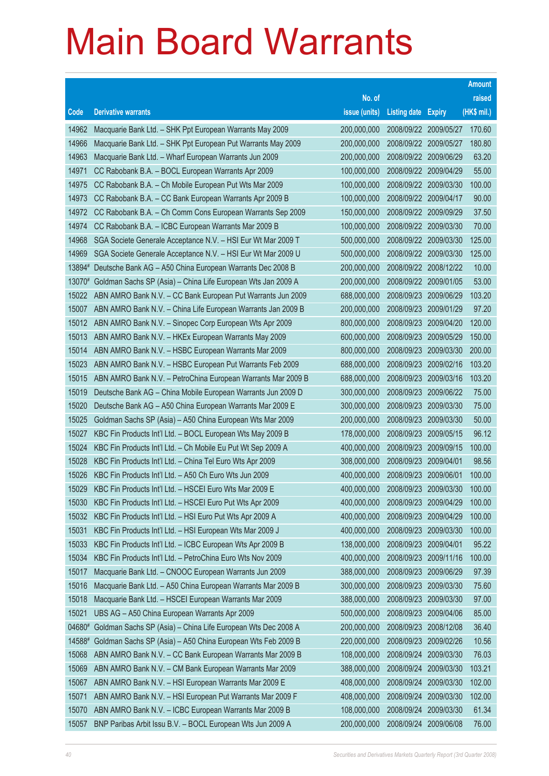|        |                                                              |               |                            |                       | <b>Amount</b> |
|--------|--------------------------------------------------------------|---------------|----------------------------|-----------------------|---------------|
|        |                                                              | No. of        |                            |                       | raised        |
| Code   | <b>Derivative warrants</b>                                   | issue (units) | <b>Listing date Expiry</b> |                       | (HK\$ mil.)   |
| 14962  | Macquarie Bank Ltd. - SHK Ppt European Warrants May 2009     | 200,000,000   |                            | 2008/09/22 2009/05/27 | 170.60        |
| 14966  | Macquarie Bank Ltd. - SHK Ppt European Put Warrants May 2009 | 200,000,000   |                            | 2008/09/22 2009/05/27 | 180.80        |
| 14963  | Macquarie Bank Ltd. - Wharf European Warrants Jun 2009       | 200,000,000   | 2008/09/22 2009/06/29      |                       | 63.20         |
| 14971  | CC Rabobank B.A. - BOCL European Warrants Apr 2009           | 100,000,000   | 2008/09/22 2009/04/29      |                       | 55.00         |
| 14975  | CC Rabobank B.A. - Ch Mobile European Put Wts Mar 2009       | 100,000,000   |                            | 2008/09/22 2009/03/30 | 100.00        |
| 14973  | CC Rabobank B.A. - CC Bank European Warrants Apr 2009 B      | 100,000,000   | 2008/09/22 2009/04/17      |                       | 90.00         |
| 14972  | CC Rabobank B.A. - Ch Comm Cons European Warrants Sep 2009   | 150,000,000   | 2008/09/22 2009/09/29      |                       | 37.50         |
| 14974  | CC Rabobank B.A. - ICBC European Warrants Mar 2009 B         | 100,000,000   |                            | 2008/09/22 2009/03/30 | 70.00         |
| 14968  | SGA Societe Generale Acceptance N.V. - HSI Eur Wt Mar 2009 T | 500,000,000   |                            | 2008/09/22 2009/03/30 | 125.00        |
| 14969  | SGA Societe Generale Acceptance N.V. - HSI Eur Wt Mar 2009 U | 500,000,000   |                            | 2008/09/22 2009/03/30 | 125.00        |
| 13894# | Deutsche Bank AG - A50 China European Warrants Dec 2008 B    | 200,000,000   |                            | 2008/09/22 2008/12/22 | 10.00         |
| 13070# | Goldman Sachs SP (Asia) - China Life European Wts Jan 2009 A | 200,000,000   |                            | 2008/09/22 2009/01/05 | 53.00         |
| 15022  | ABN AMRO Bank N.V. - CC Bank European Put Warrants Jun 2009  | 688,000,000   |                            | 2008/09/23 2009/06/29 | 103.20        |
| 15007  | ABN AMRO Bank N.V. - China Life European Warrants Jan 2009 B | 200,000,000   | 2008/09/23 2009/01/29      |                       | 97.20         |
| 15012  | ABN AMRO Bank N.V. - Sinopec Corp European Wts Apr 2009      | 800,000,000   | 2008/09/23                 | 2009/04/20            | 120.00        |
| 15013  | ABN AMRO Bank N.V. - HKEx European Warrants May 2009         | 600,000,000   |                            | 2008/09/23 2009/05/29 | 150.00        |
| 15014  | ABN AMRO Bank N.V. - HSBC European Warrants Mar 2009         | 800,000,000   | 2008/09/23                 | 2009/03/30            | 200.00        |
| 15023  | ABN AMRO Bank N.V. - HSBC European Put Warrants Feb 2009     | 688,000,000   |                            | 2008/09/23 2009/02/16 | 103.20        |
| 15015  | ABN AMRO Bank N.V. - PetroChina European Warrants Mar 2009 B | 688,000,000   | 2008/09/23                 | 2009/03/16            | 103.20        |
| 15019  | Deutsche Bank AG - China Mobile European Warrants Jun 2009 D | 300,000,000   |                            | 2008/09/23 2009/06/22 | 75.00         |
| 15020  | Deutsche Bank AG - A50 China European Warrants Mar 2009 E    | 300,000,000   |                            | 2008/09/23 2009/03/30 | 75.00         |
| 15025  | Goldman Sachs SP (Asia) - A50 China European Wts Mar 2009    | 200,000,000   |                            | 2008/09/23 2009/03/30 | 50.00         |
| 15027  | KBC Fin Products Int'l Ltd. - BOCL European Wts May 2009 B   | 178,000,000   | 2008/09/23                 | 2009/05/15            | 96.12         |
| 15024  | KBC Fin Products Int'l Ltd. - Ch Mobile Eu Put Wt Sep 2009 A | 400,000,000   |                            | 2008/09/23 2009/09/15 | 100.00        |
| 15028  | KBC Fin Products Int'l Ltd. - China Tel Euro Wts Apr 2009    | 308,000,000   | 2008/09/23                 | 2009/04/01            | 98.56         |
| 15026  | KBC Fin Products Int'l Ltd. - A50 Ch Euro Wts Jun 2009       | 400,000,000   | 2008/09/23                 | 2009/06/01            | 100.00        |
| 15029  | KBC Fin Products Int'l Ltd. - HSCEI Euro Wts Mar 2009 E      | 400,000,000   | 2008/09/23                 | 2009/03/30            | 100.00        |
| 15030  | KBC Fin Products Int'l Ltd. - HSCEI Euro Put Wts Apr 2009    | 400,000,000   | 2008/09/23 2009/04/29      |                       | 100.00        |
| 15032  | KBC Fin Products Int'l Ltd. - HSI Euro Put Wts Apr 2009 A    | 400,000,000   | 2008/09/23                 | 2009/04/29            | 100.00        |
| 15031  | KBC Fin Products Int'l Ltd. - HSI European Wts Mar 2009 J    | 400,000,000   | 2008/09/23                 | 2009/03/30            | 100.00        |
| 15033  | KBC Fin Products Int'l Ltd. - ICBC European Wts Apr 2009 B   | 138,000,000   | 2008/09/23                 | 2009/04/01            | 95.22         |
| 15034  | KBC Fin Products Int'l Ltd. - PetroChina Euro Wts Nov 2009   | 400,000,000   | 2008/09/23                 | 2009/11/16            | 100.00        |
| 15017  | Macquarie Bank Ltd. - CNOOC European Warrants Jun 2009       | 388,000,000   | 2008/09/23                 | 2009/06/29            | 97.39         |
| 15016  | Macquarie Bank Ltd. - A50 China European Warrants Mar 2009 B | 300,000,000   | 2008/09/23                 | 2009/03/30            | 75.60         |
| 15018  | Macquarie Bank Ltd. - HSCEI European Warrants Mar 2009       | 388,000,000   | 2008/09/23                 | 2009/03/30            | 97.00         |
| 15021  | UBS AG - A50 China European Warrants Apr 2009                | 500,000,000   | 2008/09/23                 | 2009/04/06            | 85.00         |
| 04680# | Goldman Sachs SP (Asia) - China Life European Wts Dec 2008 A | 200,000,000   | 2008/09/23                 | 2008/12/08            | 36.40         |
| 14588# | Goldman Sachs SP (Asia) - A50 China European Wts Feb 2009 B  | 220,000,000   | 2008/09/23                 | 2009/02/26            | 10.56         |
| 15068  | ABN AMRO Bank N.V. - CC Bank European Warrants Mar 2009 B    | 108,000,000   | 2008/09/24                 | 2009/03/30            | 76.03         |
| 15069  | ABN AMRO Bank N.V. - CM Bank European Warrants Mar 2009      | 388,000,000   | 2008/09/24                 | 2009/03/30            | 103.21        |
| 15067  | ABN AMRO Bank N.V. - HSI European Warrants Mar 2009 E        | 408,000,000   | 2008/09/24                 | 2009/03/30            | 102.00        |
| 15071  | ABN AMRO Bank N.V. - HSI European Put Warrants Mar 2009 F    | 408,000,000   | 2008/09/24                 | 2009/03/30            | 102.00        |
| 15070  | ABN AMRO Bank N.V. - ICBC European Warrants Mar 2009 B       | 108,000,000   | 2008/09/24                 | 2009/03/30            | 61.34         |
| 15057  | BNP Paribas Arbit Issu B.V. - BOCL European Wts Jun 2009 A   | 200,000,000   | 2008/09/24                 | 2009/06/08            | 76.00         |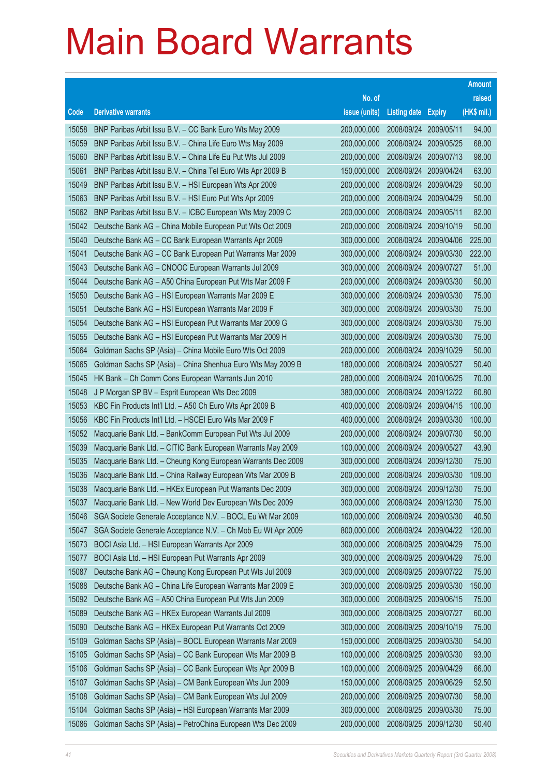|       |                                                              |               |                            |                       | <b>Amount</b> |
|-------|--------------------------------------------------------------|---------------|----------------------------|-----------------------|---------------|
|       |                                                              | No. of        |                            |                       | raised        |
| Code  | <b>Derivative warrants</b>                                   | issue (units) | <b>Listing date Expiry</b> |                       | (HK\$ mil.)   |
| 15058 | BNP Paribas Arbit Issu B.V. - CC Bank Euro Wts May 2009      | 200,000,000   | 2008/09/24 2009/05/11      |                       | 94.00         |
| 15059 | BNP Paribas Arbit Issu B.V. - China Life Euro Wts May 2009   | 200,000,000   |                            | 2008/09/24 2009/05/25 | 68.00         |
| 15060 | BNP Paribas Arbit Issu B.V. - China Life Eu Put Wts Jul 2009 | 200,000,000   | 2008/09/24                 | 2009/07/13            | 98.00         |
| 15061 | BNP Paribas Arbit Issu B.V. - China Tel Euro Wts Apr 2009 B  | 150,000,000   | 2008/09/24                 | 2009/04/24            | 63.00         |
| 15049 | BNP Paribas Arbit Issu B.V. - HSI European Wts Apr 2009      | 200,000,000   | 2008/09/24                 | 2009/04/29            | 50.00         |
| 15063 | BNP Paribas Arbit Issu B.V. - HSI Euro Put Wts Apr 2009      | 200,000,000   |                            | 2008/09/24 2009/04/29 | 50.00         |
| 15062 | BNP Paribas Arbit Issu B.V. - ICBC European Wts May 2009 C   | 200,000,000   | 2008/09/24                 | 2009/05/11            | 82.00         |
| 15042 | Deutsche Bank AG - China Mobile European Put Wts Oct 2009    | 200,000,000   | 2008/09/24                 | 2009/10/19            | 50.00         |
| 15040 | Deutsche Bank AG - CC Bank European Warrants Apr 2009        | 300,000,000   | 2008/09/24                 | 2009/04/06            | 225.00        |
| 15041 | Deutsche Bank AG - CC Bank European Put Warrants Mar 2009    | 300,000,000   |                            | 2008/09/24 2009/03/30 | 222.00        |
| 15043 | Deutsche Bank AG - CNOOC European Warrants Jul 2009          | 300,000,000   | 2008/09/24                 | 2009/07/27            | 51.00         |
| 15044 | Deutsche Bank AG - A50 China European Put Wts Mar 2009 F     | 200,000,000   |                            | 2008/09/24 2009/03/30 | 50.00         |
| 15050 | Deutsche Bank AG - HSI European Warrants Mar 2009 E          | 300,000,000   | 2008/09/24                 | 2009/03/30            | 75.00         |
| 15051 | Deutsche Bank AG - HSI European Warrants Mar 2009 F          | 300,000,000   |                            | 2008/09/24 2009/03/30 | 75.00         |
| 15054 | Deutsche Bank AG - HSI European Put Warrants Mar 2009 G      | 300,000,000   | 2008/09/24                 | 2009/03/30            | 75.00         |
| 15055 | Deutsche Bank AG - HSI European Put Warrants Mar 2009 H      | 300,000,000   |                            | 2008/09/24 2009/03/30 | 75.00         |
| 15064 | Goldman Sachs SP (Asia) - China Mobile Euro Wts Oct 2009     | 200,000,000   | 2008/09/24                 | 2009/10/29            | 50.00         |
| 15065 | Goldman Sachs SP (Asia) - China Shenhua Euro Wts May 2009 B  | 180,000,000   |                            | 2008/09/24 2009/05/27 | 50.40         |
| 15045 | HK Bank - Ch Comm Cons European Warrants Jun 2010            | 280,000,000   | 2008/09/24                 | 2010/06/25            | 70.00         |
| 15048 | J P Morgan SP BV - Esprit European Wts Dec 2009              | 380,000,000   |                            | 2008/09/24 2009/12/22 | 60.80         |
| 15053 | KBC Fin Products Int'l Ltd. - A50 Ch Euro Wts Apr 2009 B     | 400,000,000   | 2008/09/24                 | 2009/04/15            | 100.00        |
| 15056 | KBC Fin Products Int'l Ltd. - HSCEI Euro Wts Mar 2009 F      | 400,000,000   | 2008/09/24                 | 2009/03/30            | 100.00        |
| 15052 | Macquarie Bank Ltd. - BankComm European Put Wts Jul 2009     | 200,000,000   | 2008/09/24                 | 2009/07/30            | 50.00         |
| 15039 | Macquarie Bank Ltd. - CITIC Bank European Warrants May 2009  | 100,000,000   |                            | 2008/09/24 2009/05/27 | 43.90         |
| 15035 | Macquarie Bank Ltd. - Cheung Kong European Warrants Dec 2009 | 300,000,000   | 2008/09/24                 | 2009/12/30            | 75.00         |
| 15036 | Macquarie Bank Ltd. - China Railway European Wts Mar 2009 B  | 200,000,000   |                            | 2008/09/24 2009/03/30 | 109.00        |
| 15038 | Macquarie Bank Ltd. - HKEx European Put Warrants Dec 2009    | 300,000,000   |                            | 2008/09/24 2009/12/30 | 75.00         |
| 15037 | Macquarie Bank Ltd. - New World Dev European Wts Dec 2009    | 300,000,000   |                            | 2008/09/24 2009/12/30 | 75.00         |
| 15046 | SGA Societe Generale Acceptance N.V. - BOCL Eu Wt Mar 2009   | 100,000,000   | 2008/09/24                 | 2009/03/30            | 40.50         |
| 15047 | SGA Societe Generale Acceptance N.V. - Ch Mob Eu Wt Apr 2009 | 800,000,000   | 2008/09/24                 | 2009/04/22            | 120.00        |
| 15073 | BOCI Asia Ltd. - HSI European Warrants Apr 2009              | 300,000,000   |                            | 2008/09/25 2009/04/29 | 75.00         |
| 15077 | BOCI Asia Ltd. - HSI European Put Warrants Apr 2009          | 300,000,000   | 2008/09/25                 | 2009/04/29            | 75.00         |
| 15087 | Deutsche Bank AG - Cheung Kong European Put Wts Jul 2009     | 300,000,000   | 2008/09/25                 | 2009/07/22            | 75.00         |
| 15088 | Deutsche Bank AG - China Life European Warrants Mar 2009 E   | 300,000,000   | 2008/09/25                 | 2009/03/30            | 150.00        |
| 15092 | Deutsche Bank AG - A50 China European Put Wts Jun 2009       | 300,000,000   |                            | 2008/09/25 2009/06/15 | 75.00         |
| 15089 | Deutsche Bank AG - HKEx European Warrants Jul 2009           | 300,000,000   |                            | 2008/09/25 2009/07/27 | 60.00         |
| 15090 | Deutsche Bank AG - HKEx European Put Warrants Oct 2009       | 300,000,000   | 2008/09/25                 | 2009/10/19            | 75.00         |
| 15109 | Goldman Sachs SP (Asia) - BOCL European Warrants Mar 2009    | 150,000,000   | 2008/09/25                 | 2009/03/30            | 54.00         |
| 15105 | Goldman Sachs SP (Asia) - CC Bank European Wts Mar 2009 B    | 100,000,000   | 2008/09/25                 | 2009/03/30            | 93.00         |
| 15106 | Goldman Sachs SP (Asia) - CC Bank European Wts Apr 2009 B    | 100,000,000   | 2008/09/25                 | 2009/04/29            | 66.00         |
| 15107 | Goldman Sachs SP (Asia) - CM Bank European Wts Jun 2009      | 150,000,000   | 2008/09/25                 | 2009/06/29            | 52.50         |
| 15108 | Goldman Sachs SP (Asia) - CM Bank European Wts Jul 2009      | 200,000,000   | 2008/09/25                 | 2009/07/30            | 58.00         |
| 15104 | Goldman Sachs SP (Asia) - HSI European Warrants Mar 2009     | 300,000,000   | 2008/09/25                 | 2009/03/30            | 75.00         |
| 15086 | Goldman Sachs SP (Asia) - PetroChina European Wts Dec 2009   | 200,000,000   | 2008/09/25                 | 2009/12/30            | 50.40         |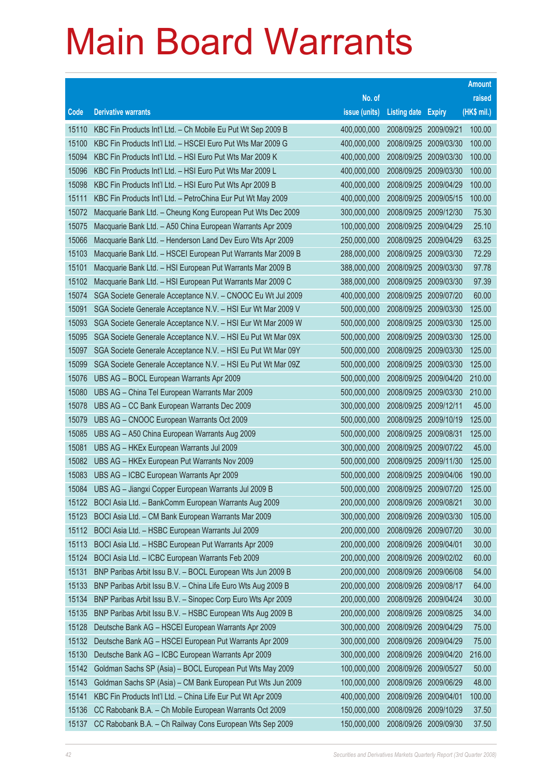|       |                                                              |               |                       |                       | <b>Amount</b> |
|-------|--------------------------------------------------------------|---------------|-----------------------|-----------------------|---------------|
|       |                                                              | No. of        |                       |                       | raised        |
| Code  | <b>Derivative warrants</b>                                   | issue (units) | <b>Listing date</b>   | <b>Expiry</b>         | (HK\$ mil.)   |
| 15110 | KBC Fin Products Int'l Ltd. - Ch Mobile Eu Put Wt Sep 2009 B | 400,000,000   | 2008/09/25            | 2009/09/21            | 100.00        |
| 15100 | KBC Fin Products Int'l Ltd. - HSCEI Euro Put Wts Mar 2009 G  | 400,000,000   | 2008/09/25            | 2009/03/30            | 100.00        |
| 15094 | KBC Fin Products Int'l Ltd. - HSI Euro Put Wts Mar 2009 K    | 400,000,000   | 2008/09/25            | 2009/03/30            | 100.00        |
| 15096 | KBC Fin Products Int'l Ltd. - HSI Euro Put Wts Mar 2009 L    | 400,000,000   | 2008/09/25            | 2009/03/30            | 100.00        |
| 15098 | KBC Fin Products Int'l Ltd. - HSI Euro Put Wts Apr 2009 B    | 400,000,000   | 2008/09/25            | 2009/04/29            | 100.00        |
| 15111 | KBC Fin Products Int'l Ltd. - PetroChina Eur Put Wt May 2009 | 400,000,000   | 2008/09/25            | 2009/05/15            | 100.00        |
| 15072 | Macquarie Bank Ltd. - Cheung Kong European Put Wts Dec 2009  | 300,000,000   | 2008/09/25            | 2009/12/30            | 75.30         |
| 15075 | Macquarie Bank Ltd. - A50 China European Warrants Apr 2009   | 100,000,000   |                       | 2008/09/25 2009/04/29 | 25.10         |
| 15066 | Macquarie Bank Ltd. - Henderson Land Dev Euro Wts Apr 2009   | 250,000,000   | 2008/09/25            | 2009/04/29            | 63.25         |
| 15103 | Macquarie Bank Ltd. - HSCEI European Put Warrants Mar 2009 B | 288,000,000   | 2008/09/25            | 2009/03/30            | 72.29         |
| 15101 | Macquarie Bank Ltd. - HSI European Put Warrants Mar 2009 B   | 388,000,000   | 2008/09/25            | 2009/03/30            | 97.78         |
| 15102 | Macquarie Bank Ltd. - HSI European Put Warrants Mar 2009 C   | 388,000,000   |                       | 2008/09/25 2009/03/30 | 97.39         |
| 15074 | SGA Societe Generale Acceptance N.V. - CNOOC Eu Wt Jul 2009  | 400,000,000   | 2008/09/25            | 2009/07/20            | 60.00         |
| 15091 | SGA Societe Generale Acceptance N.V. - HSI Eur Wt Mar 2009 V | 500,000,000   | 2008/09/25            | 2009/03/30            | 125.00        |
| 15093 | SGA Societe Generale Acceptance N.V. - HSI Eur Wt Mar 2009 W | 500,000,000   | 2008/09/25            | 2009/03/30            | 125.00        |
| 15095 | SGA Societe Generale Acceptance N.V. - HSI Eu Put Wt Mar 09X | 500,000,000   | 2008/09/25            | 2009/03/30            | 125.00        |
| 15097 | SGA Societe Generale Acceptance N.V. - HSI Eu Put Wt Mar 09Y | 500,000,000   | 2008/09/25            | 2009/03/30            | 125.00        |
| 15099 | SGA Societe Generale Acceptance N.V. - HSI Eu Put Wt Mar 09Z | 500,000,000   | 2008/09/25            | 2009/03/30            | 125.00        |
| 15076 | UBS AG - BOCL European Warrants Apr 2009                     | 500,000,000   | 2008/09/25            | 2009/04/20            | 210.00        |
| 15080 | UBS AG - China Tel European Warrants Mar 2009                | 500,000,000   |                       | 2008/09/25 2009/03/30 | 210.00        |
| 15078 | UBS AG - CC Bank European Warrants Dec 2009                  | 300,000,000   | 2008/09/25            | 2009/12/11            | 45.00         |
| 15079 | UBS AG - CNOOC European Warrants Oct 2009                    | 500,000,000   | 2008/09/25            | 2009/10/19            | 125.00        |
| 15085 | UBS AG - A50 China European Warrants Aug 2009                | 500,000,000   | 2008/09/25            | 2009/08/31            | 125.00        |
| 15081 | UBS AG - HKEx European Warrants Jul 2009                     | 300,000,000   |                       | 2008/09/25 2009/07/22 | 45.00         |
| 15082 | UBS AG - HKEx European Put Warrants Nov 2009                 | 500,000,000   | 2008/09/25            | 2009/11/30            | 125.00        |
| 15083 | UBS AG - ICBC European Warrants Apr 2009                     | 500,000,000   |                       | 2008/09/25 2009/04/06 | 190.00        |
| 15084 | UBS AG - Jiangxi Copper European Warrants Jul 2009 B         | 500,000,000   |                       | 2008/09/25 2009/07/20 | 125.00        |
|       | 15122 BOCI Asia Ltd. - BankComm European Warrants Aug 2009   | 200,000,000   | 2008/09/26 2009/08/21 |                       | 30.00         |
| 15123 | BOCI Asia Ltd. - CM Bank European Warrants Mar 2009          | 300,000,000   | 2008/09/26            | 2009/03/30            | 105.00        |
| 15112 | BOCI Asia Ltd. - HSBC European Warrants Jul 2009             | 200,000,000   | 2008/09/26 2009/07/20 |                       | 30.00         |
| 15113 | BOCI Asia Ltd. - HSBC European Put Warrants Apr 2009         | 200,000,000   | 2008/09/26            | 2009/04/01            | 30.00         |
| 15124 | BOCI Asia Ltd. - ICBC European Warrants Feb 2009             | 200,000,000   |                       | 2008/09/26 2009/02/02 | 60.00         |
| 15131 | BNP Paribas Arbit Issu B.V. - BOCL European Wts Jun 2009 B   | 200,000,000   | 2008/09/26            | 2009/06/08            | 54.00         |
| 15133 | BNP Paribas Arbit Issu B.V. - China Life Euro Wts Aug 2009 B | 200,000,000   | 2008/09/26 2009/08/17 |                       | 64.00         |
| 15134 | BNP Paribas Arbit Issu B.V. - Sinopec Corp Euro Wts Apr 2009 | 200,000,000   | 2008/09/26            | 2009/04/24            | 30.00         |
| 15135 | BNP Paribas Arbit Issu B.V. - HSBC European Wts Aug 2009 B   | 200,000,000   | 2008/09/26 2009/08/25 |                       | 34.00         |
| 15128 | Deutsche Bank AG - HSCEI European Warrants Apr 2009          | 300,000,000   | 2008/09/26            | 2009/04/29            | 75.00         |
| 15132 | Deutsche Bank AG - HSCEI European Put Warrants Apr 2009      | 300,000,000   | 2008/09/26 2009/04/29 |                       | 75.00         |
| 15130 | Deutsche Bank AG - ICBC European Warrants Apr 2009           | 300,000,000   | 2008/09/26            | 2009/04/20            | 216.00        |
| 15142 | Goldman Sachs SP (Asia) - BOCL European Put Wts May 2009     | 100,000,000   | 2008/09/26 2009/05/27 |                       | 50.00         |
| 15143 | Goldman Sachs SP (Asia) - CM Bank European Put Wts Jun 2009  | 100,000,000   | 2008/09/26            | 2009/06/29            | 48.00         |
| 15141 | KBC Fin Products Int'l Ltd. - China Life Eur Put Wt Apr 2009 | 400,000,000   | 2008/09/26 2009/04/01 |                       | 100.00        |
| 15136 | CC Rabobank B.A. - Ch Mobile European Warrants Oct 2009      | 150,000,000   | 2008/09/26            | 2009/10/29            | 37.50         |
| 15137 | CC Rabobank B.A. - Ch Railway Cons European Wts Sep 2009     | 150,000,000   | 2008/09/26 2009/09/30 |                       | 37.50         |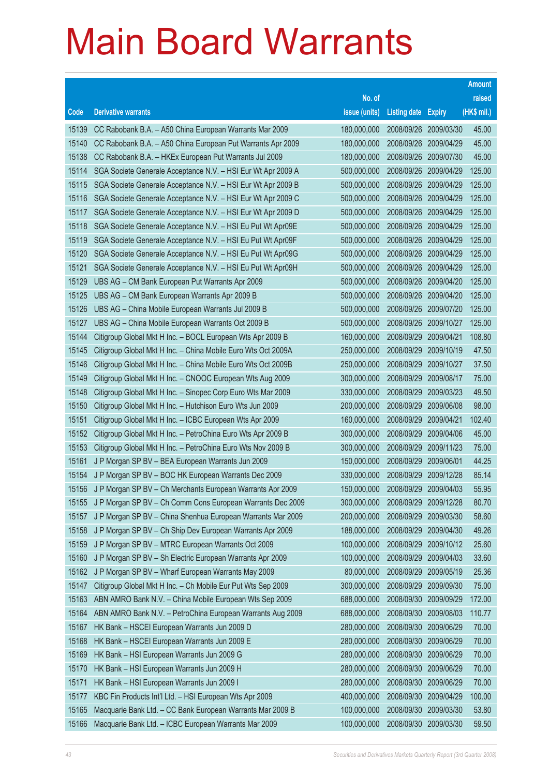|       |                                                               |               |                            |            | <b>Amount</b> |
|-------|---------------------------------------------------------------|---------------|----------------------------|------------|---------------|
|       |                                                               | No. of        |                            |            | raised        |
| Code  | <b>Derivative warrants</b>                                    | issue (units) | <b>Listing date Expiry</b> |            | (HK\$ mil.)   |
| 15139 | CC Rabobank B.A. - A50 China European Warrants Mar 2009       | 180,000,000   | 2008/09/26                 | 2009/03/30 | 45.00         |
| 15140 | CC Rabobank B.A. - A50 China European Put Warrants Apr 2009   | 180,000,000   | 2008/09/26                 | 2009/04/29 | 45.00         |
| 15138 | CC Rabobank B.A. - HKEx European Put Warrants Jul 2009        | 180,000,000   | 2008/09/26                 | 2009/07/30 | 45.00         |
| 15114 | SGA Societe Generale Acceptance N.V. - HSI Eur Wt Apr 2009 A  | 500,000,000   | 2008/09/26                 | 2009/04/29 | 125.00        |
| 15115 | SGA Societe Generale Acceptance N.V. - HSI Eur Wt Apr 2009 B  | 500,000,000   | 2008/09/26                 | 2009/04/29 | 125.00        |
| 15116 | SGA Societe Generale Acceptance N.V. - HSI Eur Wt Apr 2009 C  | 500,000,000   | 2008/09/26                 | 2009/04/29 | 125.00        |
| 15117 | SGA Societe Generale Acceptance N.V. - HSI Eur Wt Apr 2009 D  | 500,000,000   | 2008/09/26                 | 2009/04/29 | 125.00        |
| 15118 | SGA Societe Generale Acceptance N.V. - HSI Eu Put Wt Apr09E   | 500,000,000   | 2008/09/26                 | 2009/04/29 | 125.00        |
| 15119 | SGA Societe Generale Acceptance N.V. - HSI Eu Put Wt Apr09F   | 500,000,000   | 2008/09/26                 | 2009/04/29 | 125.00        |
| 15120 | SGA Societe Generale Acceptance N.V. - HSI Eu Put Wt Apr09G   | 500,000,000   | 2008/09/26                 | 2009/04/29 | 125.00        |
| 15121 | SGA Societe Generale Acceptance N.V. - HSI Eu Put Wt Apr09H   | 500,000,000   | 2008/09/26                 | 2009/04/29 | 125.00        |
| 15129 | UBS AG - CM Bank European Put Warrants Apr 2009               | 500,000,000   | 2008/09/26                 | 2009/04/20 | 125.00        |
| 15125 | UBS AG - CM Bank European Warrants Apr 2009 B                 | 500,000,000   | 2008/09/26                 | 2009/04/20 | 125.00        |
| 15126 | UBS AG - China Mobile European Warrants Jul 2009 B            | 500,000,000   | 2008/09/26                 | 2009/07/20 | 125.00        |
| 15127 | UBS AG - China Mobile European Warrants Oct 2009 B            | 500,000,000   | 2008/09/26                 | 2009/10/27 | 125.00        |
| 15144 | Citigroup Global Mkt H Inc. - BOCL European Wts Apr 2009 B    | 160,000,000   | 2008/09/29                 | 2009/04/21 | 108.80        |
| 15145 | Citigroup Global Mkt H Inc. - China Mobile Euro Wts Oct 2009A | 250,000,000   | 2008/09/29                 | 2009/10/19 | 47.50         |
| 15146 | Citigroup Global Mkt H Inc. - China Mobile Euro Wts Oct 2009B | 250,000,000   | 2008/09/29                 | 2009/10/27 | 37.50         |
| 15149 | Citigroup Global Mkt H Inc. - CNOOC European Wts Aug 2009     | 300,000,000   | 2008/09/29                 | 2009/08/17 | 75.00         |
| 15148 | Citigroup Global Mkt H Inc. - Sinopec Corp Euro Wts Mar 2009  | 330,000,000   | 2008/09/29                 | 2009/03/23 | 49.50         |
| 15150 | Citigroup Global Mkt H Inc. - Hutchison Euro Wts Jun 2009     | 200,000,000   | 2008/09/29                 | 2009/06/08 | 98.00         |
| 15151 | Citigroup Global Mkt H Inc. - ICBC European Wts Apr 2009      | 160,000,000   | 2008/09/29                 | 2009/04/21 | 102.40        |
| 15152 | Citigroup Global Mkt H Inc. - PetroChina Euro Wts Apr 2009 B  | 300,000,000   | 2008/09/29                 | 2009/04/06 | 45.00         |
| 15153 | Citigroup Global Mkt H Inc. - PetroChina Euro Wts Nov 2009 B  | 300,000,000   | 2008/09/29                 | 2009/11/23 | 75.00         |
| 15161 | J P Morgan SP BV - BEA European Warrants Jun 2009             | 150,000,000   | 2008/09/29                 | 2009/06/01 | 44.25         |
| 15154 | J P Morgan SP BV - BOC HK European Warrants Dec 2009          | 330,000,000   | 2008/09/29                 | 2009/12/28 | 85.14         |
| 15156 | J P Morgan SP BV - Ch Merchants European Warrants Apr 2009    | 150,000,000   | 2008/09/29                 | 2009/04/03 | 55.95         |
| 15155 | J P Morgan SP BV - Ch Comm Cons European Warrants Dec 2009    | 300,000,000   | 2008/09/29                 | 2009/12/28 | 80.70         |
| 15157 | J P Morgan SP BV - China Shenhua European Warrants Mar 2009   | 200,000,000   | 2008/09/29                 | 2009/03/30 | 58.60         |
| 15158 | J P Morgan SP BV - Ch Ship Dev European Warrants Apr 2009     | 188,000,000   | 2008/09/29                 | 2009/04/30 | 49.26         |
| 15159 | J P Morgan SP BV - MTRC European Warrants Oct 2009            | 100,000,000   | 2008/09/29                 | 2009/10/12 | 25.60         |
| 15160 | J P Morgan SP BV - Sh Electric European Warrants Apr 2009     | 100,000,000   | 2008/09/29                 | 2009/04/03 | 33.60         |
| 15162 | J P Morgan SP BV - Wharf European Warrants May 2009           | 80,000,000    | 2008/09/29                 | 2009/05/19 | 25.36         |
| 15147 | Citigroup Global Mkt H Inc. - Ch Mobile Eur Put Wts Sep 2009  | 300,000,000   | 2008/09/29                 | 2009/09/30 | 75.00         |
| 15163 | ABN AMRO Bank N.V. - China Mobile European Wts Sep 2009       | 688,000,000   | 2008/09/30                 | 2009/09/29 | 172.00        |
| 15164 | ABN AMRO Bank N.V. - PetroChina European Warrants Aug 2009    | 688,000,000   | 2008/09/30                 | 2009/08/03 | 110.77        |
| 15167 | HK Bank - HSCEI European Warrants Jun 2009 D                  | 280,000,000   | 2008/09/30                 | 2009/06/29 | 70.00         |
| 15168 | HK Bank - HSCEI European Warrants Jun 2009 E                  | 280,000,000   | 2008/09/30                 | 2009/06/29 | 70.00         |
| 15169 | HK Bank - HSI European Warrants Jun 2009 G                    | 280,000,000   | 2008/09/30                 | 2009/06/29 | 70.00         |
| 15170 | HK Bank - HSI European Warrants Jun 2009 H                    | 280,000,000   | 2008/09/30                 | 2009/06/29 | 70.00         |
| 15171 | HK Bank - HSI European Warrants Jun 2009 I                    | 280,000,000   | 2008/09/30                 | 2009/06/29 | 70.00         |
| 15177 | KBC Fin Products Int'l Ltd. - HSI European Wts Apr 2009       | 400,000,000   | 2008/09/30                 | 2009/04/29 | 100.00        |
| 15165 | Macquarie Bank Ltd. - CC Bank European Warrants Mar 2009 B    | 100,000,000   | 2008/09/30                 | 2009/03/30 | 53.80         |
| 15166 | Macquarie Bank Ltd. - ICBC European Warrants Mar 2009         | 100,000,000   | 2008/09/30                 | 2009/03/30 | 59.50         |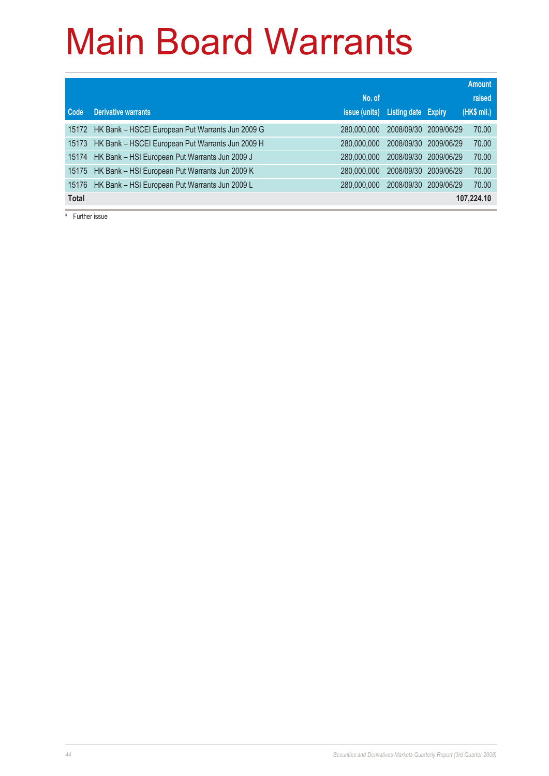|              |                                                  |               |                            |            | <b>Amount</b> |
|--------------|--------------------------------------------------|---------------|----------------------------|------------|---------------|
|              |                                                  | No. of        |                            |            | raised        |
| Code         | <b>Derivative warrants</b>                       | issue (units) | <b>Listing date Expiry</b> |            | (HK\$ mil.)   |
| 15172        | HK Bank - HSCEI European Put Warrants Jun 2009 G | 280,000,000   | 2008/09/30                 | 2009/06/29 | 70.00         |
| 15173        | HK Bank - HSCEI European Put Warrants Jun 2009 H | 280,000,000   | 2008/09/30                 | 2009/06/29 | 70.00         |
| 15174        | HK Bank - HSI European Put Warrants Jun 2009 J   | 280,000,000   | 2008/09/30                 | 2009/06/29 | 70.00         |
| 15175        | HK Bank - HSI European Put Warrants Jun 2009 K   | 280,000,000   | 2008/09/30                 | 2009/06/29 | 70.00         |
| 15176        | HK Bank - HSI European Put Warrants Jun 2009 L   | 280,000,000   | 2008/09/30                 | 2009/06/29 | 70.00         |
| <b>Total</b> |                                                  |               |                            |            | 107,224.10    |

# Further issue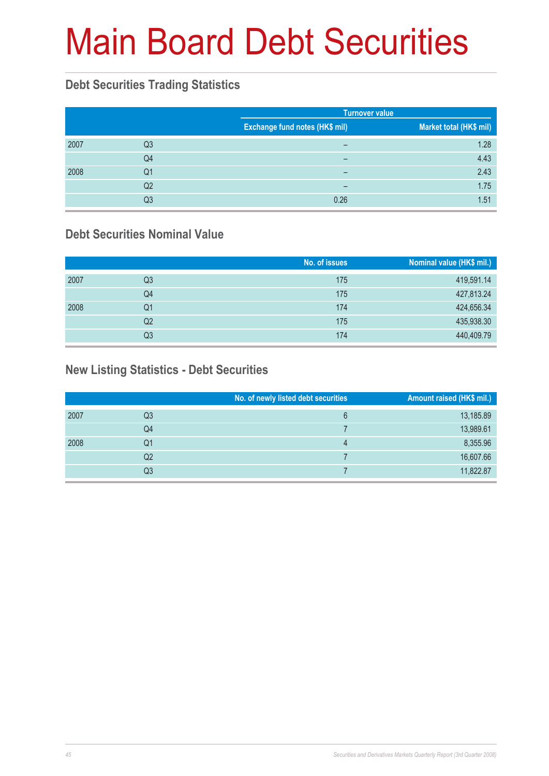# Main Board Debt Securities

#### **Debt Securities Trading Statistics**

|      |                |                                | <b>Turnover value</b>   |  |  |
|------|----------------|--------------------------------|-------------------------|--|--|
|      |                | Exchange fund notes (HK\$ mil) | Market total (HK\$ mil) |  |  |
| 2007 | Q3             | -                              | 1.28                    |  |  |
|      | Q4             | -                              | 4.43                    |  |  |
| 2008 | Q1             | -                              | 2.43                    |  |  |
|      | Q <sub>2</sub> | -                              | 1.75                    |  |  |
|      | Q3             | 0.26                           | 1.51                    |  |  |

#### **Debt Securities Nominal Value**

|      |    | No. of issues | Nominal value (HK\$ mil.) |
|------|----|---------------|---------------------------|
| 2007 | Q3 | 175           | 419,591.14                |
|      | Q4 | 175           | 427,813.24                |
| 2008 | Q1 | 174           | 424,656.34                |
|      | Q2 | 175           | 435,938.30                |
|      | Q3 | 174           | 440,409.79                |

#### **New Listing Statistics - Debt Securities**

|      |    | No. of newly listed debt securities | Amount raised (HK\$ mil.) |
|------|----|-------------------------------------|---------------------------|
| 2007 | Q3 | 6                                   | 13,185.89                 |
|      | Q4 |                                     | 13,989.61                 |
| 2008 | Q1 | 4                                   | 8,355.96                  |
|      | Q2 |                                     | 16,607.66                 |
|      | Q3 |                                     | 11,822.87                 |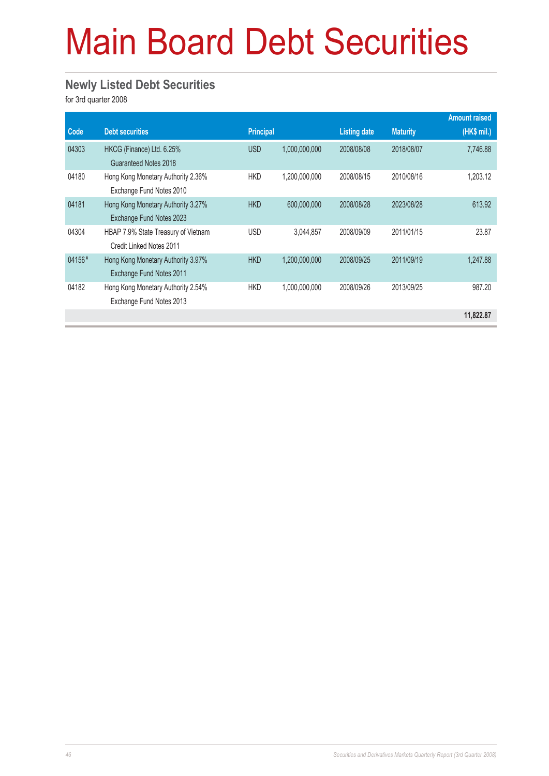# Main Board Debt Securities

#### **Newly Listed Debt Securities**

for 3rd quarter 2008

|        |                                                                 |                  |               |                     |                 | <b>Amount raised</b> |
|--------|-----------------------------------------------------------------|------------------|---------------|---------------------|-----------------|----------------------|
| Code   | <b>Debt securities</b>                                          | <b>Principal</b> |               | <b>Listing date</b> | <b>Maturity</b> | $(HK$$ mil.)         |
| 04303  | HKCG (Finance) Ltd. 6.25%<br>Guaranteed Notes 2018              | <b>USD</b>       | 1,000,000,000 | 2008/08/08          | 2018/08/07      | 7,746.88             |
| 04180  | Hong Kong Monetary Authority 2.36%<br>Exchange Fund Notes 2010  | <b>HKD</b>       | 1,200,000,000 | 2008/08/15          | 2010/08/16      | 1,203.12             |
| 04181  | Hong Kong Monetary Authority 3.27%<br>Exchange Fund Notes 2023  | <b>HKD</b>       | 600,000,000   | 2008/08/28          | 2023/08/28      | 613.92               |
| 04304  | HBAP 7.9% State Treasury of Vietnam<br>Credit Linked Notes 2011 | <b>USD</b>       | 3,044,857     | 2008/09/09          | 2011/01/15      | 23.87                |
| 04156# | Hong Kong Monetary Authority 3.97%<br>Exchange Fund Notes 2011  | <b>HKD</b>       | 1,200,000,000 | 2008/09/25          | 2011/09/19      | 1.247.88             |
| 04182  | Hong Kong Monetary Authority 2.54%<br>Exchange Fund Notes 2013  | <b>HKD</b>       | 1,000,000,000 | 2008/09/26          | 2013/09/25      | 987.20               |
|        |                                                                 |                  |               |                     |                 | 11,822.87            |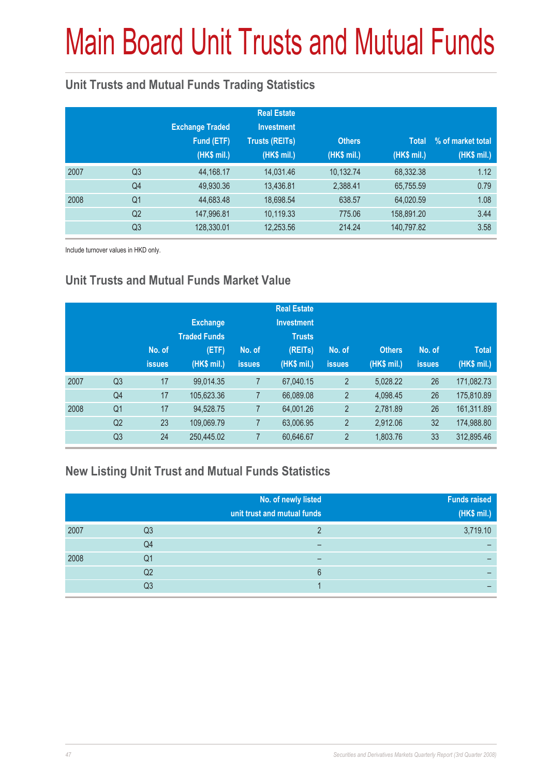# Main Board Unit Trusts and Mutual Funds

#### **Unit Trusts and Mutual Funds Trading Statistics**

|      |                | <b>Exchange Traded</b><br>Fund (ETF)<br>(HK\$ mil.) | <b>Real Estate</b><br><b>Investment</b><br><b>Trusts (REITs)</b><br>(HK\$ mil.) | <b>Others</b><br>(HK\$ mil.) | <b>Total</b><br>(HK\$ mil.) | % of market total<br>(HK\$ mil.) |
|------|----------------|-----------------------------------------------------|---------------------------------------------------------------------------------|------------------------------|-----------------------------|----------------------------------|
| 2007 | Q <sub>3</sub> | 44,168.17                                           | 14,031.46                                                                       | 10,132.74                    | 68,332.38                   | 1.12                             |
|      | Q4             | 49,930.36                                           | 13,436.81                                                                       | 2,388.41                     | 65,755.59                   | 0.79                             |
| 2008 | Q <sub>1</sub> | 44,683.48                                           | 18,698.54                                                                       | 638.57                       | 64,020.59                   | 1.08                             |
|      | Q <sub>2</sub> | 147,996.81                                          | 10,119.33                                                                       | 775.06                       | 158,891.20                  | 3.44                             |
|      | Q <sub>3</sub> | 128,330.01                                          | 12,253.56                                                                       | 214.24                       | 140,797.82                  | 3.58                             |

Include turnover values in HKD only.

#### **Unit Trusts and Mutual Funds Market Value**

|                | No. of<br><b>issues</b> | <b>Exchange</b><br><b>Traded Funds</b><br>(ETF)<br>(HK\$ mil.) | No. of<br>issues | <b>Real Estate</b><br><b>Investment</b><br><b>Trusts</b><br>(REITs)<br>(HK\$ mil.) | No. of<br><b>issues</b> | <b>Others</b><br>(HK\$ mil.) | No. of<br><b>issues</b> | <b>Total</b><br>(HK\$ mil.) |
|----------------|-------------------------|----------------------------------------------------------------|------------------|------------------------------------------------------------------------------------|-------------------------|------------------------------|-------------------------|-----------------------------|
| Q <sub>3</sub> | 17                      | 99.014.35                                                      |                  | 67,040.15                                                                          | $\overline{2}$          | 5.028.22                     | 26                      | 171,082.73                  |
| Q4             | 17                      | 105,623.36                                                     | 7                | 66,089.08                                                                          | $\overline{2}$          | 4.098.45                     | 26                      | 175,810.89                  |
| Q <sub>1</sub> | 17                      | 94.528.75                                                      | 7                | 64,001.26                                                                          | $\overline{2}$          | 2.781.89                     | 26                      | 161,311.89                  |
| Q <sub>2</sub> | 23                      | 109,069.79                                                     | 7                | 63,006.95                                                                          | $\overline{2}$          | 2.912.06                     | 32                      | 174,988.80                  |
| Q <sub>3</sub> | 24                      | 250,445.02                                                     | 7                | 60,646.67                                                                          | $\overline{2}$          | 1,803.76                     | 33                      | 312,895.46                  |
|                |                         |                                                                |                  |                                                                                    |                         |                              |                         |                             |

#### **New Listing Unit Trust and Mutual Funds Statistics**

|      |    | No. of newly listed<br>unit trust and mutual funds | <b>Funds raised</b><br>(HK\$ mil.) |
|------|----|----------------------------------------------------|------------------------------------|
| 2007 | Q3 |                                                    | 3,719.10                           |
|      | Q4 | –                                                  |                                    |
| 2008 | Q1 | -                                                  | -                                  |
|      | Q2 | 6                                                  |                                    |
|      | Q3 |                                                    |                                    |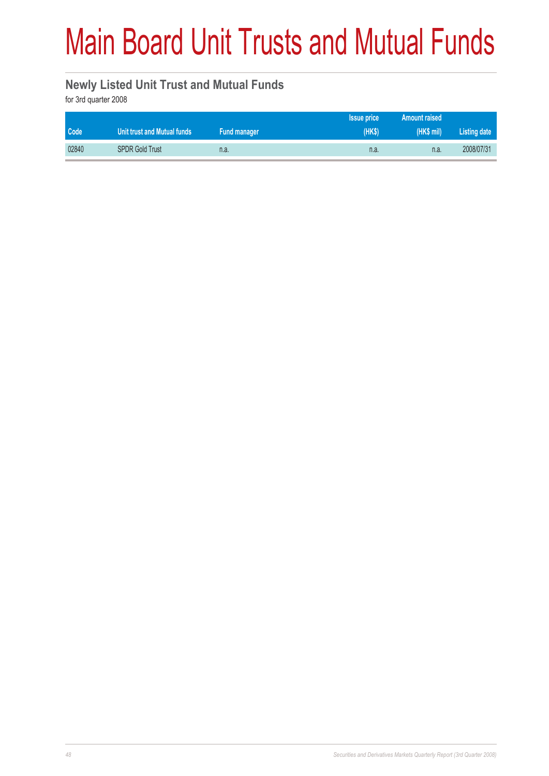# Main Board Unit Trusts and Mutual Funds

#### **Newly Listed Unit Trust and Mutual Funds**

for 3rd quarter 2008

|       |                             |              | <b>Issue price</b> | <b>Amount raised</b> |              |
|-------|-----------------------------|--------------|--------------------|----------------------|--------------|
| Code  | Unit trust and Mutual funds | Fund manager | (HKS)              | (HK\$ mi)            | Listing date |
| 02840 | <b>SPDR Gold Trust</b>      | n.a.         | n.a.               | n.a.                 | 2008/07/31   |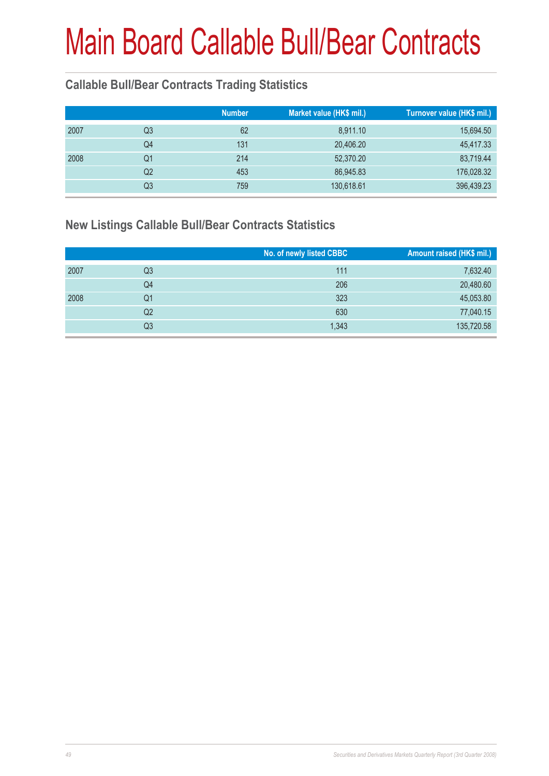#### **Callable Bull/Bear Contracts Trading Statistics**

|      |    | <b>Number</b> | Market value (HK\$ mil.) | Turnover value (HK\$ mil.) |
|------|----|---------------|--------------------------|----------------------------|
| 2007 | Q3 | 62            | 8,911.10                 | 15,694.50                  |
|      | Q4 | 131           | 20,406.20                | 45,417.33                  |
| 2008 | Q1 | 214           | 52,370.20                | 83,719.44                  |
|      | Q2 | 453           | 86,945.83                | 176,028.32                 |
|      | Q3 | 759           | 130,618.61               | 396,439.23                 |

#### **New Listings Callable Bull/Bear Contracts Statistics**

|      |                | No. of newly listed CBBC | Amount raised (HK\$ mil.) |
|------|----------------|--------------------------|---------------------------|
| 2007 | Q <sub>3</sub> | 111                      | 7,632.40                  |
|      | Q4             | 206                      | 20,480.60                 |
| 2008 | Q1             | 323                      | 45,053.80                 |
|      | Q2             | 630                      | 77,040.15                 |
|      | Q3             | 1,343                    | 135,720.58                |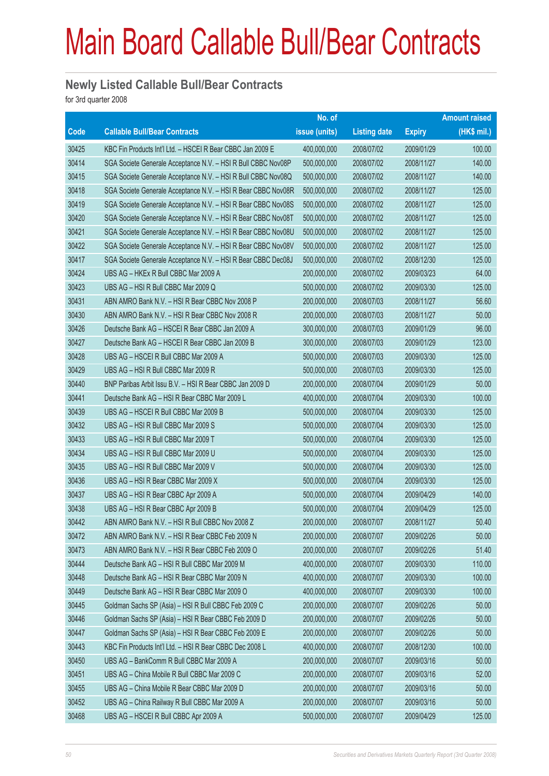#### **Newly Listed Callable Bull/Bear Contracts**

for 3rd quarter 2008

|       |                                                               | No. of        |                     |               | <b>Amount raised</b> |
|-------|---------------------------------------------------------------|---------------|---------------------|---------------|----------------------|
| Code  | <b>Callable Bull/Bear Contracts</b>                           | issue (units) | <b>Listing date</b> | <b>Expiry</b> | (HK\$ mil.)          |
| 30425 | KBC Fin Products Int'l Ltd. - HSCEI R Bear CBBC Jan 2009 E    | 400,000,000   | 2008/07/02          | 2009/01/29    | 100.00               |
| 30414 | SGA Societe Generale Acceptance N.V. - HSI R Bull CBBC Nov08P | 500,000,000   | 2008/07/02          | 2008/11/27    | 140.00               |
| 30415 | SGA Societe Generale Acceptance N.V. - HSI R Bull CBBC Nov08Q | 500,000,000   | 2008/07/02          | 2008/11/27    | 140.00               |
| 30418 | SGA Societe Generale Acceptance N.V. - HSI R Bear CBBC Nov08R | 500,000,000   | 2008/07/02          | 2008/11/27    | 125.00               |
| 30419 | SGA Societe Generale Acceptance N.V. - HSI R Bear CBBC Nov08S | 500,000,000   | 2008/07/02          | 2008/11/27    | 125.00               |
| 30420 | SGA Societe Generale Acceptance N.V. - HSI R Bear CBBC Nov08T | 500,000,000   | 2008/07/02          | 2008/11/27    | 125.00               |
| 30421 | SGA Societe Generale Acceptance N.V. - HSI R Bear CBBC Nov08U | 500,000,000   | 2008/07/02          | 2008/11/27    | 125.00               |
| 30422 | SGA Societe Generale Acceptance N.V. - HSI R Bear CBBC Nov08V | 500,000,000   | 2008/07/02          | 2008/11/27    | 125.00               |
| 30417 | SGA Societe Generale Acceptance N.V. - HSI R Bear CBBC Dec08J | 500,000,000   | 2008/07/02          | 2008/12/30    | 125.00               |
| 30424 | UBS AG - HKEx R Bull CBBC Mar 2009 A                          | 200,000,000   | 2008/07/02          | 2009/03/23    | 64.00                |
| 30423 | UBS AG - HSI R Bull CBBC Mar 2009 Q                           | 500,000,000   | 2008/07/02          | 2009/03/30    | 125.00               |
| 30431 | ABN AMRO Bank N.V. - HSI R Bear CBBC Nov 2008 P               | 200,000,000   | 2008/07/03          | 2008/11/27    | 56.60                |
| 30430 | ABN AMRO Bank N.V. - HSI R Bear CBBC Nov 2008 R               | 200,000,000   | 2008/07/03          | 2008/11/27    | 50.00                |
| 30426 | Deutsche Bank AG - HSCEI R Bear CBBC Jan 2009 A               | 300,000,000   | 2008/07/03          | 2009/01/29    | 96.00                |
| 30427 | Deutsche Bank AG - HSCEI R Bear CBBC Jan 2009 B               | 300,000,000   | 2008/07/03          | 2009/01/29    | 123.00               |
| 30428 | UBS AG - HSCEI R Bull CBBC Mar 2009 A                         | 500,000,000   | 2008/07/03          | 2009/03/30    | 125.00               |
| 30429 | UBS AG - HSI R Bull CBBC Mar 2009 R                           | 500,000,000   | 2008/07/03          | 2009/03/30    | 125.00               |
| 30440 | BNP Paribas Arbit Issu B.V. - HSI R Bear CBBC Jan 2009 D      | 200,000,000   | 2008/07/04          | 2009/01/29    | 50.00                |
| 30441 | Deutsche Bank AG - HSI R Bear CBBC Mar 2009 L                 | 400,000,000   | 2008/07/04          | 2009/03/30    | 100.00               |
| 30439 | UBS AG - HSCEI R Bull CBBC Mar 2009 B                         | 500,000,000   | 2008/07/04          | 2009/03/30    | 125.00               |
| 30432 | UBS AG - HSI R Bull CBBC Mar 2009 S                           | 500,000,000   | 2008/07/04          | 2009/03/30    | 125.00               |
| 30433 | UBS AG - HSI R Bull CBBC Mar 2009 T                           | 500,000,000   | 2008/07/04          | 2009/03/30    | 125.00               |
| 30434 | UBS AG - HSI R Bull CBBC Mar 2009 U                           | 500,000,000   | 2008/07/04          | 2009/03/30    | 125.00               |
| 30435 | UBS AG - HSI R Bull CBBC Mar 2009 V                           | 500,000,000   | 2008/07/04          | 2009/03/30    | 125.00               |
| 30436 | UBS AG - HSI R Bear CBBC Mar 2009 X                           | 500,000,000   | 2008/07/04          | 2009/03/30    | 125.00               |
| 30437 | UBS AG - HSI R Bear CBBC Apr 2009 A                           | 500,000,000   | 2008/07/04          | 2009/04/29    | 140.00               |
| 30438 | UBS AG - HSI R Bear CBBC Apr 2009 B                           | 500,000,000   | 2008/07/04          | 2009/04/29    | 125.00               |
| 30442 | ABN AMRO Bank N.V. - HSI R Bull CBBC Nov 2008 Z               | 200,000,000   | 2008/07/07          | 2008/11/27    | 50.40                |
| 30472 | ABN AMRO Bank N.V. - HSI R Bear CBBC Feb 2009 N               | 200,000,000   | 2008/07/07          | 2009/02/26    | 50.00                |
| 30473 | ABN AMRO Bank N.V. - HSI R Bear CBBC Feb 2009 O               | 200,000,000   | 2008/07/07          | 2009/02/26    | 51.40                |
| 30444 | Deutsche Bank AG - HSI R Bull CBBC Mar 2009 M                 | 400,000,000   | 2008/07/07          | 2009/03/30    | 110.00               |
| 30448 | Deutsche Bank AG - HSI R Bear CBBC Mar 2009 N                 | 400,000,000   | 2008/07/07          | 2009/03/30    | 100.00               |
| 30449 | Deutsche Bank AG - HSI R Bear CBBC Mar 2009 O                 | 400,000,000   | 2008/07/07          | 2009/03/30    | 100.00               |
| 30445 | Goldman Sachs SP (Asia) - HSI R Bull CBBC Feb 2009 C          | 200,000,000   | 2008/07/07          | 2009/02/26    | 50.00                |
| 30446 | Goldman Sachs SP (Asia) - HSI R Bear CBBC Feb 2009 D          | 200,000,000   | 2008/07/07          | 2009/02/26    | 50.00                |
| 30447 | Goldman Sachs SP (Asia) - HSI R Bear CBBC Feb 2009 E          | 200,000,000   | 2008/07/07          | 2009/02/26    | 50.00                |
| 30443 | KBC Fin Products Int'l Ltd. - HSI R Bear CBBC Dec 2008 L      | 400,000,000   | 2008/07/07          | 2008/12/30    | 100.00               |
| 30450 | UBS AG - BankComm R Bull CBBC Mar 2009 A                      | 200,000,000   | 2008/07/07          | 2009/03/16    | 50.00                |
| 30451 | UBS AG - China Mobile R Bull CBBC Mar 2009 C                  | 200,000,000   | 2008/07/07          | 2009/03/16    | 52.00                |
| 30455 | UBS AG - China Mobile R Bear CBBC Mar 2009 D                  | 200,000,000   | 2008/07/07          | 2009/03/16    | 50.00                |
| 30452 | UBS AG - China Railway R Bull CBBC Mar 2009 A                 | 200,000,000   | 2008/07/07          | 2009/03/16    | 50.00                |
| 30468 | UBS AG - HSCEI R Bull CBBC Apr 2009 A                         | 500,000,000   | 2008/07/07          | 2009/04/29    | 125.00               |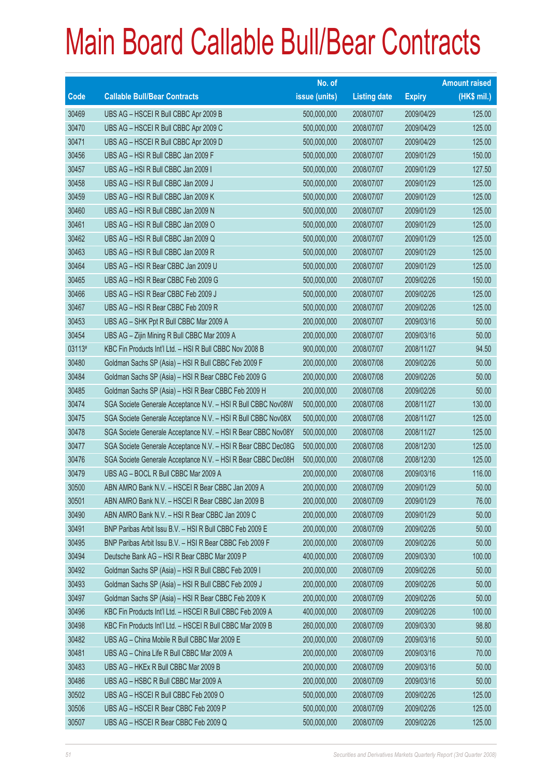|        |                                                               | No. of        |                     |               | <b>Amount raised</b> |
|--------|---------------------------------------------------------------|---------------|---------------------|---------------|----------------------|
| Code   | <b>Callable Bull/Bear Contracts</b>                           | issue (units) | <b>Listing date</b> | <b>Expiry</b> | (HK\$ mil.)          |
| 30469  | UBS AG - HSCEI R Bull CBBC Apr 2009 B                         | 500,000,000   | 2008/07/07          | 2009/04/29    | 125.00               |
| 30470  | UBS AG - HSCEI R Bull CBBC Apr 2009 C                         | 500,000,000   | 2008/07/07          | 2009/04/29    | 125.00               |
| 30471  | UBS AG - HSCEI R Bull CBBC Apr 2009 D                         | 500,000,000   | 2008/07/07          | 2009/04/29    | 125.00               |
| 30456  | UBS AG - HSI R Bull CBBC Jan 2009 F                           | 500,000,000   | 2008/07/07          | 2009/01/29    | 150.00               |
| 30457  | UBS AG - HSI R Bull CBBC Jan 2009 I                           | 500,000,000   | 2008/07/07          | 2009/01/29    | 127.50               |
| 30458  | UBS AG - HSI R Bull CBBC Jan 2009 J                           | 500,000,000   | 2008/07/07          | 2009/01/29    | 125.00               |
| 30459  | UBS AG - HSI R Bull CBBC Jan 2009 K                           | 500,000,000   | 2008/07/07          | 2009/01/29    | 125.00               |
| 30460  | UBS AG - HSI R Bull CBBC Jan 2009 N                           | 500,000,000   | 2008/07/07          | 2009/01/29    | 125.00               |
| 30461  | UBS AG - HSI R Bull CBBC Jan 2009 O                           | 500,000,000   | 2008/07/07          | 2009/01/29    | 125.00               |
| 30462  | UBS AG - HSI R Bull CBBC Jan 2009 Q                           | 500,000,000   | 2008/07/07          | 2009/01/29    | 125.00               |
| 30463  | UBS AG - HSI R Bull CBBC Jan 2009 R                           | 500,000,000   | 2008/07/07          | 2009/01/29    | 125.00               |
| 30464  | UBS AG - HSI R Bear CBBC Jan 2009 U                           | 500,000,000   | 2008/07/07          | 2009/01/29    | 125.00               |
| 30465  | UBS AG - HSI R Bear CBBC Feb 2009 G                           | 500,000,000   | 2008/07/07          | 2009/02/26    | 150.00               |
| 30466  | UBS AG - HSI R Bear CBBC Feb 2009 J                           | 500,000,000   | 2008/07/07          | 2009/02/26    | 125.00               |
| 30467  | UBS AG - HSI R Bear CBBC Feb 2009 R                           | 500,000,000   | 2008/07/07          | 2009/02/26    | 125.00               |
| 30453  | UBS AG - SHK Ppt R Bull CBBC Mar 2009 A                       | 200,000,000   | 2008/07/07          | 2009/03/16    | 50.00                |
| 30454  | UBS AG - Zijin Mining R Bull CBBC Mar 2009 A                  | 200,000,000   | 2008/07/07          | 2009/03/16    | 50.00                |
| 03113# | KBC Fin Products Int'l Ltd. - HSI R Bull CBBC Nov 2008 B      | 900,000,000   | 2008/07/07          | 2008/11/27    | 94.50                |
| 30480  | Goldman Sachs SP (Asia) - HSI R Bull CBBC Feb 2009 F          | 200,000,000   | 2008/07/08          | 2009/02/26    | 50.00                |
| 30484  | Goldman Sachs SP (Asia) - HSI R Bear CBBC Feb 2009 G          | 200,000,000   | 2008/07/08          | 2009/02/26    | 50.00                |
| 30485  | Goldman Sachs SP (Asia) - HSI R Bear CBBC Feb 2009 H          | 200,000,000   | 2008/07/08          | 2009/02/26    | 50.00                |
| 30474  | SGA Societe Generale Acceptance N.V. - HSI R Bull CBBC Nov08W | 500,000,000   | 2008/07/08          | 2008/11/27    | 130.00               |
| 30475  | SGA Societe Generale Acceptance N.V. - HSI R Bull CBBC Nov08X | 500,000,000   | 2008/07/08          | 2008/11/27    | 125.00               |
| 30478  | SGA Societe Generale Acceptance N.V. - HSI R Bear CBBC Nov08Y | 500,000,000   | 2008/07/08          | 2008/11/27    | 125.00               |
| 30477  | SGA Societe Generale Acceptance N.V. - HSI R Bear CBBC Dec08G | 500,000,000   | 2008/07/08          | 2008/12/30    | 125.00               |
| 30476  | SGA Societe Generale Acceptance N.V. - HSI R Bear CBBC Dec08H | 500,000,000   | 2008/07/08          | 2008/12/30    | 125.00               |
| 30479  | UBS AG - BOCL R Bull CBBC Mar 2009 A                          | 200,000,000   | 2008/07/08          | 2009/03/16    | 116.00               |
| 30500  | ABN AMRO Bank N.V. - HSCEI R Bear CBBC Jan 2009 A             | 200,000,000   | 2008/07/09          | 2009/01/29    | 50.00                |
| 30501  | ABN AMRO Bank N.V. - HSCEI R Bear CBBC Jan 2009 B             | 200,000,000   | 2008/07/09          | 2009/01/29    | 76.00                |
| 30490  | ABN AMRO Bank N.V. - HSI R Bear CBBC Jan 2009 C               | 200,000,000   | 2008/07/09          | 2009/01/29    | 50.00                |
| 30491  | BNP Paribas Arbit Issu B.V. - HSI R Bull CBBC Feb 2009 E      | 200,000,000   | 2008/07/09          | 2009/02/26    | 50.00                |
| 30495  | BNP Paribas Arbit Issu B.V. - HSI R Bear CBBC Feb 2009 F      | 200,000,000   | 2008/07/09          | 2009/02/26    | 50.00                |
| 30494  | Deutsche Bank AG - HSI R Bear CBBC Mar 2009 P                 | 400,000,000   | 2008/07/09          | 2009/03/30    | 100.00               |
| 30492  | Goldman Sachs SP (Asia) - HSI R Bull CBBC Feb 2009 I          | 200,000,000   | 2008/07/09          | 2009/02/26    | 50.00                |
| 30493  | Goldman Sachs SP (Asia) - HSI R Bull CBBC Feb 2009 J          | 200,000,000   | 2008/07/09          | 2009/02/26    | 50.00                |
| 30497  | Goldman Sachs SP (Asia) - HSI R Bear CBBC Feb 2009 K          | 200,000,000   | 2008/07/09          | 2009/02/26    | 50.00                |
| 30496  | KBC Fin Products Int'l Ltd. - HSCEI R Bull CBBC Feb 2009 A    | 400,000,000   | 2008/07/09          | 2009/02/26    | 100.00               |
| 30498  | KBC Fin Products Int'l Ltd. - HSCEI R Bull CBBC Mar 2009 B    | 260,000,000   | 2008/07/09          | 2009/03/30    | 98.80                |
| 30482  | UBS AG - China Mobile R Bull CBBC Mar 2009 E                  | 200,000,000   | 2008/07/09          | 2009/03/16    | 50.00                |
| 30481  | UBS AG - China Life R Bull CBBC Mar 2009 A                    | 200,000,000   | 2008/07/09          | 2009/03/16    | 70.00                |
| 30483  | UBS AG - HKEx R Bull CBBC Mar 2009 B                          | 200,000,000   | 2008/07/09          | 2009/03/16    | 50.00                |
| 30486  | UBS AG - HSBC R Bull CBBC Mar 2009 A                          | 200,000,000   | 2008/07/09          | 2009/03/16    | 50.00                |
| 30502  | UBS AG - HSCEI R Bull CBBC Feb 2009 O                         | 500,000,000   | 2008/07/09          | 2009/02/26    | 125.00               |
| 30506  | UBS AG - HSCEIR Bear CBBC Feb 2009 P                          | 500,000,000   | 2008/07/09          | 2009/02/26    | 125.00               |
| 30507  | UBS AG - HSCEI R Bear CBBC Feb 2009 Q                         | 500,000,000   | 2008/07/09          | 2009/02/26    | 125.00               |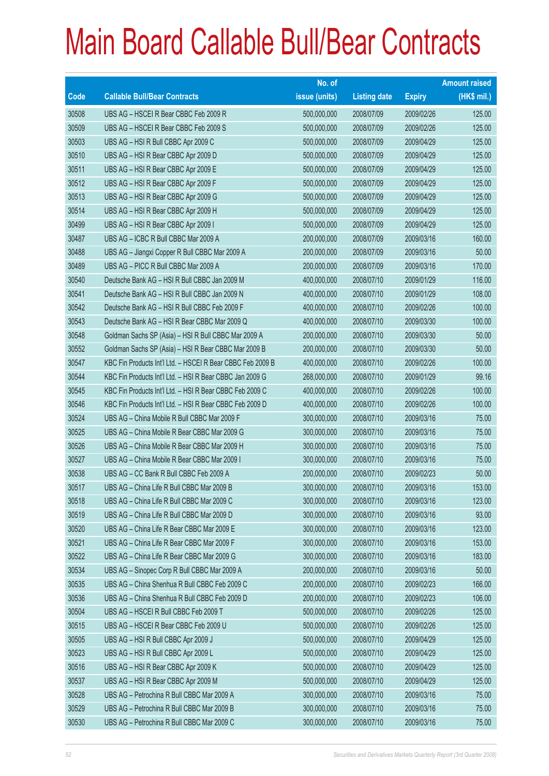|             |                                                            | No. of        |                     |               | <b>Amount raised</b> |
|-------------|------------------------------------------------------------|---------------|---------------------|---------------|----------------------|
| <b>Code</b> | <b>Callable Bull/Bear Contracts</b>                        | issue (units) | <b>Listing date</b> | <b>Expiry</b> | $(HK$$ mil.)         |
| 30508       | UBS AG - HSCEI R Bear CBBC Feb 2009 R                      | 500,000,000   | 2008/07/09          | 2009/02/26    | 125.00               |
| 30509       | UBS AG - HSCEI R Bear CBBC Feb 2009 S                      | 500,000,000   | 2008/07/09          | 2009/02/26    | 125.00               |
| 30503       | UBS AG - HSI R Bull CBBC Apr 2009 C                        | 500,000,000   | 2008/07/09          | 2009/04/29    | 125.00               |
| 30510       | UBS AG - HSI R Bear CBBC Apr 2009 D                        | 500,000,000   | 2008/07/09          | 2009/04/29    | 125.00               |
| 30511       | UBS AG - HSI R Bear CBBC Apr 2009 E                        | 500,000,000   | 2008/07/09          | 2009/04/29    | 125.00               |
| 30512       | UBS AG - HSI R Bear CBBC Apr 2009 F                        | 500,000,000   | 2008/07/09          | 2009/04/29    | 125.00               |
| 30513       | UBS AG - HSI R Bear CBBC Apr 2009 G                        | 500,000,000   | 2008/07/09          | 2009/04/29    | 125.00               |
| 30514       | UBS AG - HSI R Bear CBBC Apr 2009 H                        | 500,000,000   | 2008/07/09          | 2009/04/29    | 125.00               |
| 30499       | UBS AG - HSI R Bear CBBC Apr 2009 I                        | 500,000,000   | 2008/07/09          | 2009/04/29    | 125.00               |
| 30487       | UBS AG - ICBC R Bull CBBC Mar 2009 A                       | 200,000,000   | 2008/07/09          | 2009/03/16    | 160.00               |
| 30488       | UBS AG - Jiangxi Copper R Bull CBBC Mar 2009 A             | 200,000,000   | 2008/07/09          | 2009/03/16    | 50.00                |
| 30489       | UBS AG - PICC R Bull CBBC Mar 2009 A                       | 200,000,000   | 2008/07/09          | 2009/03/16    | 170.00               |
| 30540       | Deutsche Bank AG - HSI R Bull CBBC Jan 2009 M              | 400,000,000   | 2008/07/10          | 2009/01/29    | 116.00               |
| 30541       | Deutsche Bank AG - HSI R Bull CBBC Jan 2009 N              | 400,000,000   | 2008/07/10          | 2009/01/29    | 108.00               |
| 30542       | Deutsche Bank AG - HSI R Bull CBBC Feb 2009 F              | 400,000,000   | 2008/07/10          | 2009/02/26    | 100.00               |
| 30543       | Deutsche Bank AG - HSI R Bear CBBC Mar 2009 Q              | 400,000,000   | 2008/07/10          | 2009/03/30    | 100.00               |
| 30548       | Goldman Sachs SP (Asia) - HSI R Bull CBBC Mar 2009 A       | 200,000,000   | 2008/07/10          | 2009/03/30    | 50.00                |
| 30552       | Goldman Sachs SP (Asia) - HSI R Bear CBBC Mar 2009 B       | 200,000,000   | 2008/07/10          | 2009/03/30    | 50.00                |
| 30547       | KBC Fin Products Int'l Ltd. - HSCEI R Bear CBBC Feb 2009 B | 400,000,000   | 2008/07/10          | 2009/02/26    | 100.00               |
| 30544       | KBC Fin Products Int'l Ltd. - HSI R Bear CBBC Jan 2009 G   | 268,000,000   | 2008/07/10          | 2009/01/29    | 99.16                |
| 30545       | KBC Fin Products Int'l Ltd. - HSI R Bear CBBC Feb 2009 C   | 400,000,000   | 2008/07/10          | 2009/02/26    | 100.00               |
| 30546       | KBC Fin Products Int'l Ltd. - HSI R Bear CBBC Feb 2009 D   | 400,000,000   | 2008/07/10          | 2009/02/26    | 100.00               |
| 30524       | UBS AG - China Mobile R Bull CBBC Mar 2009 F               | 300,000,000   | 2008/07/10          | 2009/03/16    | 75.00                |
| 30525       | UBS AG - China Mobile R Bear CBBC Mar 2009 G               | 300,000,000   | 2008/07/10          | 2009/03/16    | 75.00                |
| 30526       | UBS AG - China Mobile R Bear CBBC Mar 2009 H               | 300,000,000   | 2008/07/10          | 2009/03/16    | 75.00                |
| 30527       | UBS AG - China Mobile R Bear CBBC Mar 2009 I               | 300,000,000   | 2008/07/10          | 2009/03/16    | 75.00                |
| 30538       | UBS AG - CC Bank R Bull CBBC Feb 2009 A                    | 200,000,000   | 2008/07/10          | 2009/02/23    | 50.00                |
| 30517       | UBS AG - China Life R Bull CBBC Mar 2009 B                 | 300,000,000   | 2008/07/10          | 2009/03/16    | 153.00               |
| 30518       | UBS AG - China Life R Bull CBBC Mar 2009 C                 | 300,000,000   | 2008/07/10          | 2009/03/16    | 123.00               |
| 30519       | UBS AG - China Life R Bull CBBC Mar 2009 D                 | 300,000,000   | 2008/07/10          | 2009/03/16    | 93.00                |
| 30520       | UBS AG - China Life R Bear CBBC Mar 2009 E                 | 300,000,000   | 2008/07/10          | 2009/03/16    | 123.00               |
| 30521       | UBS AG - China Life R Bear CBBC Mar 2009 F                 | 300,000,000   | 2008/07/10          | 2009/03/16    | 153.00               |
| 30522       | UBS AG - China Life R Bear CBBC Mar 2009 G                 | 300,000,000   | 2008/07/10          | 2009/03/16    | 183.00               |
| 30534       | UBS AG - Sinopec Corp R Bull CBBC Mar 2009 A               | 200,000,000   | 2008/07/10          | 2009/03/16    | 50.00                |
| 30535       | UBS AG - China Shenhua R Bull CBBC Feb 2009 C              | 200,000,000   | 2008/07/10          | 2009/02/23    | 166.00               |
| 30536       | UBS AG - China Shenhua R Bull CBBC Feb 2009 D              | 200,000,000   | 2008/07/10          | 2009/02/23    | 106.00               |
| 30504       | UBS AG - HSCEI R Bull CBBC Feb 2009 T                      | 500,000,000   | 2008/07/10          | 2009/02/26    | 125.00               |
| 30515       | UBS AG - HSCEI R Bear CBBC Feb 2009 U                      | 500,000,000   | 2008/07/10          | 2009/02/26    | 125.00               |
| 30505       | UBS AG - HSI R Bull CBBC Apr 2009 J                        | 500,000,000   | 2008/07/10          | 2009/04/29    | 125.00               |
| 30523       | UBS AG - HSI R Bull CBBC Apr 2009 L                        | 500,000,000   | 2008/07/10          | 2009/04/29    | 125.00               |
| 30516       | UBS AG - HSI R Bear CBBC Apr 2009 K                        | 500,000,000   | 2008/07/10          | 2009/04/29    | 125.00               |
| 30537       | UBS AG - HSI R Bear CBBC Apr 2009 M                        | 500,000,000   | 2008/07/10          | 2009/04/29    | 125.00               |
| 30528       | UBS AG - Petrochina R Bull CBBC Mar 2009 A                 | 300,000,000   | 2008/07/10          | 2009/03/16    | 75.00                |
| 30529       | UBS AG - Petrochina R Bull CBBC Mar 2009 B                 | 300,000,000   | 2008/07/10          | 2009/03/16    | 75.00                |
| 30530       | UBS AG - Petrochina R Bull CBBC Mar 2009 C                 | 300,000,000   | 2008/07/10          | 2009/03/16    | 75.00                |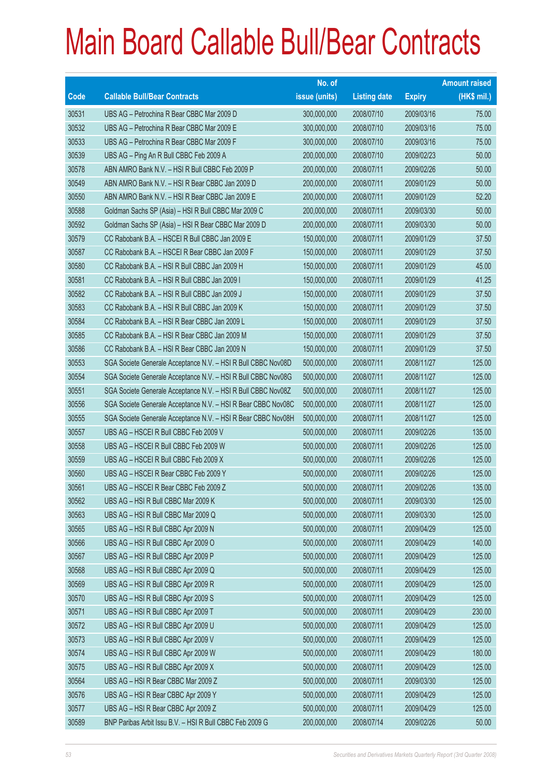|       |                                                               | No. of        |                     |               | <b>Amount raised</b> |
|-------|---------------------------------------------------------------|---------------|---------------------|---------------|----------------------|
| Code  | <b>Callable Bull/Bear Contracts</b>                           | issue (units) | <b>Listing date</b> | <b>Expiry</b> | $(HK$$ mil.)         |
| 30531 | UBS AG - Petrochina R Bear CBBC Mar 2009 D                    | 300,000,000   | 2008/07/10          | 2009/03/16    | 75.00                |
| 30532 | UBS AG - Petrochina R Bear CBBC Mar 2009 E                    | 300,000,000   | 2008/07/10          | 2009/03/16    | 75.00                |
| 30533 | UBS AG - Petrochina R Bear CBBC Mar 2009 F                    | 300,000,000   | 2008/07/10          | 2009/03/16    | 75.00                |
| 30539 | UBS AG - Ping An R Bull CBBC Feb 2009 A                       | 200,000,000   | 2008/07/10          | 2009/02/23    | 50.00                |
| 30578 | ABN AMRO Bank N.V. - HSI R Bull CBBC Feb 2009 P               | 200,000,000   | 2008/07/11          | 2009/02/26    | 50.00                |
| 30549 | ABN AMRO Bank N.V. - HSI R Bear CBBC Jan 2009 D               | 200,000,000   | 2008/07/11          | 2009/01/29    | 50.00                |
| 30550 | ABN AMRO Bank N.V. - HSI R Bear CBBC Jan 2009 E               | 200,000,000   | 2008/07/11          | 2009/01/29    | 52.20                |
| 30588 | Goldman Sachs SP (Asia) - HSI R Bull CBBC Mar 2009 C          | 200,000,000   | 2008/07/11          | 2009/03/30    | 50.00                |
| 30592 | Goldman Sachs SP (Asia) - HSI R Bear CBBC Mar 2009 D          | 200,000,000   | 2008/07/11          | 2009/03/30    | 50.00                |
| 30579 | CC Rabobank B.A. - HSCEI R Bull CBBC Jan 2009 E               | 150,000,000   | 2008/07/11          | 2009/01/29    | 37.50                |
| 30587 | CC Rabobank B.A. - HSCEI R Bear CBBC Jan 2009 F               | 150,000,000   | 2008/07/11          | 2009/01/29    | 37.50                |
| 30580 | CC Rabobank B.A. - HSI R Bull CBBC Jan 2009 H                 | 150,000,000   | 2008/07/11          | 2009/01/29    | 45.00                |
| 30581 | CC Rabobank B.A. - HSI R Bull CBBC Jan 2009 I                 | 150,000,000   | 2008/07/11          | 2009/01/29    | 41.25                |
| 30582 | CC Rabobank B.A. - HSI R Bull CBBC Jan 2009 J                 | 150,000,000   | 2008/07/11          | 2009/01/29    | 37.50                |
| 30583 | CC Rabobank B.A. - HSI R Bull CBBC Jan 2009 K                 | 150,000,000   | 2008/07/11          | 2009/01/29    | 37.50                |
| 30584 | CC Rabobank B.A. - HSI R Bear CBBC Jan 2009 L                 | 150,000,000   | 2008/07/11          | 2009/01/29    | 37.50                |
| 30585 | CC Rabobank B.A. - HSI R Bear CBBC Jan 2009 M                 | 150,000,000   | 2008/07/11          | 2009/01/29    | 37.50                |
| 30586 | CC Rabobank B.A. - HSI R Bear CBBC Jan 2009 N                 | 150,000,000   | 2008/07/11          | 2009/01/29    | 37.50                |
| 30553 | SGA Societe Generale Acceptance N.V. - HSI R Bull CBBC Nov08D | 500,000,000   | 2008/07/11          | 2008/11/27    | 125.00               |
| 30554 | SGA Societe Generale Acceptance N.V. - HSI R Bull CBBC Nov08G | 500,000,000   | 2008/07/11          | 2008/11/27    | 125.00               |
| 30551 | SGA Societe Generale Acceptance N.V. - HSI R Bull CBBC Nov08Z | 500,000,000   | 2008/07/11          | 2008/11/27    | 125.00               |
| 30556 | SGA Societe Generale Acceptance N.V. - HSI R Bear CBBC Nov08C | 500,000,000   | 2008/07/11          | 2008/11/27    | 125.00               |
| 30555 | SGA Societe Generale Acceptance N.V. - HSI R Bear CBBC Nov08H | 500,000,000   | 2008/07/11          | 2008/11/27    | 125.00               |
| 30557 | UBS AG - HSCEI R Bull CBBC Feb 2009 V                         | 500,000,000   | 2008/07/11          | 2009/02/26    | 135.00               |
| 30558 | UBS AG - HSCEI R Bull CBBC Feb 2009 W                         | 500,000,000   | 2008/07/11          | 2009/02/26    | 125.00               |
| 30559 | UBS AG - HSCEI R Bull CBBC Feb 2009 X                         | 500,000,000   | 2008/07/11          | 2009/02/26    | 125.00               |
| 30560 | UBS AG - HSCEI R Bear CBBC Feb 2009 Y                         | 500,000,000   | 2008/07/11          | 2009/02/26    | 125.00               |
| 30561 | UBS AG - HSCEI R Bear CBBC Feb 2009 Z                         | 500,000,000   | 2008/07/11          | 2009/02/26    | 135.00               |
| 30562 | UBS AG - HSI R Bull CBBC Mar 2009 K                           | 500,000,000   | 2008/07/11          | 2009/03/30    | 125.00               |
| 30563 | UBS AG - HSI R Bull CBBC Mar 2009 Q                           | 500,000,000   | 2008/07/11          | 2009/03/30    | 125.00               |
| 30565 | UBS AG - HSI R Bull CBBC Apr 2009 N                           | 500,000,000   | 2008/07/11          | 2009/04/29    | 125.00               |
| 30566 | UBS AG - HSI R Bull CBBC Apr 2009 O                           | 500,000,000   | 2008/07/11          | 2009/04/29    | 140.00               |
| 30567 | UBS AG - HSI R Bull CBBC Apr 2009 P                           | 500,000,000   | 2008/07/11          | 2009/04/29    | 125.00               |
| 30568 | UBS AG - HSI R Bull CBBC Apr 2009 Q                           | 500,000,000   | 2008/07/11          | 2009/04/29    | 125.00               |
| 30569 | UBS AG - HSI R Bull CBBC Apr 2009 R                           | 500,000,000   | 2008/07/11          | 2009/04/29    | 125.00               |
| 30570 | UBS AG - HSI R Bull CBBC Apr 2009 S                           | 500,000,000   | 2008/07/11          | 2009/04/29    | 125.00               |
| 30571 | UBS AG - HSI R Bull CBBC Apr 2009 T                           | 500,000,000   | 2008/07/11          | 2009/04/29    | 230.00               |
| 30572 | UBS AG - HSI R Bull CBBC Apr 2009 U                           | 500,000,000   | 2008/07/11          | 2009/04/29    | 125.00               |
| 30573 | UBS AG - HSI R Bull CBBC Apr 2009 V                           | 500,000,000   | 2008/07/11          | 2009/04/29    | 125.00               |
| 30574 | UBS AG - HSI R Bull CBBC Apr 2009 W                           | 500,000,000   | 2008/07/11          | 2009/04/29    | 180.00               |
| 30575 | UBS AG - HSI R Bull CBBC Apr 2009 X                           | 500,000,000   | 2008/07/11          | 2009/04/29    | 125.00               |
| 30564 | UBS AG - HSI R Bear CBBC Mar 2009 Z                           | 500,000,000   | 2008/07/11          | 2009/03/30    | 125.00               |
| 30576 | UBS AG - HSI R Bear CBBC Apr 2009 Y                           | 500,000,000   | 2008/07/11          | 2009/04/29    | 125.00               |
| 30577 | UBS AG - HSI R Bear CBBC Apr 2009 Z                           | 500,000,000   | 2008/07/11          | 2009/04/29    | 125.00               |
| 30589 | BNP Paribas Arbit Issu B.V. - HSI R Bull CBBC Feb 2009 G      | 200,000,000   | 2008/07/14          | 2009/02/26    | 50.00                |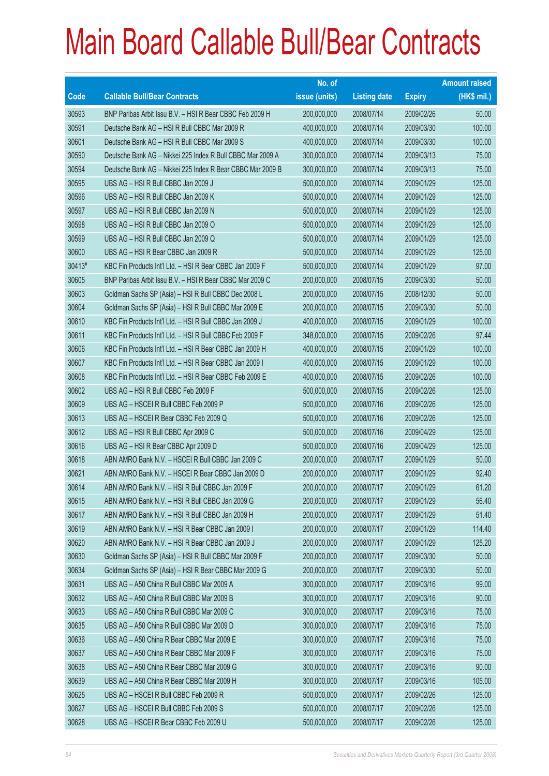|             |                                                            | No. of        |                     |               | <b>Amount raised</b> |
|-------------|------------------------------------------------------------|---------------|---------------------|---------------|----------------------|
| <b>Code</b> | <b>Callable Bull/Bear Contracts</b>                        | issue (units) | <b>Listing date</b> | <b>Expiry</b> | (HK\$ mil.)          |
| 30593       | BNP Paribas Arbit Issu B.V. - HSI R Bear CBBC Feb 2009 H   | 200,000,000   | 2008/07/14          | 2009/02/26    | 50.00                |
| 30591       | Deutsche Bank AG - HSI R Bull CBBC Mar 2009 R              | 400,000,000   | 2008/07/14          | 2009/03/30    | 100.00               |
| 30601       | Deutsche Bank AG - HSI R Bull CBBC Mar 2009 S              | 400,000,000   | 2008/07/14          | 2009/03/30    | 100.00               |
| 30590       | Deutsche Bank AG - Nikkei 225 Index R Bull CBBC Mar 2009 A | 300,000,000   | 2008/07/14          | 2009/03/13    | 75.00                |
| 30594       | Deutsche Bank AG - Nikkei 225 Index R Bear CBBC Mar 2009 B | 300,000,000   | 2008/07/14          | 2009/03/13    | 75.00                |
| 30595       | UBS AG - HSI R Bull CBBC Jan 2009 J                        | 500,000,000   | 2008/07/14          | 2009/01/29    | 125.00               |
| 30596       | UBS AG - HSI R Bull CBBC Jan 2009 K                        | 500,000,000   | 2008/07/14          | 2009/01/29    | 125.00               |
| 30597       | UBS AG - HSI R Bull CBBC Jan 2009 N                        | 500,000,000   | 2008/07/14          | 2009/01/29    | 125.00               |
| 30598       | UBS AG - HSI R Bull CBBC Jan 2009 O                        | 500,000,000   | 2008/07/14          | 2009/01/29    | 125.00               |
| 30599       | UBS AG - HSI R Bull CBBC Jan 2009 Q                        | 500,000,000   | 2008/07/14          | 2009/01/29    | 125.00               |
| 30600       | UBS AG - HSI R Bear CBBC Jan 2009 R                        | 500,000,000   | 2008/07/14          | 2009/01/29    | 125.00               |
| 30413#      | KBC Fin Products Int'l Ltd. - HSI R Bear CBBC Jan 2009 F   | 500,000,000   | 2008/07/14          | 2009/01/29    | 97.00                |
| 30605       | BNP Paribas Arbit Issu B.V. - HSI R Bear CBBC Mar 2009 C   | 200,000,000   | 2008/07/15          | 2009/03/30    | 50.00                |
| 30603       | Goldman Sachs SP (Asia) - HSI R Bull CBBC Dec 2008 L       | 200,000,000   | 2008/07/15          | 2008/12/30    | 50.00                |
| 30604       | Goldman Sachs SP (Asia) - HSI R Bull CBBC Mar 2009 E       | 200,000,000   | 2008/07/15          | 2009/03/30    | 50.00                |
| 30610       | KBC Fin Products Int'l Ltd. - HSI R Bull CBBC Jan 2009 J   | 400,000,000   | 2008/07/15          | 2009/01/29    | 100.00               |
| 30611       | KBC Fin Products Int'l Ltd. - HSI R Bull CBBC Feb 2009 F   | 348,000,000   | 2008/07/15          | 2009/02/26    | 97.44                |
| 30606       | KBC Fin Products Int'l Ltd. - HSI R Bear CBBC Jan 2009 H   | 400,000,000   | 2008/07/15          | 2009/01/29    | 100.00               |
| 30607       | KBC Fin Products Int'l Ltd. - HSI R Bear CBBC Jan 2009 I   | 400,000,000   | 2008/07/15          | 2009/01/29    | 100.00               |
| 30608       | KBC Fin Products Int'l Ltd. - HSI R Bear CBBC Feb 2009 E   | 400,000,000   | 2008/07/15          | 2009/02/26    | 100.00               |
| 30602       | UBS AG - HSI R Bull CBBC Feb 2009 F                        | 500,000,000   | 2008/07/15          | 2009/02/26    | 125.00               |
| 30609       | UBS AG - HSCEI R Bull CBBC Feb 2009 P                      | 500,000,000   | 2008/07/16          | 2009/02/26    | 125.00               |
| 30613       | UBS AG - HSCEI R Bear CBBC Feb 2009 Q                      | 500,000,000   | 2008/07/16          | 2009/02/26    | 125.00               |
| 30612       | UBS AG - HSI R Bull CBBC Apr 2009 C                        | 500,000,000   | 2008/07/16          | 2009/04/29    | 125.00               |
| 30616       | UBS AG - HSI R Bear CBBC Apr 2009 D                        | 500,000,000   | 2008/07/16          | 2009/04/29    | 125.00               |
| 30618       | ABN AMRO Bank N.V. - HSCEI R Bull CBBC Jan 2009 C          | 200,000,000   | 2008/07/17          | 2009/01/29    | 50.00                |
| 30621       | ABN AMRO Bank N.V. - HSCEI R Bear CBBC Jan 2009 D          | 200,000,000   | 2008/07/17          | 2009/01/29    | 92.40                |
| 30614       | ABN AMRO Bank N.V. - HSI R Bull CBBC Jan 2009 F            | 200,000,000   | 2008/07/17          | 2009/01/29    | 61.20                |
| 30615       | ABN AMRO Bank N.V. - HSI R Bull CBBC Jan 2009 G            | 200,000,000   | 2008/07/17          | 2009/01/29    | 56.40                |
| 30617       | ABN AMRO Bank N.V. - HSI R Bull CBBC Jan 2009 H            | 200,000,000   | 2008/07/17          | 2009/01/29    | 51.40                |
| 30619       | ABN AMRO Bank N.V. - HSI R Bear CBBC Jan 2009 I            | 200,000,000   | 2008/07/17          | 2009/01/29    | 114.40               |
| 30620       | ABN AMRO Bank N.V. - HSI R Bear CBBC Jan 2009 J            | 200,000,000   | 2008/07/17          | 2009/01/29    | 125.20               |
| 30630       | Goldman Sachs SP (Asia) - HSI R Bull CBBC Mar 2009 F       | 200,000,000   | 2008/07/17          | 2009/03/30    | 50.00                |
| 30634       | Goldman Sachs SP (Asia) - HSI R Bear CBBC Mar 2009 G       | 200,000,000   | 2008/07/17          | 2009/03/30    | 50.00                |
| 30631       | UBS AG - A50 China R Bull CBBC Mar 2009 A                  | 300,000,000   | 2008/07/17          | 2009/03/16    | 99.00                |
| 30632       | UBS AG - A50 China R Bull CBBC Mar 2009 B                  | 300,000,000   | 2008/07/17          | 2009/03/16    | 90.00                |
| 30633       | UBS AG - A50 China R Bull CBBC Mar 2009 C                  | 300,000,000   | 2008/07/17          | 2009/03/16    | 75.00                |
| 30635       | UBS AG - A50 China R Bull CBBC Mar 2009 D                  | 300,000,000   | 2008/07/17          | 2009/03/16    | 75.00                |
| 30636       | UBS AG - A50 China R Bear CBBC Mar 2009 E                  | 300,000,000   | 2008/07/17          | 2009/03/16    | 75.00                |
| 30637       | UBS AG - A50 China R Bear CBBC Mar 2009 F                  | 300,000,000   | 2008/07/17          | 2009/03/16    | 75.00                |
| 30638       | UBS AG - A50 China R Bear CBBC Mar 2009 G                  | 300,000,000   | 2008/07/17          | 2009/03/16    | 90.00                |
| 30639       | UBS AG - A50 China R Bear CBBC Mar 2009 H                  | 300,000,000   | 2008/07/17          | 2009/03/16    | 105.00               |
| 30625       | UBS AG - HSCEI R Bull CBBC Feb 2009 R                      | 500,000,000   | 2008/07/17          | 2009/02/26    | 125.00               |
| 30627       | UBS AG - HSCEI R Bull CBBC Feb 2009 S                      | 500,000,000   | 2008/07/17          | 2009/02/26    | 125.00               |
| 30628       | UBS AG - HSCEI R Bear CBBC Feb 2009 U                      | 500,000,000   | 2008/07/17          | 2009/02/26    | 125.00               |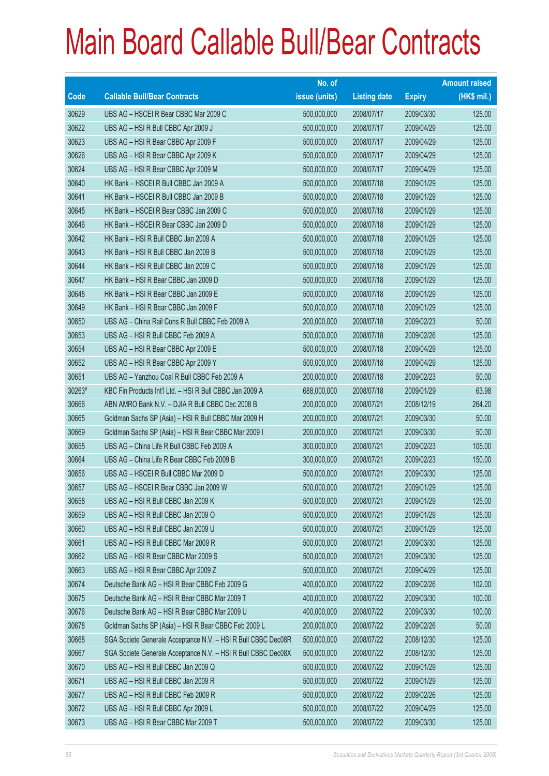|        |                                                               | No. of        |                     |               | <b>Amount raised</b> |
|--------|---------------------------------------------------------------|---------------|---------------------|---------------|----------------------|
| Code   | <b>Callable Bull/Bear Contracts</b>                           | issue (units) | <b>Listing date</b> | <b>Expiry</b> | (HK\$ mil.)          |
| 30629  | UBS AG - HSCEI R Bear CBBC Mar 2009 C                         | 500,000,000   | 2008/07/17          | 2009/03/30    | 125.00               |
| 30622  | UBS AG - HSI R Bull CBBC Apr 2009 J                           | 500,000,000   | 2008/07/17          | 2009/04/29    | 125.00               |
| 30623  | UBS AG - HSI R Bear CBBC Apr 2009 F                           | 500,000,000   | 2008/07/17          | 2009/04/29    | 125.00               |
| 30626  | UBS AG - HSI R Bear CBBC Apr 2009 K                           | 500,000,000   | 2008/07/17          | 2009/04/29    | 125.00               |
| 30624  | UBS AG - HSI R Bear CBBC Apr 2009 M                           | 500,000,000   | 2008/07/17          | 2009/04/29    | 125.00               |
| 30640  | HK Bank - HSCEI R Bull CBBC Jan 2009 A                        | 500,000,000   | 2008/07/18          | 2009/01/29    | 125.00               |
| 30641  | HK Bank - HSCEI R Bull CBBC Jan 2009 B                        | 500,000,000   | 2008/07/18          | 2009/01/29    | 125.00               |
| 30645  | HK Bank - HSCEI R Bear CBBC Jan 2009 C                        | 500,000,000   | 2008/07/18          | 2009/01/29    | 125.00               |
| 30646  | HK Bank - HSCEI R Bear CBBC Jan 2009 D                        | 500,000,000   | 2008/07/18          | 2009/01/29    | 125.00               |
| 30642  | HK Bank - HSI R Bull CBBC Jan 2009 A                          | 500,000,000   | 2008/07/18          | 2009/01/29    | 125.00               |
| 30643  | HK Bank - HSI R Bull CBBC Jan 2009 B                          | 500,000,000   | 2008/07/18          | 2009/01/29    | 125.00               |
| 30644  | HK Bank - HSI R Bull CBBC Jan 2009 C                          | 500,000,000   | 2008/07/18          | 2009/01/29    | 125.00               |
| 30647  | HK Bank - HSI R Bear CBBC Jan 2009 D                          | 500,000,000   | 2008/07/18          | 2009/01/29    | 125.00               |
| 30648  | HK Bank - HSI R Bear CBBC Jan 2009 E                          | 500,000,000   | 2008/07/18          | 2009/01/29    | 125.00               |
| 30649  | HK Bank - HSI R Bear CBBC Jan 2009 F                          | 500,000,000   | 2008/07/18          | 2009/01/29    | 125.00               |
| 30650  | UBS AG - China Rail Cons R Bull CBBC Feb 2009 A               | 200,000,000   | 2008/07/18          | 2009/02/23    | 50.00                |
| 30653  | UBS AG - HSI R Bull CBBC Feb 2009 A                           | 500,000,000   | 2008/07/18          | 2009/02/26    | 125.00               |
| 30654  | UBS AG - HSI R Bear CBBC Apr 2009 E                           | 500,000,000   | 2008/07/18          | 2009/04/29    | 125.00               |
| 30652  | UBS AG - HSI R Bear CBBC Apr 2009 Y                           | 500,000,000   | 2008/07/18          | 2009/04/29    | 125.00               |
| 30651  | UBS AG - Yanzhou Coal R Bull CBBC Feb 2009 A                  | 200,000,000   | 2008/07/18          | 2009/02/23    | 50.00                |
| 30263# | KBC Fin Products Int'l Ltd. - HSI R Bull CBBC Jan 2009 A      | 688,000,000   | 2008/07/18          | 2009/01/29    | 63.98                |
| 30666  | ABN AMRO Bank N.V. - DJIA R Bull CBBC Dec 2008 B              | 200,000,000   | 2008/07/21          | 2008/12/19    | 264.20               |
| 30665  | Goldman Sachs SP (Asia) - HSI R Bull CBBC Mar 2009 H          | 200,000,000   | 2008/07/21          | 2009/03/30    | 50.00                |
| 30669  | Goldman Sachs SP (Asia) – HSI R Bear CBBC Mar 2009 I          | 200,000,000   | 2008/07/21          | 2009/03/30    | 50.00                |
| 30655  | UBS AG - China Life R Bull CBBC Feb 2009 A                    | 300,000,000   | 2008/07/21          | 2009/02/23    | 105.00               |
| 30664  | UBS AG - China Life R Bear CBBC Feb 2009 B                    | 300,000,000   | 2008/07/21          | 2009/02/23    | 150.00               |
| 30656  | UBS AG - HSCEI R Bull CBBC Mar 2009 D                         | 500,000,000   | 2008/07/21          | 2009/03/30    | 125.00               |
| 30657  | UBS AG - HSCEI R Bear CBBC Jan 2009 W                         | 500,000,000   | 2008/07/21          | 2009/01/29    | 125.00               |
| 30658  | UBS AG - HSI R Bull CBBC Jan 2009 K                           | 500,000,000   | 2008/07/21          | 2009/01/29    | 125.00               |
| 30659  | UBS AG - HSI R Bull CBBC Jan 2009 O                           | 500,000,000   | 2008/07/21          | 2009/01/29    | 125.00               |
| 30660  | UBS AG - HSI R Bull CBBC Jan 2009 U                           | 500,000,000   | 2008/07/21          | 2009/01/29    | 125.00               |
| 30661  | UBS AG - HSI R Bull CBBC Mar 2009 R                           | 500,000,000   | 2008/07/21          | 2009/03/30    | 125.00               |
| 30662  | UBS AG - HSI R Bear CBBC Mar 2009 S                           | 500,000,000   | 2008/07/21          | 2009/03/30    | 125.00               |
| 30663  | UBS AG - HSI R Bear CBBC Apr 2009 Z                           | 500,000,000   | 2008/07/21          | 2009/04/29    | 125.00               |
| 30674  | Deutsche Bank AG - HSI R Bear CBBC Feb 2009 G                 | 400,000,000   | 2008/07/22          | 2009/02/26    | 102.00               |
| 30675  | Deutsche Bank AG - HSI R Bear CBBC Mar 2009 T                 | 400,000,000   | 2008/07/22          | 2009/03/30    | 100.00               |
| 30676  | Deutsche Bank AG - HSI R Bear CBBC Mar 2009 U                 | 400,000,000   | 2008/07/22          | 2009/03/30    | 100.00               |
| 30678  | Goldman Sachs SP (Asia) - HSI R Bear CBBC Feb 2009 L          | 200,000,000   | 2008/07/22          | 2009/02/26    | 50.00                |
| 30668  | SGA Societe Generale Acceptance N.V. - HSI R Bull CBBC Dec08R | 500,000,000   | 2008/07/22          | 2008/12/30    | 125.00               |
| 30667  | SGA Societe Generale Acceptance N.V. - HSI R Bull CBBC Dec08X | 500,000,000   | 2008/07/22          | 2008/12/30    | 125.00               |
| 30670  | UBS AG - HSI R Bull CBBC Jan 2009 Q                           | 500,000,000   | 2008/07/22          | 2009/01/29    | 125.00               |
| 30671  | UBS AG - HSI R Bull CBBC Jan 2009 R                           | 500,000,000   | 2008/07/22          | 2009/01/29    | 125.00               |
| 30677  | UBS AG - HSI R Bull CBBC Feb 2009 R                           | 500,000,000   | 2008/07/22          | 2009/02/26    | 125.00               |
| 30672  | UBS AG - HSI R Bull CBBC Apr 2009 L                           | 500,000,000   | 2008/07/22          | 2009/04/29    | 125.00               |
| 30673  | UBS AG - HSI R Bear CBBC Mar 2009 T                           | 500,000,000   | 2008/07/22          | 2009/03/30    | 125.00               |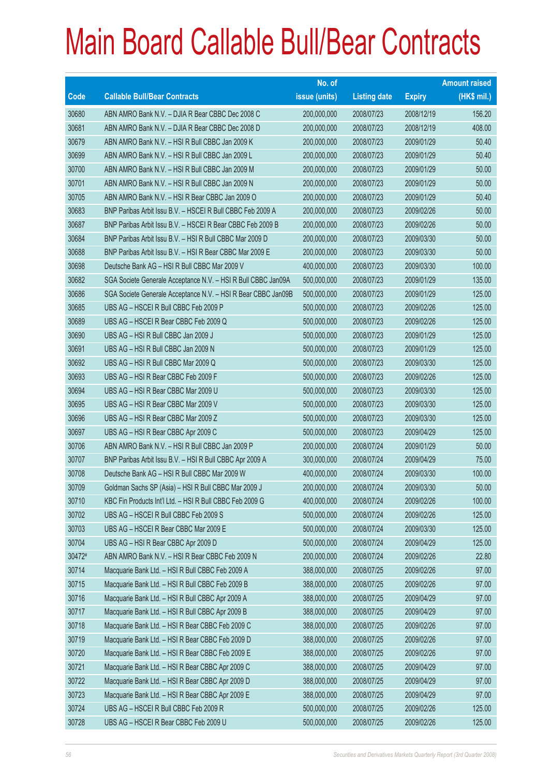|        |                                                               | No. of        |                     |               | <b>Amount raised</b> |
|--------|---------------------------------------------------------------|---------------|---------------------|---------------|----------------------|
| Code   | <b>Callable Bull/Bear Contracts</b>                           | issue (units) | <b>Listing date</b> | <b>Expiry</b> | $(HK$$ mil.)         |
| 30680  | ABN AMRO Bank N.V. - DJIA R Bear CBBC Dec 2008 C              | 200,000,000   | 2008/07/23          | 2008/12/19    | 156.20               |
| 30681  | ABN AMRO Bank N.V. - DJIA R Bear CBBC Dec 2008 D              | 200,000,000   | 2008/07/23          | 2008/12/19    | 408.00               |
| 30679  | ABN AMRO Bank N.V. - HSI R Bull CBBC Jan 2009 K               | 200,000,000   | 2008/07/23          | 2009/01/29    | 50.40                |
| 30699  | ABN AMRO Bank N.V. - HSI R Bull CBBC Jan 2009 L               | 200,000,000   | 2008/07/23          | 2009/01/29    | 50.40                |
| 30700  | ABN AMRO Bank N.V. - HSI R Bull CBBC Jan 2009 M               | 200,000,000   | 2008/07/23          | 2009/01/29    | 50.00                |
| 30701  | ABN AMRO Bank N.V. - HSI R Bull CBBC Jan 2009 N               | 200,000,000   | 2008/07/23          | 2009/01/29    | 50.00                |
| 30705  | ABN AMRO Bank N.V. - HSI R Bear CBBC Jan 2009 O               | 200,000,000   | 2008/07/23          | 2009/01/29    | 50.40                |
| 30683  | BNP Paribas Arbit Issu B.V. - HSCEI R Bull CBBC Feb 2009 A    | 200,000,000   | 2008/07/23          | 2009/02/26    | 50.00                |
| 30687  | BNP Paribas Arbit Issu B.V. - HSCEI R Bear CBBC Feb 2009 B    | 200,000,000   | 2008/07/23          | 2009/02/26    | 50.00                |
| 30684  | BNP Paribas Arbit Issu B.V. - HSI R Bull CBBC Mar 2009 D      | 200,000,000   | 2008/07/23          | 2009/03/30    | 50.00                |
| 30688  | BNP Paribas Arbit Issu B.V. - HSI R Bear CBBC Mar 2009 E      | 200,000,000   | 2008/07/23          | 2009/03/30    | 50.00                |
| 30698  | Deutsche Bank AG - HSI R Bull CBBC Mar 2009 V                 | 400,000,000   | 2008/07/23          | 2009/03/30    | 100.00               |
| 30682  | SGA Societe Generale Acceptance N.V. - HSI R Bull CBBC Jan09A | 500,000,000   | 2008/07/23          | 2009/01/29    | 135.00               |
| 30686  | SGA Societe Generale Acceptance N.V. - HSI R Bear CBBC Jan09B | 500,000,000   | 2008/07/23          | 2009/01/29    | 125.00               |
| 30685  | UBS AG - HSCEI R Bull CBBC Feb 2009 P                         | 500,000,000   | 2008/07/23          | 2009/02/26    | 125.00               |
| 30689  | UBS AG - HSCEI R Bear CBBC Feb 2009 Q                         | 500,000,000   | 2008/07/23          | 2009/02/26    | 125.00               |
| 30690  | UBS AG - HSI R Bull CBBC Jan 2009 J                           | 500,000,000   | 2008/07/23          | 2009/01/29    | 125.00               |
| 30691  | UBS AG - HSI R Bull CBBC Jan 2009 N                           | 500,000,000   | 2008/07/23          | 2009/01/29    | 125.00               |
| 30692  | UBS AG - HSI R Bull CBBC Mar 2009 Q                           | 500,000,000   | 2008/07/23          | 2009/03/30    | 125.00               |
| 30693  | UBS AG - HSI R Bear CBBC Feb 2009 F                           | 500,000,000   | 2008/07/23          | 2009/02/26    | 125.00               |
| 30694  | UBS AG - HSI R Bear CBBC Mar 2009 U                           | 500,000,000   | 2008/07/23          | 2009/03/30    | 125.00               |
| 30695  | UBS AG - HSI R Bear CBBC Mar 2009 V                           | 500,000,000   | 2008/07/23          | 2009/03/30    | 125.00               |
| 30696  | UBS AG - HSI R Bear CBBC Mar 2009 Z                           | 500,000,000   | 2008/07/23          | 2009/03/30    | 125.00               |
| 30697  | UBS AG - HSI R Bear CBBC Apr 2009 C                           | 500,000,000   | 2008/07/23          | 2009/04/29    | 125.00               |
| 30706  | ABN AMRO Bank N.V. - HSI R Bull CBBC Jan 2009 P               | 200,000,000   | 2008/07/24          | 2009/01/29    | 50.00                |
| 30707  | BNP Paribas Arbit Issu B.V. - HSI R Bull CBBC Apr 2009 A      | 300,000,000   | 2008/07/24          | 2009/04/29    | 75.00                |
| 30708  | Deutsche Bank AG - HSI R Bull CBBC Mar 2009 W                 | 400,000,000   | 2008/07/24          | 2009/03/30    | 100.00               |
| 30709  | Goldman Sachs SP (Asia) - HSI R Bull CBBC Mar 2009 J          | 200,000,000   | 2008/07/24          | 2009/03/30    | 50.00                |
| 30710  | KBC Fin Products Int'l Ltd. - HSI R Bull CBBC Feb 2009 G      | 400,000,000   | 2008/07/24          | 2009/02/26    | 100.00               |
| 30702  | UBS AG - HSCEI R Bull CBBC Feb 2009 S                         | 500,000,000   | 2008/07/24          | 2009/02/26    | 125.00               |
| 30703  | UBS AG - HSCEI R Bear CBBC Mar 2009 E                         | 500,000,000   | 2008/07/24          | 2009/03/30    | 125.00               |
| 30704  | UBS AG - HSI R Bear CBBC Apr 2009 D                           | 500,000,000   | 2008/07/24          | 2009/04/29    | 125.00               |
| 30472# | ABN AMRO Bank N.V. - HSI R Bear CBBC Feb 2009 N               | 200,000,000   | 2008/07/24          | 2009/02/26    | 22.80                |
| 30714  | Macquarie Bank Ltd. - HSI R Bull CBBC Feb 2009 A              | 388,000,000   | 2008/07/25          | 2009/02/26    | 97.00                |
| 30715  | Macquarie Bank Ltd. - HSI R Bull CBBC Feb 2009 B              | 388,000,000   | 2008/07/25          | 2009/02/26    | 97.00                |
| 30716  | Macquarie Bank Ltd. - HSI R Bull CBBC Apr 2009 A              | 388,000,000   | 2008/07/25          | 2009/04/29    | 97.00                |
| 30717  | Macquarie Bank Ltd. - HSI R Bull CBBC Apr 2009 B              | 388,000,000   | 2008/07/25          | 2009/04/29    | 97.00                |
| 30718  | Macquarie Bank Ltd. - HSI R Bear CBBC Feb 2009 C              | 388,000,000   | 2008/07/25          | 2009/02/26    | 97.00                |
| 30719  | Macquarie Bank Ltd. - HSI R Bear CBBC Feb 2009 D              | 388,000,000   | 2008/07/25          | 2009/02/26    | 97.00                |
| 30720  | Macquarie Bank Ltd. - HSI R Bear CBBC Feb 2009 E              | 388,000,000   | 2008/07/25          | 2009/02/26    | 97.00                |
| 30721  | Macquarie Bank Ltd. - HSI R Bear CBBC Apr 2009 C              | 388,000,000   | 2008/07/25          | 2009/04/29    | 97.00                |
| 30722  | Macquarie Bank Ltd. - HSI R Bear CBBC Apr 2009 D              | 388,000,000   | 2008/07/25          | 2009/04/29    | 97.00                |
| 30723  | Macquarie Bank Ltd. - HSI R Bear CBBC Apr 2009 E              | 388,000,000   | 2008/07/25          | 2009/04/29    | 97.00                |
| 30724  | UBS AG - HSCEI R Bull CBBC Feb 2009 R                         | 500,000,000   | 2008/07/25          | 2009/02/26    | 125.00               |
| 30728  | UBS AG - HSCEI R Bear CBBC Feb 2009 U                         | 500,000,000   | 2008/07/25          | 2009/02/26    | 125.00               |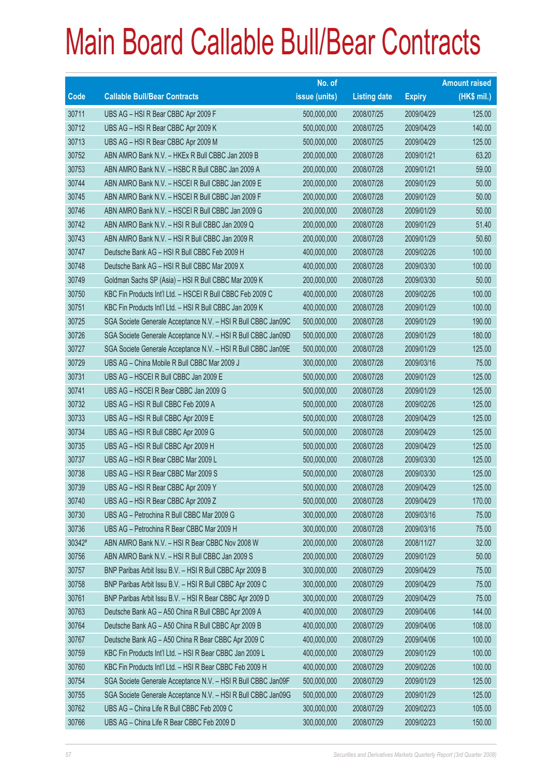|             |                                                               | No. of        |                     |               | <b>Amount raised</b> |
|-------------|---------------------------------------------------------------|---------------|---------------------|---------------|----------------------|
| <b>Code</b> | <b>Callable Bull/Bear Contracts</b>                           | issue (units) | <b>Listing date</b> | <b>Expiry</b> | $(HK$$ mil.)         |
| 30711       | UBS AG - HSI R Bear CBBC Apr 2009 F                           | 500,000,000   | 2008/07/25          | 2009/04/29    | 125.00               |
| 30712       | UBS AG - HSI R Bear CBBC Apr 2009 K                           | 500,000,000   | 2008/07/25          | 2009/04/29    | 140.00               |
| 30713       | UBS AG - HSI R Bear CBBC Apr 2009 M                           | 500,000,000   | 2008/07/25          | 2009/04/29    | 125.00               |
| 30752       | ABN AMRO Bank N.V. - HKEx R Bull CBBC Jan 2009 B              | 200,000,000   | 2008/07/28          | 2009/01/21    | 63.20                |
| 30753       | ABN AMRO Bank N.V. - HSBC R Bull CBBC Jan 2009 A              | 200,000,000   | 2008/07/28          | 2009/01/21    | 59.00                |
| 30744       | ABN AMRO Bank N.V. - HSCEI R Bull CBBC Jan 2009 E             | 200,000,000   | 2008/07/28          | 2009/01/29    | 50.00                |
| 30745       | ABN AMRO Bank N.V. - HSCEI R Bull CBBC Jan 2009 F             | 200,000,000   | 2008/07/28          | 2009/01/29    | 50.00                |
| 30746       | ABN AMRO Bank N.V. - HSCEI R Bull CBBC Jan 2009 G             | 200,000,000   | 2008/07/28          | 2009/01/29    | 50.00                |
| 30742       | ABN AMRO Bank N.V. - HSI R Bull CBBC Jan 2009 Q               | 200,000,000   | 2008/07/28          | 2009/01/29    | 51.40                |
| 30743       | ABN AMRO Bank N.V. - HSI R Bull CBBC Jan 2009 R               | 200,000,000   | 2008/07/28          | 2009/01/29    | 50.60                |
| 30747       | Deutsche Bank AG - HSI R Bull CBBC Feb 2009 H                 | 400,000,000   | 2008/07/28          | 2009/02/26    | 100.00               |
| 30748       | Deutsche Bank AG - HSI R Bull CBBC Mar 2009 X                 | 400,000,000   | 2008/07/28          | 2009/03/30    | 100.00               |
| 30749       | Goldman Sachs SP (Asia) - HSI R Bull CBBC Mar 2009 K          | 200,000,000   | 2008/07/28          | 2009/03/30    | 50.00                |
| 30750       | KBC Fin Products Int'l Ltd. - HSCEI R Bull CBBC Feb 2009 C    | 400,000,000   | 2008/07/28          | 2009/02/26    | 100.00               |
| 30751       | KBC Fin Products Int'l Ltd. - HSI R Bull CBBC Jan 2009 K      | 400,000,000   | 2008/07/28          | 2009/01/29    | 100.00               |
| 30725       | SGA Societe Generale Acceptance N.V. - HSI R Bull CBBC Jan09C | 500,000,000   | 2008/07/28          | 2009/01/29    | 190.00               |
| 30726       | SGA Societe Generale Acceptance N.V. - HSI R Bull CBBC Jan09D | 500,000,000   | 2008/07/28          | 2009/01/29    | 180.00               |
| 30727       | SGA Societe Generale Acceptance N.V. - HSI R Bull CBBC Jan09E | 500,000,000   | 2008/07/28          | 2009/01/29    | 125.00               |
| 30729       | UBS AG - China Mobile R Bull CBBC Mar 2009 J                  | 300,000,000   | 2008/07/28          | 2009/03/16    | 75.00                |
| 30731       | UBS AG - HSCEI R Bull CBBC Jan 2009 E                         | 500,000,000   | 2008/07/28          | 2009/01/29    | 125.00               |
| 30741       | UBS AG - HSCEI R Bear CBBC Jan 2009 G                         | 500,000,000   | 2008/07/28          | 2009/01/29    | 125.00               |
| 30732       | UBS AG - HSI R Bull CBBC Feb 2009 A                           | 500,000,000   | 2008/07/28          | 2009/02/26    | 125.00               |
| 30733       | UBS AG - HSI R Bull CBBC Apr 2009 E                           | 500,000,000   | 2008/07/28          | 2009/04/29    | 125.00               |
| 30734       | UBS AG - HSI R Bull CBBC Apr 2009 G                           | 500,000,000   | 2008/07/28          | 2009/04/29    | 125.00               |
| 30735       | UBS AG - HSI R Bull CBBC Apr 2009 H                           | 500,000,000   | 2008/07/28          | 2009/04/29    | 125.00               |
| 30737       | UBS AG - HSI R Bear CBBC Mar 2009 L                           | 500,000,000   | 2008/07/28          | 2009/03/30    | 125.00               |
| 30738       | UBS AG - HSI R Bear CBBC Mar 2009 S                           | 500,000,000   | 2008/07/28          | 2009/03/30    | 125.00               |
| 30739       | UBS AG - HSI R Bear CBBC Apr 2009 Y                           | 500,000,000   | 2008/07/28          | 2009/04/29    | 125.00               |
| 30740       | UBS AG - HSI R Bear CBBC Apr 2009 Z                           | 500,000,000   | 2008/07/28          | 2009/04/29    | 170.00               |
| 30730       | UBS AG - Petrochina R Bull CBBC Mar 2009 G                    | 300,000,000   | 2008/07/28          | 2009/03/16    | 75.00                |
| 30736       | UBS AG - Petrochina R Bear CBBC Mar 2009 H                    | 300,000,000   | 2008/07/28          | 2009/03/16    | 75.00                |
| 30342#      | ABN AMRO Bank N.V. - HSI R Bear CBBC Nov 2008 W               | 200,000,000   | 2008/07/28          | 2008/11/27    | 32.00                |
| 30756       | ABN AMRO Bank N.V. - HSI R Bull CBBC Jan 2009 S               | 200,000,000   | 2008/07/29          | 2009/01/29    | 50.00                |
| 30757       | BNP Paribas Arbit Issu B.V. - HSI R Bull CBBC Apr 2009 B      | 300,000,000   | 2008/07/29          | 2009/04/29    | 75.00                |
| 30758       | BNP Paribas Arbit Issu B.V. - HSI R Bull CBBC Apr 2009 C      | 300,000,000   | 2008/07/29          | 2009/04/29    | 75.00                |
| 30761       | BNP Paribas Arbit Issu B.V. - HSI R Bear CBBC Apr 2009 D      | 300,000,000   | 2008/07/29          | 2009/04/29    | 75.00                |
| 30763       | Deutsche Bank AG - A50 China R Bull CBBC Apr 2009 A           | 400,000,000   | 2008/07/29          | 2009/04/06    | 144.00               |
| 30764       | Deutsche Bank AG - A50 China R Bull CBBC Apr 2009 B           | 400,000,000   | 2008/07/29          | 2009/04/06    | 108.00               |
| 30767       | Deutsche Bank AG - A50 China R Bear CBBC Apr 2009 C           | 400,000,000   | 2008/07/29          | 2009/04/06    | 100.00               |
| 30759       | KBC Fin Products Int'l Ltd. - HSI R Bear CBBC Jan 2009 L      | 400,000,000   | 2008/07/29          | 2009/01/29    | 100.00               |
| 30760       | KBC Fin Products Int'l Ltd. - HSI R Bear CBBC Feb 2009 H      | 400,000,000   | 2008/07/29          | 2009/02/26    | 100.00               |
| 30754       | SGA Societe Generale Acceptance N.V. - HSI R Bull CBBC Jan09F | 500,000,000   | 2008/07/29          | 2009/01/29    | 125.00               |
| 30755       | SGA Societe Generale Acceptance N.V. - HSI R Bull CBBC Jan09G | 500,000,000   | 2008/07/29          | 2009/01/29    | 125.00               |
| 30762       | UBS AG - China Life R Bull CBBC Feb 2009 C                    | 300,000,000   | 2008/07/29          | 2009/02/23    | 105.00               |
| 30766       | UBS AG - China Life R Bear CBBC Feb 2009 D                    | 300,000,000   | 2008/07/29          | 2009/02/23    | 150.00               |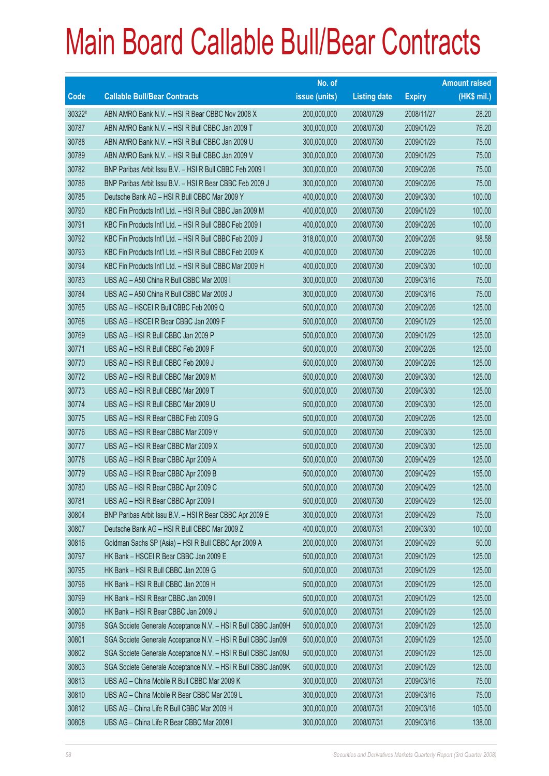|        |                                                               | No. of        |                     |               | <b>Amount raised</b> |
|--------|---------------------------------------------------------------|---------------|---------------------|---------------|----------------------|
| Code   | <b>Callable Bull/Bear Contracts</b>                           | issue (units) | <b>Listing date</b> | <b>Expiry</b> | (HK\$ mil.)          |
| 30322# | ABN AMRO Bank N.V. - HSI R Bear CBBC Nov 2008 X               | 200,000,000   | 2008/07/29          | 2008/11/27    | 28.20                |
| 30787  | ABN AMRO Bank N.V. - HSI R Bull CBBC Jan 2009 T               | 300,000,000   | 2008/07/30          | 2009/01/29    | 76.20                |
| 30788  | ABN AMRO Bank N.V. - HSI R Bull CBBC Jan 2009 U               | 300,000,000   | 2008/07/30          | 2009/01/29    | 75.00                |
| 30789  | ABN AMRO Bank N.V. - HSI R Bull CBBC Jan 2009 V               | 300,000,000   | 2008/07/30          | 2009/01/29    | 75.00                |
| 30782  | BNP Paribas Arbit Issu B.V. - HSI R Bull CBBC Feb 2009 I      | 300,000,000   | 2008/07/30          | 2009/02/26    | 75.00                |
| 30786  | BNP Paribas Arbit Issu B.V. - HSI R Bear CBBC Feb 2009 J      | 300,000,000   | 2008/07/30          | 2009/02/26    | 75.00                |
| 30785  | Deutsche Bank AG - HSI R Bull CBBC Mar 2009 Y                 | 400,000,000   | 2008/07/30          | 2009/03/30    | 100.00               |
| 30790  | KBC Fin Products Int'l Ltd. - HSI R Bull CBBC Jan 2009 M      | 400,000,000   | 2008/07/30          | 2009/01/29    | 100.00               |
| 30791  | KBC Fin Products Int'l Ltd. - HSI R Bull CBBC Feb 2009 I      | 400,000,000   | 2008/07/30          | 2009/02/26    | 100.00               |
| 30792  | KBC Fin Products Int'l Ltd. - HSI R Bull CBBC Feb 2009 J      | 318,000,000   | 2008/07/30          | 2009/02/26    | 98.58                |
| 30793  | KBC Fin Products Int'l Ltd. - HSI R Bull CBBC Feb 2009 K      | 400,000,000   | 2008/07/30          | 2009/02/26    | 100.00               |
| 30794  | KBC Fin Products Int'l Ltd. - HSI R Bull CBBC Mar 2009 H      | 400,000,000   | 2008/07/30          | 2009/03/30    | 100.00               |
| 30783  | UBS AG - A50 China R Bull CBBC Mar 2009 I                     | 300,000,000   | 2008/07/30          | 2009/03/16    | 75.00                |
| 30784  | UBS AG - A50 China R Bull CBBC Mar 2009 J                     | 300,000,000   | 2008/07/30          | 2009/03/16    | 75.00                |
| 30765  | UBS AG - HSCEI R Bull CBBC Feb 2009 Q                         | 500,000,000   | 2008/07/30          | 2009/02/26    | 125.00               |
| 30768  | UBS AG - HSCEI R Bear CBBC Jan 2009 F                         | 500,000,000   | 2008/07/30          | 2009/01/29    | 125.00               |
| 30769  | UBS AG - HSI R Bull CBBC Jan 2009 P                           | 500,000,000   | 2008/07/30          | 2009/01/29    | 125.00               |
| 30771  | UBS AG - HSI R Bull CBBC Feb 2009 F                           | 500,000,000   | 2008/07/30          | 2009/02/26    | 125.00               |
| 30770  | UBS AG - HSI R Bull CBBC Feb 2009 J                           | 500,000,000   | 2008/07/30          | 2009/02/26    | 125.00               |
| 30772  | UBS AG - HSI R Bull CBBC Mar 2009 M                           | 500,000,000   | 2008/07/30          | 2009/03/30    | 125.00               |
| 30773  | UBS AG - HSI R Bull CBBC Mar 2009 T                           | 500,000,000   | 2008/07/30          | 2009/03/30    | 125.00               |
| 30774  | UBS AG - HSI R Bull CBBC Mar 2009 U                           | 500,000,000   | 2008/07/30          | 2009/03/30    | 125.00               |
| 30775  | UBS AG - HSI R Bear CBBC Feb 2009 G                           | 500,000,000   | 2008/07/30          | 2009/02/26    | 125.00               |
| 30776  | UBS AG - HSI R Bear CBBC Mar 2009 V                           | 500,000,000   | 2008/07/30          | 2009/03/30    | 125.00               |
| 30777  | UBS AG - HSI R Bear CBBC Mar 2009 X                           | 500,000,000   | 2008/07/30          | 2009/03/30    | 125.00               |
| 30778  | UBS AG - HSI R Bear CBBC Apr 2009 A                           | 500,000,000   | 2008/07/30          | 2009/04/29    | 125.00               |
| 30779  | UBS AG - HSI R Bear CBBC Apr 2009 B                           | 500,000,000   | 2008/07/30          | 2009/04/29    | 155.00               |
| 30780  | UBS AG - HSI R Bear CBBC Apr 2009 C                           | 500,000,000   | 2008/07/30          | 2009/04/29    | 125.00               |
| 30781  | UBS AG - HSI R Bear CBBC Apr 2009 I                           | 500,000,000   | 2008/07/30          | 2009/04/29    | 125.00               |
| 30804  | BNP Paribas Arbit Issu B.V. - HSI R Bear CBBC Apr 2009 E      | 300,000,000   | 2008/07/31          | 2009/04/29    | 75.00                |
| 30807  | Deutsche Bank AG - HSI R Bull CBBC Mar 2009 Z                 | 400,000,000   | 2008/07/31          | 2009/03/30    | 100.00               |
| 30816  | Goldman Sachs SP (Asia) - HSI R Bull CBBC Apr 2009 A          | 200,000,000   | 2008/07/31          | 2009/04/29    | 50.00                |
| 30797  | HK Bank - HSCEI R Bear CBBC Jan 2009 E                        | 500,000,000   | 2008/07/31          | 2009/01/29    | 125.00               |
| 30795  | HK Bank - HSI R Bull CBBC Jan 2009 G                          | 500,000,000   | 2008/07/31          | 2009/01/29    | 125.00               |
| 30796  | HK Bank - HSI R Bull CBBC Jan 2009 H                          | 500,000,000   | 2008/07/31          | 2009/01/29    | 125.00               |
| 30799  | HK Bank - HSI R Bear CBBC Jan 2009 I                          | 500,000,000   | 2008/07/31          | 2009/01/29    | 125.00               |
| 30800  | HK Bank - HSI R Bear CBBC Jan 2009 J                          | 500,000,000   | 2008/07/31          | 2009/01/29    | 125.00               |
| 30798  | SGA Societe Generale Acceptance N.V. - HSI R Bull CBBC Jan09H | 500,000,000   | 2008/07/31          | 2009/01/29    | 125.00               |
| 30801  | SGA Societe Generale Acceptance N.V. - HSI R Bull CBBC Jan091 | 500,000,000   | 2008/07/31          | 2009/01/29    | 125.00               |
| 30802  | SGA Societe Generale Acceptance N.V. - HSI R Bull CBBC Jan09J | 500,000,000   | 2008/07/31          | 2009/01/29    | 125.00               |
| 30803  | SGA Societe Generale Acceptance N.V. - HSI R Bull CBBC Jan09K | 500,000,000   | 2008/07/31          | 2009/01/29    | 125.00               |
| 30813  | UBS AG - China Mobile R Bull CBBC Mar 2009 K                  | 300,000,000   | 2008/07/31          | 2009/03/16    | 75.00                |
| 30810  | UBS AG - China Mobile R Bear CBBC Mar 2009 L                  | 300,000,000   | 2008/07/31          | 2009/03/16    | 75.00                |
| 30812  | UBS AG - China Life R Bull CBBC Mar 2009 H                    | 300,000,000   | 2008/07/31          | 2009/03/16    | 105.00               |
| 30808  | UBS AG - China Life R Bear CBBC Mar 2009 I                    | 300,000,000   | 2008/07/31          | 2009/03/16    | 138.00               |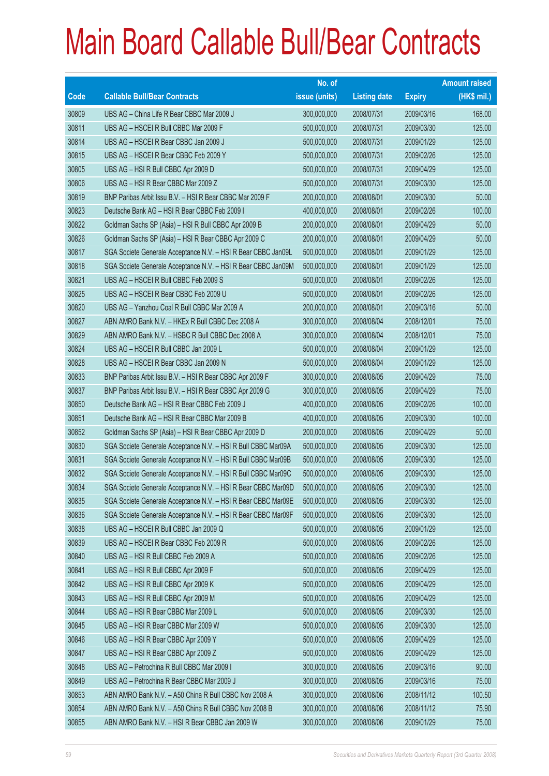|       |                                                               | No. of        |                     |               | <b>Amount raised</b> |
|-------|---------------------------------------------------------------|---------------|---------------------|---------------|----------------------|
| Code  | <b>Callable Bull/Bear Contracts</b>                           | issue (units) | <b>Listing date</b> | <b>Expiry</b> | (HK\$ mil.)          |
| 30809 | UBS AG - China Life R Bear CBBC Mar 2009 J                    | 300,000,000   | 2008/07/31          | 2009/03/16    | 168.00               |
| 30811 | UBS AG - HSCEI R Bull CBBC Mar 2009 F                         | 500,000,000   | 2008/07/31          | 2009/03/30    | 125.00               |
| 30814 | UBS AG - HSCEI R Bear CBBC Jan 2009 J                         | 500,000,000   | 2008/07/31          | 2009/01/29    | 125.00               |
| 30815 | UBS AG - HSCEI R Bear CBBC Feb 2009 Y                         | 500,000,000   | 2008/07/31          | 2009/02/26    | 125.00               |
| 30805 | UBS AG - HSI R Bull CBBC Apr 2009 D                           | 500,000,000   | 2008/07/31          | 2009/04/29    | 125.00               |
| 30806 | UBS AG - HSI R Bear CBBC Mar 2009 Z                           | 500,000,000   | 2008/07/31          | 2009/03/30    | 125.00               |
| 30819 | BNP Paribas Arbit Issu B.V. - HSI R Bear CBBC Mar 2009 F      | 200,000,000   | 2008/08/01          | 2009/03/30    | 50.00                |
| 30823 | Deutsche Bank AG - HSI R Bear CBBC Feb 2009 I                 | 400,000,000   | 2008/08/01          | 2009/02/26    | 100.00               |
| 30822 | Goldman Sachs SP (Asia) - HSI R Bull CBBC Apr 2009 B          | 200,000,000   | 2008/08/01          | 2009/04/29    | 50.00                |
| 30826 | Goldman Sachs SP (Asia) - HSI R Bear CBBC Apr 2009 C          | 200,000,000   | 2008/08/01          | 2009/04/29    | 50.00                |
| 30817 | SGA Societe Generale Acceptance N.V. - HSI R Bear CBBC Jan09L | 500,000,000   | 2008/08/01          | 2009/01/29    | 125.00               |
| 30818 | SGA Societe Generale Acceptance N.V. - HSI R Bear CBBC Jan09M | 500,000,000   | 2008/08/01          | 2009/01/29    | 125.00               |
| 30821 | UBS AG - HSCEI R Bull CBBC Feb 2009 S                         | 500,000,000   | 2008/08/01          | 2009/02/26    | 125.00               |
| 30825 | UBS AG - HSCEI R Bear CBBC Feb 2009 U                         | 500,000,000   | 2008/08/01          | 2009/02/26    | 125.00               |
| 30820 | UBS AG - Yanzhou Coal R Bull CBBC Mar 2009 A                  | 200,000,000   | 2008/08/01          | 2009/03/16    | 50.00                |
| 30827 | ABN AMRO Bank N.V. - HKEx R Bull CBBC Dec 2008 A              | 300,000,000   | 2008/08/04          | 2008/12/01    | 75.00                |
| 30829 | ABN AMRO Bank N.V. - HSBC R Bull CBBC Dec 2008 A              | 300,000,000   | 2008/08/04          | 2008/12/01    | 75.00                |
| 30824 | UBS AG - HSCEI R Bull CBBC Jan 2009 L                         | 500,000,000   | 2008/08/04          | 2009/01/29    | 125.00               |
| 30828 | UBS AG - HSCEI R Bear CBBC Jan 2009 N                         | 500,000,000   | 2008/08/04          | 2009/01/29    | 125.00               |
| 30833 | BNP Paribas Arbit Issu B.V. - HSI R Bear CBBC Apr 2009 F      | 300,000,000   | 2008/08/05          | 2009/04/29    | 75.00                |
| 30837 | BNP Paribas Arbit Issu B.V. - HSI R Bear CBBC Apr 2009 G      | 300,000,000   | 2008/08/05          | 2009/04/29    | 75.00                |
| 30850 | Deutsche Bank AG - HSI R Bear CBBC Feb 2009 J                 | 400,000,000   | 2008/08/05          | 2009/02/26    | 100.00               |
| 30851 | Deutsche Bank AG - HSI R Bear CBBC Mar 2009 B                 | 400,000,000   | 2008/08/05          | 2009/03/30    | 100.00               |
| 30852 | Goldman Sachs SP (Asia) - HSI R Bear CBBC Apr 2009 D          | 200,000,000   | 2008/08/05          | 2009/04/29    | 50.00                |
| 30830 | SGA Societe Generale Acceptance N.V. - HSI R Bull CBBC Mar09A | 500,000,000   | 2008/08/05          | 2009/03/30    | 125.00               |
| 30831 | SGA Societe Generale Acceptance N.V. - HSI R Bull CBBC Mar09B | 500,000,000   | 2008/08/05          | 2009/03/30    | 125.00               |
| 30832 | SGA Societe Generale Acceptance N.V. - HSI R Bull CBBC Mar09C | 500,000,000   | 2008/08/05          | 2009/03/30    | 125.00               |
| 30834 | SGA Societe Generale Acceptance N.V. - HSI R Bear CBBC Mar09D | 500,000,000   | 2008/08/05          | 2009/03/30    | 125.00               |
| 30835 | SGA Societe Generale Acceptance N.V. - HSI R Bear CBBC Mar09E | 500,000,000   | 2008/08/05          | 2009/03/30    | 125.00               |
| 30836 | SGA Societe Generale Acceptance N.V. - HSI R Bear CBBC Mar09F | 500,000,000   | 2008/08/05          | 2009/03/30    | 125.00               |
| 30838 | UBS AG - HSCEI R Bull CBBC Jan 2009 Q                         | 500,000,000   | 2008/08/05          | 2009/01/29    | 125.00               |
| 30839 | UBS AG - HSCEI R Bear CBBC Feb 2009 R                         | 500,000,000   | 2008/08/05          | 2009/02/26    | 125.00               |
| 30840 | UBS AG - HSI R Bull CBBC Feb 2009 A                           | 500,000,000   | 2008/08/05          | 2009/02/26    | 125.00               |
| 30841 | UBS AG - HSI R Bull CBBC Apr 2009 F                           | 500,000,000   | 2008/08/05          | 2009/04/29    | 125.00               |
| 30842 | UBS AG - HSI R Bull CBBC Apr 2009 K                           | 500,000,000   | 2008/08/05          | 2009/04/29    | 125.00               |
| 30843 | UBS AG - HSI R Bull CBBC Apr 2009 M                           | 500,000,000   | 2008/08/05          | 2009/04/29    | 125.00               |
| 30844 | UBS AG - HSI R Bear CBBC Mar 2009 L                           | 500,000,000   | 2008/08/05          | 2009/03/30    | 125.00               |
| 30845 | UBS AG - HSI R Bear CBBC Mar 2009 W                           | 500,000,000   | 2008/08/05          | 2009/03/30    | 125.00               |
| 30846 | UBS AG - HSI R Bear CBBC Apr 2009 Y                           | 500,000,000   | 2008/08/05          | 2009/04/29    | 125.00               |
| 30847 | UBS AG - HSI R Bear CBBC Apr 2009 Z                           | 500,000,000   | 2008/08/05          | 2009/04/29    | 125.00               |
| 30848 | UBS AG - Petrochina R Bull CBBC Mar 2009 I                    | 300,000,000   | 2008/08/05          | 2009/03/16    | 90.00                |
| 30849 | UBS AG - Petrochina R Bear CBBC Mar 2009 J                    | 300,000,000   | 2008/08/05          | 2009/03/16    | 75.00                |
| 30853 | ABN AMRO Bank N.V. - A50 China R Bull CBBC Nov 2008 A         | 300,000,000   | 2008/08/06          | 2008/11/12    | 100.50               |
| 30854 | ABN AMRO Bank N.V. - A50 China R Bull CBBC Nov 2008 B         | 300,000,000   | 2008/08/06          | 2008/11/12    | 75.90                |
| 30855 | ABN AMRO Bank N.V. - HSI R Bear CBBC Jan 2009 W               | 300,000,000   | 2008/08/06          | 2009/01/29    | 75.00                |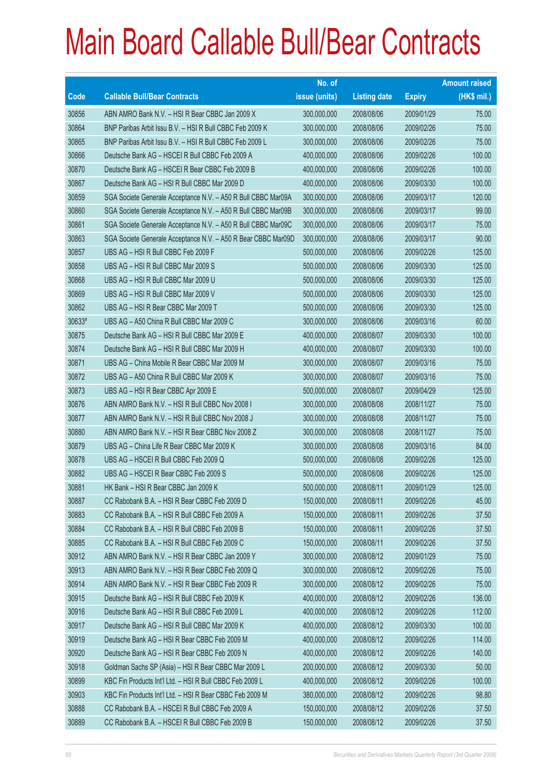|        |                                                               | No. of        |                     |               | <b>Amount raised</b> |
|--------|---------------------------------------------------------------|---------------|---------------------|---------------|----------------------|
| Code   | <b>Callable Bull/Bear Contracts</b>                           | issue (units) | <b>Listing date</b> | <b>Expiry</b> | (HK\$ mil.)          |
| 30856  | ABN AMRO Bank N.V. - HSI R Bear CBBC Jan 2009 X               | 300,000,000   | 2008/08/06          | 2009/01/29    | 75.00                |
| 30864  | BNP Paribas Arbit Issu B.V. - HSI R Bull CBBC Feb 2009 K      | 300,000,000   | 2008/08/06          | 2009/02/26    | 75.00                |
| 30865  | BNP Paribas Arbit Issu B.V. - HSI R Bull CBBC Feb 2009 L      | 300,000,000   | 2008/08/06          | 2009/02/26    | 75.00                |
| 30866  | Deutsche Bank AG - HSCEI R Bull CBBC Feb 2009 A               | 400,000,000   | 2008/08/06          | 2009/02/26    | 100.00               |
| 30870  | Deutsche Bank AG - HSCEI R Bear CBBC Feb 2009 B               | 400,000,000   | 2008/08/06          | 2009/02/26    | 100.00               |
| 30867  | Deutsche Bank AG - HSI R Bull CBBC Mar 2009 D                 | 400,000,000   | 2008/08/06          | 2009/03/30    | 100.00               |
| 30859  | SGA Societe Generale Acceptance N.V. - A50 R Bull CBBC Mar09A | 300,000,000   | 2008/08/06          | 2009/03/17    | 120.00               |
| 30860  | SGA Societe Generale Acceptance N.V. - A50 R Bull CBBC Mar09B | 300,000,000   | 2008/08/06          | 2009/03/17    | 99.00                |
| 30861  | SGA Societe Generale Acceptance N.V. - A50 R Bull CBBC Mar09C | 300,000,000   | 2008/08/06          | 2009/03/17    | 75.00                |
| 30863  | SGA Societe Generale Acceptance N.V. - A50 R Bear CBBC Mar09D | 300,000,000   | 2008/08/06          | 2009/03/17    | 90.00                |
| 30857  | UBS AG - HSI R Bull CBBC Feb 2009 F                           | 500,000,000   | 2008/08/06          | 2009/02/26    | 125.00               |
| 30858  | UBS AG - HSI R Bull CBBC Mar 2009 S                           | 500,000,000   | 2008/08/06          | 2009/03/30    | 125.00               |
| 30868  | UBS AG - HSI R Bull CBBC Mar 2009 U                           | 500,000,000   | 2008/08/06          | 2009/03/30    | 125.00               |
| 30869  | UBS AG - HSI R Bull CBBC Mar 2009 V                           | 500,000,000   | 2008/08/06          | 2009/03/30    | 125.00               |
| 30862  | UBS AG - HSI R Bear CBBC Mar 2009 T                           | 500,000,000   | 2008/08/06          | 2009/03/30    | 125.00               |
| 30633# | UBS AG - A50 China R Bull CBBC Mar 2009 C                     | 300,000,000   | 2008/08/06          | 2009/03/16    | 60.00                |
| 30875  | Deutsche Bank AG - HSI R Bull CBBC Mar 2009 E                 | 400,000,000   | 2008/08/07          | 2009/03/30    | 100.00               |
| 30874  | Deutsche Bank AG - HSI R Bull CBBC Mar 2009 H                 | 400,000,000   | 2008/08/07          | 2009/03/30    | 100.00               |
| 30871  | UBS AG - China Mobile R Bear CBBC Mar 2009 M                  | 300,000,000   | 2008/08/07          | 2009/03/16    | 75.00                |
| 30872  | UBS AG - A50 China R Bull CBBC Mar 2009 K                     | 300,000,000   | 2008/08/07          | 2009/03/16    | 75.00                |
| 30873  | UBS AG - HSI R Bear CBBC Apr 2009 E                           | 500,000,000   | 2008/08/07          | 2009/04/29    | 125.00               |
| 30876  | ABN AMRO Bank N.V. - HSI R Bull CBBC Nov 2008 I               | 300,000,000   | 2008/08/08          | 2008/11/27    | 75.00                |
| 30877  | ABN AMRO Bank N.V. - HSI R Bull CBBC Nov 2008 J               | 300,000,000   | 2008/08/08          | 2008/11/27    | 75.00                |
| 30880  | ABN AMRO Bank N.V. - HSI R Bear CBBC Nov 2008 Z               | 300,000,000   | 2008/08/08          | 2008/11/27    | 75.00                |
| 30879  | UBS AG - China Life R Bear CBBC Mar 2009 K                    | 300,000,000   | 2008/08/08          | 2009/03/16    | 84.00                |
| 30878  | UBS AG - HSCEI R Bull CBBC Feb 2009 Q                         | 500,000,000   | 2008/08/08          | 2009/02/26    | 125.00               |
| 30882  | UBS AG - HSCEI R Bear CBBC Feb 2009 S                         | 500,000,000   | 2008/08/08          | 2009/02/26    | 125.00               |
| 30881  | HK Bank – HSI R Bear CBBC Jan 2009 K                          | 500,000,000   | 2008/08/11          | 2009/01/29    | 125.00               |
| 30887  | CC Rabobank B.A. - HSI R Bear CBBC Feb 2009 D                 | 150,000,000   | 2008/08/11          | 2009/02/26    | 45.00                |
| 30883  | CC Rabobank B.A. - HSI R Bull CBBC Feb 2009 A                 | 150,000,000   | 2008/08/11          | 2009/02/26    | 37.50                |
| 30884  | CC Rabobank B.A. - HSI R Bull CBBC Feb 2009 B                 | 150,000,000   | 2008/08/11          | 2009/02/26    | 37.50                |
| 30885  | CC Rabobank B.A. - HSI R Bull CBBC Feb 2009 C                 | 150,000,000   | 2008/08/11          | 2009/02/26    | 37.50                |
| 30912  | ABN AMRO Bank N.V. - HSI R Bear CBBC Jan 2009 Y               | 300,000,000   | 2008/08/12          | 2009/01/29    | 75.00                |
| 30913  | ABN AMRO Bank N.V. - HSI R Bear CBBC Feb 2009 Q               | 300,000,000   | 2008/08/12          | 2009/02/26    | 75.00                |
| 30914  | ABN AMRO Bank N.V. - HSI R Bear CBBC Feb 2009 R               | 300,000,000   | 2008/08/12          | 2009/02/26    | 75.00                |
| 30915  | Deutsche Bank AG - HSI R Bull CBBC Feb 2009 K                 | 400,000,000   | 2008/08/12          | 2009/02/26    | 136.00               |
| 30916  | Deutsche Bank AG - HSI R Bull CBBC Feb 2009 L                 | 400,000,000   | 2008/08/12          | 2009/02/26    | 112.00               |
| 30917  | Deutsche Bank AG - HSI R Bull CBBC Mar 2009 K                 | 400,000,000   | 2008/08/12          | 2009/03/30    | 100.00               |
| 30919  | Deutsche Bank AG - HSI R Bear CBBC Feb 2009 M                 | 400,000,000   | 2008/08/12          | 2009/02/26    | 114.00               |
| 30920  | Deutsche Bank AG - HSI R Bear CBBC Feb 2009 N                 | 400,000,000   | 2008/08/12          | 2009/02/26    | 140.00               |
| 30918  | Goldman Sachs SP (Asia) - HSI R Bear CBBC Mar 2009 L          | 200,000,000   | 2008/08/12          | 2009/03/30    | 50.00                |
| 30899  | KBC Fin Products Int'l Ltd. - HSI R Bull CBBC Feb 2009 L      | 400,000,000   | 2008/08/12          | 2009/02/26    | 100.00               |
| 30903  | KBC Fin Products Int'l Ltd. - HSI R Bear CBBC Feb 2009 M      | 380,000,000   | 2008/08/12          | 2009/02/26    | 98.80                |
| 30888  | CC Rabobank B.A. - HSCEI R Bull CBBC Feb 2009 A               | 150,000,000   | 2008/08/12          | 2009/02/26    | 37.50                |
| 30889  | CC Rabobank B.A. - HSCEI R Bull CBBC Feb 2009 B               | 150,000,000   | 2008/08/12          | 2009/02/26    | 37.50                |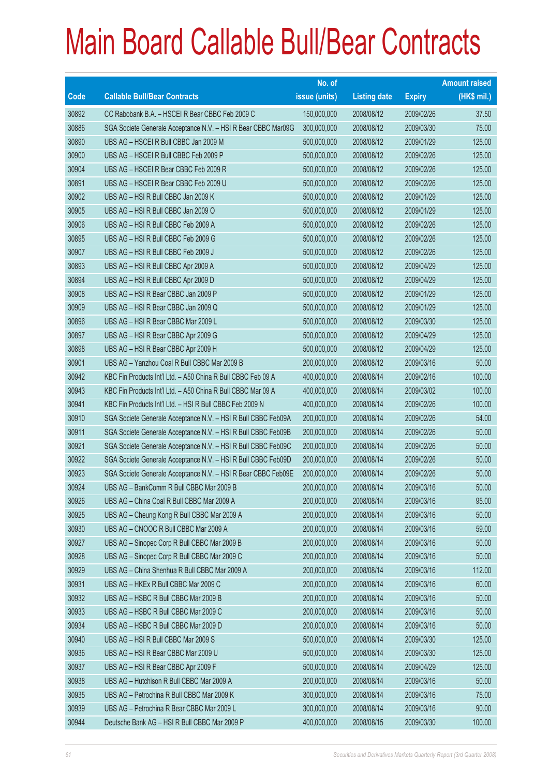|             |                                                               | No. of        |                     |               | <b>Amount raised</b> |
|-------------|---------------------------------------------------------------|---------------|---------------------|---------------|----------------------|
| <b>Code</b> | <b>Callable Bull/Bear Contracts</b>                           | issue (units) | <b>Listing date</b> | <b>Expiry</b> | (HK\$ mil.)          |
| 30892       | CC Rabobank B.A. - HSCEI R Bear CBBC Feb 2009 C               | 150,000,000   | 2008/08/12          | 2009/02/26    | 37.50                |
| 30886       | SGA Societe Generale Acceptance N.V. - HSI R Bear CBBC Mar09G | 300,000,000   | 2008/08/12          | 2009/03/30    | 75.00                |
| 30890       | UBS AG - HSCEI R Bull CBBC Jan 2009 M                         | 500,000,000   | 2008/08/12          | 2009/01/29    | 125.00               |
| 30900       | UBS AG - HSCEI R Bull CBBC Feb 2009 P                         | 500,000,000   | 2008/08/12          | 2009/02/26    | 125.00               |
| 30904       | UBS AG - HSCEI R Bear CBBC Feb 2009 R                         | 500,000,000   | 2008/08/12          | 2009/02/26    | 125.00               |
| 30891       | UBS AG - HSCEI R Bear CBBC Feb 2009 U                         | 500,000,000   | 2008/08/12          | 2009/02/26    | 125.00               |
| 30902       | UBS AG - HSI R Bull CBBC Jan 2009 K                           | 500,000,000   | 2008/08/12          | 2009/01/29    | 125.00               |
| 30905       | UBS AG - HSI R Bull CBBC Jan 2009 O                           | 500,000,000   | 2008/08/12          | 2009/01/29    | 125.00               |
| 30906       | UBS AG - HSI R Bull CBBC Feb 2009 A                           | 500,000,000   | 2008/08/12          | 2009/02/26    | 125.00               |
| 30895       | UBS AG - HSI R Bull CBBC Feb 2009 G                           | 500,000,000   | 2008/08/12          | 2009/02/26    | 125.00               |
| 30907       | UBS AG - HSI R Bull CBBC Feb 2009 J                           | 500,000,000   | 2008/08/12          | 2009/02/26    | 125.00               |
| 30893       | UBS AG - HSI R Bull CBBC Apr 2009 A                           | 500,000,000   | 2008/08/12          | 2009/04/29    | 125.00               |
| 30894       | UBS AG - HSI R Bull CBBC Apr 2009 D                           | 500,000,000   | 2008/08/12          | 2009/04/29    | 125.00               |
| 30908       | UBS AG - HSI R Bear CBBC Jan 2009 P                           | 500,000,000   | 2008/08/12          | 2009/01/29    | 125.00               |
| 30909       | UBS AG - HSI R Bear CBBC Jan 2009 Q                           | 500,000,000   | 2008/08/12          | 2009/01/29    | 125.00               |
| 30896       | UBS AG - HSI R Bear CBBC Mar 2009 L                           | 500,000,000   | 2008/08/12          | 2009/03/30    | 125.00               |
| 30897       | UBS AG - HSI R Bear CBBC Apr 2009 G                           | 500,000,000   | 2008/08/12          | 2009/04/29    | 125.00               |
| 30898       | UBS AG - HSI R Bear CBBC Apr 2009 H                           | 500,000,000   | 2008/08/12          | 2009/04/29    | 125.00               |
| 30901       | UBS AG - Yanzhou Coal R Bull CBBC Mar 2009 B                  | 200,000,000   | 2008/08/12          | 2009/03/16    | 50.00                |
| 30942       | KBC Fin Products Int'l Ltd. - A50 China R Bull CBBC Feb 09 A  | 400,000,000   | 2008/08/14          | 2009/02/16    | 100.00               |
| 30943       | KBC Fin Products Int'l Ltd. - A50 China R Bull CBBC Mar 09 A  | 400,000,000   | 2008/08/14          | 2009/03/02    | 100.00               |
| 30941       | KBC Fin Products Int'l Ltd. - HSI R Bull CBBC Feb 2009 N      | 400,000,000   | 2008/08/14          | 2009/02/26    | 100.00               |
| 30910       | SGA Societe Generale Acceptance N.V. - HSI R Bull CBBC Feb09A | 200,000,000   | 2008/08/14          | 2009/02/26    | 54.00                |
| 30911       | SGA Societe Generale Acceptance N.V. - HSI R Bull CBBC Feb09B | 200,000,000   | 2008/08/14          | 2009/02/26    | 50.00                |
| 30921       | SGA Societe Generale Acceptance N.V. - HSI R Bull CBBC Feb09C | 200,000,000   | 2008/08/14          | 2009/02/26    | 50.00                |
| 30922       | SGA Societe Generale Acceptance N.V. - HSI R Bull CBBC Feb09D | 200,000,000   | 2008/08/14          | 2009/02/26    | 50.00                |
| 30923       | SGA Societe Generale Acceptance N.V. - HSI R Bear CBBC Feb09E | 200,000,000   | 2008/08/14          | 2009/02/26    | 50.00                |
| 30924       | UBS AG - BankComm R Bull CBBC Mar 2009 B                      | 200,000,000   | 2008/08/14          | 2009/03/16    | 50.00                |
| 30926       | UBS AG - China Coal R Bull CBBC Mar 2009 A                    | 200,000,000   | 2008/08/14          | 2009/03/16    | 95.00                |
| 30925       | UBS AG - Cheung Kong R Bull CBBC Mar 2009 A                   | 200,000,000   | 2008/08/14          | 2009/03/16    | 50.00                |
| 30930       | UBS AG - CNOOC R Bull CBBC Mar 2009 A                         | 200,000,000   | 2008/08/14          | 2009/03/16    | 59.00                |
| 30927       | UBS AG - Sinopec Corp R Bull CBBC Mar 2009 B                  | 200,000,000   | 2008/08/14          | 2009/03/16    | 50.00                |
| 30928       | UBS AG - Sinopec Corp R Bull CBBC Mar 2009 C                  | 200,000,000   | 2008/08/14          | 2009/03/16    | 50.00                |
| 30929       | UBS AG - China Shenhua R Bull CBBC Mar 2009 A                 | 200,000,000   | 2008/08/14          | 2009/03/16    | 112.00               |
| 30931       | UBS AG - HKEx R Bull CBBC Mar 2009 C                          | 200,000,000   | 2008/08/14          | 2009/03/16    | 60.00                |
| 30932       | UBS AG - HSBC R Bull CBBC Mar 2009 B                          | 200,000,000   | 2008/08/14          | 2009/03/16    | 50.00                |
| 30933       | UBS AG - HSBC R Bull CBBC Mar 2009 C                          | 200,000,000   | 2008/08/14          | 2009/03/16    | 50.00                |
| 30934       | UBS AG - HSBC R Bull CBBC Mar 2009 D                          | 200,000,000   | 2008/08/14          | 2009/03/16    | 50.00                |
| 30940       | UBS AG - HSI R Bull CBBC Mar 2009 S                           | 500,000,000   | 2008/08/14          | 2009/03/30    | 125.00               |
| 30936       | UBS AG - HSI R Bear CBBC Mar 2009 U                           | 500,000,000   | 2008/08/14          | 2009/03/30    | 125.00               |
| 30937       | UBS AG - HSI R Bear CBBC Apr 2009 F                           | 500,000,000   | 2008/08/14          | 2009/04/29    | 125.00               |
| 30938       | UBS AG - Hutchison R Bull CBBC Mar 2009 A                     | 200,000,000   | 2008/08/14          | 2009/03/16    | 50.00                |
| 30935       | UBS AG - Petrochina R Bull CBBC Mar 2009 K                    | 300,000,000   | 2008/08/14          | 2009/03/16    | 75.00                |
| 30939       | UBS AG - Petrochina R Bear CBBC Mar 2009 L                    | 300,000,000   | 2008/08/14          | 2009/03/16    | 90.00                |
| 30944       | Deutsche Bank AG - HSI R Bull CBBC Mar 2009 P                 | 400,000,000   | 2008/08/15          | 2009/03/30    | 100.00               |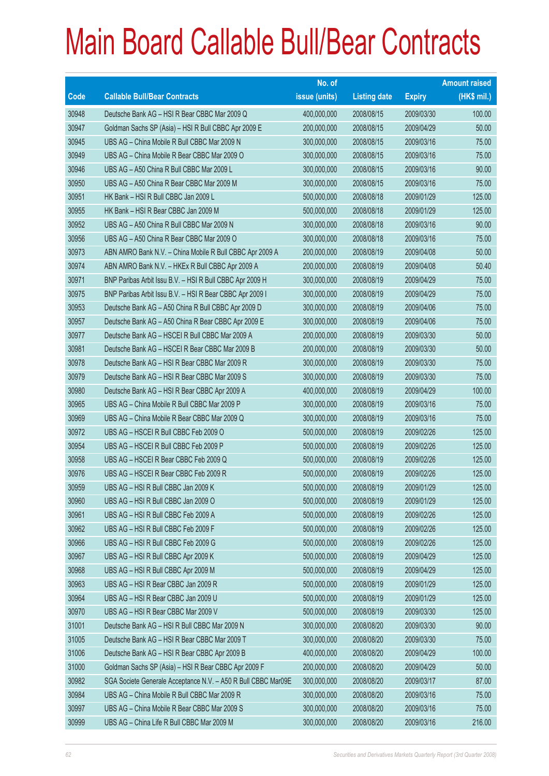|             |                                                               | No. of        |                     |               | <b>Amount raised</b> |
|-------------|---------------------------------------------------------------|---------------|---------------------|---------------|----------------------|
| <b>Code</b> | <b>Callable Bull/Bear Contracts</b>                           | issue (units) | <b>Listing date</b> | <b>Expiry</b> | $(HK$$ mil.)         |
| 30948       | Deutsche Bank AG - HSI R Bear CBBC Mar 2009 Q                 | 400,000,000   | 2008/08/15          | 2009/03/30    | 100.00               |
| 30947       | Goldman Sachs SP (Asia) - HSI R Bull CBBC Apr 2009 E          | 200,000,000   | 2008/08/15          | 2009/04/29    | 50.00                |
| 30945       | UBS AG - China Mobile R Bull CBBC Mar 2009 N                  | 300,000,000   | 2008/08/15          | 2009/03/16    | 75.00                |
| 30949       | UBS AG - China Mobile R Bear CBBC Mar 2009 O                  | 300,000,000   | 2008/08/15          | 2009/03/16    | 75.00                |
| 30946       | UBS AG - A50 China R Bull CBBC Mar 2009 L                     | 300,000,000   | 2008/08/15          | 2009/03/16    | 90.00                |
| 30950       | UBS AG - A50 China R Bear CBBC Mar 2009 M                     | 300,000,000   | 2008/08/15          | 2009/03/16    | 75.00                |
| 30951       | HK Bank - HSI R Bull CBBC Jan 2009 L                          | 500,000,000   | 2008/08/18          | 2009/01/29    | 125.00               |
| 30955       | HK Bank - HSI R Bear CBBC Jan 2009 M                          | 500,000,000   | 2008/08/18          | 2009/01/29    | 125.00               |
| 30952       | UBS AG - A50 China R Bull CBBC Mar 2009 N                     | 300,000,000   | 2008/08/18          | 2009/03/16    | 90.00                |
| 30956       | UBS AG - A50 China R Bear CBBC Mar 2009 O                     | 300,000,000   | 2008/08/18          | 2009/03/16    | 75.00                |
| 30973       | ABN AMRO Bank N.V. - China Mobile R Bull CBBC Apr 2009 A      | 200,000,000   | 2008/08/19          | 2009/04/08    | 50.00                |
| 30974       | ABN AMRO Bank N.V. - HKEx R Bull CBBC Apr 2009 A              | 200,000,000   | 2008/08/19          | 2009/04/08    | 50.40                |
| 30971       | BNP Paribas Arbit Issu B.V. - HSI R Bull CBBC Apr 2009 H      | 300,000,000   | 2008/08/19          | 2009/04/29    | 75.00                |
| 30975       | BNP Paribas Arbit Issu B.V. - HSI R Bear CBBC Apr 2009 I      | 300,000,000   | 2008/08/19          | 2009/04/29    | 75.00                |
| 30953       | Deutsche Bank AG - A50 China R Bull CBBC Apr 2009 D           | 300,000,000   | 2008/08/19          | 2009/04/06    | 75.00                |
| 30957       | Deutsche Bank AG - A50 China R Bear CBBC Apr 2009 E           | 300,000,000   | 2008/08/19          | 2009/04/06    | 75.00                |
| 30977       | Deutsche Bank AG - HSCEI R Bull CBBC Mar 2009 A               | 200,000,000   | 2008/08/19          | 2009/03/30    | 50.00                |
| 30981       | Deutsche Bank AG - HSCEI R Bear CBBC Mar 2009 B               | 200,000,000   | 2008/08/19          | 2009/03/30    | 50.00                |
| 30978       | Deutsche Bank AG - HSI R Bear CBBC Mar 2009 R                 | 300,000,000   | 2008/08/19          | 2009/03/30    | 75.00                |
| 30979       | Deutsche Bank AG - HSI R Bear CBBC Mar 2009 S                 | 300,000,000   | 2008/08/19          | 2009/03/30    | 75.00                |
| 30980       | Deutsche Bank AG - HSI R Bear CBBC Apr 2009 A                 | 400,000,000   | 2008/08/19          | 2009/04/29    | 100.00               |
| 30965       | UBS AG - China Mobile R Bull CBBC Mar 2009 P                  | 300,000,000   | 2008/08/19          | 2009/03/16    | 75.00                |
| 30969       | UBS AG - China Mobile R Bear CBBC Mar 2009 Q                  | 300,000,000   | 2008/08/19          | 2009/03/16    | 75.00                |
| 30972       | UBS AG - HSCEI R Bull CBBC Feb 2009 O                         | 500,000,000   | 2008/08/19          | 2009/02/26    | 125.00               |
| 30954       | UBS AG - HSCEI R Bull CBBC Feb 2009 P                         | 500,000,000   | 2008/08/19          | 2009/02/26    | 125.00               |
| 30958       | UBS AG - HSCEI R Bear CBBC Feb 2009 Q                         | 500,000,000   | 2008/08/19          | 2009/02/26    | 125.00               |
| 30976       | UBS AG - HSCEI R Bear CBBC Feb 2009 R                         | 500,000,000   | 2008/08/19          | 2009/02/26    | 125.00               |
| 30959       | UBS AG - HSI R Bull CBBC Jan 2009 K                           | 500,000,000   | 2008/08/19          | 2009/01/29    | 125.00               |
| 30960       | UBS AG - HSI R Bull CBBC Jan 2009 O                           | 500,000,000   | 2008/08/19          | 2009/01/29    | 125.00               |
| 30961       | UBS AG - HSI R Bull CBBC Feb 2009 A                           | 500,000,000   | 2008/08/19          | 2009/02/26    | 125.00               |
| 30962       | UBS AG - HSI R Bull CBBC Feb 2009 F                           | 500,000,000   | 2008/08/19          | 2009/02/26    | 125.00               |
| 30966       | UBS AG - HSI R Bull CBBC Feb 2009 G                           | 500,000,000   | 2008/08/19          | 2009/02/26    | 125.00               |
| 30967       | UBS AG - HSI R Bull CBBC Apr 2009 K                           | 500,000,000   | 2008/08/19          | 2009/04/29    | 125.00               |
| 30968       | UBS AG - HSI R Bull CBBC Apr 2009 M                           | 500,000,000   | 2008/08/19          | 2009/04/29    | 125.00               |
| 30963       | UBS AG - HSI R Bear CBBC Jan 2009 R                           | 500,000,000   | 2008/08/19          | 2009/01/29    | 125.00               |
| 30964       | UBS AG - HSI R Bear CBBC Jan 2009 U                           | 500,000,000   | 2008/08/19          | 2009/01/29    | 125.00               |
| 30970       | UBS AG - HSI R Bear CBBC Mar 2009 V                           | 500,000,000   | 2008/08/19          | 2009/03/30    | 125.00               |
| 31001       | Deutsche Bank AG - HSI R Bull CBBC Mar 2009 N                 | 300,000,000   | 2008/08/20          | 2009/03/30    | 90.00                |
| 31005       | Deutsche Bank AG - HSI R Bear CBBC Mar 2009 T                 | 300,000,000   | 2008/08/20          | 2009/03/30    | 75.00                |
| 31006       | Deutsche Bank AG - HSI R Bear CBBC Apr 2009 B                 | 400,000,000   | 2008/08/20          | 2009/04/29    | 100.00               |
| 31000       | Goldman Sachs SP (Asia) - HSI R Bear CBBC Apr 2009 F          | 200,000,000   | 2008/08/20          | 2009/04/29    | 50.00                |
| 30982       | SGA Societe Generale Acceptance N.V. - A50 R Bull CBBC Mar09E | 300,000,000   | 2008/08/20          | 2009/03/17    | 87.00                |
| 30984       | UBS AG - China Mobile R Bull CBBC Mar 2009 R                  | 300,000,000   | 2008/08/20          | 2009/03/16    | 75.00                |
| 30997       | UBS AG - China Mobile R Bear CBBC Mar 2009 S                  | 300,000,000   | 2008/08/20          | 2009/03/16    | 75.00                |
| 30999       | UBS AG - China Life R Bull CBBC Mar 2009 M                    | 300,000,000   | 2008/08/20          | 2009/03/16    | 216.00               |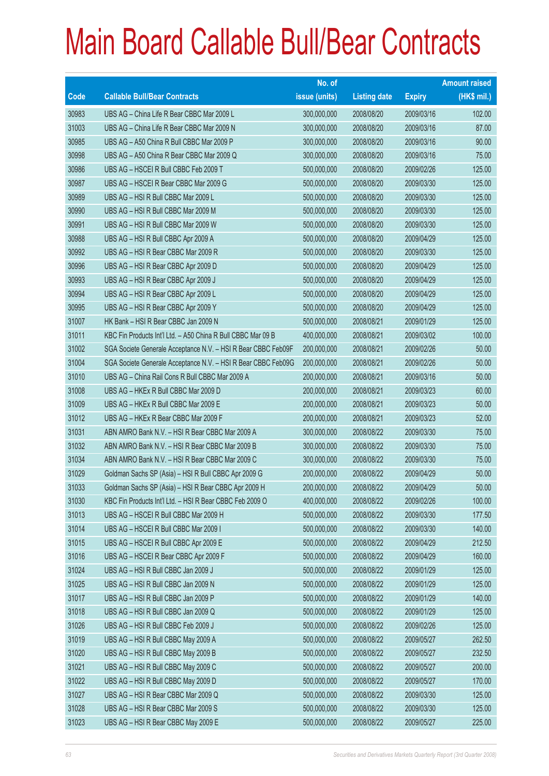|       |                                                               | No. of        |                     |               | <b>Amount raised</b> |
|-------|---------------------------------------------------------------|---------------|---------------------|---------------|----------------------|
| Code  | <b>Callable Bull/Bear Contracts</b>                           | issue (units) | <b>Listing date</b> | <b>Expiry</b> | $(HK$$ mil.)         |
| 30983 | UBS AG - China Life R Bear CBBC Mar 2009 L                    | 300,000,000   | 2008/08/20          | 2009/03/16    | 102.00               |
| 31003 | UBS AG - China Life R Bear CBBC Mar 2009 N                    | 300,000,000   | 2008/08/20          | 2009/03/16    | 87.00                |
| 30985 | UBS AG - A50 China R Bull CBBC Mar 2009 P                     | 300,000,000   | 2008/08/20          | 2009/03/16    | 90.00                |
| 30998 | UBS AG - A50 China R Bear CBBC Mar 2009 Q                     | 300,000,000   | 2008/08/20          | 2009/03/16    | 75.00                |
| 30986 | UBS AG - HSCEI R Bull CBBC Feb 2009 T                         | 500,000,000   | 2008/08/20          | 2009/02/26    | 125.00               |
| 30987 | UBS AG - HSCEI R Bear CBBC Mar 2009 G                         | 500,000,000   | 2008/08/20          | 2009/03/30    | 125.00               |
| 30989 | UBS AG - HSI R Bull CBBC Mar 2009 L                           | 500,000,000   | 2008/08/20          | 2009/03/30    | 125.00               |
| 30990 | UBS AG - HSI R Bull CBBC Mar 2009 M                           | 500,000,000   | 2008/08/20          | 2009/03/30    | 125.00               |
| 30991 | UBS AG - HSI R Bull CBBC Mar 2009 W                           | 500,000,000   | 2008/08/20          | 2009/03/30    | 125.00               |
| 30988 | UBS AG - HSI R Bull CBBC Apr 2009 A                           | 500,000,000   | 2008/08/20          | 2009/04/29    | 125.00               |
| 30992 | UBS AG - HSI R Bear CBBC Mar 2009 R                           | 500,000,000   | 2008/08/20          | 2009/03/30    | 125.00               |
| 30996 | UBS AG - HSI R Bear CBBC Apr 2009 D                           | 500,000,000   | 2008/08/20          | 2009/04/29    | 125.00               |
| 30993 | UBS AG - HSI R Bear CBBC Apr 2009 J                           | 500,000,000   | 2008/08/20          | 2009/04/29    | 125.00               |
| 30994 | UBS AG - HSI R Bear CBBC Apr 2009 L                           | 500,000,000   | 2008/08/20          | 2009/04/29    | 125.00               |
| 30995 | UBS AG - HSI R Bear CBBC Apr 2009 Y                           | 500,000,000   | 2008/08/20          | 2009/04/29    | 125.00               |
| 31007 | HK Bank - HSI R Bear CBBC Jan 2009 N                          | 500,000,000   | 2008/08/21          | 2009/01/29    | 125.00               |
| 31011 | KBC Fin Products Int'l Ltd. - A50 China R Bull CBBC Mar 09 B  | 400,000,000   | 2008/08/21          | 2009/03/02    | 100.00               |
| 31002 | SGA Societe Generale Acceptance N.V. - HSI R Bear CBBC Feb09F | 200,000,000   | 2008/08/21          | 2009/02/26    | 50.00                |
| 31004 | SGA Societe Generale Acceptance N.V. - HSI R Bear CBBC Feb09G | 200,000,000   | 2008/08/21          | 2009/02/26    | 50.00                |
| 31010 | UBS AG - China Rail Cons R Bull CBBC Mar 2009 A               | 200,000,000   | 2008/08/21          | 2009/03/16    | 50.00                |
| 31008 | UBS AG - HKEx R Bull CBBC Mar 2009 D                          | 200,000,000   | 2008/08/21          | 2009/03/23    | 60.00                |
| 31009 | UBS AG - HKEx R Bull CBBC Mar 2009 E                          | 200,000,000   | 2008/08/21          | 2009/03/23    | 50.00                |
| 31012 | UBS AG - HKEx R Bear CBBC Mar 2009 F                          | 200,000,000   | 2008/08/21          | 2009/03/23    | 52.00                |
| 31031 | ABN AMRO Bank N.V. - HSI R Bear CBBC Mar 2009 A               | 300,000,000   | 2008/08/22          | 2009/03/30    | 75.00                |
| 31032 | ABN AMRO Bank N.V. - HSI R Bear CBBC Mar 2009 B               | 300,000,000   | 2008/08/22          | 2009/03/30    | 75.00                |
| 31034 | ABN AMRO Bank N.V. - HSI R Bear CBBC Mar 2009 C               | 300,000,000   | 2008/08/22          | 2009/03/30    | 75.00                |
| 31029 | Goldman Sachs SP (Asia) - HSI R Bull CBBC Apr 2009 G          | 200,000,000   | 2008/08/22          | 2009/04/29    | 50.00                |
| 31033 | Goldman Sachs SP (Asia) - HSI R Bear CBBC Apr 2009 H          | 200,000,000   | 2008/08/22          | 2009/04/29    | 50.00                |
| 31030 | KBC Fin Products Int'l Ltd. - HSI R Bear CBBC Feb 2009 O      | 400,000,000   | 2008/08/22          | 2009/02/26    | 100.00               |
| 31013 | UBS AG - HSCEI R Bull CBBC Mar 2009 H                         | 500,000,000   | 2008/08/22          | 2009/03/30    | 177.50               |
| 31014 | UBS AG - HSCEI R Bull CBBC Mar 2009 I                         | 500,000,000   | 2008/08/22          | 2009/03/30    | 140.00               |
| 31015 | UBS AG - HSCEI R Bull CBBC Apr 2009 E                         | 500,000,000   | 2008/08/22          | 2009/04/29    | 212.50               |
| 31016 | UBS AG - HSCEI R Bear CBBC Apr 2009 F                         | 500,000,000   | 2008/08/22          | 2009/04/29    | 160.00               |
| 31024 | UBS AG - HSI R Bull CBBC Jan 2009 J                           | 500,000,000   | 2008/08/22          | 2009/01/29    | 125.00               |
| 31025 | UBS AG - HSI R Bull CBBC Jan 2009 N                           | 500,000,000   | 2008/08/22          | 2009/01/29    | 125.00               |
| 31017 | UBS AG - HSI R Bull CBBC Jan 2009 P                           | 500,000,000   | 2008/08/22          | 2009/01/29    | 140.00               |
| 31018 | UBS AG - HSI R Bull CBBC Jan 2009 Q                           | 500,000,000   | 2008/08/22          | 2009/01/29    | 125.00               |
| 31026 | UBS AG - HSI R Bull CBBC Feb 2009 J                           | 500,000,000   | 2008/08/22          | 2009/02/26    | 125.00               |
| 31019 | UBS AG - HSI R Bull CBBC May 2009 A                           | 500,000,000   | 2008/08/22          | 2009/05/27    | 262.50               |
| 31020 | UBS AG - HSI R Bull CBBC May 2009 B                           | 500,000,000   | 2008/08/22          | 2009/05/27    | 232.50               |
| 31021 | UBS AG - HSI R Bull CBBC May 2009 C                           | 500,000,000   | 2008/08/22          | 2009/05/27    | 200.00               |
| 31022 | UBS AG - HSI R Bull CBBC May 2009 D                           | 500,000,000   | 2008/08/22          | 2009/05/27    | 170.00               |
| 31027 | UBS AG - HSI R Bear CBBC Mar 2009 Q                           | 500,000,000   | 2008/08/22          | 2009/03/30    | 125.00               |
| 31028 | UBS AG - HSI R Bear CBBC Mar 2009 S                           | 500,000,000   | 2008/08/22          | 2009/03/30    | 125.00               |
| 31023 | UBS AG - HSI R Bear CBBC May 2009 E                           | 500,000,000   | 2008/08/22          | 2009/05/27    | 225.00               |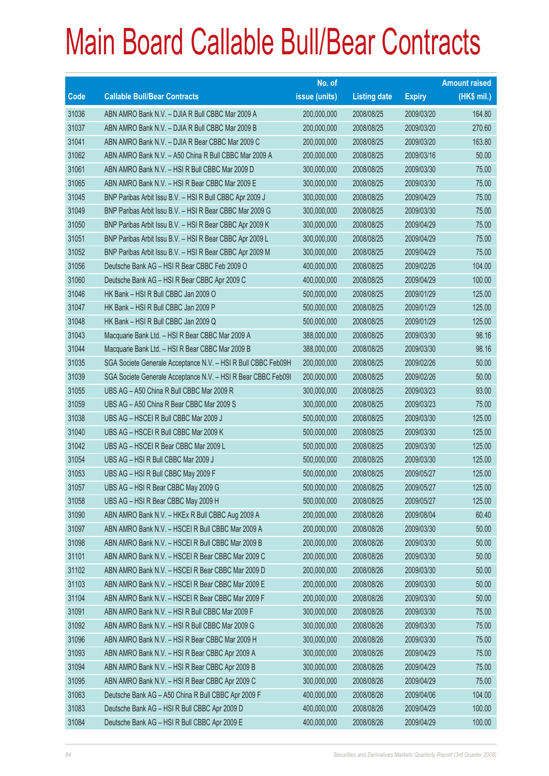|       |                                                               | No. of        |                     |               | <b>Amount raised</b> |
|-------|---------------------------------------------------------------|---------------|---------------------|---------------|----------------------|
| Code  | <b>Callable Bull/Bear Contracts</b>                           | issue (units) | <b>Listing date</b> | <b>Expiry</b> | (HK\$ mil.)          |
| 31036 | ABN AMRO Bank N.V. - DJIA R Bull CBBC Mar 2009 A              | 200,000,000   | 2008/08/25          | 2009/03/20    | 164.80               |
| 31037 | ABN AMRO Bank N.V. - DJIA R Bull CBBC Mar 2009 B              | 200,000,000   | 2008/08/25          | 2009/03/20    | 270.60               |
| 31041 | ABN AMRO Bank N.V. - DJIA R Bear CBBC Mar 2009 C              | 200,000,000   | 2008/08/25          | 2009/03/20    | 163.80               |
| 31062 | ABN AMRO Bank N.V. - A50 China R Bull CBBC Mar 2009 A         | 200,000,000   | 2008/08/25          | 2009/03/16    | 50.00                |
| 31061 | ABN AMRO Bank N.V. - HSI R Bull CBBC Mar 2009 D               | 300,000,000   | 2008/08/25          | 2009/03/30    | 75.00                |
| 31065 | ABN AMRO Bank N.V. - HSI R Bear CBBC Mar 2009 E               | 300,000,000   | 2008/08/25          | 2009/03/30    | 75.00                |
| 31045 | BNP Paribas Arbit Issu B.V. - HSI R Bull CBBC Apr 2009 J      | 300,000,000   | 2008/08/25          | 2009/04/29    | 75.00                |
| 31049 | BNP Paribas Arbit Issu B.V. - HSI R Bear CBBC Mar 2009 G      | 300,000,000   | 2008/08/25          | 2009/03/30    | 75.00                |
| 31050 | BNP Paribas Arbit Issu B.V. - HSI R Bear CBBC Apr 2009 K      | 300,000,000   | 2008/08/25          | 2009/04/29    | 75.00                |
| 31051 | BNP Paribas Arbit Issu B.V. - HSI R Bear CBBC Apr 2009 L      | 300,000,000   | 2008/08/25          | 2009/04/29    | 75.00                |
| 31052 | BNP Paribas Arbit Issu B.V. - HSI R Bear CBBC Apr 2009 M      | 300,000,000   | 2008/08/25          | 2009/04/29    | 75.00                |
| 31056 | Deutsche Bank AG - HSI R Bear CBBC Feb 2009 O                 | 400,000,000   | 2008/08/25          | 2009/02/26    | 104.00               |
| 31060 | Deutsche Bank AG - HSI R Bear CBBC Apr 2009 C                 | 400,000,000   | 2008/08/25          | 2009/04/29    | 100.00               |
| 31046 | HK Bank - HSI R Bull CBBC Jan 2009 O                          | 500,000,000   | 2008/08/25          | 2009/01/29    | 125.00               |
| 31047 | HK Bank - HSI R Bull CBBC Jan 2009 P                          | 500,000,000   | 2008/08/25          | 2009/01/29    | 125.00               |
| 31048 | HK Bank - HSI R Bull CBBC Jan 2009 Q                          | 500,000,000   | 2008/08/25          | 2009/01/29    | 125.00               |
| 31043 | Macquarie Bank Ltd. - HSI R Bear CBBC Mar 2009 A              | 388,000,000   | 2008/08/25          | 2009/03/30    | 98.16                |
| 31044 | Macquarie Bank Ltd. - HSI R Bear CBBC Mar 2009 B              | 388,000,000   | 2008/08/25          | 2009/03/30    | 98.16                |
| 31035 | SGA Societe Generale Acceptance N.V. - HSI R Bull CBBC Feb09H | 200,000,000   | 2008/08/25          | 2009/02/26    | 50.00                |
| 31039 | SGA Societe Generale Acceptance N.V. - HSI R Bear CBBC Feb09I | 200,000,000   | 2008/08/25          | 2009/02/26    | 50.00                |
| 31055 | UBS AG - A50 China R Bull CBBC Mar 2009 R                     | 300,000,000   | 2008/08/25          | 2009/03/23    | 93.00                |
| 31059 | UBS AG - A50 China R Bear CBBC Mar 2009 S                     | 300,000,000   | 2008/08/25          | 2009/03/23    | 75.00                |
| 31038 | UBS AG - HSCEI R Bull CBBC Mar 2009 J                         | 500,000,000   | 2008/08/25          | 2009/03/30    | 125.00               |
| 31040 | UBS AG - HSCEI R Bull CBBC Mar 2009 K                         | 500,000,000   | 2008/08/25          | 2009/03/30    | 125.00               |
| 31042 | UBS AG - HSCEI R Bear CBBC Mar 2009 L                         | 500,000,000   | 2008/08/25          | 2009/03/30    | 125.00               |
| 31054 | UBS AG - HSI R Bull CBBC Mar 2009 J                           | 500,000,000   | 2008/08/25          | 2009/03/30    | 125.00               |
| 31053 | UBS AG - HSI R Bull CBBC May 2009 F                           | 500,000,000   | 2008/08/25          | 2009/05/27    | 125.00               |
| 31057 | UBS AG - HSI R Bear CBBC May 2009 G                           | 500,000,000   | 2008/08/25          | 2009/05/27    | 125.00               |
| 31058 | UBS AG - HSI R Bear CBBC May 2009 H                           | 500,000,000   | 2008/08/25          | 2009/05/27    | 125.00               |
| 31090 | ABN AMRO Bank N.V. - HKEx R Bull CBBC Aug 2009 A              | 200,000,000   | 2008/08/26          | 2009/08/04    | 60.40                |
| 31097 | ABN AMRO Bank N.V. - HSCEI R Bull CBBC Mar 2009 A             | 200,000,000   | 2008/08/26          | 2009/03/30    | 50.00                |
| 31098 | ABN AMRO Bank N.V. - HSCEI R Bull CBBC Mar 2009 B             | 200,000,000   | 2008/08/26          | 2009/03/30    | 50.00                |
| 31101 | ABN AMRO Bank N.V. - HSCEI R Bear CBBC Mar 2009 C             | 200,000,000   | 2008/08/26          | 2009/03/30    | 50.00                |
| 31102 | ABN AMRO Bank N.V. - HSCEI R Bear CBBC Mar 2009 D             | 200,000,000   | 2008/08/26          | 2009/03/30    | 50.00                |
| 31103 | ABN AMRO Bank N.V. - HSCEI R Bear CBBC Mar 2009 E             | 200,000,000   | 2008/08/26          | 2009/03/30    | 50.00                |
| 31104 | ABN AMRO Bank N.V. - HSCEI R Bear CBBC Mar 2009 F             | 200,000,000   | 2008/08/26          | 2009/03/30    | 50.00                |
| 31091 | ABN AMRO Bank N.V. - HSI R Bull CBBC Mar 2009 F               | 300,000,000   | 2008/08/26          | 2009/03/30    | 75.00                |
| 31092 | ABN AMRO Bank N.V. - HSI R Bull CBBC Mar 2009 G               | 300,000,000   | 2008/08/26          | 2009/03/30    | 75.00                |
| 31096 | ABN AMRO Bank N.V. - HSI R Bear CBBC Mar 2009 H               | 300,000,000   | 2008/08/26          | 2009/03/30    | 75.00                |
| 31093 | ABN AMRO Bank N.V. - HSI R Bear CBBC Apr 2009 A               | 300,000,000   | 2008/08/26          | 2009/04/29    | 75.00                |
| 31094 | ABN AMRO Bank N.V. - HSI R Bear CBBC Apr 2009 B               | 300,000,000   | 2008/08/26          | 2009/04/29    | 75.00                |
| 31095 | ABN AMRO Bank N.V. - HSI R Bear CBBC Apr 2009 C               | 300,000,000   | 2008/08/26          | 2009/04/29    | 75.00                |
| 31063 | Deutsche Bank AG - A50 China R Bull CBBC Apr 2009 F           | 400,000,000   | 2008/08/26          | 2009/04/06    | 104.00               |
| 31083 | Deutsche Bank AG - HSI R Bull CBBC Apr 2009 D                 | 400,000,000   | 2008/08/26          | 2009/04/29    | 100.00               |
| 31084 | Deutsche Bank AG - HSI R Bull CBBC Apr 2009 E                 | 400,000,000   | 2008/08/26          | 2009/04/29    | 100.00               |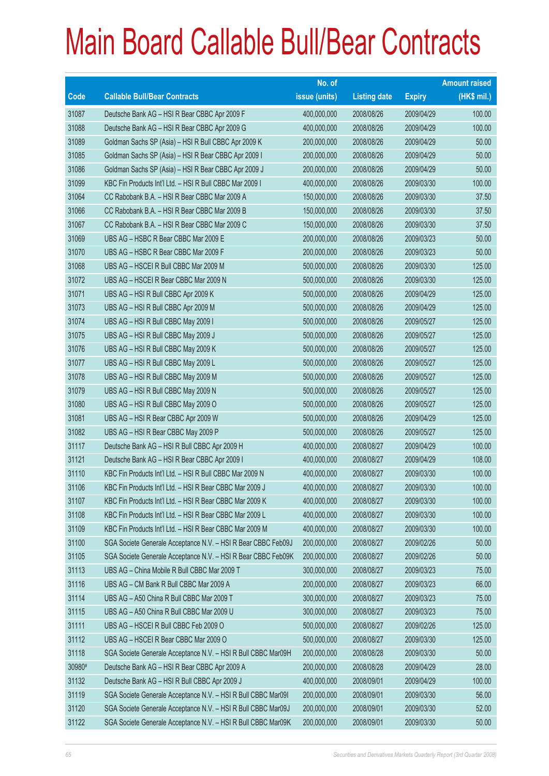|        |                                                               | No. of        |                     |               | <b>Amount raised</b> |
|--------|---------------------------------------------------------------|---------------|---------------------|---------------|----------------------|
| Code   | <b>Callable Bull/Bear Contracts</b>                           | issue (units) | <b>Listing date</b> | <b>Expiry</b> | (HK\$ mil.)          |
| 31087  | Deutsche Bank AG - HSI R Bear CBBC Apr 2009 F                 | 400,000,000   | 2008/08/26          | 2009/04/29    | 100.00               |
| 31088  | Deutsche Bank AG - HSI R Bear CBBC Apr 2009 G                 | 400,000,000   | 2008/08/26          | 2009/04/29    | 100.00               |
| 31089  | Goldman Sachs SP (Asia) - HSI R Bull CBBC Apr 2009 K          | 200,000,000   | 2008/08/26          | 2009/04/29    | 50.00                |
| 31085  | Goldman Sachs SP (Asia) - HSI R Bear CBBC Apr 2009 I          | 200,000,000   | 2008/08/26          | 2009/04/29    | 50.00                |
| 31086  | Goldman Sachs SP (Asia) - HSI R Bear CBBC Apr 2009 J          | 200,000,000   | 2008/08/26          | 2009/04/29    | 50.00                |
| 31099  | KBC Fin Products Int'l Ltd. - HSI R Bull CBBC Mar 2009 I      | 400,000,000   | 2008/08/26          | 2009/03/30    | 100.00               |
| 31064  | CC Rabobank B.A. - HSI R Bear CBBC Mar 2009 A                 | 150,000,000   | 2008/08/26          | 2009/03/30    | 37.50                |
| 31066  | CC Rabobank B.A. - HSI R Bear CBBC Mar 2009 B                 | 150,000,000   | 2008/08/26          | 2009/03/30    | 37.50                |
| 31067  | CC Rabobank B.A. - HSI R Bear CBBC Mar 2009 C                 | 150,000,000   | 2008/08/26          | 2009/03/30    | 37.50                |
| 31069  | UBS AG - HSBC R Bear CBBC Mar 2009 E                          | 200,000,000   | 2008/08/26          | 2009/03/23    | 50.00                |
| 31070  | UBS AG - HSBC R Bear CBBC Mar 2009 F                          | 200,000,000   | 2008/08/26          | 2009/03/23    | 50.00                |
| 31068  | UBS AG - HSCEI R Bull CBBC Mar 2009 M                         | 500,000,000   | 2008/08/26          | 2009/03/30    | 125.00               |
| 31072  | UBS AG - HSCEI R Bear CBBC Mar 2009 N                         | 500,000,000   | 2008/08/26          | 2009/03/30    | 125.00               |
| 31071  | UBS AG - HSI R Bull CBBC Apr 2009 K                           | 500,000,000   | 2008/08/26          | 2009/04/29    | 125.00               |
| 31073  | UBS AG - HSI R Bull CBBC Apr 2009 M                           | 500,000,000   | 2008/08/26          | 2009/04/29    | 125.00               |
| 31074  | UBS AG - HSI R Bull CBBC May 2009 I                           | 500,000,000   | 2008/08/26          | 2009/05/27    | 125.00               |
| 31075  | UBS AG - HSI R Bull CBBC May 2009 J                           | 500,000,000   | 2008/08/26          | 2009/05/27    | 125.00               |
| 31076  | UBS AG - HSI R Bull CBBC May 2009 K                           | 500,000,000   | 2008/08/26          | 2009/05/27    | 125.00               |
| 31077  | UBS AG - HSI R Bull CBBC May 2009 L                           | 500,000,000   | 2008/08/26          | 2009/05/27    | 125.00               |
| 31078  | UBS AG - HSI R Bull CBBC May 2009 M                           | 500,000,000   | 2008/08/26          | 2009/05/27    | 125.00               |
| 31079  | UBS AG - HSI R Bull CBBC May 2009 N                           | 500,000,000   | 2008/08/26          | 2009/05/27    | 125.00               |
| 31080  | UBS AG - HSI R Bull CBBC May 2009 O                           | 500,000,000   | 2008/08/26          | 2009/05/27    | 125.00               |
| 31081  | UBS AG - HSI R Bear CBBC Apr 2009 W                           | 500,000,000   | 2008/08/26          | 2009/04/29    | 125.00               |
| 31082  | UBS AG - HSI R Bear CBBC May 2009 P                           | 500,000,000   | 2008/08/26          | 2009/05/27    | 125.00               |
| 31117  | Deutsche Bank AG - HSI R Bull CBBC Apr 2009 H                 | 400,000,000   | 2008/08/27          | 2009/04/29    | 100.00               |
| 31121  | Deutsche Bank AG - HSI R Bear CBBC Apr 2009 I                 | 400,000,000   | 2008/08/27          | 2009/04/29    | 108.00               |
| 31110  | KBC Fin Products Int'l Ltd. - HSI R Bull CBBC Mar 2009 N      | 400,000,000   | 2008/08/27          | 2009/03/30    | 100.00               |
| 31106  | KBC Fin Products Int'l Ltd. - HSI R Bear CBBC Mar 2009 J      | 400,000,000   | 2008/08/27          | 2009/03/30    | 100.00               |
| 31107  | KBC Fin Products Int'l Ltd. - HSI R Bear CBBC Mar 2009 K      | 400,000,000   | 2008/08/27          | 2009/03/30    | 100.00               |
| 31108  | KBC Fin Products Int'l Ltd. - HSI R Bear CBBC Mar 2009 L      | 400,000,000   | 2008/08/27          | 2009/03/30    | 100.00               |
| 31109  | KBC Fin Products Int'l Ltd. - HSI R Bear CBBC Mar 2009 M      | 400,000,000   | 2008/08/27          | 2009/03/30    | 100.00               |
| 31100  | SGA Societe Generale Acceptance N.V. - HSI R Bear CBBC Feb09J | 200,000,000   | 2008/08/27          | 2009/02/26    | 50.00                |
| 31105  | SGA Societe Generale Acceptance N.V. - HSI R Bear CBBC Feb09K | 200,000,000   | 2008/08/27          | 2009/02/26    | 50.00                |
| 31113  | UBS AG - China Mobile R Bull CBBC Mar 2009 T                  | 300,000,000   | 2008/08/27          | 2009/03/23    | 75.00                |
| 31116  | UBS AG - CM Bank R Bull CBBC Mar 2009 A                       | 200,000,000   | 2008/08/27          | 2009/03/23    | 66.00                |
| 31114  | UBS AG - A50 China R Bull CBBC Mar 2009 T                     | 300,000,000   | 2008/08/27          | 2009/03/23    | 75.00                |
| 31115  | UBS AG - A50 China R Bull CBBC Mar 2009 U                     | 300,000,000   | 2008/08/27          | 2009/03/23    | 75.00                |
| 31111  | UBS AG - HSCEI R Bull CBBC Feb 2009 O                         | 500,000,000   | 2008/08/27          | 2009/02/26    | 125.00               |
| 31112  | UBS AG - HSCEI R Bear CBBC Mar 2009 O                         | 500,000,000   | 2008/08/27          | 2009/03/30    | 125.00               |
| 31118  | SGA Societe Generale Acceptance N.V. - HSI R Bull CBBC Mar09H | 200,000,000   | 2008/08/28          | 2009/03/30    | 50.00                |
| 30980# | Deutsche Bank AG - HSI R Bear CBBC Apr 2009 A                 | 200,000,000   | 2008/08/28          | 2009/04/29    | 28.00                |
| 31132  | Deutsche Bank AG - HSI R Bull CBBC Apr 2009 J                 | 400,000,000   | 2008/09/01          | 2009/04/29    | 100.00               |
| 31119  | SGA Societe Generale Acceptance N.V. - HSI R Bull CBBC Mar09I | 200,000,000   | 2008/09/01          | 2009/03/30    | 56.00                |
| 31120  | SGA Societe Generale Acceptance N.V. - HSI R Bull CBBC Mar09J | 200,000,000   | 2008/09/01          | 2009/03/30    | 52.00                |
| 31122  | SGA Societe Generale Acceptance N.V. - HSI R Bull CBBC Mar09K | 200,000,000   | 2008/09/01          | 2009/03/30    | 50.00                |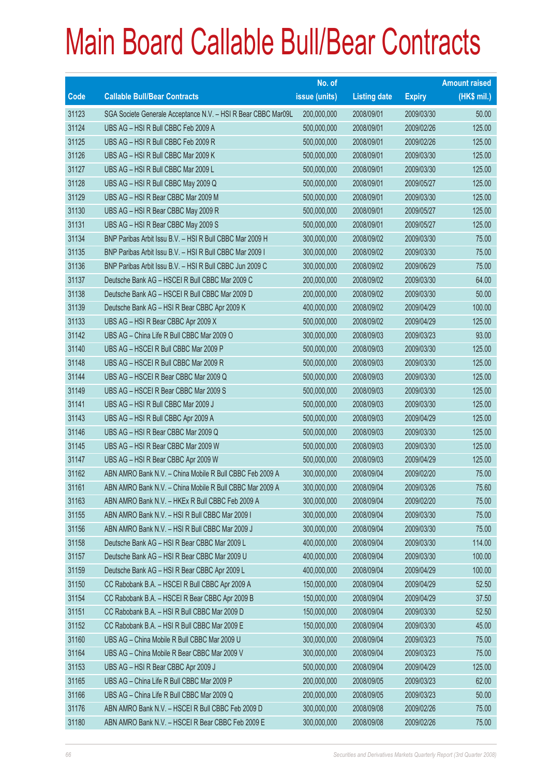|       |                                                               | No. of        |                     |               | <b>Amount raised</b> |
|-------|---------------------------------------------------------------|---------------|---------------------|---------------|----------------------|
| Code  | <b>Callable Bull/Bear Contracts</b>                           | issue (units) | <b>Listing date</b> | <b>Expiry</b> | $(HK$$ mil.)         |
| 31123 | SGA Societe Generale Acceptance N.V. - HSI R Bear CBBC Mar09L | 200,000,000   | 2008/09/01          | 2009/03/30    | 50.00                |
| 31124 | UBS AG - HSI R Bull CBBC Feb 2009 A                           | 500,000,000   | 2008/09/01          | 2009/02/26    | 125.00               |
| 31125 | UBS AG - HSI R Bull CBBC Feb 2009 R                           | 500,000,000   | 2008/09/01          | 2009/02/26    | 125.00               |
| 31126 | UBS AG - HSI R Bull CBBC Mar 2009 K                           | 500,000,000   | 2008/09/01          | 2009/03/30    | 125.00               |
| 31127 | UBS AG - HSI R Bull CBBC Mar 2009 L                           | 500,000,000   | 2008/09/01          | 2009/03/30    | 125.00               |
| 31128 | UBS AG - HSI R Bull CBBC May 2009 Q                           | 500,000,000   | 2008/09/01          | 2009/05/27    | 125.00               |
| 31129 | UBS AG - HSI R Bear CBBC Mar 2009 M                           | 500,000,000   | 2008/09/01          | 2009/03/30    | 125.00               |
| 31130 | UBS AG - HSI R Bear CBBC May 2009 R                           | 500,000,000   | 2008/09/01          | 2009/05/27    | 125.00               |
| 31131 | UBS AG - HSI R Bear CBBC May 2009 S                           | 500,000,000   | 2008/09/01          | 2009/05/27    | 125.00               |
| 31134 | BNP Paribas Arbit Issu B.V. - HSI R Bull CBBC Mar 2009 H      | 300,000,000   | 2008/09/02          | 2009/03/30    | 75.00                |
| 31135 | BNP Paribas Arbit Issu B.V. - HSI R Bull CBBC Mar 2009 I      | 300,000,000   | 2008/09/02          | 2009/03/30    | 75.00                |
| 31136 | BNP Paribas Arbit Issu B.V. - HSI R Bull CBBC Jun 2009 C      | 300,000,000   | 2008/09/02          | 2009/06/29    | 75.00                |
| 31137 | Deutsche Bank AG - HSCEI R Bull CBBC Mar 2009 C               | 200,000,000   | 2008/09/02          | 2009/03/30    | 64.00                |
| 31138 | Deutsche Bank AG - HSCEI R Bull CBBC Mar 2009 D               | 200,000,000   | 2008/09/02          | 2009/03/30    | 50.00                |
| 31139 | Deutsche Bank AG - HSI R Bear CBBC Apr 2009 K                 | 400,000,000   | 2008/09/02          | 2009/04/29    | 100.00               |
| 31133 | UBS AG - HSI R Bear CBBC Apr 2009 X                           | 500,000,000   | 2008/09/02          | 2009/04/29    | 125.00               |
| 31142 | UBS AG - China Life R Bull CBBC Mar 2009 O                    | 300,000,000   | 2008/09/03          | 2009/03/23    | 93.00                |
| 31140 | UBS AG - HSCEI R Bull CBBC Mar 2009 P                         | 500,000,000   | 2008/09/03          | 2009/03/30    | 125.00               |
| 31148 | UBS AG - HSCEI R Bull CBBC Mar 2009 R                         | 500,000,000   | 2008/09/03          | 2009/03/30    | 125.00               |
| 31144 | UBS AG - HSCEI R Bear CBBC Mar 2009 Q                         | 500,000,000   | 2008/09/03          | 2009/03/30    | 125.00               |
| 31149 | UBS AG - HSCEI R Bear CBBC Mar 2009 S                         | 500,000,000   | 2008/09/03          | 2009/03/30    | 125.00               |
| 31141 | UBS AG - HSI R Bull CBBC Mar 2009 J                           | 500,000,000   | 2008/09/03          | 2009/03/30    | 125.00               |
| 31143 | UBS AG - HSI R Bull CBBC Apr 2009 A                           | 500,000,000   | 2008/09/03          | 2009/04/29    | 125.00               |
| 31146 | UBS AG - HSI R Bear CBBC Mar 2009 Q                           | 500,000,000   | 2008/09/03          | 2009/03/30    | 125.00               |
| 31145 | UBS AG - HSI R Bear CBBC Mar 2009 W                           | 500,000,000   | 2008/09/03          | 2009/03/30    | 125.00               |
| 31147 | UBS AG - HSI R Bear CBBC Apr 2009 W                           | 500,000,000   | 2008/09/03          | 2009/04/29    | 125.00               |
| 31162 | ABN AMRO Bank N.V. - China Mobile R Bull CBBC Feb 2009 A      | 300,000,000   | 2008/09/04          | 2009/02/20    | 75.00                |
| 31161 | ABN AMRO Bank N.V. - China Mobile R Bull CBBC Mar 2009 A      | 300,000,000   | 2008/09/04          | 2009/03/26    | 75.60                |
| 31163 | ABN AMRO Bank N.V. - HKEx R Bull CBBC Feb 2009 A              | 300,000,000   | 2008/09/04          | 2009/02/20    | 75.00                |
| 31155 | ABN AMRO Bank N.V. - HSI R Bull CBBC Mar 2009 I               | 300,000,000   | 2008/09/04          | 2009/03/30    | 75.00                |
| 31156 | ABN AMRO Bank N.V. - HSI R Bull CBBC Mar 2009 J               | 300,000,000   | 2008/09/04          | 2009/03/30    | 75.00                |
| 31158 | Deutsche Bank AG - HSI R Bear CBBC Mar 2009 L                 | 400,000,000   | 2008/09/04          | 2009/03/30    | 114.00               |
| 31157 | Deutsche Bank AG - HSI R Bear CBBC Mar 2009 U                 | 400,000,000   | 2008/09/04          | 2009/03/30    | 100.00               |
| 31159 | Deutsche Bank AG - HSI R Bear CBBC Apr 2009 L                 | 400,000,000   | 2008/09/04          | 2009/04/29    | 100.00               |
| 31150 | CC Rabobank B.A. - HSCEI R Bull CBBC Apr 2009 A               | 150,000,000   | 2008/09/04          | 2009/04/29    | 52.50                |
| 31154 | CC Rabobank B.A. - HSCEI R Bear CBBC Apr 2009 B               | 150,000,000   | 2008/09/04          | 2009/04/29    | 37.50                |
| 31151 | CC Rabobank B.A. - HSI R Bull CBBC Mar 2009 D                 | 150,000,000   | 2008/09/04          | 2009/03/30    | 52.50                |
| 31152 | CC Rabobank B.A. - HSI R Bull CBBC Mar 2009 E                 | 150,000,000   | 2008/09/04          | 2009/03/30    | 45.00                |
| 31160 | UBS AG - China Mobile R Bull CBBC Mar 2009 U                  | 300,000,000   | 2008/09/04          | 2009/03/23    | 75.00                |
| 31164 | UBS AG - China Mobile R Bear CBBC Mar 2009 V                  | 300,000,000   | 2008/09/04          | 2009/03/23    | 75.00                |
| 31153 | UBS AG - HSI R Bear CBBC Apr 2009 J                           | 500,000,000   | 2008/09/04          | 2009/04/29    | 125.00               |
| 31165 | UBS AG - China Life R Bull CBBC Mar 2009 P                    | 200,000,000   | 2008/09/05          | 2009/03/23    | 62.00                |
| 31166 | UBS AG - China Life R Bull CBBC Mar 2009 Q                    | 200,000,000   | 2008/09/05          | 2009/03/23    | 50.00                |
| 31176 | ABN AMRO Bank N.V. - HSCEI R Bull CBBC Feb 2009 D             | 300,000,000   | 2008/09/08          | 2009/02/26    | 75.00                |
| 31180 | ABN AMRO Bank N.V. - HSCEI R Bear CBBC Feb 2009 E             | 300,000,000   | 2008/09/08          | 2009/02/26    | 75.00                |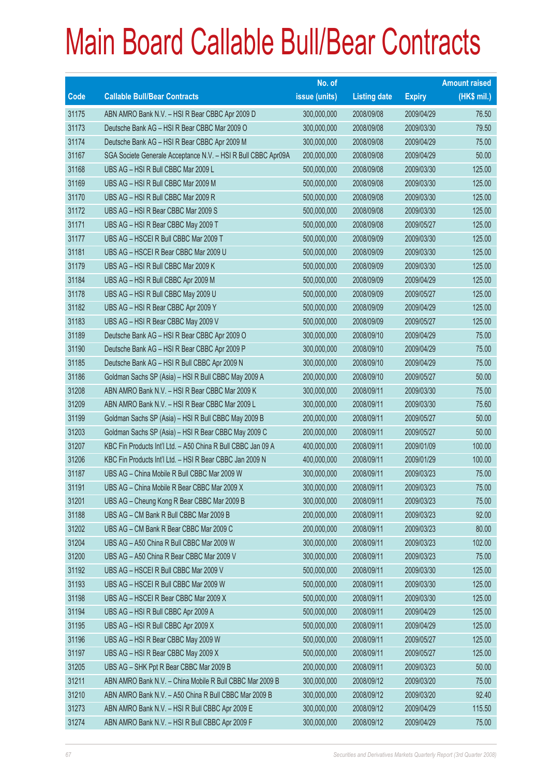|       |                                                               | No. of        |                     |               | <b>Amount raised</b> |
|-------|---------------------------------------------------------------|---------------|---------------------|---------------|----------------------|
| Code  | <b>Callable Bull/Bear Contracts</b>                           | issue (units) | <b>Listing date</b> | <b>Expiry</b> | (HK\$ mil.)          |
| 31175 | ABN AMRO Bank N.V. - HSI R Bear CBBC Apr 2009 D               | 300,000,000   | 2008/09/08          | 2009/04/29    | 76.50                |
| 31173 | Deutsche Bank AG - HSI R Bear CBBC Mar 2009 O                 | 300,000,000   | 2008/09/08          | 2009/03/30    | 79.50                |
| 31174 | Deutsche Bank AG - HSI R Bear CBBC Apr 2009 M                 | 300,000,000   | 2008/09/08          | 2009/04/29    | 75.00                |
| 31167 | SGA Societe Generale Acceptance N.V. - HSI R Bull CBBC Apr09A | 200,000,000   | 2008/09/08          | 2009/04/29    | 50.00                |
| 31168 | UBS AG - HSI R Bull CBBC Mar 2009 L                           | 500,000,000   | 2008/09/08          | 2009/03/30    | 125.00               |
| 31169 | UBS AG - HSI R Bull CBBC Mar 2009 M                           | 500,000,000   | 2008/09/08          | 2009/03/30    | 125.00               |
| 31170 | UBS AG - HSI R Bull CBBC Mar 2009 R                           | 500,000,000   | 2008/09/08          | 2009/03/30    | 125.00               |
| 31172 | UBS AG - HSI R Bear CBBC Mar 2009 S                           | 500,000,000   | 2008/09/08          | 2009/03/30    | 125.00               |
| 31171 | UBS AG - HSI R Bear CBBC May 2009 T                           | 500,000,000   | 2008/09/08          | 2009/05/27    | 125.00               |
| 31177 | UBS AG - HSCEI R Bull CBBC Mar 2009 T                         | 500,000,000   | 2008/09/09          | 2009/03/30    | 125.00               |
| 31181 | UBS AG - HSCEI R Bear CBBC Mar 2009 U                         | 500,000,000   | 2008/09/09          | 2009/03/30    | 125.00               |
| 31179 | UBS AG - HSI R Bull CBBC Mar 2009 K                           | 500,000,000   | 2008/09/09          | 2009/03/30    | 125.00               |
| 31184 | UBS AG - HSI R Bull CBBC Apr 2009 M                           | 500,000,000   | 2008/09/09          | 2009/04/29    | 125.00               |
| 31178 | UBS AG - HSI R Bull CBBC May 2009 U                           | 500,000,000   | 2008/09/09          | 2009/05/27    | 125.00               |
| 31182 | UBS AG - HSI R Bear CBBC Apr 2009 Y                           | 500,000,000   | 2008/09/09          | 2009/04/29    | 125.00               |
| 31183 | UBS AG - HSI R Bear CBBC May 2009 V                           | 500,000,000   | 2008/09/09          | 2009/05/27    | 125.00               |
| 31189 | Deutsche Bank AG - HSI R Bear CBBC Apr 2009 O                 | 300,000,000   | 2008/09/10          | 2009/04/29    | 75.00                |
| 31190 | Deutsche Bank AG - HSI R Bear CBBC Apr 2009 P                 | 300,000,000   | 2008/09/10          | 2009/04/29    | 75.00                |
| 31185 | Deutsche Bank AG - HSI R Bull CBBC Apr 2009 N                 | 300,000,000   | 2008/09/10          | 2009/04/29    | 75.00                |
| 31186 | Goldman Sachs SP (Asia) - HSI R Bull CBBC May 2009 A          | 200,000,000   | 2008/09/10          | 2009/05/27    | 50.00                |
| 31208 | ABN AMRO Bank N.V. - HSI R Bear CBBC Mar 2009 K               | 300,000,000   | 2008/09/11          | 2009/03/30    | 75.00                |
| 31209 | ABN AMRO Bank N.V. - HSI R Bear CBBC Mar 2009 L               | 300,000,000   | 2008/09/11          | 2009/03/30    | 75.60                |
| 31199 | Goldman Sachs SP (Asia) - HSI R Bull CBBC May 2009 B          | 200,000,000   | 2008/09/11          | 2009/05/27    | 50.00                |
| 31203 | Goldman Sachs SP (Asia) - HSI R Bear CBBC May 2009 C          | 200,000,000   | 2008/09/11          | 2009/05/27    | 50.00                |
| 31207 | KBC Fin Products Int'l Ltd. - A50 China R Bull CBBC Jan 09 A  | 400,000,000   | 2008/09/11          | 2009/01/09    | 100.00               |
| 31206 | KBC Fin Products Int'l Ltd. - HSI R Bear CBBC Jan 2009 N      | 400,000,000   | 2008/09/11          | 2009/01/29    | 100.00               |
| 31187 | UBS AG - China Mobile R Bull CBBC Mar 2009 W                  | 300,000,000   | 2008/09/11          | 2009/03/23    | 75.00                |
| 31191 | UBS AG - China Mobile R Bear CBBC Mar 2009 X                  | 300,000,000   | 2008/09/11          | 2009/03/23    | 75.00                |
| 31201 | UBS AG - Cheung Kong R Bear CBBC Mar 2009 B                   | 300,000,000   | 2008/09/11          | 2009/03/23    | 75.00                |
| 31188 | UBS AG - CM Bank R Bull CBBC Mar 2009 B                       | 200,000,000   | 2008/09/11          | 2009/03/23    | 92.00                |
| 31202 | UBS AG - CM Bank R Bear CBBC Mar 2009 C                       | 200,000,000   | 2008/09/11          | 2009/03/23    | 80.00                |
| 31204 | UBS AG - A50 China R Bull CBBC Mar 2009 W                     | 300,000,000   | 2008/09/11          | 2009/03/23    | 102.00               |
| 31200 | UBS AG - A50 China R Bear CBBC Mar 2009 V                     | 300,000,000   | 2008/09/11          | 2009/03/23    | 75.00                |
| 31192 | UBS AG - HSCEI R Bull CBBC Mar 2009 V                         | 500,000,000   | 2008/09/11          | 2009/03/30    | 125.00               |
| 31193 | UBS AG - HSCEI R Bull CBBC Mar 2009 W                         | 500,000,000   | 2008/09/11          | 2009/03/30    | 125.00               |
| 31198 | UBS AG - HSCEI R Bear CBBC Mar 2009 X                         | 500,000,000   | 2008/09/11          | 2009/03/30    | 125.00               |
| 31194 | UBS AG - HSI R Bull CBBC Apr 2009 A                           | 500,000,000   | 2008/09/11          | 2009/04/29    | 125.00               |
| 31195 | UBS AG - HSI R Bull CBBC Apr 2009 X                           | 500,000,000   | 2008/09/11          | 2009/04/29    | 125.00               |
| 31196 | UBS AG - HSI R Bear CBBC May 2009 W                           | 500,000,000   | 2008/09/11          | 2009/05/27    | 125.00               |
| 31197 | UBS AG - HSI R Bear CBBC May 2009 X                           | 500,000,000   | 2008/09/11          | 2009/05/27    | 125.00               |
| 31205 | UBS AG - SHK Ppt R Bear CBBC Mar 2009 B                       | 200,000,000   | 2008/09/11          | 2009/03/23    | 50.00                |
| 31211 | ABN AMRO Bank N.V. - China Mobile R Bull CBBC Mar 2009 B      | 300,000,000   | 2008/09/12          | 2009/03/20    | 75.00                |
| 31210 | ABN AMRO Bank N.V. - A50 China R Bull CBBC Mar 2009 B         | 300,000,000   | 2008/09/12          | 2009/03/20    | 92.40                |
| 31273 | ABN AMRO Bank N.V. - HSI R Bull CBBC Apr 2009 E               | 300,000,000   | 2008/09/12          | 2009/04/29    | 115.50               |
| 31274 | ABN AMRO Bank N.V. - HSI R Bull CBBC Apr 2009 F               | 300,000,000   | 2008/09/12          | 2009/04/29    | 75.00                |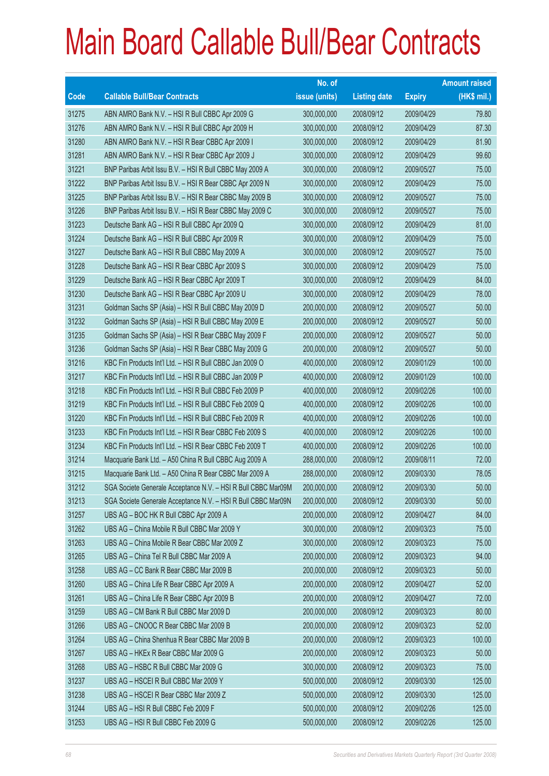|       |                                                               | No. of        |                     |               | <b>Amount raised</b> |
|-------|---------------------------------------------------------------|---------------|---------------------|---------------|----------------------|
| Code  | <b>Callable Bull/Bear Contracts</b>                           | issue (units) | <b>Listing date</b> | <b>Expiry</b> | $(HK$$ mil.)         |
| 31275 | ABN AMRO Bank N.V. - HSI R Bull CBBC Apr 2009 G               | 300,000,000   | 2008/09/12          | 2009/04/29    | 79.80                |
| 31276 | ABN AMRO Bank N.V. - HSI R Bull CBBC Apr 2009 H               | 300,000,000   | 2008/09/12          | 2009/04/29    | 87.30                |
| 31280 | ABN AMRO Bank N.V. - HSI R Bear CBBC Apr 2009 I               | 300,000,000   | 2008/09/12          | 2009/04/29    | 81.90                |
| 31281 | ABN AMRO Bank N.V. - HSI R Bear CBBC Apr 2009 J               | 300,000,000   | 2008/09/12          | 2009/04/29    | 99.60                |
| 31221 | BNP Paribas Arbit Issu B.V. - HSI R Bull CBBC May 2009 A      | 300,000,000   | 2008/09/12          | 2009/05/27    | 75.00                |
| 31222 | BNP Paribas Arbit Issu B.V. - HSI R Bear CBBC Apr 2009 N      | 300,000,000   | 2008/09/12          | 2009/04/29    | 75.00                |
| 31225 | BNP Paribas Arbit Issu B.V. - HSI R Bear CBBC May 2009 B      | 300,000,000   | 2008/09/12          | 2009/05/27    | 75.00                |
| 31226 | BNP Paribas Arbit Issu B.V. - HSI R Bear CBBC May 2009 C      | 300,000,000   | 2008/09/12          | 2009/05/27    | 75.00                |
| 31223 | Deutsche Bank AG - HSI R Bull CBBC Apr 2009 Q                 | 300,000,000   | 2008/09/12          | 2009/04/29    | 81.00                |
| 31224 | Deutsche Bank AG - HSI R Bull CBBC Apr 2009 R                 | 300,000,000   | 2008/09/12          | 2009/04/29    | 75.00                |
| 31227 | Deutsche Bank AG - HSI R Bull CBBC May 2009 A                 | 300,000,000   | 2008/09/12          | 2009/05/27    | 75.00                |
| 31228 | Deutsche Bank AG - HSI R Bear CBBC Apr 2009 S                 | 300,000,000   | 2008/09/12          | 2009/04/29    | 75.00                |
| 31229 | Deutsche Bank AG - HSI R Bear CBBC Apr 2009 T                 | 300,000,000   | 2008/09/12          | 2009/04/29    | 84.00                |
| 31230 | Deutsche Bank AG - HSI R Bear CBBC Apr 2009 U                 | 300,000,000   | 2008/09/12          | 2009/04/29    | 78.00                |
| 31231 | Goldman Sachs SP (Asia) - HSI R Bull CBBC May 2009 D          | 200,000,000   | 2008/09/12          | 2009/05/27    | 50.00                |
| 31232 | Goldman Sachs SP (Asia) - HSI R Bull CBBC May 2009 E          | 200,000,000   | 2008/09/12          | 2009/05/27    | 50.00                |
| 31235 | Goldman Sachs SP (Asia) - HSI R Bear CBBC May 2009 F          | 200,000,000   | 2008/09/12          | 2009/05/27    | 50.00                |
| 31236 | Goldman Sachs SP (Asia) - HSI R Bear CBBC May 2009 G          | 200,000,000   | 2008/09/12          | 2009/05/27    | 50.00                |
| 31216 | KBC Fin Products Int'l Ltd. - HSI R Bull CBBC Jan 2009 O      | 400,000,000   | 2008/09/12          | 2009/01/29    | 100.00               |
| 31217 | KBC Fin Products Int'l Ltd. - HSI R Bull CBBC Jan 2009 P      | 400,000,000   | 2008/09/12          | 2009/01/29    | 100.00               |
| 31218 | KBC Fin Products Int'l Ltd. - HSI R Bull CBBC Feb 2009 P      | 400,000,000   | 2008/09/12          | 2009/02/26    | 100.00               |
| 31219 | KBC Fin Products Int'l Ltd. - HSI R Bull CBBC Feb 2009 Q      | 400,000,000   | 2008/09/12          | 2009/02/26    | 100.00               |
| 31220 | KBC Fin Products Int'l Ltd. - HSI R Bull CBBC Feb 2009 R      | 400,000,000   | 2008/09/12          | 2009/02/26    | 100.00               |
| 31233 | KBC Fin Products Int'l Ltd. - HSI R Bear CBBC Feb 2009 S      | 400,000,000   | 2008/09/12          | 2009/02/26    | 100.00               |
| 31234 | KBC Fin Products Int'l Ltd. - HSI R Bear CBBC Feb 2009 T      | 400,000,000   | 2008/09/12          | 2009/02/26    | 100.00               |
| 31214 | Macquarie Bank Ltd. - A50 China R Bull CBBC Aug 2009 A        | 288,000,000   | 2008/09/12          | 2009/08/11    | 72.00                |
| 31215 | Macquarie Bank Ltd. - A50 China R Bear CBBC Mar 2009 A        | 288,000,000   | 2008/09/12          | 2009/03/30    | 78.05                |
| 31212 | SGA Societe Generale Acceptance N.V. - HSI R Bull CBBC Mar09M | 200,000,000   | 2008/09/12          | 2009/03/30    | 50.00                |
| 31213 | SGA Societe Generale Acceptance N.V. - HSI R Bull CBBC Mar09N | 200,000,000   | 2008/09/12          | 2009/03/30    | 50.00                |
| 31257 | UBS AG - BOC HK R Bull CBBC Apr 2009 A                        | 200,000,000   | 2008/09/12          | 2009/04/27    | 84.00                |
| 31262 | UBS AG - China Mobile R Bull CBBC Mar 2009 Y                  | 300,000,000   | 2008/09/12          | 2009/03/23    | 75.00                |
| 31263 | UBS AG - China Mobile R Bear CBBC Mar 2009 Z                  | 300,000,000   | 2008/09/12          | 2009/03/23    | 75.00                |
| 31265 | UBS AG - China Tel R Bull CBBC Mar 2009 A                     | 200,000,000   | 2008/09/12          | 2009/03/23    | 94.00                |
| 31258 | UBS AG - CC Bank R Bear CBBC Mar 2009 B                       | 200,000,000   | 2008/09/12          | 2009/03/23    | 50.00                |
| 31260 | UBS AG - China Life R Bear CBBC Apr 2009 A                    | 200,000,000   | 2008/09/12          | 2009/04/27    | 52.00                |
| 31261 | UBS AG - China Life R Bear CBBC Apr 2009 B                    | 200,000,000   | 2008/09/12          | 2009/04/27    | 72.00                |
| 31259 | UBS AG - CM Bank R Bull CBBC Mar 2009 D                       | 200,000,000   | 2008/09/12          | 2009/03/23    | 80.00                |
| 31266 | UBS AG - CNOOC R Bear CBBC Mar 2009 B                         | 200,000,000   | 2008/09/12          | 2009/03/23    | 52.00                |
| 31264 | UBS AG - China Shenhua R Bear CBBC Mar 2009 B                 | 200,000,000   | 2008/09/12          | 2009/03/23    | 100.00               |
| 31267 | UBS AG - HKEx R Bear CBBC Mar 2009 G                          | 200,000,000   | 2008/09/12          | 2009/03/23    | 50.00                |
| 31268 | UBS AG - HSBC R Bull CBBC Mar 2009 G                          | 300,000,000   | 2008/09/12          | 2009/03/23    | 75.00                |
| 31237 | UBS AG - HSCEI R Bull CBBC Mar 2009 Y                         | 500,000,000   | 2008/09/12          | 2009/03/30    | 125.00               |
| 31238 | UBS AG - HSCEI R Bear CBBC Mar 2009 Z                         | 500,000,000   | 2008/09/12          | 2009/03/30    | 125.00               |
| 31244 | UBS AG - HSI R Bull CBBC Feb 2009 F                           | 500,000,000   | 2008/09/12          | 2009/02/26    | 125.00               |
| 31253 | UBS AG - HSI R Bull CBBC Feb 2009 G                           | 500,000,000   | 2008/09/12          | 2009/02/26    | 125.00               |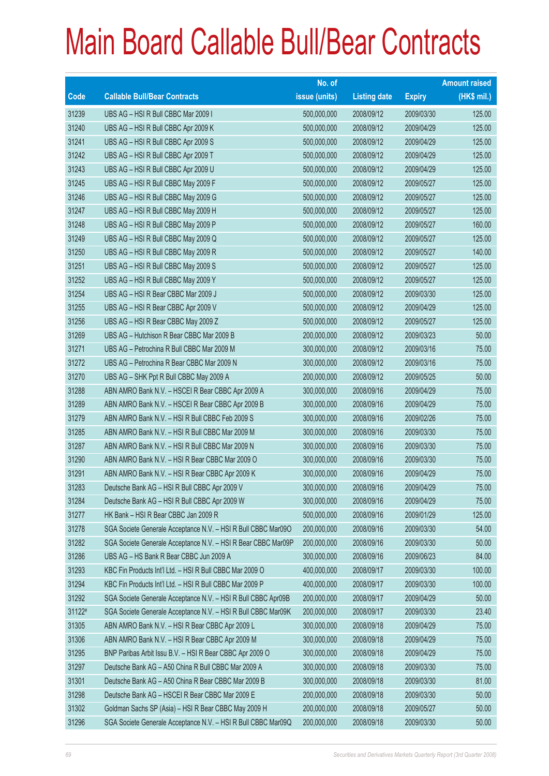|        |                                                               | No. of        |                     |               | <b>Amount raised</b> |
|--------|---------------------------------------------------------------|---------------|---------------------|---------------|----------------------|
| Code   | <b>Callable Bull/Bear Contracts</b>                           | issue (units) | <b>Listing date</b> | <b>Expiry</b> | (HK\$ mil.)          |
| 31239  | UBS AG - HSI R Bull CBBC Mar 2009 I                           | 500,000,000   | 2008/09/12          | 2009/03/30    | 125.00               |
| 31240  | UBS AG - HSI R Bull CBBC Apr 2009 K                           | 500,000,000   | 2008/09/12          | 2009/04/29    | 125.00               |
| 31241  | UBS AG - HSI R Bull CBBC Apr 2009 S                           | 500,000,000   | 2008/09/12          | 2009/04/29    | 125.00               |
| 31242  | UBS AG - HSI R Bull CBBC Apr 2009 T                           | 500,000,000   | 2008/09/12          | 2009/04/29    | 125.00               |
| 31243  | UBS AG - HSI R Bull CBBC Apr 2009 U                           | 500,000,000   | 2008/09/12          | 2009/04/29    | 125.00               |
| 31245  | UBS AG - HSI R Bull CBBC May 2009 F                           | 500,000,000   | 2008/09/12          | 2009/05/27    | 125.00               |
| 31246  | UBS AG - HSI R Bull CBBC May 2009 G                           | 500,000,000   | 2008/09/12          | 2009/05/27    | 125.00               |
| 31247  | UBS AG - HSI R Bull CBBC May 2009 H                           | 500,000,000   | 2008/09/12          | 2009/05/27    | 125.00               |
| 31248  | UBS AG - HSI R Bull CBBC May 2009 P                           | 500,000,000   | 2008/09/12          | 2009/05/27    | 160.00               |
| 31249  | UBS AG - HSI R Bull CBBC May 2009 Q                           | 500,000,000   | 2008/09/12          | 2009/05/27    | 125.00               |
| 31250  | UBS AG - HSI R Bull CBBC May 2009 R                           | 500,000,000   | 2008/09/12          | 2009/05/27    | 140.00               |
| 31251  | UBS AG - HSI R Bull CBBC May 2009 S                           | 500,000,000   | 2008/09/12          | 2009/05/27    | 125.00               |
| 31252  | UBS AG - HSI R Bull CBBC May 2009 Y                           | 500,000,000   | 2008/09/12          | 2009/05/27    | 125.00               |
| 31254  | UBS AG - HSI R Bear CBBC Mar 2009 J                           | 500,000,000   | 2008/09/12          | 2009/03/30    | 125.00               |
| 31255  | UBS AG - HSI R Bear CBBC Apr 2009 V                           | 500,000,000   | 2008/09/12          | 2009/04/29    | 125.00               |
| 31256  | UBS AG - HSI R Bear CBBC May 2009 Z                           | 500,000,000   | 2008/09/12          | 2009/05/27    | 125.00               |
| 31269  | UBS AG - Hutchison R Bear CBBC Mar 2009 B                     | 200,000,000   | 2008/09/12          | 2009/03/23    | 50.00                |
| 31271  | UBS AG - Petrochina R Bull CBBC Mar 2009 M                    | 300,000,000   | 2008/09/12          | 2009/03/16    | 75.00                |
| 31272  | UBS AG - Petrochina R Bear CBBC Mar 2009 N                    | 300,000,000   | 2008/09/12          | 2009/03/16    | 75.00                |
| 31270  | UBS AG - SHK Ppt R Bull CBBC May 2009 A                       | 200,000,000   | 2008/09/12          | 2009/05/25    | 50.00                |
| 31288  | ABN AMRO Bank N.V. - HSCEI R Bear CBBC Apr 2009 A             | 300,000,000   | 2008/09/16          | 2009/04/29    | 75.00                |
| 31289  | ABN AMRO Bank N.V. - HSCEI R Bear CBBC Apr 2009 B             | 300,000,000   | 2008/09/16          | 2009/04/29    | 75.00                |
| 31279  | ABN AMRO Bank N.V. - HSI R Bull CBBC Feb 2009 S               | 300,000,000   | 2008/09/16          | 2009/02/26    | 75.00                |
| 31285  | ABN AMRO Bank N.V. - HSI R Bull CBBC Mar 2009 M               | 300,000,000   | 2008/09/16          | 2009/03/30    | 75.00                |
| 31287  | ABN AMRO Bank N.V. - HSI R Bull CBBC Mar 2009 N               | 300,000,000   | 2008/09/16          | 2009/03/30    | 75.00                |
| 31290  | ABN AMRO Bank N.V. - HSI R Bear CBBC Mar 2009 O               | 300,000,000   | 2008/09/16          | 2009/03/30    | 75.00                |
| 31291  | ABN AMRO Bank N.V. - HSI R Bear CBBC Apr 2009 K               | 300,000,000   | 2008/09/16          | 2009/04/29    | 75.00                |
| 31283  | Deutsche Bank AG - HSI R Bull CBBC Apr 2009 V                 | 300,000,000   | 2008/09/16          | 2009/04/29    | 75.00                |
| 31284  | Deutsche Bank AG - HSI R Bull CBBC Apr 2009 W                 | 300,000,000   | 2008/09/16          | 2009/04/29    | 75.00                |
| 31277  | HK Bank - HSI R Bear CBBC Jan 2009 R                          | 500,000,000   | 2008/09/16          | 2009/01/29    | 125.00               |
| 31278  | SGA Societe Generale Acceptance N.V. - HSI R Bull CBBC Mar090 | 200,000,000   | 2008/09/16          | 2009/03/30    | 54.00                |
| 31282  | SGA Societe Generale Acceptance N.V. - HSI R Bear CBBC Mar09P | 200,000,000   | 2008/09/16          | 2009/03/30    | 50.00                |
| 31286  | UBS AG - HS Bank R Bear CBBC Jun 2009 A                       | 300,000,000   | 2008/09/16          | 2009/06/23    | 84.00                |
| 31293  | KBC Fin Products Int'l Ltd. - HSI R Bull CBBC Mar 2009 O      | 400,000,000   | 2008/09/17          | 2009/03/30    | 100.00               |
| 31294  | KBC Fin Products Int'l Ltd. - HSI R Bull CBBC Mar 2009 P      | 400,000,000   | 2008/09/17          | 2009/03/30    | 100.00               |
| 31292  | SGA Societe Generale Acceptance N.V. - HSI R Bull CBBC Apr09B | 200,000,000   | 2008/09/17          | 2009/04/29    | 50.00                |
| 31122# | SGA Societe Generale Acceptance N.V. - HSI R Bull CBBC Mar09K | 200,000,000   | 2008/09/17          | 2009/03/30    | 23.40                |
| 31305  | ABN AMRO Bank N.V. - HSI R Bear CBBC Apr 2009 L               | 300,000,000   | 2008/09/18          | 2009/04/29    | 75.00                |
| 31306  | ABN AMRO Bank N.V. - HSI R Bear CBBC Apr 2009 M               | 300,000,000   | 2008/09/18          | 2009/04/29    | 75.00                |
| 31295  | BNP Paribas Arbit Issu B.V. - HSI R Bear CBBC Apr 2009 O      | 300,000,000   | 2008/09/18          | 2009/04/29    | 75.00                |
| 31297  | Deutsche Bank AG - A50 China R Bull CBBC Mar 2009 A           | 300,000,000   | 2008/09/18          | 2009/03/30    | 75.00                |
| 31301  | Deutsche Bank AG - A50 China R Bear CBBC Mar 2009 B           | 300,000,000   | 2008/09/18          | 2009/03/30    | 81.00                |
| 31298  | Deutsche Bank AG - HSCEI R Bear CBBC Mar 2009 E               | 200,000,000   | 2008/09/18          | 2009/03/30    | 50.00                |
| 31302  | Goldman Sachs SP (Asia) - HSI R Bear CBBC May 2009 H          | 200,000,000   | 2008/09/18          | 2009/05/27    | 50.00                |
| 31296  | SGA Societe Generale Acceptance N.V. - HSI R Bull CBBC Mar09Q | 200,000,000   | 2008/09/18          | 2009/03/30    | 50.00                |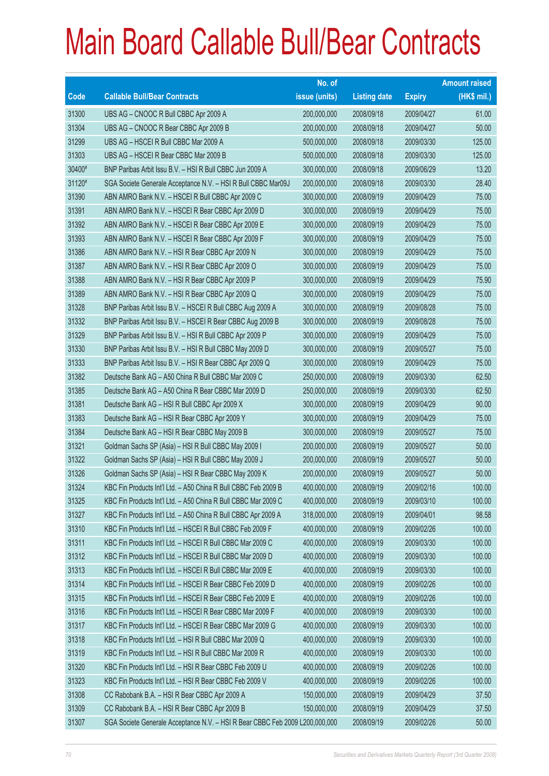|        |                                                                              | No. of        |                     |               | <b>Amount raised</b> |
|--------|------------------------------------------------------------------------------|---------------|---------------------|---------------|----------------------|
| Code   | <b>Callable Bull/Bear Contracts</b>                                          | issue (units) | <b>Listing date</b> | <b>Expiry</b> | (HK\$ mil.)          |
| 31300  | UBS AG - CNOOC R Bull CBBC Apr 2009 A                                        | 200,000,000   | 2008/09/18          | 2009/04/27    | 61.00                |
| 31304  | UBS AG - CNOOC R Bear CBBC Apr 2009 B                                        | 200,000,000   | 2008/09/18          | 2009/04/27    | 50.00                |
| 31299  | UBS AG - HSCEI R Bull CBBC Mar 2009 A                                        | 500,000,000   | 2008/09/18          | 2009/03/30    | 125.00               |
| 31303  | UBS AG - HSCEI R Bear CBBC Mar 2009 B                                        | 500,000,000   | 2008/09/18          | 2009/03/30    | 125.00               |
| 30400# | BNP Paribas Arbit Issu B.V. - HSI R Bull CBBC Jun 2009 A                     | 300,000,000   | 2008/09/18          | 2009/06/29    | 13.20                |
| 31120# | SGA Societe Generale Acceptance N.V. - HSI R Bull CBBC Mar09J                | 200,000,000   | 2008/09/18          | 2009/03/30    | 28.40                |
| 31390  | ABN AMRO Bank N.V. - HSCEI R Bull CBBC Apr 2009 C                            | 300,000,000   | 2008/09/19          | 2009/04/29    | 75.00                |
| 31391  | ABN AMRO Bank N.V. - HSCEI R Bear CBBC Apr 2009 D                            | 300,000,000   | 2008/09/19          | 2009/04/29    | 75.00                |
| 31392  | ABN AMRO Bank N.V. - HSCEI R Bear CBBC Apr 2009 E                            | 300,000,000   | 2008/09/19          | 2009/04/29    | 75.00                |
| 31393  | ABN AMRO Bank N.V. - HSCEI R Bear CBBC Apr 2009 F                            | 300,000,000   | 2008/09/19          | 2009/04/29    | 75.00                |
| 31386  | ABN AMRO Bank N.V. - HSI R Bear CBBC Apr 2009 N                              | 300,000,000   | 2008/09/19          | 2009/04/29    | 75.00                |
| 31387  | ABN AMRO Bank N.V. - HSI R Bear CBBC Apr 2009 O                              | 300,000,000   | 2008/09/19          | 2009/04/29    | 75.00                |
| 31388  | ABN AMRO Bank N.V. - HSI R Bear CBBC Apr 2009 P                              | 300,000,000   | 2008/09/19          | 2009/04/29    | 75.90                |
| 31389  | ABN AMRO Bank N.V. - HSI R Bear CBBC Apr 2009 Q                              | 300,000,000   | 2008/09/19          | 2009/04/29    | 75.00                |
| 31328  | BNP Paribas Arbit Issu B.V. - HSCEI R Bull CBBC Aug 2009 A                   | 300,000,000   | 2008/09/19          | 2009/08/28    | 75.00                |
| 31332  | BNP Paribas Arbit Issu B.V. - HSCEI R Bear CBBC Aug 2009 B                   | 300,000,000   | 2008/09/19          | 2009/08/28    | 75.00                |
| 31329  | BNP Paribas Arbit Issu B.V. - HSI R Bull CBBC Apr 2009 P                     | 300,000,000   | 2008/09/19          | 2009/04/29    | 75.00                |
| 31330  | BNP Paribas Arbit Issu B.V. - HSI R Bull CBBC May 2009 D                     | 300,000,000   | 2008/09/19          | 2009/05/27    | 75.00                |
| 31333  | BNP Paribas Arbit Issu B.V. - HSI R Bear CBBC Apr 2009 Q                     | 300,000,000   | 2008/09/19          | 2009/04/29    | 75.00                |
| 31382  | Deutsche Bank AG - A50 China R Bull CBBC Mar 2009 C                          | 250,000,000   | 2008/09/19          | 2009/03/30    | 62.50                |
| 31385  | Deutsche Bank AG - A50 China R Bear CBBC Mar 2009 D                          | 250,000,000   | 2008/09/19          | 2009/03/30    | 62.50                |
| 31381  | Deutsche Bank AG - HSI R Bull CBBC Apr 2009 X                                | 300,000,000   | 2008/09/19          | 2009/04/29    | 90.00                |
| 31383  | Deutsche Bank AG - HSI R Bear CBBC Apr 2009 Y                                | 300,000,000   | 2008/09/19          | 2009/04/29    | 75.00                |
| 31384  | Deutsche Bank AG - HSI R Bear CBBC May 2009 B                                | 300,000,000   | 2008/09/19          | 2009/05/27    | 75.00                |
| 31321  | Goldman Sachs SP (Asia) - HSI R Bull CBBC May 2009 I                         | 200,000,000   | 2008/09/19          | 2009/05/27    | 50.00                |
| 31322  | Goldman Sachs SP (Asia) - HSI R Bull CBBC May 2009 J                         | 200,000,000   | 2008/09/19          | 2009/05/27    | 50.00                |
| 31326  | Goldman Sachs SP (Asia) - HSI R Bear CBBC May 2009 K                         | 200,000,000   | 2008/09/19          | 2009/05/27    | 50.00                |
| 31324  | KBC Fin Products Int'l Ltd. - A50 China R Bull CBBC Feb 2009 B               | 400,000,000   | 2008/09/19          | 2009/02/16    | 100.00               |
| 31325  | KBC Fin Products Int'l Ltd. - A50 China R Bull CBBC Mar 2009 C               | 400,000,000   | 2008/09/19          | 2009/03/10    | 100.00               |
| 31327  | KBC Fin Products Int'l Ltd. - A50 China R Bull CBBC Apr 2009 A               | 318,000,000   | 2008/09/19          | 2009/04/01    | 98.58                |
| 31310  | KBC Fin Products Int'l Ltd. - HSCEI R Bull CBBC Feb 2009 F                   | 400,000,000   | 2008/09/19          | 2009/02/26    | 100.00               |
| 31311  | KBC Fin Products Int'l Ltd. - HSCEI R Bull CBBC Mar 2009 C                   | 400,000,000   | 2008/09/19          | 2009/03/30    | 100.00               |
| 31312  | KBC Fin Products Int'l Ltd. - HSCEI R Bull CBBC Mar 2009 D                   | 400,000,000   | 2008/09/19          | 2009/03/30    | 100.00               |
| 31313  | KBC Fin Products Int'l Ltd. - HSCEI R Bull CBBC Mar 2009 E                   | 400,000,000   | 2008/09/19          | 2009/03/30    | 100.00               |
| 31314  | KBC Fin Products Int'l Ltd. - HSCEI R Bear CBBC Feb 2009 D                   | 400,000,000   | 2008/09/19          | 2009/02/26    | 100.00               |
| 31315  | KBC Fin Products Int'l Ltd. - HSCEI R Bear CBBC Feb 2009 E                   | 400,000,000   | 2008/09/19          | 2009/02/26    | 100.00               |
| 31316  | KBC Fin Products Int'l Ltd. - HSCEI R Bear CBBC Mar 2009 F                   | 400,000,000   | 2008/09/19          | 2009/03/30    | 100.00               |
| 31317  | KBC Fin Products Int'l Ltd. - HSCEI R Bear CBBC Mar 2009 G                   | 400,000,000   | 2008/09/19          | 2009/03/30    | 100.00               |
| 31318  | KBC Fin Products Int'l Ltd. - HSI R Bull CBBC Mar 2009 Q                     | 400,000,000   | 2008/09/19          | 2009/03/30    | 100.00               |
| 31319  | KBC Fin Products Int'l Ltd. - HSI R Bull CBBC Mar 2009 R                     | 400,000,000   | 2008/09/19          | 2009/03/30    | 100.00               |
| 31320  | KBC Fin Products Int'l Ltd. - HSI R Bear CBBC Feb 2009 U                     | 400,000,000   | 2008/09/19          | 2009/02/26    | 100.00               |
| 31323  | KBC Fin Products Int'l Ltd. - HSI R Bear CBBC Feb 2009 V                     | 400,000,000   | 2008/09/19          | 2009/02/26    | 100.00               |
| 31308  | CC Rabobank B.A. - HSI R Bear CBBC Apr 2009 A                                | 150,000,000   | 2008/09/19          | 2009/04/29    | 37.50                |
| 31309  | CC Rabobank B.A. - HSI R Bear CBBC Apr 2009 B                                | 150,000,000   | 2008/09/19          | 2009/04/29    | 37.50                |
| 31307  | SGA Societe Generale Acceptance N.V. - HSI R Bear CBBC Feb 2009 L200,000,000 |               | 2008/09/19          | 2009/02/26    | 50.00                |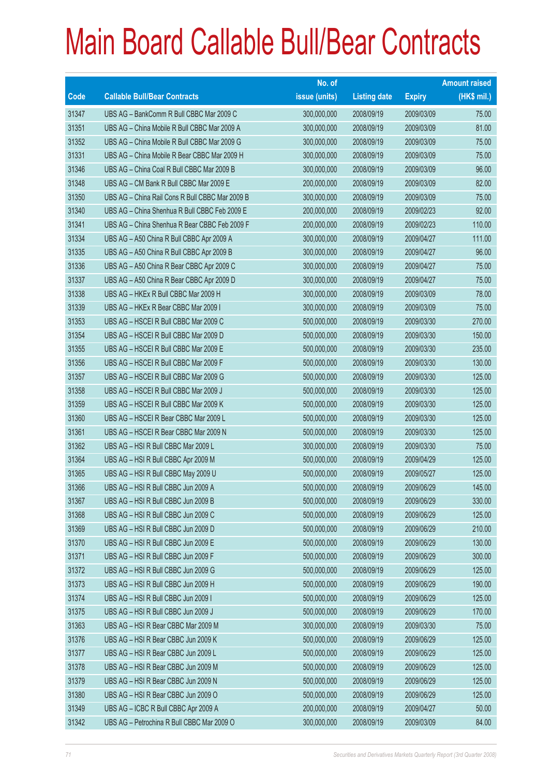|       |                                                 | No. of        |                     |               | <b>Amount raised</b> |
|-------|-------------------------------------------------|---------------|---------------------|---------------|----------------------|
| Code  | <b>Callable Bull/Bear Contracts</b>             | issue (units) | <b>Listing date</b> | <b>Expiry</b> | (HK\$ mil.)          |
| 31347 | UBS AG - BankComm R Bull CBBC Mar 2009 C        | 300,000,000   | 2008/09/19          | 2009/03/09    | 75.00                |
| 31351 | UBS AG - China Mobile R Bull CBBC Mar 2009 A    | 300,000,000   | 2008/09/19          | 2009/03/09    | 81.00                |
| 31352 | UBS AG - China Mobile R Bull CBBC Mar 2009 G    | 300,000,000   | 2008/09/19          | 2009/03/09    | 75.00                |
| 31331 | UBS AG - China Mobile R Bear CBBC Mar 2009 H    | 300,000,000   | 2008/09/19          | 2009/03/09    | 75.00                |
| 31346 | UBS AG - China Coal R Bull CBBC Mar 2009 B      | 300,000,000   | 2008/09/19          | 2009/03/09    | 96.00                |
| 31348 | UBS AG - CM Bank R Bull CBBC Mar 2009 E         | 200,000,000   | 2008/09/19          | 2009/03/09    | 82.00                |
| 31350 | UBS AG - China Rail Cons R Bull CBBC Mar 2009 B | 300,000,000   | 2008/09/19          | 2009/03/09    | 75.00                |
| 31340 | UBS AG - China Shenhua R Bull CBBC Feb 2009 E   | 200,000,000   | 2008/09/19          | 2009/02/23    | 92.00                |
| 31341 | UBS AG - China Shenhua R Bear CBBC Feb 2009 F   | 200,000,000   | 2008/09/19          | 2009/02/23    | 110.00               |
| 31334 | UBS AG - A50 China R Bull CBBC Apr 2009 A       | 300,000,000   | 2008/09/19          | 2009/04/27    | 111.00               |
| 31335 | UBS AG - A50 China R Bull CBBC Apr 2009 B       | 300,000,000   | 2008/09/19          | 2009/04/27    | 96.00                |
| 31336 | UBS AG - A50 China R Bear CBBC Apr 2009 C       | 300,000,000   | 2008/09/19          | 2009/04/27    | 75.00                |
| 31337 | UBS AG - A50 China R Bear CBBC Apr 2009 D       | 300,000,000   | 2008/09/19          | 2009/04/27    | 75.00                |
| 31338 | UBS AG - HKEx R Bull CBBC Mar 2009 H            | 300,000,000   | 2008/09/19          | 2009/03/09    | 78.00                |
| 31339 | UBS AG - HKEx R Bear CBBC Mar 2009 I            | 300,000,000   | 2008/09/19          | 2009/03/09    | 75.00                |
| 31353 | UBS AG - HSCEI R Bull CBBC Mar 2009 C           | 500,000,000   | 2008/09/19          | 2009/03/30    | 270.00               |
| 31354 | UBS AG - HSCEI R Bull CBBC Mar 2009 D           | 500,000,000   | 2008/09/19          | 2009/03/30    | 150.00               |
| 31355 | UBS AG - HSCEI R Bull CBBC Mar 2009 E           | 500,000,000   | 2008/09/19          | 2009/03/30    | 235.00               |
| 31356 | UBS AG - HSCEI R Bull CBBC Mar 2009 F           | 500,000,000   | 2008/09/19          | 2009/03/30    | 130.00               |
| 31357 | UBS AG - HSCEI R Bull CBBC Mar 2009 G           | 500,000,000   | 2008/09/19          | 2009/03/30    | 125.00               |
| 31358 | UBS AG - HSCEI R Bull CBBC Mar 2009 J           | 500,000,000   | 2008/09/19          | 2009/03/30    | 125.00               |
| 31359 | UBS AG - HSCEI R Bull CBBC Mar 2009 K           | 500,000,000   | 2008/09/19          | 2009/03/30    | 125.00               |
| 31360 | UBS AG - HSCEI R Bear CBBC Mar 2009 L           | 500,000,000   | 2008/09/19          | 2009/03/30    | 125.00               |
| 31361 | UBS AG - HSCEI R Bear CBBC Mar 2009 N           | 500,000,000   | 2008/09/19          | 2009/03/30    | 125.00               |
| 31362 | UBS AG - HSI R Bull CBBC Mar 2009 L             | 300,000,000   | 2008/09/19          | 2009/03/30    | 75.00                |
| 31364 | UBS AG - HSI R Bull CBBC Apr 2009 M             | 500,000,000   | 2008/09/19          | 2009/04/29    | 125.00               |
| 31365 | UBS AG - HSI R Bull CBBC May 2009 U             | 500,000,000   | 2008/09/19          | 2009/05/27    | 125.00               |
| 31366 | UBS AG - HSI R Bull CBBC Jun 2009 A             | 500,000,000   | 2008/09/19          | 2009/06/29    | 145.00               |
| 31367 | UBS AG - HSI R Bull CBBC Jun 2009 B             | 500,000,000   | 2008/09/19          | 2009/06/29    | 330.00               |
| 31368 | UBS AG - HSI R Bull CBBC Jun 2009 C             | 500,000,000   | 2008/09/19          | 2009/06/29    | 125.00               |
| 31369 | UBS AG - HSI R Bull CBBC Jun 2009 D             | 500,000,000   | 2008/09/19          | 2009/06/29    | 210.00               |
| 31370 | UBS AG - HSI R Bull CBBC Jun 2009 E             | 500,000,000   | 2008/09/19          | 2009/06/29    | 130.00               |
| 31371 | UBS AG - HSI R Bull CBBC Jun 2009 F             | 500,000,000   | 2008/09/19          | 2009/06/29    | 300.00               |
| 31372 | UBS AG - HSI R Bull CBBC Jun 2009 G             | 500,000,000   | 2008/09/19          | 2009/06/29    | 125.00               |
| 31373 | UBS AG - HSI R Bull CBBC Jun 2009 H             | 500,000,000   | 2008/09/19          | 2009/06/29    | 190.00               |
| 31374 | UBS AG - HSI R Bull CBBC Jun 2009 I             | 500,000,000   | 2008/09/19          | 2009/06/29    | 125.00               |
| 31375 | UBS AG - HSI R Bull CBBC Jun 2009 J             | 500,000,000   | 2008/09/19          | 2009/06/29    | 170.00               |
| 31363 | UBS AG - HSI R Bear CBBC Mar 2009 M             | 300,000,000   | 2008/09/19          | 2009/03/30    | 75.00                |
| 31376 | UBS AG - HSI R Bear CBBC Jun 2009 K             | 500,000,000   | 2008/09/19          | 2009/06/29    | 125.00               |
| 31377 | UBS AG - HSI R Bear CBBC Jun 2009 L             | 500,000,000   | 2008/09/19          | 2009/06/29    | 125.00               |
| 31378 | UBS AG - HSI R Bear CBBC Jun 2009 M             | 500,000,000   | 2008/09/19          | 2009/06/29    | 125.00               |
| 31379 | UBS AG - HSI R Bear CBBC Jun 2009 N             | 500,000,000   | 2008/09/19          | 2009/06/29    | 125.00               |
| 31380 | UBS AG - HSI R Bear CBBC Jun 2009 O             | 500,000,000   | 2008/09/19          | 2009/06/29    | 125.00               |
| 31349 | UBS AG - ICBC R Bull CBBC Apr 2009 A            | 200,000,000   | 2008/09/19          | 2009/04/27    | 50.00                |
| 31342 | UBS AG - Petrochina R Bull CBBC Mar 2009 O      | 300,000,000   | 2008/09/19          | 2009/03/09    | 84.00                |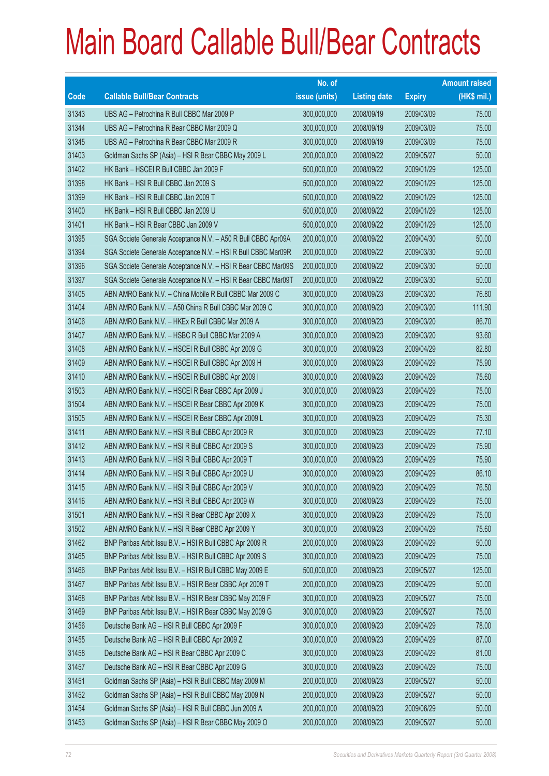|       |                                                               | No. of        |                     |               | <b>Amount raised</b> |
|-------|---------------------------------------------------------------|---------------|---------------------|---------------|----------------------|
| Code  | <b>Callable Bull/Bear Contracts</b>                           | issue (units) | <b>Listing date</b> | <b>Expiry</b> | (HK\$ mil.)          |
| 31343 | UBS AG - Petrochina R Bull CBBC Mar 2009 P                    | 300,000,000   | 2008/09/19          | 2009/03/09    | 75.00                |
| 31344 | UBS AG - Petrochina R Bear CBBC Mar 2009 Q                    | 300,000,000   | 2008/09/19          | 2009/03/09    | 75.00                |
| 31345 | UBS AG - Petrochina R Bear CBBC Mar 2009 R                    | 300,000,000   | 2008/09/19          | 2009/03/09    | 75.00                |
| 31403 | Goldman Sachs SP (Asia) - HSI R Bear CBBC May 2009 L          | 200,000,000   | 2008/09/22          | 2009/05/27    | 50.00                |
| 31402 | HK Bank - HSCEI R Bull CBBC Jan 2009 F                        | 500,000,000   | 2008/09/22          | 2009/01/29    | 125.00               |
| 31398 | HK Bank - HSI R Bull CBBC Jan 2009 S                          | 500,000,000   | 2008/09/22          | 2009/01/29    | 125.00               |
| 31399 | HK Bank - HSI R Bull CBBC Jan 2009 T                          | 500,000,000   | 2008/09/22          | 2009/01/29    | 125.00               |
| 31400 | HK Bank - HSI R Bull CBBC Jan 2009 U                          | 500,000,000   | 2008/09/22          | 2009/01/29    | 125.00               |
| 31401 | HK Bank - HSI R Bear CBBC Jan 2009 V                          | 500,000,000   | 2008/09/22          | 2009/01/29    | 125.00               |
| 31395 | SGA Societe Generale Acceptance N.V. - A50 R Bull CBBC Apr09A | 200,000,000   | 2008/09/22          | 2009/04/30    | 50.00                |
| 31394 | SGA Societe Generale Acceptance N.V. - HSI R Bull CBBC Mar09R | 200,000,000   | 2008/09/22          | 2009/03/30    | 50.00                |
| 31396 | SGA Societe Generale Acceptance N.V. - HSI R Bear CBBC Mar09S | 200,000,000   | 2008/09/22          | 2009/03/30    | 50.00                |
| 31397 | SGA Societe Generale Acceptance N.V. - HSI R Bear CBBC Mar09T | 200,000,000   | 2008/09/22          | 2009/03/30    | 50.00                |
| 31405 | ABN AMRO Bank N.V. - China Mobile R Bull CBBC Mar 2009 C      | 300,000,000   | 2008/09/23          | 2009/03/20    | 76.80                |
| 31404 | ABN AMRO Bank N.V. - A50 China R Bull CBBC Mar 2009 C         | 300,000,000   | 2008/09/23          | 2009/03/20    | 111.90               |
| 31406 | ABN AMRO Bank N.V. - HKEx R Bull CBBC Mar 2009 A              | 300,000,000   | 2008/09/23          | 2009/03/20    | 86.70                |
| 31407 | ABN AMRO Bank N.V. - HSBC R Bull CBBC Mar 2009 A              | 300,000,000   | 2008/09/23          | 2009/03/20    | 93.60                |
| 31408 | ABN AMRO Bank N.V. - HSCEI R Bull CBBC Apr 2009 G             | 300,000,000   | 2008/09/23          | 2009/04/29    | 82.80                |
| 31409 | ABN AMRO Bank N.V. - HSCEI R Bull CBBC Apr 2009 H             | 300,000,000   | 2008/09/23          | 2009/04/29    | 75.90                |
| 31410 | ABN AMRO Bank N.V. - HSCEI R Bull CBBC Apr 2009 I             | 300,000,000   | 2008/09/23          | 2009/04/29    | 75.60                |
| 31503 | ABN AMRO Bank N.V. - HSCEI R Bear CBBC Apr 2009 J             | 300,000,000   | 2008/09/23          | 2009/04/29    | 75.00                |
| 31504 | ABN AMRO Bank N.V. - HSCEI R Bear CBBC Apr 2009 K             | 300,000,000   | 2008/09/23          | 2009/04/29    | 75.00                |
| 31505 | ABN AMRO Bank N.V. - HSCEI R Bear CBBC Apr 2009 L             | 300,000,000   | 2008/09/23          | 2009/04/29    | 75.30                |
| 31411 | ABN AMRO Bank N.V. - HSI R Bull CBBC Apr 2009 R               | 300,000,000   | 2008/09/23          | 2009/04/29    | 77.10                |
| 31412 | ABN AMRO Bank N.V. - HSI R Bull CBBC Apr 2009 S               | 300,000,000   | 2008/09/23          | 2009/04/29    | 75.90                |
| 31413 | ABN AMRO Bank N.V. - HSI R Bull CBBC Apr 2009 T               | 300,000,000   | 2008/09/23          | 2009/04/29    | 75.90                |
| 31414 | ABN AMRO Bank N.V. - HSI R Bull CBBC Apr 2009 U               | 300,000,000   | 2008/09/23          | 2009/04/29    | 86.10                |
| 31415 | ABN AMRO Bank N.V. - HSI R Bull CBBC Apr 2009 V               | 300,000,000   | 2008/09/23          | 2009/04/29    | 76.50                |
| 31416 | ABN AMRO Bank N.V. - HSI R Bull CBBC Apr 2009 W               | 300,000,000   | 2008/09/23          | 2009/04/29    | 75.00                |
| 31501 | ABN AMRO Bank N.V. - HSI R Bear CBBC Apr 2009 X               | 300,000,000   | 2008/09/23          | 2009/04/29    | 75.00                |
| 31502 | ABN AMRO Bank N.V. - HSI R Bear CBBC Apr 2009 Y               | 300,000,000   | 2008/09/23          | 2009/04/29    | 75.60                |
| 31462 | BNP Paribas Arbit Issu B.V. - HSI R Bull CBBC Apr 2009 R      | 200,000,000   | 2008/09/23          | 2009/04/29    | 50.00                |
| 31465 | BNP Paribas Arbit Issu B.V. - HSI R Bull CBBC Apr 2009 S      | 300,000,000   | 2008/09/23          | 2009/04/29    | 75.00                |
| 31466 | BNP Paribas Arbit Issu B.V. - HSI R Bull CBBC May 2009 E      | 500,000,000   | 2008/09/23          | 2009/05/27    | 125.00               |
| 31467 | BNP Paribas Arbit Issu B.V. - HSI R Bear CBBC Apr 2009 T      | 200,000,000   | 2008/09/23          | 2009/04/29    | 50.00                |
| 31468 | BNP Paribas Arbit Issu B.V. - HSI R Bear CBBC May 2009 F      | 300,000,000   | 2008/09/23          | 2009/05/27    | 75.00                |
| 31469 | BNP Paribas Arbit Issu B.V. - HSI R Bear CBBC May 2009 G      | 300,000,000   | 2008/09/23          | 2009/05/27    | 75.00                |
| 31456 | Deutsche Bank AG - HSI R Bull CBBC Apr 2009 F                 | 300,000,000   | 2008/09/23          | 2009/04/29    | 78.00                |
| 31455 | Deutsche Bank AG - HSI R Bull CBBC Apr 2009 Z                 | 300,000,000   | 2008/09/23          | 2009/04/29    | 87.00                |
| 31458 | Deutsche Bank AG - HSI R Bear CBBC Apr 2009 C                 | 300,000,000   | 2008/09/23          | 2009/04/29    | 81.00                |
| 31457 | Deutsche Bank AG - HSI R Bear CBBC Apr 2009 G                 | 300,000,000   | 2008/09/23          | 2009/04/29    | 75.00                |
| 31451 | Goldman Sachs SP (Asia) - HSI R Bull CBBC May 2009 M          | 200,000,000   | 2008/09/23          | 2009/05/27    | 50.00                |
| 31452 | Goldman Sachs SP (Asia) - HSI R Bull CBBC May 2009 N          | 200,000,000   | 2008/09/23          | 2009/05/27    | 50.00                |
| 31454 | Goldman Sachs SP (Asia) - HSI R Bull CBBC Jun 2009 A          | 200,000,000   | 2008/09/23          | 2009/06/29    | 50.00                |
| 31453 | Goldman Sachs SP (Asia) - HSI R Bear CBBC May 2009 O          | 200,000,000   | 2008/09/23          | 2009/05/27    | 50.00                |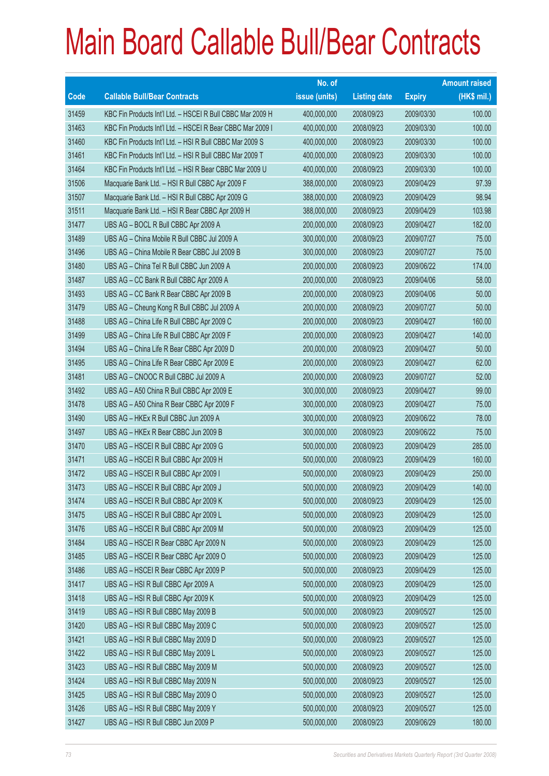|             |                                                            | No. of        |                     |               | <b>Amount raised</b> |
|-------------|------------------------------------------------------------|---------------|---------------------|---------------|----------------------|
| <b>Code</b> | <b>Callable Bull/Bear Contracts</b>                        | issue (units) | <b>Listing date</b> | <b>Expiry</b> | $(HK$$ mil.)         |
| 31459       | KBC Fin Products Int'l Ltd. - HSCEI R Bull CBBC Mar 2009 H | 400,000,000   | 2008/09/23          | 2009/03/30    | 100.00               |
| 31463       | KBC Fin Products Int'l Ltd. - HSCEI R Bear CBBC Mar 2009 I | 400,000,000   | 2008/09/23          | 2009/03/30    | 100.00               |
| 31460       | KBC Fin Products Int'l Ltd. - HSI R Bull CBBC Mar 2009 S   | 400,000,000   | 2008/09/23          | 2009/03/30    | 100.00               |
| 31461       | KBC Fin Products Int'l Ltd. - HSI R Bull CBBC Mar 2009 T   | 400,000,000   | 2008/09/23          | 2009/03/30    | 100.00               |
| 31464       | KBC Fin Products Int'l Ltd. - HSI R Bear CBBC Mar 2009 U   | 400,000,000   | 2008/09/23          | 2009/03/30    | 100.00               |
| 31506       | Macquarie Bank Ltd. - HSI R Bull CBBC Apr 2009 F           | 388,000,000   | 2008/09/23          | 2009/04/29    | 97.39                |
| 31507       | Macquarie Bank Ltd. - HSI R Bull CBBC Apr 2009 G           | 388,000,000   | 2008/09/23          | 2009/04/29    | 98.94                |
| 31511       | Macquarie Bank Ltd. - HSI R Bear CBBC Apr 2009 H           | 388,000,000   | 2008/09/23          | 2009/04/29    | 103.98               |
| 31477       | UBS AG - BOCL R Bull CBBC Apr 2009 A                       | 200,000,000   | 2008/09/23          | 2009/04/27    | 182.00               |
| 31489       | UBS AG - China Mobile R Bull CBBC Jul 2009 A               | 300,000,000   | 2008/09/23          | 2009/07/27    | 75.00                |
| 31496       | UBS AG - China Mobile R Bear CBBC Jul 2009 B               | 300,000,000   | 2008/09/23          | 2009/07/27    | 75.00                |
| 31480       | UBS AG - China Tel R Bull CBBC Jun 2009 A                  | 200,000,000   | 2008/09/23          | 2009/06/22    | 174.00               |
| 31487       | UBS AG - CC Bank R Bull CBBC Apr 2009 A                    | 200,000,000   | 2008/09/23          | 2009/04/06    | 58.00                |
| 31493       | UBS AG - CC Bank R Bear CBBC Apr 2009 B                    | 200,000,000   | 2008/09/23          | 2009/04/06    | 50.00                |
| 31479       | UBS AG - Cheung Kong R Bull CBBC Jul 2009 A                | 200,000,000   | 2008/09/23          | 2009/07/27    | 50.00                |
| 31488       | UBS AG - China Life R Bull CBBC Apr 2009 C                 | 200,000,000   | 2008/09/23          | 2009/04/27    | 160.00               |
| 31499       | UBS AG - China Life R Bull CBBC Apr 2009 F                 | 200,000,000   | 2008/09/23          | 2009/04/27    | 140.00               |
| 31494       | UBS AG - China Life R Bear CBBC Apr 2009 D                 | 200,000,000   | 2008/09/23          | 2009/04/27    | 50.00                |
| 31495       | UBS AG - China Life R Bear CBBC Apr 2009 E                 | 200,000,000   | 2008/09/23          | 2009/04/27    | 62.00                |
| 31481       | UBS AG - CNOOC R Bull CBBC Jul 2009 A                      | 200,000,000   | 2008/09/23          | 2009/07/27    | 52.00                |
| 31492       | UBS AG - A50 China R Bull CBBC Apr 2009 E                  | 300,000,000   | 2008/09/23          | 2009/04/27    | 99.00                |
| 31478       | UBS AG - A50 China R Bear CBBC Apr 2009 F                  | 300,000,000   | 2008/09/23          | 2009/04/27    | 75.00                |
| 31490       | UBS AG - HKEx R Bull CBBC Jun 2009 A                       | 300,000,000   | 2008/09/23          | 2009/06/22    | 78.00                |
| 31497       | UBS AG - HKEx R Bear CBBC Jun 2009 B                       | 300,000,000   | 2008/09/23          | 2009/06/22    | 75.00                |
| 31470       | UBS AG - HSCEI R Bull CBBC Apr 2009 G                      | 500,000,000   | 2008/09/23          | 2009/04/29    | 285.00               |
| 31471       | UBS AG - HSCEI R Bull CBBC Apr 2009 H                      | 500,000,000   | 2008/09/23          | 2009/04/29    | 160.00               |
| 31472       | UBS AG - HSCEI R Bull CBBC Apr 2009 I                      | 500,000,000   | 2008/09/23          | 2009/04/29    | 250.00               |
| 31473       | UBS AG - HSCEI R Bull CBBC Apr 2009 J                      | 500,000,000   | 2008/09/23          | 2009/04/29    | 140.00               |
| 31474       | UBS AG - HSCEI R Bull CBBC Apr 2009 K                      | 500,000,000   | 2008/09/23          | 2009/04/29    | 125.00               |
| 31475       | UBS AG - HSCEI R Bull CBBC Apr 2009 L                      | 500,000,000   | 2008/09/23          | 2009/04/29    | 125.00               |
| 31476       | UBS AG - HSCEI R Bull CBBC Apr 2009 M                      | 500,000,000   | 2008/09/23          | 2009/04/29    | 125.00               |
| 31484       | UBS AG - HSCEI R Bear CBBC Apr 2009 N                      | 500,000,000   | 2008/09/23          | 2009/04/29    | 125.00               |
| 31485       | UBS AG - HSCEI R Bear CBBC Apr 2009 O                      | 500,000,000   | 2008/09/23          | 2009/04/29    | 125.00               |
| 31486       | UBS AG - HSCEI R Bear CBBC Apr 2009 P                      | 500,000,000   | 2008/09/23          | 2009/04/29    | 125.00               |
| 31417       | UBS AG - HSI R Bull CBBC Apr 2009 A                        | 500,000,000   | 2008/09/23          | 2009/04/29    | 125.00               |
| 31418       | UBS AG - HSI R Bull CBBC Apr 2009 K                        | 500,000,000   | 2008/09/23          | 2009/04/29    | 125.00               |
| 31419       | UBS AG - HSI R Bull CBBC May 2009 B                        | 500,000,000   | 2008/09/23          | 2009/05/27    | 125.00               |
| 31420       | UBS AG - HSI R Bull CBBC May 2009 C                        | 500,000,000   | 2008/09/23          | 2009/05/27    | 125.00               |
| 31421       | UBS AG - HSI R Bull CBBC May 2009 D                        | 500,000,000   | 2008/09/23          | 2009/05/27    | 125.00               |
| 31422       | UBS AG - HSI R Bull CBBC May 2009 L                        | 500,000,000   | 2008/09/23          | 2009/05/27    | 125.00               |
| 31423       | UBS AG - HSI R Bull CBBC May 2009 M                        | 500,000,000   | 2008/09/23          | 2009/05/27    | 125.00               |
| 31424       | UBS AG - HSI R Bull CBBC May 2009 N                        | 500,000,000   | 2008/09/23          | 2009/05/27    | 125.00               |
| 31425       | UBS AG - HSI R Bull CBBC May 2009 O                        | 500,000,000   | 2008/09/23          | 2009/05/27    | 125.00               |
| 31426       | UBS AG - HSI R Bull CBBC May 2009 Y                        | 500,000,000   | 2008/09/23          | 2009/05/27    | 125.00               |
| 31427       | UBS AG - HSI R Bull CBBC Jun 2009 P                        | 500,000,000   | 2008/09/23          | 2009/06/29    | 180.00               |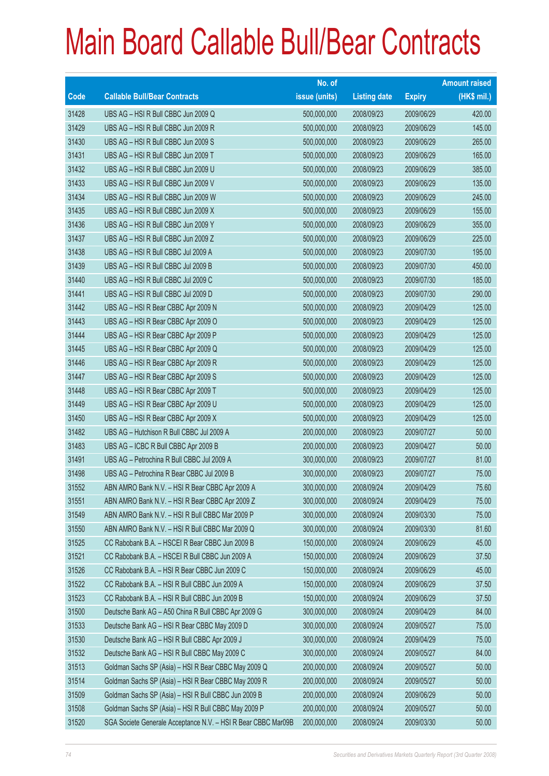|       |                                                               | No. of        |                     |               | <b>Amount raised</b> |
|-------|---------------------------------------------------------------|---------------|---------------------|---------------|----------------------|
| Code  | <b>Callable Bull/Bear Contracts</b>                           | issue (units) | <b>Listing date</b> | <b>Expiry</b> | (HK\$ mil.)          |
| 31428 | UBS AG - HSI R Bull CBBC Jun 2009 Q                           | 500,000,000   | 2008/09/23          | 2009/06/29    | 420.00               |
| 31429 | UBS AG - HSI R Bull CBBC Jun 2009 R                           | 500,000,000   | 2008/09/23          | 2009/06/29    | 145.00               |
| 31430 | UBS AG - HSI R Bull CBBC Jun 2009 S                           | 500,000,000   | 2008/09/23          | 2009/06/29    | 265.00               |
| 31431 | UBS AG - HSI R Bull CBBC Jun 2009 T                           | 500,000,000   | 2008/09/23          | 2009/06/29    | 165.00               |
| 31432 | UBS AG - HSI R Bull CBBC Jun 2009 U                           | 500,000,000   | 2008/09/23          | 2009/06/29    | 385.00               |
| 31433 | UBS AG - HSI R Bull CBBC Jun 2009 V                           | 500,000,000   | 2008/09/23          | 2009/06/29    | 135.00               |
| 31434 | UBS AG - HSI R Bull CBBC Jun 2009 W                           | 500,000,000   | 2008/09/23          | 2009/06/29    | 245.00               |
| 31435 | UBS AG - HSI R Bull CBBC Jun 2009 X                           | 500,000,000   | 2008/09/23          | 2009/06/29    | 155.00               |
| 31436 | UBS AG - HSI R Bull CBBC Jun 2009 Y                           | 500,000,000   | 2008/09/23          | 2009/06/29    | 355.00               |
| 31437 | UBS AG - HSI R Bull CBBC Jun 2009 Z                           | 500,000,000   | 2008/09/23          | 2009/06/29    | 225.00               |
| 31438 | UBS AG - HSI R Bull CBBC Jul 2009 A                           | 500,000,000   | 2008/09/23          | 2009/07/30    | 195.00               |
| 31439 | UBS AG - HSI R Bull CBBC Jul 2009 B                           | 500,000,000   | 2008/09/23          | 2009/07/30    | 450.00               |
| 31440 | UBS AG - HSI R Bull CBBC Jul 2009 C                           | 500,000,000   | 2008/09/23          | 2009/07/30    | 185.00               |
| 31441 | UBS AG - HSI R Bull CBBC Jul 2009 D                           | 500,000,000   | 2008/09/23          | 2009/07/30    | 290.00               |
| 31442 | UBS AG - HSI R Bear CBBC Apr 2009 N                           | 500,000,000   | 2008/09/23          | 2009/04/29    | 125.00               |
| 31443 | UBS AG - HSI R Bear CBBC Apr 2009 O                           | 500,000,000   | 2008/09/23          | 2009/04/29    | 125.00               |
| 31444 | UBS AG - HSI R Bear CBBC Apr 2009 P                           | 500,000,000   | 2008/09/23          | 2009/04/29    | 125.00               |
| 31445 | UBS AG - HSI R Bear CBBC Apr 2009 Q                           | 500,000,000   | 2008/09/23          | 2009/04/29    | 125.00               |
| 31446 | UBS AG - HSI R Bear CBBC Apr 2009 R                           | 500,000,000   | 2008/09/23          | 2009/04/29    | 125.00               |
| 31447 | UBS AG - HSI R Bear CBBC Apr 2009 S                           | 500,000,000   | 2008/09/23          | 2009/04/29    | 125.00               |
| 31448 | UBS AG - HSI R Bear CBBC Apr 2009 T                           | 500,000,000   | 2008/09/23          | 2009/04/29    | 125.00               |
| 31449 | UBS AG - HSI R Bear CBBC Apr 2009 U                           | 500,000,000   | 2008/09/23          | 2009/04/29    | 125.00               |
| 31450 | UBS AG - HSI R Bear CBBC Apr 2009 X                           | 500,000,000   | 2008/09/23          | 2009/04/29    | 125.00               |
| 31482 | UBS AG - Hutchison R Bull CBBC Jul 2009 A                     | 200,000,000   | 2008/09/23          | 2009/07/27    | 50.00                |
| 31483 | UBS AG - ICBC R Bull CBBC Apr 2009 B                          | 200,000,000   | 2008/09/23          | 2009/04/27    | 50.00                |
| 31491 | UBS AG - Petrochina R Bull CBBC Jul 2009 A                    | 300,000,000   | 2008/09/23          | 2009/07/27    | 81.00                |
| 31498 | UBS AG - Petrochina R Bear CBBC Jul 2009 B                    | 300,000,000   | 2008/09/23          | 2009/07/27    | 75.00                |
| 31552 | ABN AMRO Bank N.V. - HSI R Bear CBBC Apr 2009 A               | 300,000,000   | 2008/09/24          | 2009/04/29    | 75.60                |
| 31551 | ABN AMRO Bank N.V. - HSI R Bear CBBC Apr 2009 Z               | 300,000,000   | 2008/09/24          | 2009/04/29    | 75.00                |
| 31549 | ABN AMRO Bank N.V. - HSI R Bull CBBC Mar 2009 P               | 300,000,000   | 2008/09/24          | 2009/03/30    | 75.00                |
| 31550 | ABN AMRO Bank N.V. - HSI R Bull CBBC Mar 2009 Q               | 300,000,000   | 2008/09/24          | 2009/03/30    | 81.60                |
| 31525 | CC Rabobank B.A. - HSCEI R Bear CBBC Jun 2009 B               | 150,000,000   | 2008/09/24          | 2009/06/29    | 45.00                |
| 31521 | CC Rabobank B.A. - HSCEI R Bull CBBC Jun 2009 A               | 150,000,000   | 2008/09/24          | 2009/06/29    | 37.50                |
| 31526 | CC Rabobank B.A. - HSI R Bear CBBC Jun 2009 C                 | 150,000,000   | 2008/09/24          | 2009/06/29    | 45.00                |
| 31522 | CC Rabobank B.A. - HSI R Bull CBBC Jun 2009 A                 | 150,000,000   | 2008/09/24          | 2009/06/29    | 37.50                |
| 31523 | CC Rabobank B.A. - HSI R Bull CBBC Jun 2009 B                 | 150,000,000   | 2008/09/24          | 2009/06/29    | 37.50                |
| 31500 | Deutsche Bank AG - A50 China R Bull CBBC Apr 2009 G           | 300,000,000   | 2008/09/24          | 2009/04/29    | 84.00                |
| 31533 | Deutsche Bank AG - HSI R Bear CBBC May 2009 D                 | 300,000,000   | 2008/09/24          | 2009/05/27    | 75.00                |
| 31530 | Deutsche Bank AG - HSI R Bull CBBC Apr 2009 J                 | 300,000,000   | 2008/09/24          | 2009/04/29    | 75.00                |
| 31532 | Deutsche Bank AG - HSI R Bull CBBC May 2009 C                 | 300,000,000   | 2008/09/24          | 2009/05/27    | 84.00                |
| 31513 | Goldman Sachs SP (Asia) - HSI R Bear CBBC May 2009 Q          | 200,000,000   | 2008/09/24          | 2009/05/27    | 50.00                |
| 31514 | Goldman Sachs SP (Asia) - HSI R Bear CBBC May 2009 R          | 200,000,000   | 2008/09/24          | 2009/05/27    | 50.00                |
| 31509 | Goldman Sachs SP (Asia) - HSI R Bull CBBC Jun 2009 B          | 200,000,000   | 2008/09/24          | 2009/06/29    | 50.00                |
| 31508 | Goldman Sachs SP (Asia) - HSI R Bull CBBC May 2009 P          | 200,000,000   | 2008/09/24          | 2009/05/27    | 50.00                |
| 31520 | SGA Societe Generale Acceptance N.V. - HSI R Bear CBBC Mar09B | 200,000,000   | 2008/09/24          | 2009/03/30    | 50.00                |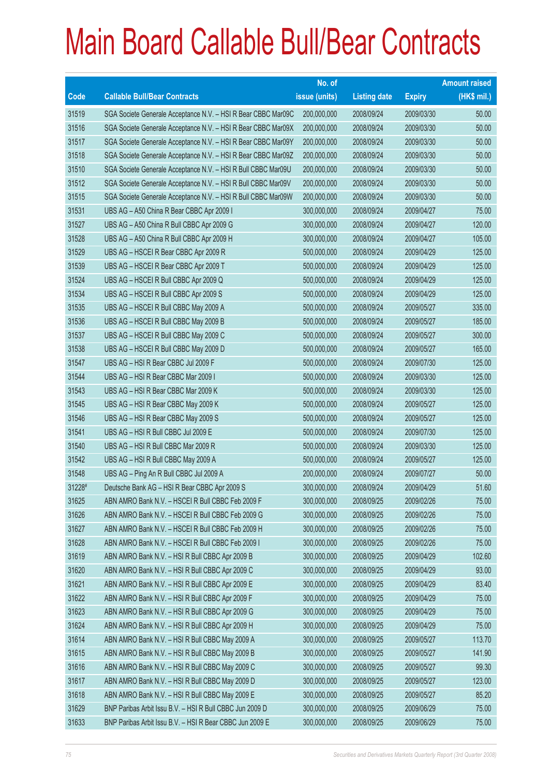|        |                                                               | No. of        |                     |               | <b>Amount raised</b> |
|--------|---------------------------------------------------------------|---------------|---------------------|---------------|----------------------|
| Code   | <b>Callable Bull/Bear Contracts</b>                           | issue (units) | <b>Listing date</b> | <b>Expiry</b> | (HK\$ mil.)          |
| 31519  | SGA Societe Generale Acceptance N.V. - HSI R Bear CBBC Mar09C | 200,000,000   | 2008/09/24          | 2009/03/30    | 50.00                |
| 31516  | SGA Societe Generale Acceptance N.V. - HSI R Bear CBBC Mar09X | 200,000,000   | 2008/09/24          | 2009/03/30    | 50.00                |
| 31517  | SGA Societe Generale Acceptance N.V. - HSI R Bear CBBC Mar09Y | 200,000,000   | 2008/09/24          | 2009/03/30    | 50.00                |
| 31518  | SGA Societe Generale Acceptance N.V. - HSI R Bear CBBC Mar09Z | 200,000,000   | 2008/09/24          | 2009/03/30    | 50.00                |
| 31510  | SGA Societe Generale Acceptance N.V. - HSI R Bull CBBC Mar09U | 200,000,000   | 2008/09/24          | 2009/03/30    | 50.00                |
| 31512  | SGA Societe Generale Acceptance N.V. - HSI R Bull CBBC Mar09V | 200,000,000   | 2008/09/24          | 2009/03/30    | 50.00                |
| 31515  | SGA Societe Generale Acceptance N.V. - HSI R Bull CBBC Mar09W | 200,000,000   | 2008/09/24          | 2009/03/30    | 50.00                |
| 31531  | UBS AG - A50 China R Bear CBBC Apr 2009 I                     | 300,000,000   | 2008/09/24          | 2009/04/27    | 75.00                |
| 31527  | UBS AG - A50 China R Bull CBBC Apr 2009 G                     | 300,000,000   | 2008/09/24          | 2009/04/27    | 120.00               |
| 31528  | UBS AG - A50 China R Bull CBBC Apr 2009 H                     | 300,000,000   | 2008/09/24          | 2009/04/27    | 105.00               |
| 31529  | UBS AG - HSCEI R Bear CBBC Apr 2009 R                         | 500,000,000   | 2008/09/24          | 2009/04/29    | 125.00               |
| 31539  | UBS AG - HSCEI R Bear CBBC Apr 2009 T                         | 500,000,000   | 2008/09/24          | 2009/04/29    | 125.00               |
| 31524  | UBS AG - HSCEI R Bull CBBC Apr 2009 Q                         | 500,000,000   | 2008/09/24          | 2009/04/29    | 125.00               |
| 31534  | UBS AG - HSCEI R Bull CBBC Apr 2009 S                         | 500,000,000   | 2008/09/24          | 2009/04/29    | 125.00               |
| 31535  | UBS AG - HSCEI R Bull CBBC May 2009 A                         | 500,000,000   | 2008/09/24          | 2009/05/27    | 335.00               |
| 31536  | UBS AG - HSCEI R Bull CBBC May 2009 B                         | 500,000,000   | 2008/09/24          | 2009/05/27    | 185.00               |
| 31537  | UBS AG - HSCEI R Bull CBBC May 2009 C                         | 500,000,000   | 2008/09/24          | 2009/05/27    | 300.00               |
| 31538  | UBS AG - HSCEI R Bull CBBC May 2009 D                         | 500,000,000   | 2008/09/24          | 2009/05/27    | 165.00               |
| 31547  | UBS AG - HSI R Bear CBBC Jul 2009 F                           | 500,000,000   | 2008/09/24          | 2009/07/30    | 125.00               |
| 31544  | UBS AG - HSI R Bear CBBC Mar 2009 I                           | 500,000,000   | 2008/09/24          | 2009/03/30    | 125.00               |
| 31543  | UBS AG - HSI R Bear CBBC Mar 2009 K                           | 500,000,000   | 2008/09/24          | 2009/03/30    | 125.00               |
| 31545  | UBS AG - HSI R Bear CBBC May 2009 K                           | 500,000,000   | 2008/09/24          | 2009/05/27    | 125.00               |
| 31546  | UBS AG - HSI R Bear CBBC May 2009 S                           | 500,000,000   | 2008/09/24          | 2009/05/27    | 125.00               |
| 31541  | UBS AG - HSI R Bull CBBC Jul 2009 E                           | 500,000,000   | 2008/09/24          | 2009/07/30    | 125.00               |
| 31540  | UBS AG - HSI R Bull CBBC Mar 2009 R                           | 500,000,000   | 2008/09/24          | 2009/03/30    | 125.00               |
| 31542  | UBS AG - HSI R Bull CBBC May 2009 A                           | 500,000,000   | 2008/09/24          | 2009/05/27    | 125.00               |
| 31548  | UBS AG - Ping An R Bull CBBC Jul 2009 A                       | 200,000,000   | 2008/09/24          | 2009/07/27    | 50.00                |
| 31228# | Deutsche Bank AG - HSI R Bear CBBC Apr 2009 S                 | 300,000,000   | 2008/09/24          | 2009/04/29    | 51.60                |
| 31625  | ABN AMRO Bank N.V. - HSCEI R Bull CBBC Feb 2009 F             | 300,000,000   | 2008/09/25          | 2009/02/26    | 75.00                |
| 31626  | ABN AMRO Bank N.V. - HSCEI R Bull CBBC Feb 2009 G             | 300,000,000   | 2008/09/25          | 2009/02/26    | 75.00                |
| 31627  | ABN AMRO Bank N.V. - HSCEI R Bull CBBC Feb 2009 H             | 300,000,000   | 2008/09/25          | 2009/02/26    | 75.00                |
| 31628  | ABN AMRO Bank N.V. - HSCEI R Bull CBBC Feb 2009 I             | 300,000,000   | 2008/09/25          | 2009/02/26    | 75.00                |
| 31619  | ABN AMRO Bank N.V. - HSI R Bull CBBC Apr 2009 B               | 300,000,000   | 2008/09/25          | 2009/04/29    | 102.60               |
| 31620  | ABN AMRO Bank N.V. - HSI R Bull CBBC Apr 2009 C               | 300,000,000   | 2008/09/25          | 2009/04/29    | 93.00                |
| 31621  | ABN AMRO Bank N.V. - HSI R Bull CBBC Apr 2009 E               | 300,000,000   | 2008/09/25          | 2009/04/29    | 83.40                |
| 31622  | ABN AMRO Bank N.V. - HSI R Bull CBBC Apr 2009 F               | 300,000,000   | 2008/09/25          | 2009/04/29    | 75.00                |
| 31623  | ABN AMRO Bank N.V. - HSI R Bull CBBC Apr 2009 G               | 300,000,000   | 2008/09/25          | 2009/04/29    | 75.00                |
| 31624  | ABN AMRO Bank N.V. - HSI R Bull CBBC Apr 2009 H               | 300,000,000   | 2008/09/25          | 2009/04/29    | 75.00                |
| 31614  | ABN AMRO Bank N.V. - HSI R Bull CBBC May 2009 A               | 300,000,000   | 2008/09/25          | 2009/05/27    | 113.70               |
| 31615  | ABN AMRO Bank N.V. - HSI R Bull CBBC May 2009 B               | 300,000,000   | 2008/09/25          | 2009/05/27    | 141.90               |
| 31616  | ABN AMRO Bank N.V. - HSI R Bull CBBC May 2009 C               | 300,000,000   | 2008/09/25          | 2009/05/27    | 99.30                |
| 31617  | ABN AMRO Bank N.V. - HSI R Bull CBBC May 2009 D               | 300,000,000   | 2008/09/25          | 2009/05/27    | 123.00               |
| 31618  | ABN AMRO Bank N.V. - HSI R Bull CBBC May 2009 E               | 300,000,000   | 2008/09/25          | 2009/05/27    | 85.20                |
| 31629  | BNP Paribas Arbit Issu B.V. - HSI R Bull CBBC Jun 2009 D      | 300,000,000   | 2008/09/25          | 2009/06/29    | 75.00                |
| 31633  | BNP Paribas Arbit Issu B.V. - HSI R Bear CBBC Jun 2009 E      | 300,000,000   | 2008/09/25          | 2009/06/29    | 75.00                |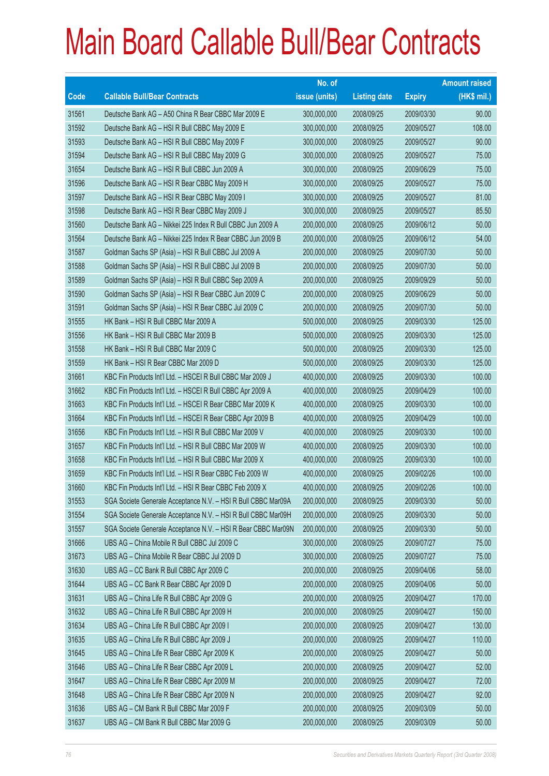|       |                                                               | No. of        |                     |               | <b>Amount raised</b> |
|-------|---------------------------------------------------------------|---------------|---------------------|---------------|----------------------|
| Code  | <b>Callable Bull/Bear Contracts</b>                           | issue (units) | <b>Listing date</b> | <b>Expiry</b> | (HK\$ mil.)          |
| 31561 | Deutsche Bank AG - A50 China R Bear CBBC Mar 2009 E           | 300,000,000   | 2008/09/25          | 2009/03/30    | 90.00                |
| 31592 | Deutsche Bank AG - HSI R Bull CBBC May 2009 E                 | 300,000,000   | 2008/09/25          | 2009/05/27    | 108.00               |
| 31593 | Deutsche Bank AG - HSI R Bull CBBC May 2009 F                 | 300,000,000   | 2008/09/25          | 2009/05/27    | 90.00                |
| 31594 | Deutsche Bank AG - HSI R Bull CBBC May 2009 G                 | 300,000,000   | 2008/09/25          | 2009/05/27    | 75.00                |
| 31654 | Deutsche Bank AG - HSI R Bull CBBC Jun 2009 A                 | 300,000,000   | 2008/09/25          | 2009/06/29    | 75.00                |
| 31596 | Deutsche Bank AG - HSI R Bear CBBC May 2009 H                 | 300,000,000   | 2008/09/25          | 2009/05/27    | 75.00                |
| 31597 | Deutsche Bank AG - HSI R Bear CBBC May 2009 I                 | 300,000,000   | 2008/09/25          | 2009/05/27    | 81.00                |
| 31598 | Deutsche Bank AG - HSI R Bear CBBC May 2009 J                 | 300,000,000   | 2008/09/25          | 2009/05/27    | 85.50                |
| 31560 | Deutsche Bank AG - Nikkei 225 Index R Bull CBBC Jun 2009 A    | 200,000,000   | 2008/09/25          | 2009/06/12    | 50.00                |
| 31564 | Deutsche Bank AG - Nikkei 225 Index R Bear CBBC Jun 2009 B    | 200,000,000   | 2008/09/25          | 2009/06/12    | 54.00                |
| 31587 | Goldman Sachs SP (Asia) - HSI R Bull CBBC Jul 2009 A          | 200,000,000   | 2008/09/25          | 2009/07/30    | 50.00                |
| 31588 | Goldman Sachs SP (Asia) - HSI R Bull CBBC Jul 2009 B          | 200,000,000   | 2008/09/25          | 2009/07/30    | 50.00                |
| 31589 | Goldman Sachs SP (Asia) - HSI R Bull CBBC Sep 2009 A          | 200,000,000   | 2008/09/25          | 2009/09/29    | 50.00                |
| 31590 | Goldman Sachs SP (Asia) - HSI R Bear CBBC Jun 2009 C          | 200,000,000   | 2008/09/25          | 2009/06/29    | 50.00                |
| 31591 | Goldman Sachs SP (Asia) - HSI R Bear CBBC Jul 2009 C          | 200,000,000   | 2008/09/25          | 2009/07/30    | 50.00                |
| 31555 | HK Bank - HSI R Bull CBBC Mar 2009 A                          | 500,000,000   | 2008/09/25          | 2009/03/30    | 125.00               |
| 31556 | HK Bank - HSI R Bull CBBC Mar 2009 B                          | 500,000,000   | 2008/09/25          | 2009/03/30    | 125.00               |
| 31558 | HK Bank - HSI R Bull CBBC Mar 2009 C                          | 500,000,000   | 2008/09/25          | 2009/03/30    | 125.00               |
| 31559 | HK Bank - HSI R Bear CBBC Mar 2009 D                          | 500,000,000   | 2008/09/25          | 2009/03/30    | 125.00               |
| 31661 | KBC Fin Products Int'l Ltd. - HSCEI R Bull CBBC Mar 2009 J    | 400,000,000   | 2008/09/25          | 2009/03/30    | 100.00               |
| 31662 | KBC Fin Products Int'l Ltd. - HSCEI R Bull CBBC Apr 2009 A    | 400,000,000   | 2008/09/25          | 2009/04/29    | 100.00               |
| 31663 | KBC Fin Products Int'l Ltd. - HSCEI R Bear CBBC Mar 2009 K    | 400,000,000   | 2008/09/25          | 2009/03/30    | 100.00               |
| 31664 | KBC Fin Products Int'l Ltd. - HSCEI R Bear CBBC Apr 2009 B    | 400,000,000   | 2008/09/25          | 2009/04/29    | 100.00               |
| 31656 | KBC Fin Products Int'l Ltd. - HSI R Bull CBBC Mar 2009 V      | 400,000,000   | 2008/09/25          | 2009/03/30    | 100.00               |
| 31657 | KBC Fin Products Int'l Ltd. - HSI R Bull CBBC Mar 2009 W      | 400,000,000   | 2008/09/25          | 2009/03/30    | 100.00               |
| 31658 | KBC Fin Products Int'l Ltd. - HSI R Bull CBBC Mar 2009 X      | 400,000,000   | 2008/09/25          | 2009/03/30    | 100.00               |
| 31659 | KBC Fin Products Int'l Ltd. - HSI R Bear CBBC Feb 2009 W      | 400,000,000   | 2008/09/25          | 2009/02/26    | 100.00               |
| 31660 | KBC Fin Products Int'l Ltd. - HSI R Bear CBBC Feb 2009 X      | 400,000,000   | 2008/09/25          | 2009/02/26    | 100.00               |
| 31553 | SGA Societe Generale Acceptance N.V. - HSI R Bull CBBC Mar09A | 200,000,000   | 2008/09/25          | 2009/03/30    | 50.00                |
| 31554 | SGA Societe Generale Acceptance N.V. - HSI R Bull CBBC Mar09H | 200,000,000   | 2008/09/25          | 2009/03/30    | 50.00                |
| 31557 | SGA Societe Generale Acceptance N.V. - HSI R Bear CBBC Mar09N | 200,000,000   | 2008/09/25          | 2009/03/30    | 50.00                |
| 31666 | UBS AG - China Mobile R Bull CBBC Jul 2009 C                  | 300,000,000   | 2008/09/25          | 2009/07/27    | 75.00                |
| 31673 | UBS AG - China Mobile R Bear CBBC Jul 2009 D                  | 300,000,000   | 2008/09/25          | 2009/07/27    | 75.00                |
| 31630 | UBS AG - CC Bank R Bull CBBC Apr 2009 C                       | 200,000,000   | 2008/09/25          | 2009/04/06    | 58.00                |
| 31644 | UBS AG - CC Bank R Bear CBBC Apr 2009 D                       | 200,000,000   | 2008/09/25          | 2009/04/06    | 50.00                |
| 31631 | UBS AG - China Life R Bull CBBC Apr 2009 G                    | 200,000,000   | 2008/09/25          | 2009/04/27    | 170.00               |
| 31632 | UBS AG - China Life R Bull CBBC Apr 2009 H                    | 200,000,000   | 2008/09/25          | 2009/04/27    | 150.00               |
| 31634 | UBS AG - China Life R Bull CBBC Apr 2009 I                    | 200,000,000   | 2008/09/25          | 2009/04/27    | 130.00               |
| 31635 | UBS AG - China Life R Bull CBBC Apr 2009 J                    | 200,000,000   | 2008/09/25          | 2009/04/27    | 110.00               |
| 31645 | UBS AG - China Life R Bear CBBC Apr 2009 K                    | 200,000,000   | 2008/09/25          | 2009/04/27    | 50.00                |
| 31646 | UBS AG - China Life R Bear CBBC Apr 2009 L                    | 200,000,000   | 2008/09/25          | 2009/04/27    | 52.00                |
| 31647 | UBS AG - China Life R Bear CBBC Apr 2009 M                    | 200,000,000   | 2008/09/25          | 2009/04/27    | 72.00                |
| 31648 | UBS AG - China Life R Bear CBBC Apr 2009 N                    | 200,000,000   | 2008/09/25          | 2009/04/27    | 92.00                |
| 31636 | UBS AG - CM Bank R Bull CBBC Mar 2009 F                       | 200,000,000   | 2008/09/25          | 2009/03/09    | 50.00                |
| 31637 | UBS AG - CM Bank R Bull CBBC Mar 2009 G                       | 200,000,000   | 2008/09/25          | 2009/03/09    | 50.00                |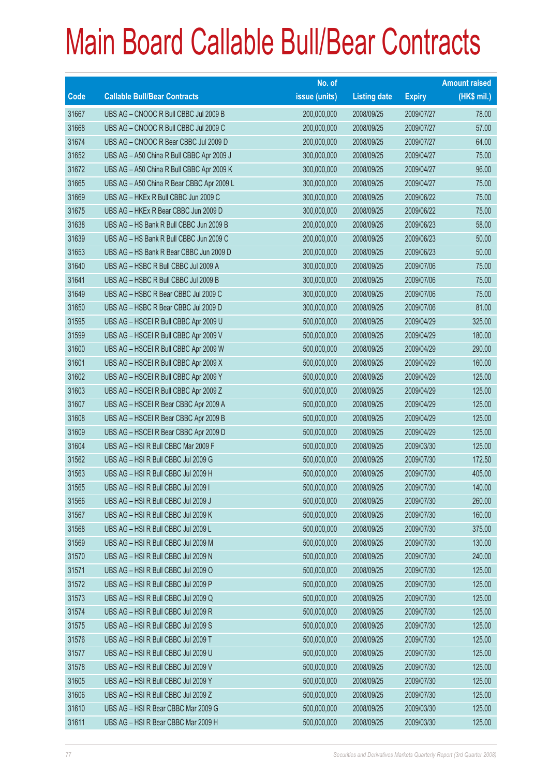|       |                                           | No. of        |                     |               | <b>Amount raised</b> |
|-------|-------------------------------------------|---------------|---------------------|---------------|----------------------|
| Code  | <b>Callable Bull/Bear Contracts</b>       | issue (units) | <b>Listing date</b> | <b>Expiry</b> | (HK\$ mil.)          |
| 31667 | UBS AG - CNOOC R Bull CBBC Jul 2009 B     | 200,000,000   | 2008/09/25          | 2009/07/27    | 78.00                |
| 31668 | UBS AG - CNOOC R Bull CBBC Jul 2009 C     | 200,000,000   | 2008/09/25          | 2009/07/27    | 57.00                |
| 31674 | UBS AG - CNOOC R Bear CBBC Jul 2009 D     | 200,000,000   | 2008/09/25          | 2009/07/27    | 64.00                |
| 31652 | UBS AG - A50 China R Bull CBBC Apr 2009 J | 300,000,000   | 2008/09/25          | 2009/04/27    | 75.00                |
| 31672 | UBS AG - A50 China R Bull CBBC Apr 2009 K | 300,000,000   | 2008/09/25          | 2009/04/27    | 96.00                |
| 31665 | UBS AG - A50 China R Bear CBBC Apr 2009 L | 300,000,000   | 2008/09/25          | 2009/04/27    | 75.00                |
| 31669 | UBS AG - HKEx R Bull CBBC Jun 2009 C      | 300,000,000   | 2008/09/25          | 2009/06/22    | 75.00                |
| 31675 | UBS AG - HKEx R Bear CBBC Jun 2009 D      | 300,000,000   | 2008/09/25          | 2009/06/22    | 75.00                |
| 31638 | UBS AG - HS Bank R Bull CBBC Jun 2009 B   | 200,000,000   | 2008/09/25          | 2009/06/23    | 58.00                |
| 31639 | UBS AG - HS Bank R Bull CBBC Jun 2009 C   | 200,000,000   | 2008/09/25          | 2009/06/23    | 50.00                |
| 31653 | UBS AG - HS Bank R Bear CBBC Jun 2009 D   | 200,000,000   | 2008/09/25          | 2009/06/23    | 50.00                |
| 31640 | UBS AG - HSBC R Bull CBBC Jul 2009 A      | 300,000,000   | 2008/09/25          | 2009/07/06    | 75.00                |
| 31641 | UBS AG - HSBC R Bull CBBC Jul 2009 B      | 300,000,000   | 2008/09/25          | 2009/07/06    | 75.00                |
| 31649 | UBS AG - HSBC R Bear CBBC Jul 2009 C      | 300,000,000   | 2008/09/25          | 2009/07/06    | 75.00                |
| 31650 | UBS AG - HSBC R Bear CBBC Jul 2009 D      | 300,000,000   | 2008/09/25          | 2009/07/06    | 81.00                |
| 31595 | UBS AG - HSCEI R Bull CBBC Apr 2009 U     | 500,000,000   | 2008/09/25          | 2009/04/29    | 325.00               |
| 31599 | UBS AG - HSCEI R Bull CBBC Apr 2009 V     | 500,000,000   | 2008/09/25          | 2009/04/29    | 180.00               |
| 31600 | UBS AG - HSCEI R Bull CBBC Apr 2009 W     | 500,000,000   | 2008/09/25          | 2009/04/29    | 290.00               |
| 31601 | UBS AG - HSCEI R Bull CBBC Apr 2009 X     | 500,000,000   | 2008/09/25          | 2009/04/29    | 160.00               |
| 31602 | UBS AG - HSCEI R Bull CBBC Apr 2009 Y     | 500,000,000   | 2008/09/25          | 2009/04/29    | 125.00               |
| 31603 | UBS AG - HSCEI R Bull CBBC Apr 2009 Z     | 500,000,000   | 2008/09/25          | 2009/04/29    | 125.00               |
| 31607 | UBS AG - HSCEI R Bear CBBC Apr 2009 A     | 500,000,000   | 2008/09/25          | 2009/04/29    | 125.00               |
| 31608 | UBS AG - HSCEI R Bear CBBC Apr 2009 B     | 500,000,000   | 2008/09/25          | 2009/04/29    | 125.00               |
| 31609 | UBS AG - HSCEI R Bear CBBC Apr 2009 D     | 500,000,000   | 2008/09/25          | 2009/04/29    | 125.00               |
| 31604 | UBS AG - HSI R Bull CBBC Mar 2009 F       | 500,000,000   | 2008/09/25          | 2009/03/30    | 125.00               |
| 31562 | UBS AG - HSI R Bull CBBC Jul 2009 G       | 500,000,000   | 2008/09/25          | 2009/07/30    | 172.50               |
| 31563 | UBS AG - HSI R Bull CBBC Jul 2009 H       | 500,000,000   | 2008/09/25          | 2009/07/30    | 405.00               |
| 31565 | UBS AG - HSI R Bull CBBC Jul 2009 I       | 500,000,000   | 2008/09/25          | 2009/07/30    | 140.00               |
| 31566 | UBS AG - HSI R Bull CBBC Jul 2009 J       | 500,000,000   | 2008/09/25          | 2009/07/30    | 260.00               |
| 31567 | UBS AG - HSI R Bull CBBC Jul 2009 K       | 500,000,000   | 2008/09/25          | 2009/07/30    | 160.00               |
| 31568 | UBS AG - HSI R Bull CBBC Jul 2009 L       | 500,000,000   | 2008/09/25          | 2009/07/30    | 375.00               |
| 31569 | UBS AG - HSI R Bull CBBC Jul 2009 M       | 500,000,000   | 2008/09/25          | 2009/07/30    | 130.00               |
| 31570 | UBS AG - HSI R Bull CBBC Jul 2009 N       | 500,000,000   | 2008/09/25          | 2009/07/30    | 240.00               |
| 31571 | UBS AG - HSI R Bull CBBC Jul 2009 O       | 500,000,000   | 2008/09/25          | 2009/07/30    | 125.00               |
| 31572 | UBS AG - HSI R Bull CBBC Jul 2009 P       | 500,000,000   | 2008/09/25          | 2009/07/30    | 125.00               |
| 31573 | UBS AG - HSI R Bull CBBC Jul 2009 Q       | 500,000,000   | 2008/09/25          | 2009/07/30    | 125.00               |
| 31574 | UBS AG - HSI R Bull CBBC Jul 2009 R       | 500,000,000   | 2008/09/25          | 2009/07/30    | 125.00               |
| 31575 | UBS AG - HSI R Bull CBBC Jul 2009 S       | 500,000,000   | 2008/09/25          | 2009/07/30    | 125.00               |
| 31576 | UBS AG - HSI R Bull CBBC Jul 2009 T       | 500,000,000   | 2008/09/25          | 2009/07/30    | 125.00               |
| 31577 | UBS AG - HSI R Bull CBBC Jul 2009 U       | 500,000,000   | 2008/09/25          | 2009/07/30    | 125.00               |
| 31578 | UBS AG - HSI R Bull CBBC Jul 2009 V       | 500,000,000   | 2008/09/25          | 2009/07/30    | 125.00               |
| 31605 | UBS AG - HSI R Bull CBBC Jul 2009 Y       | 500,000,000   | 2008/09/25          | 2009/07/30    | 125.00               |
| 31606 | UBS AG - HSI R Bull CBBC Jul 2009 Z       | 500,000,000   | 2008/09/25          | 2009/07/30    | 125.00               |
| 31610 | UBS AG - HSI R Bear CBBC Mar 2009 G       | 500,000,000   | 2008/09/25          | 2009/03/30    | 125.00               |
| 31611 | UBS AG - HSI R Bear CBBC Mar 2009 H       | 500,000,000   | 2008/09/25          | 2009/03/30    | 125.00               |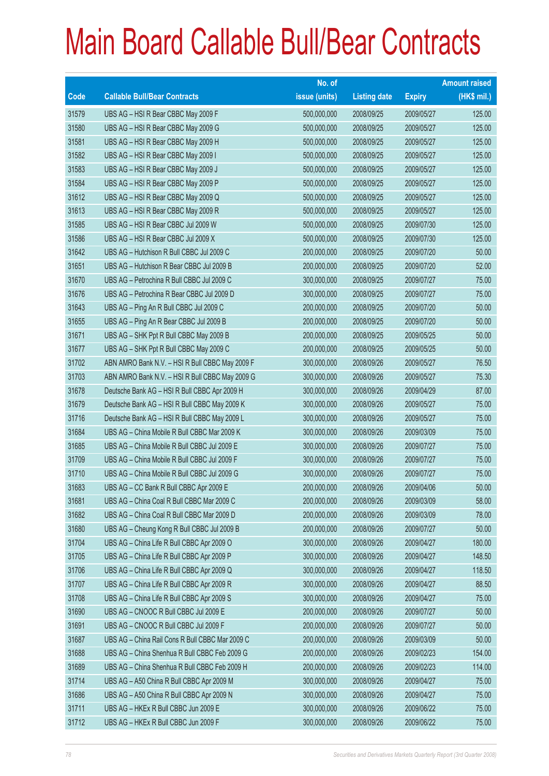|       |                                                 | No. of        |                     |               | <b>Amount raised</b> |
|-------|-------------------------------------------------|---------------|---------------------|---------------|----------------------|
| Code  | <b>Callable Bull/Bear Contracts</b>             | issue (units) | <b>Listing date</b> | <b>Expiry</b> | $(HK$$ mil.)         |
| 31579 | UBS AG - HSI R Bear CBBC May 2009 F             | 500,000,000   | 2008/09/25          | 2009/05/27    | 125.00               |
| 31580 | UBS AG - HSI R Bear CBBC May 2009 G             | 500,000,000   | 2008/09/25          | 2009/05/27    | 125.00               |
| 31581 | UBS AG - HSI R Bear CBBC May 2009 H             | 500,000,000   | 2008/09/25          | 2009/05/27    | 125.00               |
| 31582 | UBS AG - HSI R Bear CBBC May 2009 I             | 500,000,000   | 2008/09/25          | 2009/05/27    | 125.00               |
| 31583 | UBS AG - HSI R Bear CBBC May 2009 J             | 500,000,000   | 2008/09/25          | 2009/05/27    | 125.00               |
| 31584 | UBS AG - HSI R Bear CBBC May 2009 P             | 500,000,000   | 2008/09/25          | 2009/05/27    | 125.00               |
| 31612 | UBS AG - HSI R Bear CBBC May 2009 Q             | 500,000,000   | 2008/09/25          | 2009/05/27    | 125.00               |
| 31613 | UBS AG - HSI R Bear CBBC May 2009 R             | 500,000,000   | 2008/09/25          | 2009/05/27    | 125.00               |
| 31585 | UBS AG - HSI R Bear CBBC Jul 2009 W             | 500,000,000   | 2008/09/25          | 2009/07/30    | 125.00               |
| 31586 | UBS AG - HSI R Bear CBBC Jul 2009 X             | 500,000,000   | 2008/09/25          | 2009/07/30    | 125.00               |
| 31642 | UBS AG - Hutchison R Bull CBBC Jul 2009 C       | 200,000,000   | 2008/09/25          | 2009/07/20    | 50.00                |
| 31651 | UBS AG - Hutchison R Bear CBBC Jul 2009 B       | 200,000,000   | 2008/09/25          | 2009/07/20    | 52.00                |
| 31670 | UBS AG - Petrochina R Bull CBBC Jul 2009 C      | 300,000,000   | 2008/09/25          | 2009/07/27    | 75.00                |
| 31676 | UBS AG - Petrochina R Bear CBBC Jul 2009 D      | 300,000,000   | 2008/09/25          | 2009/07/27    | 75.00                |
| 31643 | UBS AG - Ping An R Bull CBBC Jul 2009 C         | 200,000,000   | 2008/09/25          | 2009/07/20    | 50.00                |
| 31655 | UBS AG - Ping An R Bear CBBC Jul 2009 B         | 200,000,000   | 2008/09/25          | 2009/07/20    | 50.00                |
| 31671 | UBS AG - SHK Ppt R Bull CBBC May 2009 B         | 200,000,000   | 2008/09/25          | 2009/05/25    | 50.00                |
| 31677 | UBS AG - SHK Ppt R Bull CBBC May 2009 C         | 200,000,000   | 2008/09/25          | 2009/05/25    | 50.00                |
| 31702 | ABN AMRO Bank N.V. - HSI R Bull CBBC May 2009 F | 300,000,000   | 2008/09/26          | 2009/05/27    | 76.50                |
| 31703 | ABN AMRO Bank N.V. - HSI R Bull CBBC May 2009 G | 300,000,000   | 2008/09/26          | 2009/05/27    | 75.30                |
| 31678 | Deutsche Bank AG - HSI R Bull CBBC Apr 2009 H   | 300,000,000   | 2008/09/26          | 2009/04/29    | 87.00                |
| 31679 | Deutsche Bank AG - HSI R Bull CBBC May 2009 K   | 300,000,000   | 2008/09/26          | 2009/05/27    | 75.00                |
| 31716 | Deutsche Bank AG - HSI R Bull CBBC May 2009 L   | 300,000,000   | 2008/09/26          | 2009/05/27    | 75.00                |
| 31684 | UBS AG - China Mobile R Bull CBBC Mar 2009 K    | 300,000,000   | 2008/09/26          | 2009/03/09    | 75.00                |
| 31685 | UBS AG - China Mobile R Bull CBBC Jul 2009 E    | 300,000,000   | 2008/09/26          | 2009/07/27    | 75.00                |
| 31709 | UBS AG - China Mobile R Bull CBBC Jul 2009 F    | 300,000,000   | 2008/09/26          | 2009/07/27    | 75.00                |
| 31710 | UBS AG - China Mobile R Bull CBBC Jul 2009 G    | 300,000,000   | 2008/09/26          | 2009/07/27    | 75.00                |
| 31683 | UBS AG - CC Bank R Bull CBBC Apr 2009 E         | 200,000,000   | 2008/09/26          | 2009/04/06    | 50.00                |
| 31681 | UBS AG - China Coal R Bull CBBC Mar 2009 C      | 200,000,000   | 2008/09/26          | 2009/03/09    | 58.00                |
| 31682 | UBS AG - China Coal R Bull CBBC Mar 2009 D      | 200,000,000   | 2008/09/26          | 2009/03/09    | 78.00                |
| 31680 | UBS AG - Cheung Kong R Bull CBBC Jul 2009 B     | 200,000,000   | 2008/09/26          | 2009/07/27    | 50.00                |
| 31704 | UBS AG - China Life R Bull CBBC Apr 2009 O      | 300,000,000   | 2008/09/26          | 2009/04/27    | 180.00               |
| 31705 | UBS AG - China Life R Bull CBBC Apr 2009 P      | 300,000,000   | 2008/09/26          | 2009/04/27    | 148.50               |
| 31706 | UBS AG - China Life R Bull CBBC Apr 2009 Q      | 300,000,000   | 2008/09/26          | 2009/04/27    | 118.50               |
| 31707 | UBS AG - China Life R Bull CBBC Apr 2009 R      | 300,000,000   | 2008/09/26          | 2009/04/27    | 88.50                |
| 31708 | UBS AG - China Life R Bull CBBC Apr 2009 S      | 300,000,000   | 2008/09/26          | 2009/04/27    | 75.00                |
| 31690 | UBS AG - CNOOC R Bull CBBC Jul 2009 E           | 200,000,000   | 2008/09/26          | 2009/07/27    | 50.00                |
| 31691 | UBS AG - CNOOC R Bull CBBC Jul 2009 F           | 200,000,000   | 2008/09/26          | 2009/07/27    | 50.00                |
| 31687 | UBS AG - China Rail Cons R Bull CBBC Mar 2009 C | 200,000,000   | 2008/09/26          | 2009/03/09    | 50.00                |
| 31688 | UBS AG - China Shenhua R Bull CBBC Feb 2009 G   | 200,000,000   | 2008/09/26          | 2009/02/23    | 154.00               |
| 31689 | UBS AG - China Shenhua R Bull CBBC Feb 2009 H   | 200,000,000   | 2008/09/26          | 2009/02/23    | 114.00               |
| 31714 | UBS AG - A50 China R Bull CBBC Apr 2009 M       | 300,000,000   | 2008/09/26          | 2009/04/27    | 75.00                |
| 31686 | UBS AG - A50 China R Bull CBBC Apr 2009 N       | 300,000,000   | 2008/09/26          | 2009/04/27    | 75.00                |
| 31711 | UBS AG - HKEx R Bull CBBC Jun 2009 E            | 300,000,000   | 2008/09/26          | 2009/06/22    | 75.00                |
| 31712 | UBS AG - HKEx R Bull CBBC Jun 2009 F            | 300,000,000   | 2008/09/26          | 2009/06/22    | 75.00                |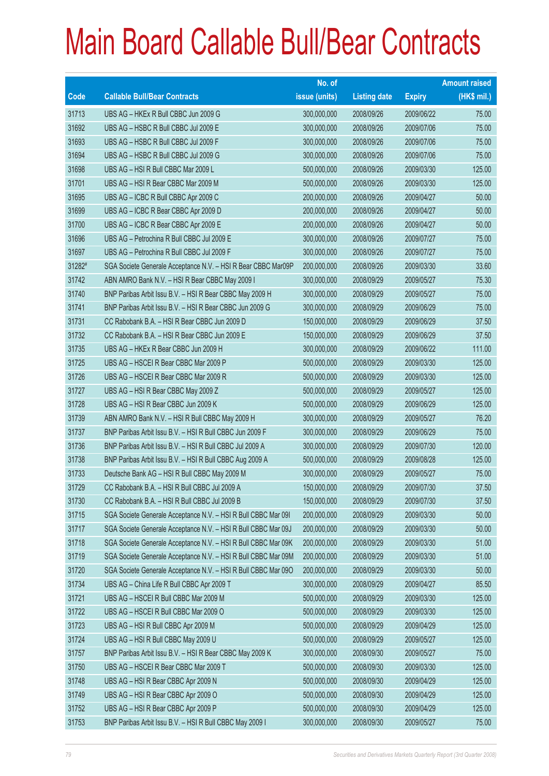|        |                                                                | No. of        |                     |               | <b>Amount raised</b> |
|--------|----------------------------------------------------------------|---------------|---------------------|---------------|----------------------|
| Code   | <b>Callable Bull/Bear Contracts</b>                            | issue (units) | <b>Listing date</b> | <b>Expiry</b> | (HK\$ mil.)          |
| 31713  | UBS AG - HKEx R Bull CBBC Jun 2009 G                           | 300,000,000   | 2008/09/26          | 2009/06/22    | 75.00                |
| 31692  | UBS AG - HSBC R Bull CBBC Jul 2009 E                           | 300,000,000   | 2008/09/26          | 2009/07/06    | 75.00                |
| 31693  | UBS AG - HSBC R Bull CBBC Jul 2009 F                           | 300,000,000   | 2008/09/26          | 2009/07/06    | 75.00                |
| 31694  | UBS AG - HSBC R Bull CBBC Jul 2009 G                           | 300,000,000   | 2008/09/26          | 2009/07/06    | 75.00                |
| 31698  | UBS AG - HSI R Bull CBBC Mar 2009 L                            | 500,000,000   | 2008/09/26          | 2009/03/30    | 125.00               |
| 31701  | UBS AG - HSI R Bear CBBC Mar 2009 M                            | 500,000,000   | 2008/09/26          | 2009/03/30    | 125.00               |
| 31695  | UBS AG - ICBC R Bull CBBC Apr 2009 C                           | 200,000,000   | 2008/09/26          | 2009/04/27    | 50.00                |
| 31699  | UBS AG - ICBC R Bear CBBC Apr 2009 D                           | 200,000,000   | 2008/09/26          | 2009/04/27    | 50.00                |
| 31700  | UBS AG - ICBC R Bear CBBC Apr 2009 E                           | 200,000,000   | 2008/09/26          | 2009/04/27    | 50.00                |
| 31696  | UBS AG - Petrochina R Bull CBBC Jul 2009 E                     | 300,000,000   | 2008/09/26          | 2009/07/27    | 75.00                |
| 31697  | UBS AG - Petrochina R Bull CBBC Jul 2009 F                     | 300,000,000   | 2008/09/26          | 2009/07/27    | 75.00                |
| 31282# | SGA Societe Generale Acceptance N.V. - HSI R Bear CBBC Mar09P  | 200,000,000   | 2008/09/26          | 2009/03/30    | 33.60                |
| 31742  | ABN AMRO Bank N.V. - HSI R Bear CBBC May 2009 I                | 300,000,000   | 2008/09/29          | 2009/05/27    | 75.30                |
| 31740  | BNP Paribas Arbit Issu B.V. - HSI R Bear CBBC May 2009 H       | 300,000,000   | 2008/09/29          | 2009/05/27    | 75.00                |
| 31741  | BNP Paribas Arbit Issu B.V. - HSI R Bear CBBC Jun 2009 G       | 300,000,000   | 2008/09/29          | 2009/06/29    | 75.00                |
| 31731  | CC Rabobank B.A. - HSI R Bear CBBC Jun 2009 D                  | 150,000,000   | 2008/09/29          | 2009/06/29    | 37.50                |
| 31732  | CC Rabobank B.A. - HSI R Bear CBBC Jun 2009 E                  | 150,000,000   | 2008/09/29          | 2009/06/29    | 37.50                |
| 31735  | UBS AG - HKEx R Bear CBBC Jun 2009 H                           | 300,000,000   | 2008/09/29          | 2009/06/22    | 111.00               |
| 31725  | UBS AG - HSCEI R Bear CBBC Mar 2009 P                          | 500,000,000   | 2008/09/29          | 2009/03/30    | 125.00               |
| 31726  | UBS AG - HSCEI R Bear CBBC Mar 2009 R                          | 500,000,000   | 2008/09/29          | 2009/03/30    | 125.00               |
| 31727  | UBS AG - HSI R Bear CBBC May 2009 Z                            | 500,000,000   | 2008/09/29          | 2009/05/27    | 125.00               |
| 31728  | UBS AG - HSI R Bear CBBC Jun 2009 K                            | 500,000,000   | 2008/09/29          | 2009/06/29    | 125.00               |
| 31739  | ABN AMRO Bank N.V. - HSI R Bull CBBC May 2009 H                | 300,000,000   | 2008/09/29          | 2009/05/27    | 76.20                |
| 31737  | BNP Paribas Arbit Issu B.V. - HSI R Bull CBBC Jun 2009 F       | 300,000,000   | 2008/09/29          | 2009/06/29    | 75.00                |
| 31736  | BNP Paribas Arbit Issu B.V. - HSI R Bull CBBC Jul 2009 A       | 300,000,000   | 2008/09/29          | 2009/07/30    | 120.00               |
| 31738  | BNP Paribas Arbit Issu B.V. - HSI R Bull CBBC Aug 2009 A       | 500,000,000   | 2008/09/29          | 2009/08/28    | 125.00               |
| 31733  | Deutsche Bank AG - HSI R Bull CBBC May 2009 M                  | 300,000,000   | 2008/09/29          | 2009/05/27    | 75.00                |
| 31729  | CC Rabobank B.A. - HSI R Bull CBBC Jul 2009 A                  | 150,000,000   | 2008/09/29          | 2009/07/30    | 37.50                |
| 31730  | CC Rabobank B.A. - HSI R Bull CBBC Jul 2009 B                  | 150,000,000   | 2008/09/29          | 2009/07/30    | 37.50                |
| 31715  | SGA Societe Generale Acceptance N.V. - HSI R Bull CBBC Mar 091 | 200,000,000   | 2008/09/29          | 2009/03/30    | 50.00                |
| 31717  | SGA Societe Generale Acceptance N.V. - HSI R Bull CBBC Mar 09J | 200,000,000   | 2008/09/29          | 2009/03/30    | 50.00                |
| 31718  | SGA Societe Generale Acceptance N.V. - HSI R Bull CBBC Mar 09K | 200,000,000   | 2008/09/29          | 2009/03/30    | 51.00                |
| 31719  | SGA Societe Generale Acceptance N.V. - HSI R Bull CBBC Mar 09M | 200,000,000   | 2008/09/29          | 2009/03/30    | 51.00                |
| 31720  | SGA Societe Generale Acceptance N.V. - HSI R Bull CBBC Mar 09O | 200,000,000   | 2008/09/29          | 2009/03/30    | 50.00                |
| 31734  | UBS AG - China Life R Bull CBBC Apr 2009 T                     | 300,000,000   | 2008/09/29          | 2009/04/27    | 85.50                |
| 31721  | UBS AG - HSCEI R Bull CBBC Mar 2009 M                          | 500,000,000   | 2008/09/29          | 2009/03/30    | 125.00               |
| 31722  | UBS AG - HSCEI R Bull CBBC Mar 2009 O                          | 500,000,000   | 2008/09/29          | 2009/03/30    | 125.00               |
| 31723  | UBS AG - HSI R Bull CBBC Apr 2009 M                            | 500,000,000   | 2008/09/29          | 2009/04/29    | 125.00               |
| 31724  | UBS AG - HSI R Bull CBBC May 2009 U                            | 500,000,000   | 2008/09/29          | 2009/05/27    | 125.00               |
| 31757  | BNP Paribas Arbit Issu B.V. - HSI R Bear CBBC May 2009 K       | 300,000,000   | 2008/09/30          | 2009/05/27    | 75.00                |
| 31750  | UBS AG - HSCEI R Bear CBBC Mar 2009 T                          | 500,000,000   | 2008/09/30          | 2009/03/30    | 125.00               |
| 31748  | UBS AG - HSI R Bear CBBC Apr 2009 N                            | 500,000,000   | 2008/09/30          | 2009/04/29    | 125.00               |
| 31749  | UBS AG - HSI R Bear CBBC Apr 2009 O                            | 500,000,000   | 2008/09/30          | 2009/04/29    | 125.00               |
| 31752  | UBS AG - HSI R Bear CBBC Apr 2009 P                            | 500,000,000   | 2008/09/30          | 2009/04/29    | 125.00               |
| 31753  | BNP Paribas Arbit Issu B.V. - HSI R Bull CBBC May 2009 I       | 300,000,000   | 2008/09/30          | 2009/05/27    | 75.00                |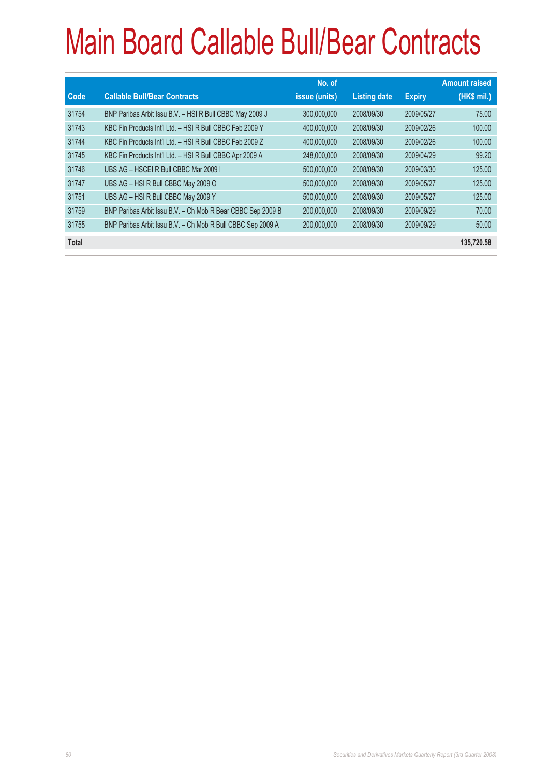| Code         | <b>Callable Bull/Bear Contracts</b>                         | No. of<br>issue (units) | <b>Listing date</b> | <b>Expiry</b> | <b>Amount raised</b><br>(HK\$ mil.) |
|--------------|-------------------------------------------------------------|-------------------------|---------------------|---------------|-------------------------------------|
| 31754        | BNP Paribas Arbit Issu B.V. - HSI R Bull CBBC May 2009 J    | 300,000,000             | 2008/09/30          | 2009/05/27    | 75.00                               |
| 31743        | KBC Fin Products Int'l Ltd. - HSI R Bull CBBC Feb 2009 Y    | 400,000,000             | 2008/09/30          | 2009/02/26    | 100.00                              |
| 31744        | KBC Fin Products Int'l Ltd. - HSI R Bull CBBC Feb 2009 Z    | 400,000,000             | 2008/09/30          | 2009/02/26    | 100.00                              |
| 31745        | KBC Fin Products Int'l Ltd. - HSI R Bull CBBC Apr 2009 A    | 248,000,000             | 2008/09/30          | 2009/04/29    | 99.20                               |
| 31746        | UBS AG - HSCEI R Bull CBBC Mar 2009 I                       | 500,000,000             | 2008/09/30          | 2009/03/30    | 125.00                              |
| 31747        | UBS AG - HSI R Bull CBBC May 2009 O                         | 500,000,000             | 2008/09/30          | 2009/05/27    | 125.00                              |
| 31751        | UBS AG - HSI R Bull CBBC May 2009 Y                         | 500,000,000             | 2008/09/30          | 2009/05/27    | 125.00                              |
| 31759        | BNP Paribas Arbit Issu B.V. - Ch Mob R Bear CBBC Sep 2009 B | 200,000,000             | 2008/09/30          | 2009/09/29    | 70.00                               |
| 31755        | BNP Paribas Arbit Issu B.V. - Ch Mob R Bull CBBC Sep 2009 A | 200,000,000             | 2008/09/30          | 2009/09/29    | 50.00                               |
| <b>Total</b> |                                                             |                         |                     |               | 135,720.58                          |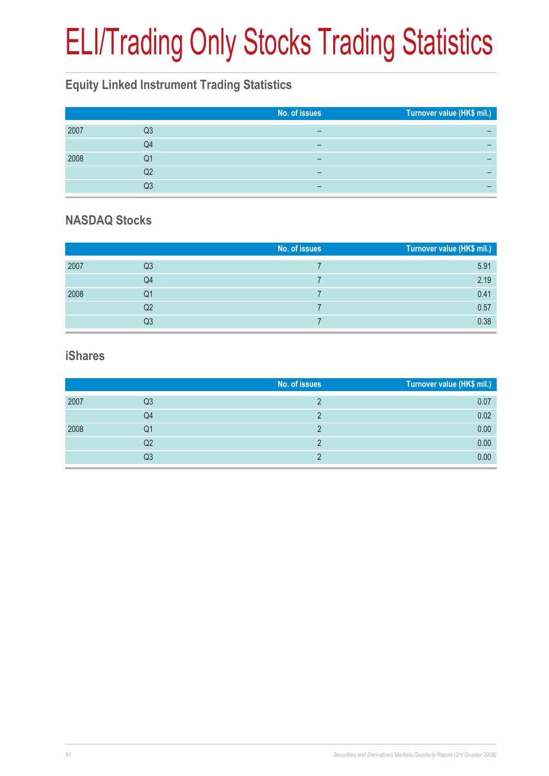# ELI/Trading Only Stocks Trading Statistics

### **Equity Linked Instrument Trading Statistics**

|      |    | No. of issues | Turnover value (HK\$ mil.) |
|------|----|---------------|----------------------------|
| 2007 | Q3 |               |                            |
|      | Q4 |               |                            |
| 2008 | Q1 | -             |                            |
|      | Q2 | -             |                            |
|      | Q3 | -             |                            |

#### **NASDAQ Stocks**

|      |                | No. of issues | Turnover value (HK\$ mil.) |
|------|----------------|---------------|----------------------------|
| 2007 | Q3             |               | 5.91                       |
|      | Q4             |               | 2.19                       |
| 2008 | Q1             |               | 0.41                       |
|      | Q <sub>2</sub> |               | 0.57                       |
|      | Q3             |               | 0.38                       |

#### **iShares**

|      |    | No. of issues | Turnover value (HK\$ mil.) |
|------|----|---------------|----------------------------|
| 2007 | Q3 |               | 0.07                       |
|      | Q4 |               | 0.02                       |
| 2008 | Q1 |               | 0.00                       |
|      | Q2 |               | 0.00                       |
|      | Q3 |               | 0.00                       |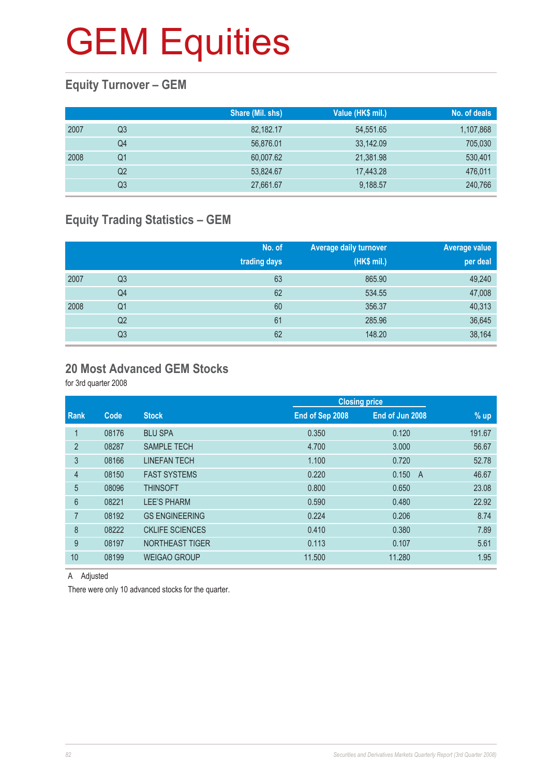### **Equity Turnover – GEM**

|      |    | Share (Mil. shs) | Value (HK\$ mil.) | No. of deals |
|------|----|------------------|-------------------|--------------|
| 2007 | Q3 | 82,182.17        | 54,551.65         | 1,107,868    |
|      | Q4 | 56,876.01        | 33,142.09         | 705,030      |
| 2008 | Q1 | 60,007.62        | 21,381.98         | 530,401      |
|      | Q2 | 53,824.67        | 17,443.28         | 476,011      |
|      | Q3 | 27,661.67        | 9,188.57          | 240,766      |

### **Equity Trading Statistics – GEM**

|      |                | No. of<br>trading days | <b>Average daily turnover</b><br>(HK\$ mil.) | <b>Average value</b><br>per deal |
|------|----------------|------------------------|----------------------------------------------|----------------------------------|
| 2007 | Q <sub>3</sub> | 63                     | 865.90                                       | 49,240                           |
|      | Q4             | 62                     | 534.55                                       | 47,008                           |
| 2008 | Q <sub>1</sub> | 60                     | 356.37                                       | 40,313                           |
|      | Q2             | 61                     | 285.96                                       | 36,645                           |
|      | Q3             | 62                     | 148.20                                       | 38,164                           |

#### **20 Most Advanced GEM Stocks**

for 3rd quarter 2008

|                |       |                        |                 | <b>Closing price</b> |                         |  |
|----------------|-------|------------------------|-----------------|----------------------|-------------------------|--|
| Rank           | Code  | <b>Stock</b>           | End of Sep 2008 | End of Jun 2008      | % up                    |  |
|                | 08176 | <b>BLU SPA</b>         | 0.350           | 0.120                | 191.67                  |  |
| 2              | 08287 | <b>SAMPLE TECH</b>     | 4.700           | 3.000                | 56.67                   |  |
| 3              | 08166 | <b>LINEFAN TECH</b>    | 1.100           | 0.720                | 52.78                   |  |
| $\overline{4}$ | 08150 | <b>FAST SYSTEMS</b>    | 0.220           | 0.150                | 46.67<br>$\overline{A}$ |  |
| 5              | 08096 | <b>THINSOFT</b>        | 0.800           | 0.650                | 23.08                   |  |
| 6              | 08221 | <b>LEE'S PHARM</b>     | 0.590           | 0.480                | 22.92                   |  |
| 7              | 08192 | <b>GS ENGINEERING</b>  | 0.224           | 0.206                | 8.74                    |  |
| 8              | 08222 | <b>CKLIFE SCIENCES</b> | 0.410           | 0.380                | 7.89                    |  |
| 9              | 08197 | NORTHEAST TIGER        | 0.113           | 0.107                | 5.61                    |  |
| 10             | 08199 | <b>WEIGAO GROUP</b>    | 11.500          | 11.280               | 1.95                    |  |
|                |       |                        |                 |                      |                         |  |

A Adjusted

There were only 10 advanced stocks for the quarter.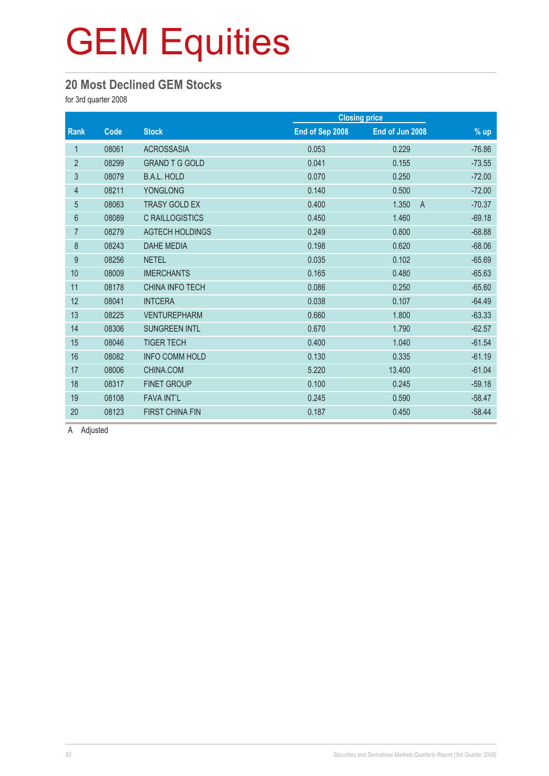#### **20 Most Declined GEM Stocks**

for 3rd quarter 2008

|                |       |                        |                 | <b>Closing price</b>    |          |  |
|----------------|-------|------------------------|-----------------|-------------------------|----------|--|
| Rank           | Code  | <b>Stock</b>           | End of Sep 2008 | End of Jun 2008         | $%$ up   |  |
| $\mathbf{1}$   | 08061 | <b>ACROSSASIA</b>      | 0.053           | 0.229                   | $-76.86$ |  |
| $\overline{2}$ | 08299 | <b>GRAND T G GOLD</b>  | 0.041           | 0.155                   | $-73.55$ |  |
| 3              | 08079 | <b>B.A.L. HOLD</b>     | 0.070           | 0.250                   | $-72.00$ |  |
| 4              | 08211 | <b>YONGLONG</b>        | 0.140           | 0.500                   | $-72.00$ |  |
| $\overline{5}$ | 08063 | <b>TRASY GOLD EX</b>   | 0.400           | 1.350<br>$\overline{A}$ | $-70.37$ |  |
| $6\phantom{.}$ | 08089 | C RAILLOGISTICS        | 0.450           | 1.460                   | $-69.18$ |  |
| $\overline{7}$ | 08279 | <b>AGTECH HOLDINGS</b> | 0.249           | 0.800                   | $-68.88$ |  |
| $\,8\,$        | 08243 | <b>DAHE MEDIA</b>      | 0.198           | 0.620                   | $-68.06$ |  |
| 9              | 08256 | <b>NETEL</b>           | 0.035           | 0.102                   | $-65.69$ |  |
| 10             | 08009 | <b>IMERCHANTS</b>      | 0.165           | 0.480                   | $-65.63$ |  |
| 11             | 08178 | <b>CHINA INFO TECH</b> | 0.086           | 0.250                   | $-65.60$ |  |
| 12             | 08041 | <b>INTCERA</b>         | 0.038           | 0.107                   | $-64.49$ |  |
| 13             | 08225 | <b>VENTUREPHARM</b>    | 0.660           | 1.800                   | $-63.33$ |  |
| 14             | 08306 | <b>SUNGREEN INTL</b>   | 0.670           | 1.790                   | $-62.57$ |  |
| 15             | 08046 | <b>TIGER TECH</b>      | 0.400           | 1.040                   | $-61.54$ |  |
| 16             | 08082 | <b>INFO COMM HOLD</b>  | 0.130           | 0.335                   | $-61.19$ |  |
| 17             | 08006 | CHINA.COM              | 5.220           | 13.400                  | $-61.04$ |  |
| 18             | 08317 | <b>FINET GROUP</b>     | 0.100           | 0.245                   | $-59.18$ |  |
| 19             | 08108 | <b>FAVA INT'L</b>      | 0.245           | 0.590                   | $-58.47$ |  |
| 20             | 08123 | <b>FIRST CHINA FIN</b> | 0.187           | 0.450                   | $-58.44$ |  |

A Adjusted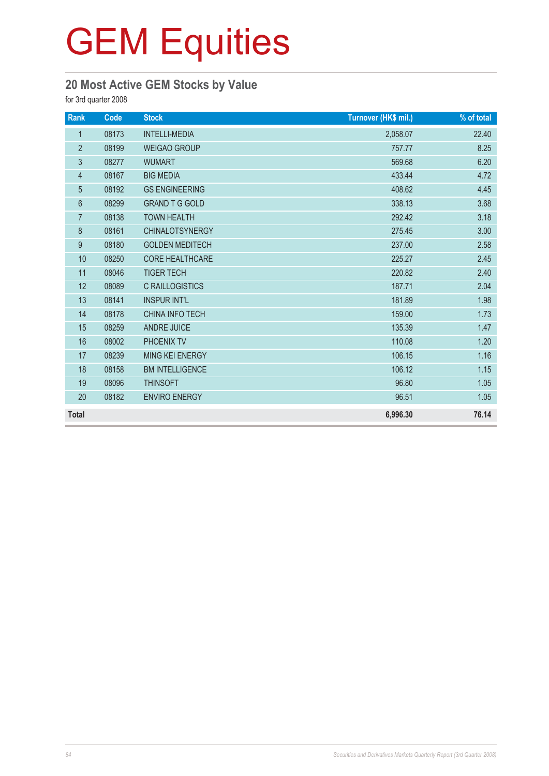### **20 Most Active GEM Stocks by Value**

for 3rd quarter 2008

| Rank           | Code  | <b>Stock</b>           | Turnover (HK\$ mil.) | % of total |
|----------------|-------|------------------------|----------------------|------------|
| $\mathbf{1}$   | 08173 | <b>INTELLI-MEDIA</b>   | 2,058.07             | 22.40      |
| $\overline{2}$ | 08199 | <b>WEIGAO GROUP</b>    | 757.77               | 8.25       |
| $\mathfrak{S}$ | 08277 | <b>WUMART</b>          | 569.68               | 6.20       |
| $\overline{4}$ | 08167 | <b>BIG MEDIA</b>       | 433.44               | 4.72       |
| $\overline{5}$ | 08192 | <b>GS ENGINEERING</b>  | 408.62               | 4.45       |
| 6              | 08299 | <b>GRAND T G GOLD</b>  | 338.13               | 3.68       |
| $\overline{7}$ | 08138 | <b>TOWN HEALTH</b>     | 292.42               | 3.18       |
| 8              | 08161 | <b>CHINALOTSYNERGY</b> | 275.45               | 3.00       |
| 9              | 08180 | <b>GOLDEN MEDITECH</b> | 237.00               | 2.58       |
| 10             | 08250 | <b>CORE HEALTHCARE</b> | 225.27               | 2.45       |
| 11             | 08046 | <b>TIGER TECH</b>      | 220.82               | 2.40       |
| 12             | 08089 | <b>C RAILLOGISTICS</b> | 187.71               | 2.04       |
| 13             | 08141 | <b>INSPUR INT'L</b>    | 181.89               | 1.98       |
| 14             | 08178 | CHINA INFO TECH        | 159.00               | 1.73       |
| 15             | 08259 | <b>ANDRE JUICE</b>     | 135.39               | 1.47       |
| 16             | 08002 | PHOENIX TV             | 110.08               | 1.20       |
| 17             | 08239 | MING KEI ENERGY        | 106.15               | 1.16       |
| 18             | 08158 | <b>BM INTELLIGENCE</b> | 106.12               | 1.15       |
| 19             | 08096 | <b>THINSOFT</b>        | 96.80                | 1.05       |
| 20             | 08182 | <b>ENVIRO ENERGY</b>   | 96.51                | 1.05       |
| <b>Total</b>   |       |                        | 6,996.30             | 76.14      |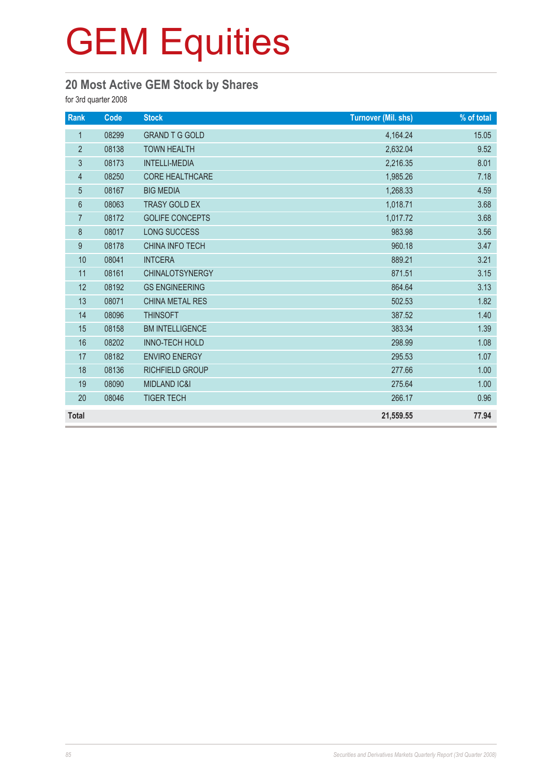### **20 Most Active GEM Stock by Shares**

for 3rd quarter 2008

| Rank           | Code  | <b>Stock</b>            | <b>Turnover (Mil. shs)</b> | % of total |
|----------------|-------|-------------------------|----------------------------|------------|
| $\mathbf{1}$   | 08299 | <b>GRAND T G GOLD</b>   | 4,164.24                   | 15.05      |
| $\overline{2}$ | 08138 | <b>TOWN HEALTH</b>      | 2,632.04                   | 9.52       |
| 3              | 08173 | <b>INTELLI-MEDIA</b>    | 2,216.35                   | 8.01       |
| $\overline{4}$ | 08250 | <b>CORE HEALTHCARE</b>  | 1,985.26                   | 7.18       |
| 5              | 08167 | <b>BIG MEDIA</b>        | 1,268.33                   | 4.59       |
| 6              | 08063 | <b>TRASY GOLD EX</b>    | 1,018.71                   | 3.68       |
| $\overline{7}$ | 08172 | <b>GOLIFE CONCEPTS</b>  | 1,017.72                   | 3.68       |
| 8              | 08017 | <b>LONG SUCCESS</b>     | 983.98                     | 3.56       |
| 9              | 08178 | <b>CHINA INFO TECH</b>  | 960.18                     | 3.47       |
| 10             | 08041 | <b>INTCERA</b>          | 889.21                     | 3.21       |
| 11             | 08161 | <b>CHINALOTSYNERGY</b>  | 871.51                     | 3.15       |
| 12             | 08192 | <b>GS ENGINEERING</b>   | 864.64                     | 3.13       |
| 13             | 08071 | <b>CHINA METAL RES</b>  | 502.53                     | 1.82       |
| 14             | 08096 | <b>THINSOFT</b>         | 387.52                     | 1.40       |
| 15             | 08158 | <b>BM INTELLIGENCE</b>  | 383.34                     | 1.39       |
| 16             | 08202 | <b>INNO-TECH HOLD</b>   | 298.99                     | 1.08       |
| 17             | 08182 | <b>ENVIRO ENERGY</b>    | 295.53                     | 1.07       |
| 18             | 08136 | RICHFIELD GROUP         | 277.66                     | 1.00       |
| 19             | 08090 | <b>MIDLAND IC&amp;I</b> | 275.64                     | 1.00       |
| 20             | 08046 | <b>TIGER TECH</b>       | 266.17                     | 0.96       |
| <b>Total</b>   |       |                         | 21,559.55                  | 77.94      |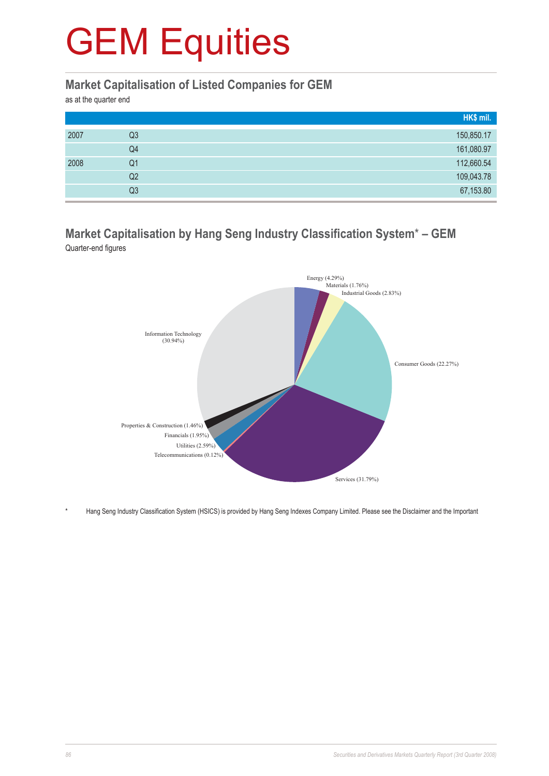#### **Market Capitalisation of Listed Companies for GEM**

as at the quarter end

|      |                | HK\$ mil.  |
|------|----------------|------------|
| 2007 | Q3             | 150,850.17 |
|      | Q4             | 161,080.97 |
| 2008 | Q1             | 112,660.54 |
|      | Q <sub>2</sub> | 109,043.78 |
|      | Q3             | 67,153.80  |

#### **Market Capitalisation by Hang Seng Industry Classification System**\* **– GEM** Quarter-end figures



\* Hang Seng Industry Classification System (HSICS) is provided by Hang Seng Indexes Company Limited. Please see the Disclaimer and the Important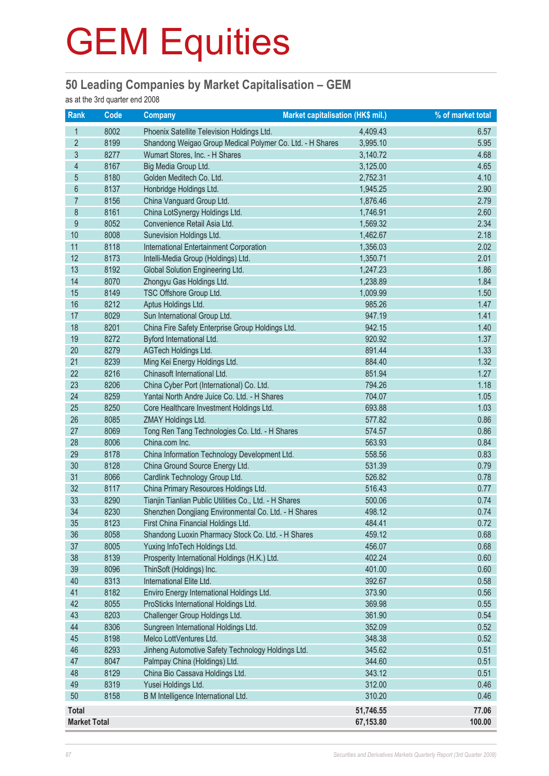#### **50 Leading Companies by Market Capitalisation – GEM**

as at the 3rd quarter end 2008

| <b>Rank</b>         | <b>Code</b> | <b>Company</b>                                            | Market capitalisation (HK\$ mil.) | % of market total |
|---------------------|-------------|-----------------------------------------------------------|-----------------------------------|-------------------|
| 1                   | 8002        | Phoenix Satellite Television Holdings Ltd.                | 4,409.43                          | 6.57              |
| $\overline{2}$      | 8199        | Shandong Weigao Group Medical Polymer Co. Ltd. - H Shares | 3,995.10                          | 5.95              |
| 3                   | 8277        | Wumart Stores, Inc. - H Shares                            | 3,140.72                          | 4.68              |
| $\overline{4}$      | 8167        | Big Media Group Ltd.                                      | 3,125.00                          | 4.65              |
| $\overline{5}$      | 8180        | Golden Meditech Co. Ltd.                                  | 2,752.31                          | 4.10              |
| $6\phantom{a}$      | 8137        | Honbridge Holdings Ltd.                                   | 1,945.25                          | 2.90              |
| $\overline{7}$      | 8156        | China Vanguard Group Ltd.                                 | 1,876.46                          | 2.79              |
| 8                   | 8161        | China LotSynergy Holdings Ltd.                            | 1,746.91                          | 2.60              |
| $\boldsymbol{9}$    | 8052        | Convenience Retail Asia Ltd.                              | 1,569.32                          | 2.34              |
| $10$                | 8008        | Sunevision Holdings Ltd.                                  | 1,462.67                          | 2.18              |
| 11                  | 8118        | <b>International Entertainment Corporation</b>            | 1,356.03                          | 2.02              |
| 12                  | 8173        | Intelli-Media Group (Holdings) Ltd.                       | 1,350.71                          | 2.01              |
| 13                  | 8192        | Global Solution Engineering Ltd.                          | 1,247.23                          | 1.86              |
| 14                  | 8070        | Zhongyu Gas Holdings Ltd.                                 | 1,238.89                          | 1.84              |
| 15                  | 8149        | TSC Offshore Group Ltd.                                   | 1,009.99                          | 1.50              |
| 16                  | 8212        | Aptus Holdings Ltd.                                       | 985.26                            | 1.47              |
| 17                  | 8029        | Sun International Group Ltd.                              | 947.19                            | 1.41              |
| 18                  | 8201        | China Fire Safety Enterprise Group Holdings Ltd.          | 942.15                            | 1.40              |
| 19                  | 8272        | Byford International Ltd.                                 | 920.92                            | 1.37              |
| 20                  | 8279        | AGTech Holdings Ltd.                                      | 891.44                            | 1.33              |
| 21                  | 8239        | Ming Kei Energy Holdings Ltd.                             | 884.40                            | 1.32              |
| 22                  | 8216        | Chinasoft International Ltd.                              | 851.94                            | 1.27              |
| 23                  | 8206        | China Cyber Port (International) Co. Ltd.                 | 794.26                            | 1.18              |
| 24                  | 8259        | Yantai North Andre Juice Co. Ltd. - H Shares              | 704.07                            | 1.05              |
| 25                  | 8250        | Core Healthcare Investment Holdings Ltd.                  | 693.88                            | 1.03              |
| 26                  | 8085        | ZMAY Holdings Ltd.                                        | 577.82                            | 0.86              |
| 27                  | 8069        | Tong Ren Tang Technologies Co. Ltd. - H Shares            | 574.57                            | 0.86              |
| 28                  | 8006        | China.com Inc.                                            | 563.93                            | 0.84              |
| 29                  | 8178        | China Information Technology Development Ltd.             | 558.56                            | 0.83              |
| 30                  | 8128        | China Ground Source Energy Ltd.                           | 531.39                            | 0.79              |
| 31                  | 8066        | Cardlink Technology Group Ltd.                            | 526.82                            | 0.78              |
| 32                  | 8117        | China Primary Resources Holdings Ltd.                     | 516.43                            | 0.77              |
| 33                  | 8290        | Tianjin Tianlian Public Utilities Co., Ltd. - H Shares    | 500.06                            | 0.74              |
| 34                  | 8230        | Shenzhen Dongjiang Environmental Co. Ltd. - H Shares      | 498.12                            | 0.74              |
| 35                  | 8123        | First China Financial Holdings Ltd.                       | 484.41                            | 0.72              |
| 36                  | 8058        | Shandong Luoxin Pharmacy Stock Co. Ltd. - H Shares        | 459.12                            | 0.68              |
| 37                  | 8005        | Yuxing InfoTech Holdings Ltd.                             | 456.07                            | 0.68              |
| 38                  | 8139        | Prosperity International Holdings (H.K.) Ltd.             | 402.24                            | 0.60              |
| 39                  | 8096        | ThinSoft (Holdings) Inc.                                  | 401.00                            | 0.60              |
| 40                  | 8313        | International Elite Ltd.                                  | 392.67                            | 0.58              |
| 41                  | 8182        | Enviro Energy International Holdings Ltd.                 | 373.90                            | 0.56              |
| 42                  | 8055        | ProSticks International Holdings Ltd.                     | 369.98                            | 0.55              |
| 43                  | 8203        | Challenger Group Holdings Ltd.                            | 361.90                            | 0.54              |
| 44                  | 8306        | Sungreen International Holdings Ltd.                      | 352.09                            | 0.52              |
| 45                  | 8198        | Melco LottVentures Ltd.                                   | 348.38                            | 0.52              |
| 46                  | 8293        | Jinheng Automotive Safety Technology Holdings Ltd.        | 345.62                            | 0.51              |
| 47                  | 8047        | Palmpay China (Holdings) Ltd.                             | 344.60                            | 0.51              |
| 48                  | 8129        | China Bio Cassava Holdings Ltd.                           | 343.12                            | 0.51              |
| 49                  | 8319        | Yusei Holdings Ltd.                                       | 312.00                            | 0.46              |
| 50                  | 8158        | B M Intelligence International Ltd.                       | 310.20                            | 0.46              |
| Total               |             |                                                           | 51,746.55                         | 77.06             |
| <b>Market Total</b> |             |                                                           | 67,153.80                         | 100.00            |
|                     |             |                                                           |                                   |                   |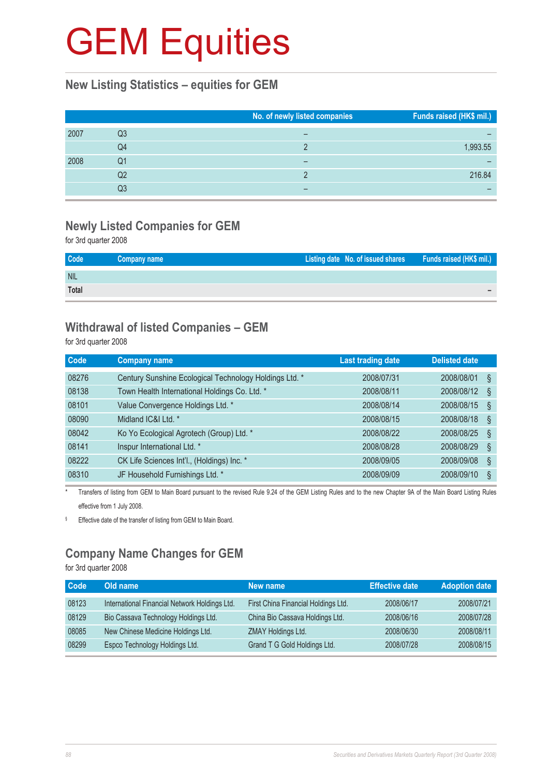#### **New Listing Statistics – equities for GEM**

|      |    | No. of newly listed companies | Funds raised (HK\$ mil.) |
|------|----|-------------------------------|--------------------------|
| 2007 | Q3 |                               |                          |
|      | Q4 |                               | 1,993.55                 |
| 2008 | Q1 |                               |                          |
|      | Q2 |                               | 216.84                   |
|      | Q3 |                               |                          |

### **Newly Listed Companies for GEM**

for 3rd quarter 2008

| Code       | Company name | Listing date No. of issued shares Funds raised (HK\$ mil.) |  |
|------------|--------------|------------------------------------------------------------|--|
| <b>NIL</b> |              |                                                            |  |
| Total      |              |                                                            |  |

#### **Withdrawal of listed Companies – GEM**

for 3rd quarter 2008

| <b>Code</b> | <b>Company name</b>                                    | Last trading date | <b>Delisted date</b> |  |
|-------------|--------------------------------------------------------|-------------------|----------------------|--|
| 08276       | Century Sunshine Ecological Technology Holdings Ltd. * | 2008/07/31        | 2008/08/01<br>Ş      |  |
| 08138       | Town Health International Holdings Co. Ltd. *          | 2008/08/11        | 2008/08/12<br>Ş      |  |
| 08101       | Value Convergence Holdings Ltd. *                      | 2008/08/14        | 2008/08/15<br>Ş      |  |
| 08090       | Midland IC&I Ltd. *                                    | 2008/08/15        | 2008/08/18<br>Ş      |  |
| 08042       | Ko Yo Ecological Agrotech (Group) Ltd. *               | 2008/08/22        | 2008/08/25<br>Ş      |  |
| 08141       | Inspur International Ltd. *                            | 2008/08/28        | 2008/08/29<br>Ş      |  |
| 08222       | CK Life Sciences Int'l., (Holdings) Inc. *             | 2008/09/05        | 2008/09/08<br>ş      |  |
| 08310       | JF Household Furnishings Ltd. *                        | 2008/09/09        | 2008/09/10<br>Ş      |  |

Transfers of listing from GEM to Main Board pursuant to the revised Rule 9.24 of the GEM Listing Rules and to the new Chapter 9A of the Main Board Listing Rules effective from 1 July 2008.

§ Effective date of the transfer of listing from GEM to Main Board.

### **Company Name Changes for GEM**

for 3rd quarter 2008

| <b>Code</b> | Old name                                      | New name                            | <b>Effective date</b> | <b>Adoption date</b> |
|-------------|-----------------------------------------------|-------------------------------------|-----------------------|----------------------|
| 08123       | International Financial Network Holdings Ltd. | First China Financial Holdings Ltd. | 2008/06/17            | 2008/07/21           |
| 08129       | Bio Cassava Technology Holdings Ltd.          | China Bio Cassava Holdings Ltd.     | 2008/06/16            | 2008/07/28           |
| 08085       | New Chinese Medicine Holdings Ltd.            | ZMAY Holdings Ltd.                  | 2008/06/30            | 2008/08/11           |
| 08299       | Espco Technology Holdings Ltd.                | Grand T G Gold Holdings Ltd.        | 2008/07/28            | 2008/08/15           |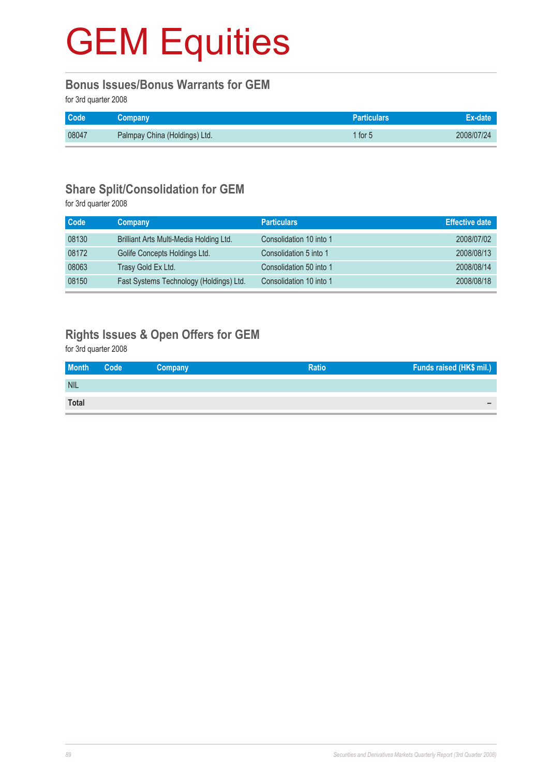#### **Bonus Issues/Bonus Warrants for GEM**

for 3rd quarter 2008

| <b>Code</b> | <b>Company</b>                | <b>Particulars</b> | Ex-date    |
|-------------|-------------------------------|--------------------|------------|
| 08047       | Palmpay China (Holdings) Ltd. | 1 for 5            | 2008/07/24 |

#### **Share Split/Consolidation for GEM**

for 3rd quarter 2008

| Code  | Company                                 | <b>Particulars</b>      | <b>Effective date</b> |
|-------|-----------------------------------------|-------------------------|-----------------------|
| 08130 | Brilliant Arts Multi-Media Holding Ltd. | Consolidation 10 into 1 | 2008/07/02            |
| 08172 | Golife Concepts Holdings Ltd.           | Consolidation 5 into 1  | 2008/08/13            |
| 08063 | Trasy Gold Ex Ltd.                      | Consolidation 50 into 1 | 2008/08/14            |
| 08150 | Fast Systems Technology (Holdings) Ltd. | Consolidation 10 into 1 | 2008/08/18            |

### **Rights Issues & Open Offers for GEM**

for 3rd quarter 2008

| <b>Month</b> | Code | Company | <b>Ratio</b> | Funds raised (HK\$ mil.) |
|--------------|------|---------|--------------|--------------------------|
| <b>NIL</b>   |      |         |              |                          |
| <b>Total</b> |      |         |              | -                        |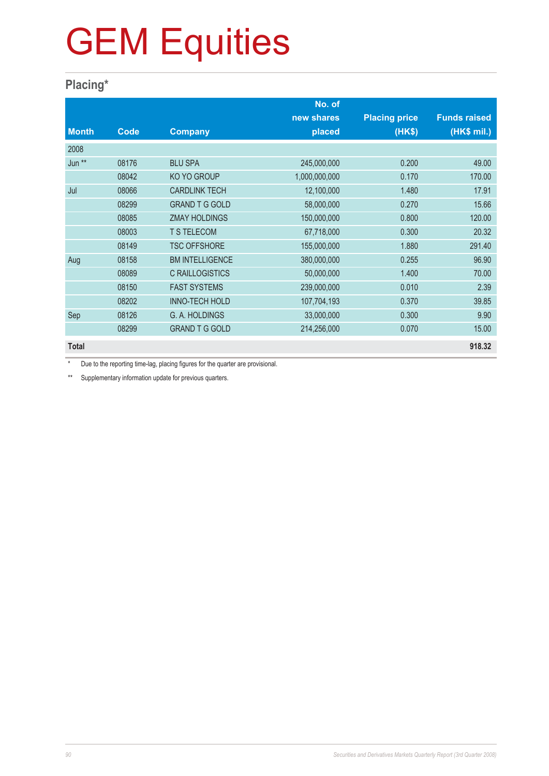#### **Placing\***

|              |       |                        | No. of        |                      |                     |
|--------------|-------|------------------------|---------------|----------------------|---------------------|
|              |       |                        | new shares    | <b>Placing price</b> | <b>Funds raised</b> |
| <b>Month</b> | Code  | <b>Company</b>         | placed        | (HK\$)               | (HK\$ mil.)         |
| 2008         |       |                        |               |                      |                     |
| Jun **       | 08176 | <b>BLU SPA</b>         | 245,000,000   | 0.200                | 49.00               |
|              | 08042 | <b>KO YO GROUP</b>     | 1,000,000,000 | 0.170                | 170.00              |
| Jul          | 08066 | <b>CARDLINK TECH</b>   | 12,100,000    | 1.480                | 17.91               |
|              | 08299 | <b>GRAND T G GOLD</b>  | 58,000,000    | 0.270                | 15.66               |
|              | 08085 | <b>ZMAY HOLDINGS</b>   | 150,000,000   | 0.800                | 120.00              |
|              | 08003 | <b>T S TELECOM</b>     | 67,718,000    | 0.300                | 20.32               |
|              | 08149 | <b>TSC OFFSHORE</b>    | 155,000,000   | 1.880                | 291.40              |
| Aug          | 08158 | <b>BM INTELLIGENCE</b> | 380,000,000   | 0.255                | 96.90               |
|              | 08089 | <b>C RAILLOGISTICS</b> | 50,000,000    | 1.400                | 70.00               |
|              | 08150 | <b>FAST SYSTEMS</b>    | 239,000,000   | 0.010                | 2.39                |
|              | 08202 | <b>INNO-TECH HOLD</b>  | 107,704,193   | 0.370                | 39.85               |
| Sep          | 08126 | G. A. HOLDINGS         | 33,000,000    | 0.300                | 9.90                |
|              | 08299 | <b>GRAND T G GOLD</b>  | 214,256,000   | 0.070                | 15.00               |
| <b>Total</b> |       |                        |               |                      | 918.32              |

\* Due to the reporting time-lag, placing figures for the quarter are provisional.

\*\* Supplementary information update for previous quarters.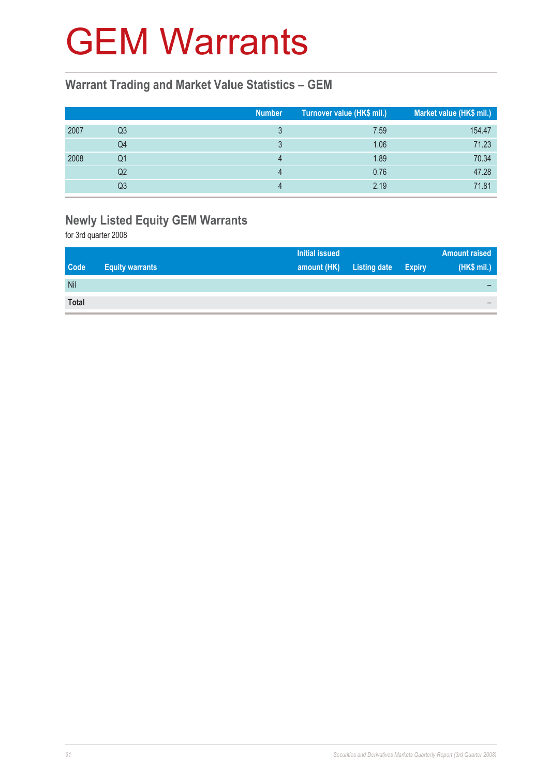### GEM Warrants

#### **Warrant Trading and Market Value Statistics – GEM**

|      |    | <b>Number</b> | Turnover value (HK\$ mil.) | Market value (HK\$ mil.) |
|------|----|---------------|----------------------------|--------------------------|
| 2007 | Q3 |               | 7.59                       | 154.47                   |
|      | Q4 |               | 1.06                       | 71.23                    |
| 2008 | Q1 | Δ             | 1.89                       | 70.34                    |
|      | Q2 | Δ             | 0.76                       | 47.28                    |
|      | Q3 |               | 2.19                       | 71.81                    |

### **Newly Listed Equity GEM Warrants**

for 3rd quarter 2008

|              |                        | <b>Initial issued</b> |                     |               | <b>Amount raised</b> |
|--------------|------------------------|-----------------------|---------------------|---------------|----------------------|
| <b>Code</b>  | <b>Equity warrants</b> | amount (HK)           | <b>Listing date</b> | <b>Expiry</b> | (HK\$ mil.)          |
| Nil          |                        |                       |                     |               |                      |
| <b>Total</b> |                        |                       |                     |               |                      |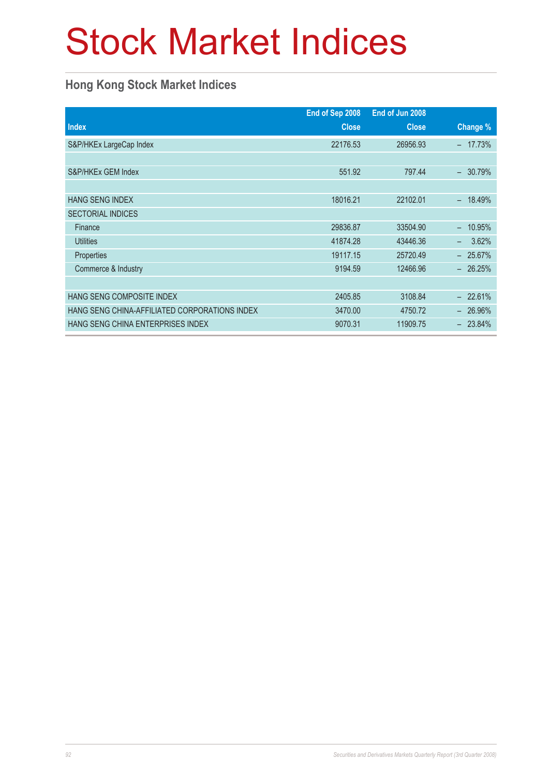# Stock Market Indices

#### **Hong Kong Stock Market Indices**

|                                               | End of Sep 2008 | End of Jun 2008 |            |
|-----------------------------------------------|-----------------|-----------------|------------|
| <b>Index</b>                                  | <b>Close</b>    | <b>Close</b>    | Change %   |
| S&P/HKEx LargeCap Index                       | 22176.53        | 26956.93        | 17.73%     |
|                                               |                 |                 |            |
| S&P/HKEx GEM Index                            | 551.92          | 797.44          | 30.79%     |
|                                               |                 |                 |            |
| <b>HANG SENG INDEX</b>                        | 18016.21        | 22102.01        | 18.49%     |
| <b>SECTORIAL INDICES</b>                      |                 |                 |            |
| Finance                                       | 29836.87        | 33504.90        | 10.95%     |
| <b>Utilities</b>                              | 41874.28        | 43446.36        | 3.62%<br>- |
| Properties                                    | 19117.15        | 25720.49        | 25.67%     |
| Commerce & Industry                           | 9194.59         | 12466.96        | $-26.25%$  |
|                                               |                 |                 |            |
| <b>HANG SENG COMPOSITE INDEX</b>              | 2405.85         | 3108.84         | $-22.61%$  |
| HANG SENG CHINA-AFFILIATED CORPORATIONS INDEX | 3470.00         | 4750.72         | $-26.96\%$ |
| <b>HANG SENG CHINA ENTERPRISES INDEX</b>      | 9070.31         | 11909.75        | $-23.84\%$ |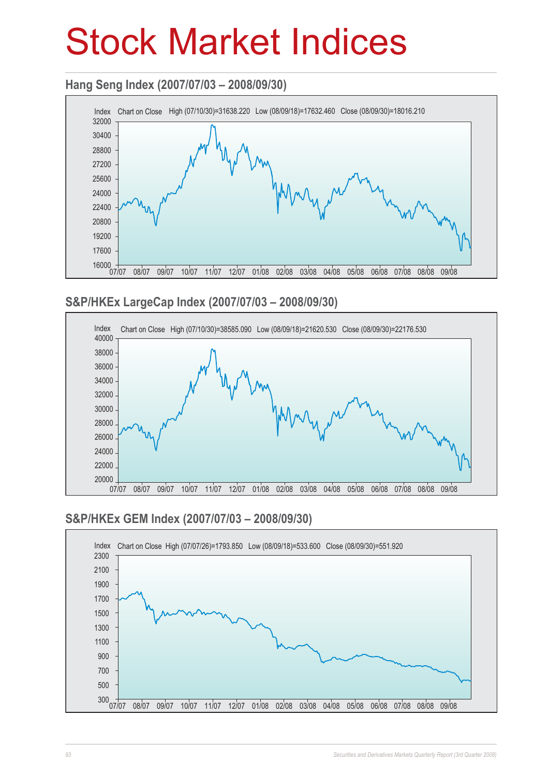## Stock Market Indices

#### **Hang Seng Index (2007/07/03 – 2008/09/30)**



#### **S&P/HKEx LargeCap Index (2007/07/03 – 2008/09/30)**



#### **S&P/HKEx GEM Index (2007/07/03 – 2008/09/30)**

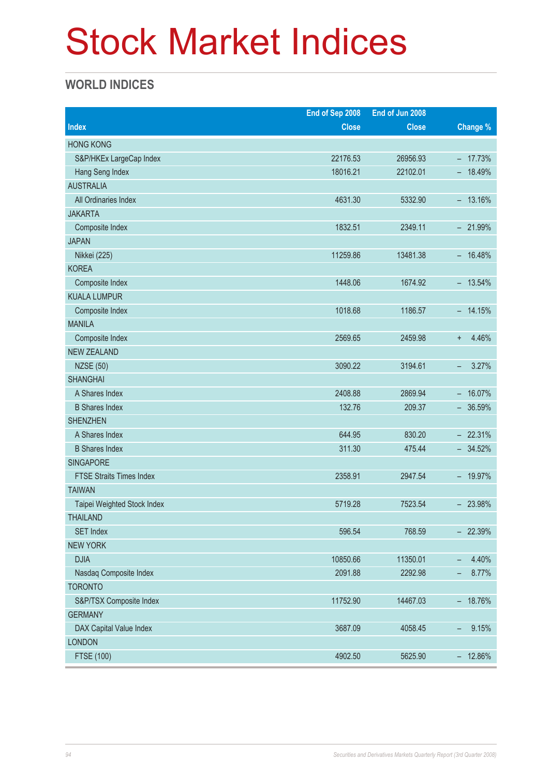# Stock Market Indices

#### **WORLD INDICES**

|                                 | End of Sep 2008 | End of Jun 2008 |                                    |
|---------------------------------|-----------------|-----------------|------------------------------------|
| <b>Index</b>                    | <b>Close</b>    | <b>Close</b>    | <b>Change %</b>                    |
| <b>HONG KONG</b>                |                 |                 |                                    |
| S&P/HKEx LargeCap Index         | 22176.53        | 26956.93        | $-17.73%$                          |
| Hang Seng Index                 | 18016.21        | 22102.01        | $-18.49%$                          |
| <b>AUSTRALIA</b>                |                 |                 |                                    |
| All Ordinaries Index            | 4631.30         | 5332.90         | $-13.16%$                          |
| <b>JAKARTA</b>                  |                 |                 |                                    |
| Composite Index                 | 1832.51         | 2349.11         | $-21.99%$                          |
| <b>JAPAN</b>                    |                 |                 |                                    |
| Nikkei (225)                    | 11259.86        | 13481.38        | $-16.48%$                          |
| <b>KOREA</b>                    |                 |                 |                                    |
| Composite Index                 | 1448.06         | 1674.92         | $-13.54\%$                         |
| <b>KUALA LUMPUR</b>             |                 |                 |                                    |
| Composite Index                 | 1018.68         | 1186.57         | $-14.15%$                          |
| <b>MANILA</b>                   |                 |                 |                                    |
| Composite Index                 | 2569.65         | 2459.98         | 4.46%<br>$\ddot{}$                 |
| <b>NEW ZEALAND</b>              |                 |                 |                                    |
| <b>NZSE (50)</b>                | 3090.22         | 3194.61         | 3.27%<br>-                         |
| <b>SHANGHAI</b>                 |                 |                 |                                    |
| A Shares Index                  | 2408.88         | 2869.94         | $- 16.07\%$                        |
| <b>B Shares Index</b>           | 132.76          | 209.37          | $-36.59%$                          |
| <b>SHENZHEN</b>                 |                 |                 |                                    |
| A Shares Index                  | 644.95          | 830.20          | $-22.31%$                          |
| <b>B</b> Shares Index           | 311.30          | 475.44          | $-34.52%$                          |
| <b>SINGAPORE</b>                |                 |                 |                                    |
| <b>FTSE Straits Times Index</b> | 2358.91         | 2947.54         | $-19.97%$                          |
| <b>TAIWAN</b>                   |                 |                 |                                    |
| Taipei Weighted Stock Index     | 5719.28         | 7523.54         | $-23.98%$                          |
| <b>THAILAND</b>                 |                 |                 |                                    |
| <b>SET Index</b>                | 596.54          | 768.59          | $-22.39%$                          |
| <b>NEW YORK</b>                 |                 |                 |                                    |
| <b>DJIA</b>                     | 10850.66        | 11350.01        | 4.40%<br>-                         |
| Nasdaq Composite Index          | 2091.88         | 2292.98         | 8.77%<br>-                         |
| <b>TORONTO</b>                  |                 |                 |                                    |
| S&P/TSX Composite Index         | 11752.90        | 14467.03        | $-18.76%$                          |
| <b>GERMANY</b>                  |                 |                 |                                    |
| DAX Capital Value Index         | 3687.09         | 4058.45         | 9.15%<br>$\overline{\phantom{0}}$  |
| <b>LONDON</b>                   |                 |                 |                                    |
| <b>FTSE (100)</b>               | 4902.50         | 5625.90         | 12.86%<br>$\overline{\phantom{0}}$ |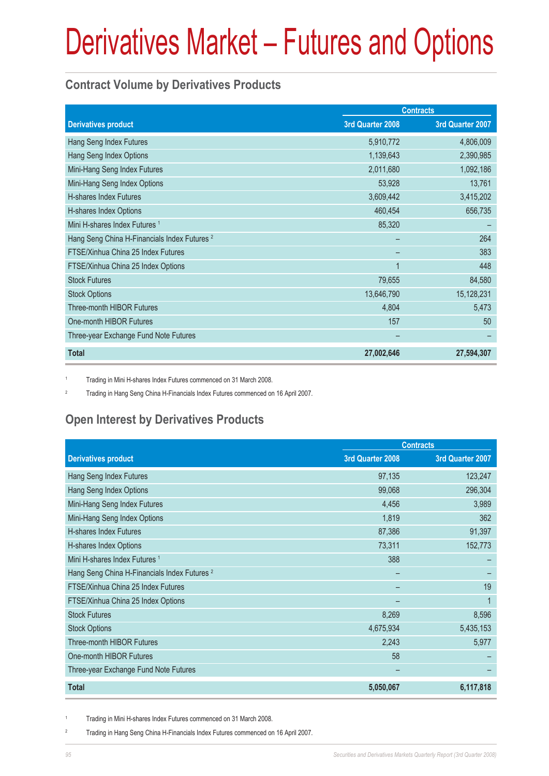#### **Contract Volume by Derivatives Products**

|                                                         | <b>Contracts</b> |                  |
|---------------------------------------------------------|------------------|------------------|
| <b>Derivatives product</b>                              | 3rd Quarter 2008 | 3rd Quarter 2007 |
| Hang Seng Index Futures                                 | 5,910,772        | 4,806,009        |
| Hang Seng Index Options                                 | 1,139,643        | 2,390,985        |
| Mini-Hang Seng Index Futures                            | 2,011,680        | 1,092,186        |
| Mini-Hang Seng Index Options                            | 53,928           | 13,761           |
| H-shares Index Futures                                  | 3,609,442        | 3,415,202        |
| H-shares Index Options                                  | 460,454          | 656,735          |
| Mini H-shares Index Futures <sup>1</sup>                | 85,320           |                  |
| Hang Seng China H-Financials Index Futures <sup>2</sup> |                  | 264              |
| FTSE/Xinhua China 25 Index Futures                      |                  | 383              |
| FTSE/Xinhua China 25 Index Options                      | 1                | 448              |
| <b>Stock Futures</b>                                    | 79,655           | 84,580           |
| <b>Stock Options</b>                                    | 13,646,790       | 15,128,231       |
| <b>Three-month HIBOR Futures</b>                        | 4,804            | 5,473            |
| One-month HIBOR Futures                                 | 157              | 50               |
| Three-year Exchange Fund Note Futures                   |                  |                  |
| <b>Total</b>                                            | 27,002,646       | 27,594,307       |

1 Trading in Mini H-shares Index Futures commenced on 31 March 2008.

2 Trading in Hang Seng China H-Financials Index Futures commenced on 16 April 2007.

### **Open Interest by Derivatives Products**

|                                                         | <b>Contracts</b> |                  |  |
|---------------------------------------------------------|------------------|------------------|--|
| <b>Derivatives product</b>                              | 3rd Quarter 2008 | 3rd Quarter 2007 |  |
| Hang Seng Index Futures                                 | 97,135           | 123,247          |  |
| Hang Seng Index Options                                 | 99,068           | 296,304          |  |
| Mini-Hang Seng Index Futures                            | 4,456            | 3,989            |  |
| Mini-Hang Seng Index Options                            | 1,819            | 362              |  |
| H-shares Index Futures                                  | 87,386           | 91,397           |  |
| H-shares Index Options                                  | 73,311           | 152,773          |  |
| Mini H-shares Index Futures <sup>1</sup>                | 388              |                  |  |
| Hang Seng China H-Financials Index Futures <sup>2</sup> |                  |                  |  |
| FTSE/Xinhua China 25 Index Futures                      |                  | 19               |  |
| FTSE/Xinhua China 25 Index Options                      |                  |                  |  |
| <b>Stock Futures</b>                                    | 8,269            | 8,596            |  |
| <b>Stock Options</b>                                    | 4,675,934        | 5,435,153        |  |
| Three-month HIBOR Futures                               | 2,243            | 5,977            |  |
| One-month HIBOR Futures                                 | 58               |                  |  |
| Three-year Exchange Fund Note Futures                   |                  |                  |  |
| <b>Total</b>                                            | 5,050,067        | 6,117,818        |  |

1 Trading in Mini H-shares Index Futures commenced on 31 March 2008.

2 Trading in Hang Seng China H-Financials Index Futures commenced on 16 April 2007.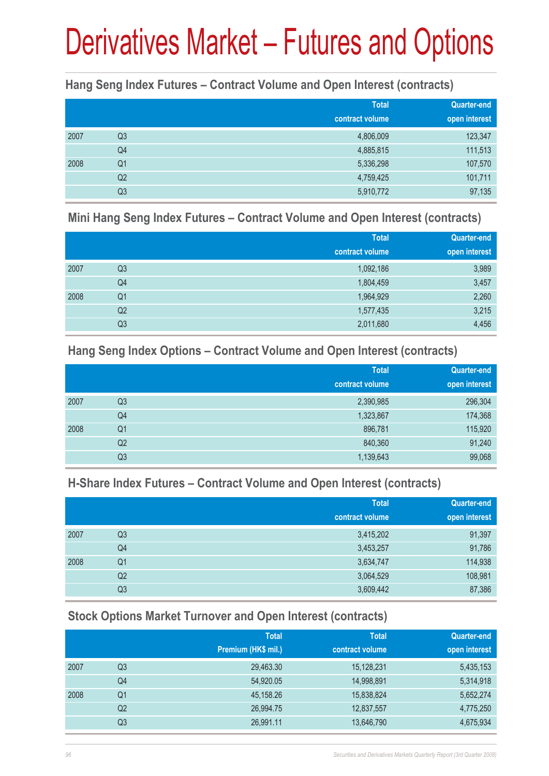#### **Hang Seng Index Futures – Contract Volume and Open Interest (contracts)**

|      |                | <b>Total</b><br>contract volume | <b>Quarter-end</b><br>open interest |
|------|----------------|---------------------------------|-------------------------------------|
| 2007 | Q <sub>3</sub> | 4,806,009                       | 123,347                             |
|      | Q4             | 4,885,815                       | 111,513                             |
| 2008 | Q1             | 5,336,298                       | 107,570                             |
|      | Q <sub>2</sub> | 4,759,425                       | 101,711                             |
|      | Q <sub>3</sub> | 5,910,772                       | 97,135                              |

#### **Mini Hang Seng Index Futures – Contract Volume and Open Interest (contracts)**

|      |                | <b>Total</b><br>contract volume | <b>Quarter-end</b><br>open interest |
|------|----------------|---------------------------------|-------------------------------------|
| 2007 | Q <sub>3</sub> | 1,092,186                       | 3,989                               |
|      | Q4             | 1,804,459                       | 3,457                               |
| 2008 | Q <sub>1</sub> | 1,964,929                       | 2,260                               |
|      | Q <sub>2</sub> | 1,577,435                       | 3,215                               |
|      | Q <sub>3</sub> | 2,011,680                       | 4,456                               |

#### **Hang Seng Index Options – Contract Volume and Open Interest (contracts)**

|      |                | <b>Total</b>    | Quarter-end   |
|------|----------------|-----------------|---------------|
|      |                | contract volume | open interest |
| 2007 | Q <sub>3</sub> | 2,390,985       | 296,304       |
|      | Q4             | 1,323,867       | 174,368       |
| 2008 | Q <sub>1</sub> | 896,781         | 115,920       |
|      | Q2             | 840,360         | 91,240        |
|      | Q3             | 1,139,643       | 99,068        |

#### **H-Share Index Futures – Contract Volume and Open Interest (contracts)**

|      |    | <b>Total</b>    | <b>Quarter-end</b> |
|------|----|-----------------|--------------------|
|      |    | contract volume | open interest      |
| 2007 | Q3 | 3,415,202       | 91,397             |
|      | Q4 | 3,453,257       | 91,786             |
| 2008 | Q1 | 3,634,747       | 114,938            |
|      | Q2 | 3,064,529       | 108,981            |
|      | Q3 | 3,609,442       | 87,386             |

#### **Stock Options Market Turnover and Open Interest (contracts)**

|    | <b>Total</b>        | <b>Total</b>    | Quarter-end   |
|----|---------------------|-----------------|---------------|
|    | Premium (HK\$ mil.) | contract volume | open interest |
| Q3 | 29,463.30           | 15,128,231      | 5,435,153     |
| Q4 | 54,920.05           | 14,998,891      | 5,314,918     |
| Q1 | 45,158.26           | 15,838,824      | 5,652,274     |
| Q2 | 26,994.75           | 12,837,557      | 4,775,250     |
| Q3 | 26,991.11           | 13,646,790      | 4,675,934     |
|    |                     |                 |               |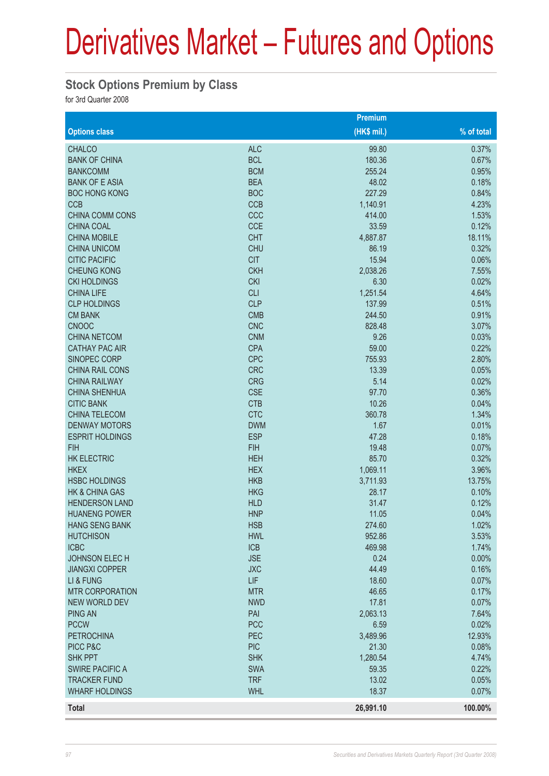#### **Stock Options Premium by Class**

for 3rd Quarter 2008

|                           |            | <b>Premium</b> |            |
|---------------------------|------------|----------------|------------|
| <b>Options class</b>      |            | (HK\$ mil.)    | % of total |
| <b>CHALCO</b>             | <b>ALC</b> | 99.80          | 0.37%      |
| <b>BANK OF CHINA</b>      | <b>BCL</b> | 180.36         | 0.67%      |
| <b>BANKCOMM</b>           | <b>BCM</b> | 255.24         | 0.95%      |
| <b>BANK OF E ASIA</b>     | <b>BEA</b> | 48.02          | 0.18%      |
| <b>BOC HONG KONG</b>      | <b>BOC</b> | 227.29         | 0.84%      |
| <b>CCB</b>                | <b>CCB</b> | 1,140.91       | 4.23%      |
| <b>CHINA COMM CONS</b>    | CCC        | 414.00         | 1.53%      |
| <b>CHINA COAL</b>         | <b>CCE</b> | 33.59          | 0.12%      |
| <b>CHINA MOBILE</b>       | <b>CHT</b> | 4,887.87       | 18.11%     |
| <b>CHINA UNICOM</b>       | <b>CHU</b> | 86.19          | 0.32%      |
| <b>CITIC PACIFIC</b>      | <b>CIT</b> | 15.94          | 0.06%      |
| <b>CHEUNG KONG</b>        | <b>CKH</b> | 2,038.26       | 7.55%      |
| <b>CKI HOLDINGS</b>       | <b>CKI</b> | 6.30           | 0.02%      |
| <b>CHINA LIFE</b>         | <b>CLI</b> | 1,251.54       | 4.64%      |
| <b>CLP HOLDINGS</b>       | <b>CLP</b> | 137.99         | 0.51%      |
| <b>CM BANK</b>            | <b>CMB</b> | 244.50         | 0.91%      |
| <b>CNOOC</b>              | <b>CNC</b> | 828.48         | 3.07%      |
| <b>CHINA NETCOM</b>       | <b>CNM</b> | 9.26           | 0.03%      |
| <b>CATHAY PAC AIR</b>     | <b>CPA</b> | 59.00          | 0.22%      |
| <b>SINOPEC CORP</b>       | <b>CPC</b> | 755.93         | 2.80%      |
| CHINA RAIL CONS           | <b>CRC</b> | 13.39          | 0.05%      |
| <b>CHINA RAILWAY</b>      | <b>CRG</b> | 5.14           | 0.02%      |
| <b>CHINA SHENHUA</b>      | <b>CSE</b> | 97.70          | 0.36%      |
| <b>CITIC BANK</b>         | <b>CTB</b> | 10.26          | 0.04%      |
| <b>CHINA TELECOM</b>      | <b>CTC</b> | 360.78         | 1.34%      |
| <b>DENWAY MOTORS</b>      | <b>DWM</b> | 1.67           | 0.01%      |
| <b>ESPRIT HOLDINGS</b>    | <b>ESP</b> | 47.28          | 0.18%      |
| <b>FIH</b>                | <b>FIH</b> | 19.48          | 0.07%      |
| <b>HK ELECTRIC</b>        | <b>HEH</b> | 85.70          | 0.32%      |
| <b>HKEX</b>               | <b>HEX</b> | 1,069.11       | 3.96%      |
| <b>HSBC HOLDINGS</b>      | <b>HKB</b> | 3,711.93       | 13.75%     |
| <b>HK &amp; CHINA GAS</b> | <b>HKG</b> | 28.17          | 0.10%      |
| <b>HENDERSON LAND</b>     | <b>HLD</b> | 31.47          | 0.12%      |
| <b>HUANENG POWER</b>      | <b>HNP</b> | 11.05          | 0.04%      |
| <b>HANG SENG BANK</b>     | <b>HSB</b> | 274.60         | 1.02%      |
| <b>HUTCHISON</b>          | <b>HWL</b> | 952.86         | 3.53%      |
| <b>ICBC</b>               | <b>ICB</b> | 469.98         | 1.74%      |
| <b>JOHNSON ELEC H</b>     | <b>JSE</b> | 0.24           | 0.00%      |
| <b>JIANGXI COPPER</b>     | <b>JXC</b> | 44.49          | 0.16%      |
| LI & FUNG                 | LIF        | 18.60          | 0.07%      |
| <b>MTR CORPORATION</b>    | <b>MTR</b> | 46.65          | 0.17%      |
| <b>NEW WORLD DEV</b>      | <b>NWD</b> | 17.81          | 0.07%      |
| <b>PING AN</b>            | PAI        | 2,063.13       | 7.64%      |
| <b>PCCW</b>               | <b>PCC</b> | 6.59           | 0.02%      |
| <b>PETROCHINA</b>         | PEC        | 3,489.96       | 12.93%     |
| PICC P&C                  | <b>PIC</b> | 21.30          | 0.08%      |
| <b>SHK PPT</b>            | <b>SHK</b> | 1,280.54       | 4.74%      |
| <b>SWIRE PACIFIC A</b>    | <b>SWA</b> | 59.35          | 0.22%      |
| <b>TRACKER FUND</b>       | <b>TRF</b> | 13.02          | 0.05%      |
| <b>WHARF HOLDINGS</b>     | <b>WHL</b> | 18.37          | 0.07%      |
|                           |            |                |            |
| <b>Total</b>              |            | 26,991.10      | 100.00%    |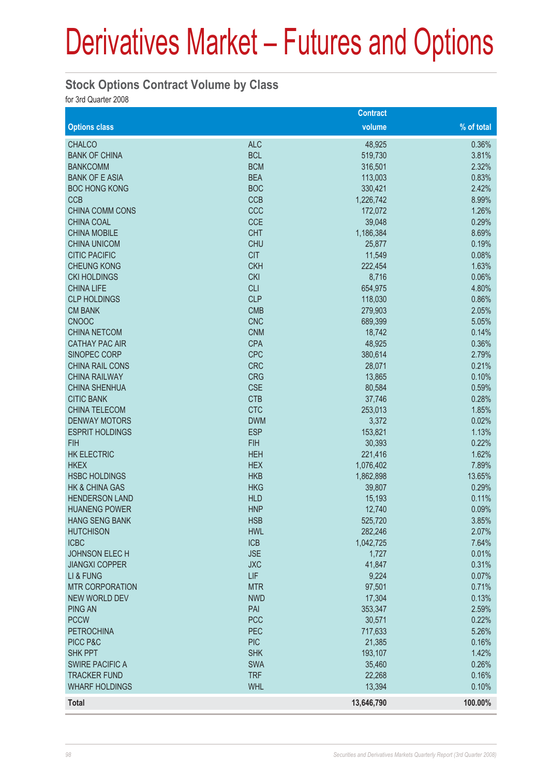#### **Stock Options Contract Volume by Class**

for 3rd Quarter 2008

|                                        |                          | <b>Contract</b> |                |
|----------------------------------------|--------------------------|-----------------|----------------|
| <b>Options class</b>                   |                          | volume          | % of total     |
| <b>CHALCO</b>                          | <b>ALC</b>               | 48,925          | 0.36%          |
| <b>BANK OF CHINA</b>                   | <b>BCL</b>               | 519,730         | 3.81%          |
| <b>BANKCOMM</b>                        | <b>BCM</b>               | 316,501         | 2.32%          |
| <b>BANK OF E ASIA</b>                  | <b>BEA</b>               | 113,003         | 0.83%          |
| <b>BOC HONG KONG</b>                   | <b>BOC</b>               | 330,421         | 2.42%          |
| <b>CCB</b>                             | <b>CCB</b>               | 1,226,742       | 8.99%          |
| <b>CHINA COMM CONS</b>                 | CCC                      | 172,072         | 1.26%          |
| <b>CHINA COAL</b>                      | <b>CCE</b>               | 39,048          | 0.29%          |
| <b>CHINA MOBILE</b>                    | <b>CHT</b>               | 1,186,384       | 8.69%          |
| <b>CHINA UNICOM</b>                    | <b>CHU</b>               | 25,877          | 0.19%          |
| <b>CITIC PACIFIC</b>                   | <b>CIT</b>               | 11,549          | 0.08%          |
| <b>CHEUNG KONG</b>                     | <b>CKH</b>               | 222,454         | 1.63%          |
| <b>CKI HOLDINGS</b>                    | <b>CKI</b>               | 8,716           | 0.06%          |
| <b>CHINA LIFE</b>                      | <b>CLI</b>               | 654,975         | 4.80%          |
| <b>CLP HOLDINGS</b>                    | <b>CLP</b>               | 118,030         | 0.86%          |
| <b>CM BANK</b>                         | <b>CMB</b>               | 279,903         | 2.05%          |
| <b>CNOOC</b>                           | <b>CNC</b>               | 689,399         | 5.05%          |
| <b>CHINA NETCOM</b>                    | <b>CNM</b>               | 18,742          | 0.14%          |
| <b>CATHAY PAC AIR</b>                  | <b>CPA</b>               | 48,925          | 0.36%          |
| SINOPEC CORP                           | <b>CPC</b>               | 380,614         | 2.79%          |
| <b>CHINA RAIL CONS</b>                 | <b>CRC</b>               | 28,071          | 0.21%          |
| <b>CHINA RAILWAY</b>                   | <b>CRG</b>               | 13,865          | 0.10%          |
| <b>CHINA SHENHUA</b>                   | <b>CSE</b>               | 80,584          | 0.59%          |
| <b>CITIC BANK</b>                      | <b>CTB</b>               | 37,746          | 0.28%          |
| <b>CHINA TELECOM</b>                   | <b>CTC</b>               | 253,013         | 1.85%          |
| <b>DENWAY MOTORS</b>                   | <b>DWM</b>               | 3,372           | 0.02%          |
| <b>ESPRIT HOLDINGS</b>                 | <b>ESP</b>               | 153,821         | 1.13%          |
| <b>FIH</b>                             | <b>FIH</b>               | 30,393          | 0.22%          |
| <b>HK ELECTRIC</b>                     | <b>HEH</b>               | 221,416         | 1.62%          |
| <b>HKEX</b>                            | <b>HEX</b>               | 1,076,402       | 7.89%          |
| <b>HSBC HOLDINGS</b>                   | <b>HKB</b>               | 1,862,898       | 13.65%         |
| <b>HK &amp; CHINA GAS</b>              | <b>HKG</b>               | 39,807          | 0.29%          |
| <b>HENDERSON LAND</b>                  | <b>HLD</b>               | 15,193          | 0.11%          |
| <b>HUANENG POWER</b>                   | <b>HNP</b>               | 12,740          | 0.09%          |
| HANG SENG BANK                         | <b>HSB</b>               | 525,720         | 3.85%          |
| <b>HUTCHISON</b>                       | <b>HWL</b>               | 282,246         | 2.07%          |
| <b>ICBC</b>                            | <b>ICB</b><br><b>JSE</b> | 1,042,725       | 7.64%          |
| JOHNSON ELECH<br><b>JIANGXI COPPER</b> | <b>JXC</b>               | 1,727           | 0.01%<br>0.31% |
| LI & FUNG                              | <b>LIF</b>               | 41,847<br>9,224 | 0.07%          |
| <b>MTR CORPORATION</b>                 | <b>MTR</b>               | 97,501          | 0.71%          |
| <b>NEW WORLD DEV</b>                   | <b>NWD</b>               | 17,304          | 0.13%          |
| <b>PING AN</b>                         | PAI                      | 353,347         | 2.59%          |
| <b>PCCW</b>                            | <b>PCC</b>               | 30,571          | 0.22%          |
| <b>PETROCHINA</b>                      | PEC                      | 717,633         | 5.26%          |
| PICC P&C                               | <b>PIC</b>               | 21,385          | 0.16%          |
| <b>SHK PPT</b>                         | <b>SHK</b>               | 193,107         | 1.42%          |
| <b>SWIRE PACIFIC A</b>                 | <b>SWA</b>               | 35,460          | 0.26%          |
| <b>TRACKER FUND</b>                    | <b>TRF</b>               | 22,268          | 0.16%          |
| <b>WHARF HOLDINGS</b>                  | <b>WHL</b>               | 13,394          | 0.10%          |
| <b>Total</b>                           |                          | 13,646,790      | 100.00%        |
|                                        |                          |                 |                |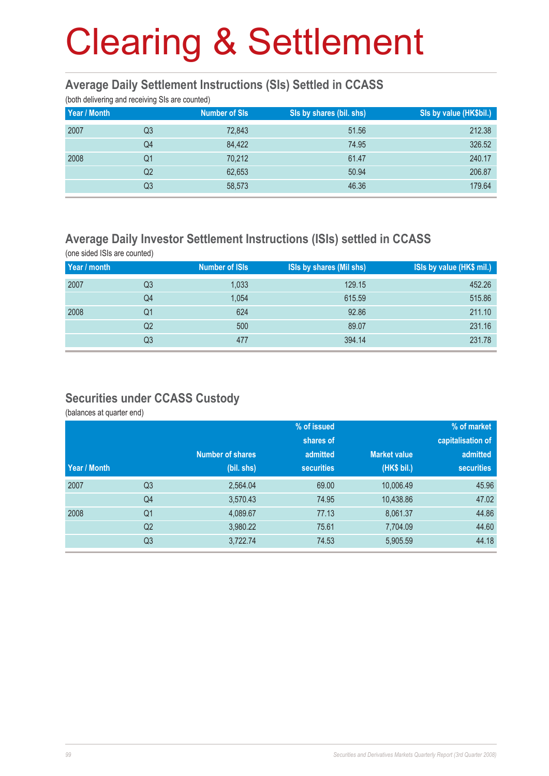#### **Average Daily Settlement Instructions (SIs) Settled in CCASS**

(both delivering and receiving SIs are counted)

| ັ<br>Year / Month | ັ  | <b>Number of SIs</b> | SIs by shares (bil. shs) | Sis by value (HK\$bil.) |
|-------------------|----|----------------------|--------------------------|-------------------------|
| 2007              | Q3 | 72,843               | 51.56                    | 212.38                  |
|                   | Q4 | 84,422               | 74.95                    | 326.52                  |
| 2008              | Q1 | 70,212               | 61.47                    | 240.17                  |
|                   | Q2 | 62,653               | 50.94                    | 206.87                  |
|                   | Q3 | 58,573               | 46.36                    | 179.64                  |

#### **Average Daily Investor Settlement Instructions (ISIs) settled in CCASS**

(one sided ISIs are counted) **Year / month** Number of ISIs ISIs by shares (Mil shs) ISIs by value (HK\$ mil.) 2007 Q3 1,033 129.15 452.26 Q4 1,054 615.59 515.86 2008 Q1 624 92.86 211.10 . The contract of the contract of the contract of the contract of the contract of the contract of the contract of the contract of the contract of the contract of the contract of the contract of the contract of the contrac . The contract of the contract of the contract of the contract of the contract of the contract of the contract of the contract of the contract of the contract of the contract of the contract of the contract of the contrac

#### **Securities under CCASS Custody**

(balances at quarter end)

|              |                |                         | % of issued       |                     | % of market       |
|--------------|----------------|-------------------------|-------------------|---------------------|-------------------|
|              |                |                         | shares of         |                     | capitalisation of |
|              |                | <b>Number of shares</b> | admitted          | <b>Market value</b> | admitted          |
| Year / Month |                | (bil. shs)              | <b>securities</b> | (HK\$ bil.)         | <b>securities</b> |
| 2007         | Q <sub>3</sub> | 2,564.04                | 69.00             | 10,006.49           | 45.96             |
|              | Q4             | 3,570.43                | 74.95             | 10,438.86           | 47.02             |
| 2008         | Q <sub>1</sub> | 4,089.67                | 77.13             | 8,061.37            | 44.86             |
|              | Q <sub>2</sub> | 3,980.22                | 75.61             | 7,704.09            | 44.60             |
|              | Q <sub>3</sub> | 3,722.74                | 74.53             | 5,905.59            | 44.18             |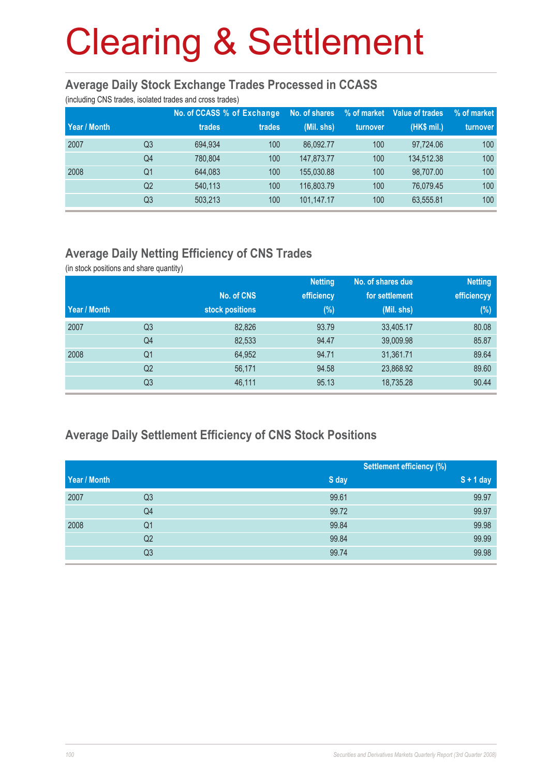#### **Average Daily Stock Exchange Trades Processed in CCASS**

(including CNS trades, isolated trades and cross trades)

|              |                | No. of CCASS % of Exchange |        | No. of shares | % of market | Value of trades | % of market |
|--------------|----------------|----------------------------|--------|---------------|-------------|-----------------|-------------|
| Year / Month |                | trades                     | trades | (Mil. shs)    | turnover    | (HK\$ mil.)     | turnover    |
| 2007         | Q3             | 694.934                    | 100    | 86.092.77     | 100         | 97,724.06       | 100         |
|              | Q4             | 780.804                    | 100    | 147.873.77    | 100         | 134,512.38      | 100         |
| 2008         | Q1             | 644.083                    | 100    | 155,030.88    | 100         | 98.707.00       | 100         |
|              | Q <sub>2</sub> | 540,113                    | 100    | 116,803.79    | 100         | 76.079.45       | 100         |
|              | Q3             | 503,213                    | 100    | 101,147.17    | 100         | 63,555.81       | 100         |

#### **Average Daily Netting Efficiency of CNS Trades**

(in stock positions and share quantity)

|              |                |                 | <b>Netting</b> | No. of shares due | <b>Netting</b> |
|--------------|----------------|-----------------|----------------|-------------------|----------------|
|              |                | No. of CNS      | efficiency     | for settlement    | efficiencyy    |
| Year / Month |                | stock positions | $(\%)$         | (Mil. shs)        | (%)            |
| 2007         | Q <sub>3</sub> | 82,826          | 93.79          | 33,405.17         | 80.08          |
|              | Q4             | 82,533          | 94.47          | 39,009.98         | 85.87          |
| 2008         | Q1             | 64,952          | 94.71          | 31,361.71         | 89.64          |
|              | Q <sub>2</sub> | 56,171          | 94.58          | 23,868.92         | 89.60          |
|              | Q <sub>3</sub> | 46,111          | 95.13          | 18,735.28         | 90.44          |

#### **Average Daily Settlement Efficiency of CNS Stock Positions**

|              |                |       | <b>Settlement efficiency (%)</b> |
|--------------|----------------|-------|----------------------------------|
| Year / Month |                | S day | $S + 1$ day                      |
| 2007         | Q3             | 99.61 | 99.97                            |
|              | Q4             | 99.72 | 99.97                            |
| 2008         | Q <sub>1</sub> | 99.84 | 99.98                            |
|              | Q2             | 99.84 | 99.99                            |
|              | Q3             | 99.74 | 99.98                            |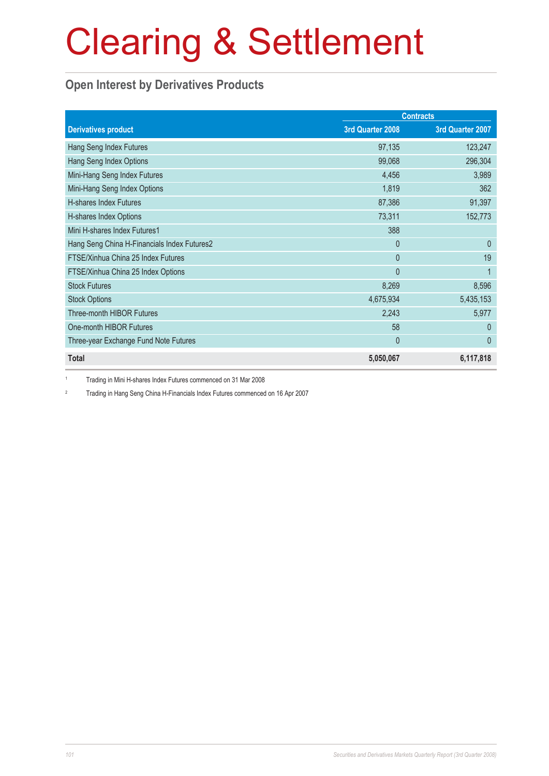### **Open Interest by Derivatives Products**

|                                             |                  | <b>Contracts</b> |
|---------------------------------------------|------------------|------------------|
| <b>Derivatives product</b>                  | 3rd Quarter 2008 | 3rd Quarter 2007 |
| Hang Seng Index Futures                     | 97,135           | 123,247          |
| Hang Seng Index Options                     | 99,068           | 296,304          |
| Mini-Hang Seng Index Futures                | 4,456            | 3,989            |
| Mini-Hang Seng Index Options                | 1,819            | 362              |
| H-shares Index Futures                      | 87,386           | 91,397           |
| H-shares Index Options                      | 73,311           | 152,773          |
| Mini H-shares Index Futures1                | 388              |                  |
| Hang Seng China H-Financials Index Futures2 | $\overline{0}$   | $\overline{0}$   |
| FTSE/Xinhua China 25 Index Futures          | $\overline{0}$   | 19               |
| FTSE/Xinhua China 25 Index Options          | $\mathbf{0}$     | 1                |
| <b>Stock Futures</b>                        | 8,269            | 8,596            |
| <b>Stock Options</b>                        | 4,675,934        | 5,435,153        |
| <b>Three-month HIBOR Futures</b>            | 2,243            | 5,977            |
| One-month HIBOR Futures                     | 58               | $\mathbf{0}$     |
| Three-year Exchange Fund Note Futures       | $\mathbf 0$      | $\theta$         |
| <b>Total</b>                                | 5,050,067        | 6,117,818        |

1 Trading in Mini H-shares Index Futures commenced on 31 Mar 2008

2 Trading in Hang Seng China H-Financials Index Futures commenced on 16 Apr 2007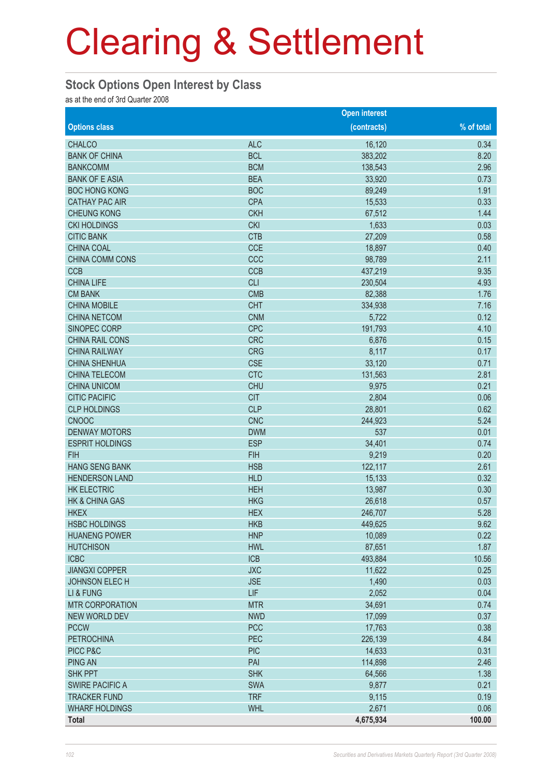#### **Stock Options Open Interest by Class**

as at the end of 3rd Quarter 2008

|                        |            | <b>Open interest</b> |            |
|------------------------|------------|----------------------|------------|
| <b>Options class</b>   |            | (contracts)          | % of total |
| <b>CHALCO</b>          | <b>ALC</b> | 16,120               | 0.34       |
| <b>BANK OF CHINA</b>   | <b>BCL</b> | 383,202              | 8.20       |
| <b>BANKCOMM</b>        | <b>BCM</b> | 138,543              | 2.96       |
| <b>BANK OF E ASIA</b>  | <b>BEA</b> | 33,920               | 0.73       |
| <b>BOC HONG KONG</b>   | <b>BOC</b> | 89,249               | 1.91       |
| <b>CATHAY PAC AIR</b>  | <b>CPA</b> | 15,533               | 0.33       |
| <b>CHEUNG KONG</b>     | <b>CKH</b> | 67,512               | 1.44       |
| <b>CKI HOLDINGS</b>    | <b>CKI</b> | 1,633                | 0.03       |
| <b>CITIC BANK</b>      | <b>CTB</b> | 27,209               | 0.58       |
| <b>CHINA COAL</b>      | <b>CCE</b> | 18,897               | 0.40       |
| CHINA COMM CONS        | CCC        | 98,789               | 2.11       |
| <b>CCB</b>             | <b>CCB</b> | 437,219              | 9.35       |
| <b>CHINA LIFE</b>      | <b>CLI</b> | 230,504              | 4.93       |
| <b>CM BANK</b>         | <b>CMB</b> | 82,388               | 1.76       |
| <b>CHINA MOBILE</b>    | <b>CHT</b> | 334,938              | 7.16       |
| <b>CHINA NETCOM</b>    | <b>CNM</b> | 5,722                | 0.12       |
| SINOPEC CORP           | <b>CPC</b> | 191,793              | 4.10       |
| CHINA RAIL CONS        | <b>CRC</b> | 6,876                | 0.15       |
| <b>CHINA RAILWAY</b>   | <b>CRG</b> | 8,117                | 0.17       |
| <b>CHINA SHENHUA</b>   | <b>CSE</b> | 33,120               | 0.71       |
| <b>CHINA TELECOM</b>   | <b>CTC</b> | 131,563              | 2.81       |
| <b>CHINA UNICOM</b>    | <b>CHU</b> | 9,975                | 0.21       |
| <b>CITIC PACIFIC</b>   | <b>CIT</b> | 2,804                | 0.06       |
| <b>CLP HOLDINGS</b>    | <b>CLP</b> | 28,801               | 0.62       |
| <b>CNOOC</b>           | <b>CNC</b> | 244,923              | 5.24       |
| <b>DENWAY MOTORS</b>   | <b>DWM</b> | 537                  | 0.01       |
| <b>ESPRIT HOLDINGS</b> | <b>ESP</b> | 34,401               | 0.74       |
| <b>FIH</b>             | <b>FIH</b> | 9,219                | 0.20       |
| <b>HANG SENG BANK</b>  | <b>HSB</b> | 122,117              | 2.61       |
| <b>HENDERSON LAND</b>  | <b>HLD</b> | 15,133               | 0.32       |
| <b>HK ELECTRIC</b>     | <b>HEH</b> | 13,987               | 0.30       |
| HK & CHINA GAS         | <b>HKG</b> | 26,618               | 0.57       |
| <b>HKEX</b>            | <b>HEX</b> | 246,707              | 5.28       |
| <b>HSBC HOLDINGS</b>   | <b>HKB</b> | 449,625              | 9.62       |
| <b>HUANENG POWER</b>   | <b>HNP</b> | 10,089               | 0.22       |
| <b>HUTCHISON</b>       | <b>HWL</b> | 87,651               | 1.87       |
| <b>ICBC</b>            | <b>ICB</b> | 493,884              | 10.56      |
| <b>JIANGXI COPPER</b>  | <b>JXC</b> | 11,622               | 0.25       |
| <b>JOHNSON ELECH</b>   | <b>JSE</b> | 1,490                | 0.03       |
| LI & FUNG              | <b>LIF</b> | 2,052                | 0.04       |
| <b>MTR CORPORATION</b> | <b>MTR</b> | 34,691               | 0.74       |
| <b>NEW WORLD DEV</b>   | <b>NWD</b> | 17,099               | 0.37       |
| <b>PCCW</b>            | <b>PCC</b> | 17,763               | 0.38       |
| <b>PETROCHINA</b>      | PEC        | 226,139              | 4.84       |
| PICC P&C               | <b>PIC</b> | 14,633               | 0.31       |
| <b>PING AN</b>         | PAI        | 114,898              | 2.46       |
| <b>SHK PPT</b>         | <b>SHK</b> | 64,566               | 1.38       |
| <b>SWIRE PACIFIC A</b> | <b>SWA</b> | 9,877                | 0.21       |
| <b>TRACKER FUND</b>    | <b>TRF</b> | 9,115                | 0.19       |
| <b>WHARF HOLDINGS</b>  | <b>WHL</b> | 2,671                | 0.06       |
|                        |            | 4,675,934            | 100.00     |
| <b>Total</b>           |            |                      |            |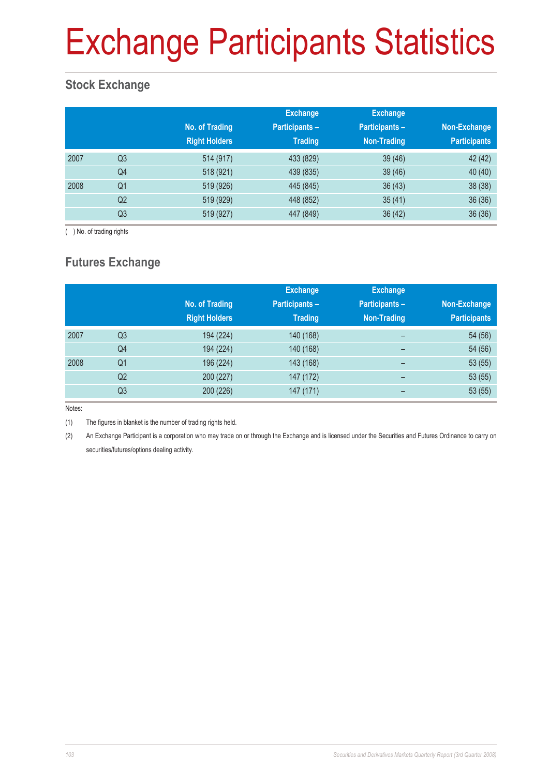# Exchange Participants Statistics

### **Stock Exchange**

|      |                | No. of Trading<br><b>Right Holders</b> | <b>Exchange</b><br><b>Participants -</b><br><b>Trading</b> | <b>Exchange</b><br><b>Participants -</b><br>Non-Trading | Non-Exchange<br><b>Participants</b> |
|------|----------------|----------------------------------------|------------------------------------------------------------|---------------------------------------------------------|-------------------------------------|
| 2007 | Q <sub>3</sub> | 514 (917)                              | 433 (829)                                                  | 39(46)                                                  | 42 (42)                             |
|      | Q4             | 518 (921)                              | 439 (835)                                                  | 39(46)                                                  | 40 (40)                             |
| 2008 | Q <sub>1</sub> | 519 (926)                              | 445 (845)                                                  | 36(43)                                                  | 38 (38)                             |
|      | Q2             | 519 (929)                              | 448 (852)                                                  | 35(41)                                                  | 36(36)                              |
|      | Q <sub>3</sub> | 519 (927)                              | 447 (849)                                                  | 36(42)                                                  | 36(36)                              |

( ) No. of trading rights

### **Futures Exchange**

|      |                | No. of Trading<br><b>Right Holders</b> | <b>Exchange</b><br><b>Participants -</b><br><b>Trading</b> | <b>Exchange</b><br><b>Participants -</b><br>Non-Trading | Non-Exchange<br><b>Participants</b> |
|------|----------------|----------------------------------------|------------------------------------------------------------|---------------------------------------------------------|-------------------------------------|
| 2007 | Q <sub>3</sub> | 194 (224)                              | 140 (168)                                                  | -                                                       | 54 (56)                             |
|      | Q4             | 194 (224)                              | 140 (168)                                                  | -                                                       | 54 (56)                             |
| 2008 | Q <sub>1</sub> | 196 (224)                              | 143 (168)                                                  | -                                                       | 53(55)                              |
|      | Q2             | 200 (227)                              | 147 (172)                                                  | -                                                       | 53(55)                              |
|      | Q3             | 200 (226)                              | 147 (171)                                                  |                                                         | 53(55)                              |

Notes:

(1) The figures in blanket is the number of trading rights held.

(2) An Exchange Participant is a corporation who may trade on or through the Exchange and is licensed under the Securities and Futures Ordinance to carry on securities/futures/options dealing activity.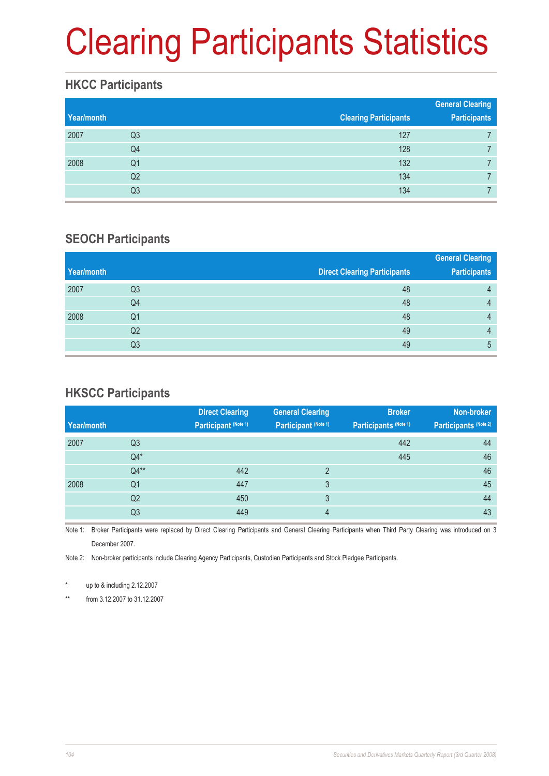# Clearing Participants Statistics

#### **HKCC Participants**

| Year/month |                | <b>Clearing Participants</b> | <b>General Clearing</b><br><b>Participants</b> |
|------------|----------------|------------------------------|------------------------------------------------|
| 2007       | Q3             | 127                          |                                                |
|            | Q4             | 128                          |                                                |
| 2008       | Q1             | 132                          |                                                |
|            | Q <sub>2</sub> | 134                          |                                                |
|            | Q3             | 134                          |                                                |

#### **SEOCH Participants**

|    |                                     | <b>General Clearing</b> |
|----|-------------------------------------|-------------------------|
|    | <b>Direct Clearing Participants</b> | <b>Participants</b>     |
| Q3 | 48                                  | 4                       |
| Q4 | 48                                  | 4                       |
| Q1 | 48                                  | 4                       |
| Q2 | 49                                  | 4                       |
| Q3 | 49                                  | 5                       |
|    |                                     |                         |

### **HKSCC Participants**

|            |                | <b>Direct Clearing</b> | <b>General Clearing</b> | <b>Broker</b>         | Non-broker            |
|------------|----------------|------------------------|-------------------------|-----------------------|-----------------------|
| Year/month |                | Participant (Note 1)   | Participant (Note 1)    | Participants (Note 1) | Participants (Note 2) |
| 2007       | Q <sub>3</sub> |                        |                         | 442                   | 44                    |
|            | $Q4*$          |                        |                         | 445                   | 46                    |
|            | $Q4**$         | 442                    | $\mathcal{D}$           |                       | 46                    |
| 2008       | Q <sub>1</sub> | 447                    | 3                       |                       | 45                    |
|            | Q <sub>2</sub> | 450                    | 3                       |                       | 44                    |
|            | Q3             | 449                    | 4                       |                       | 43                    |

Note 1: Broker Participants were replaced by Direct Clearing Participants and General Clearing Participants when Third Party Clearing was introduced on 3 December 2007.

Note 2: Non-broker participants include Clearing Agency Participants, Custodian Participants and Stock Pledgee Participants.

\* up to & including 2.12.2007

\*\* from 3.12.2007 to 31.12.2007